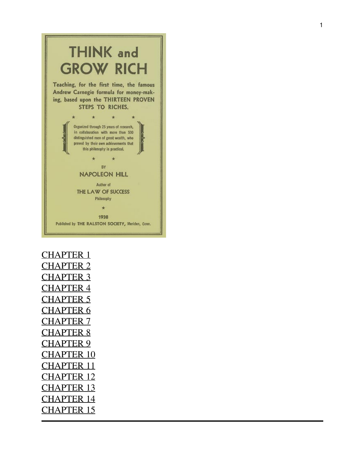

[CHAPTER 1](#page-17-0) [CHAPTER 2](#page-34-0) [CHAPTER 3](#page-56-0) [CHAPTER 4](#page-78-0) [CHAPTER 5](#page-86-0) [CHAPTER 6](#page-102-0) [CHAPTER 7](#page-118-0) [CHAPTER 8](#page-165-0) [CHAPTER 9](#page-178-0) [CHAPTER 10](#page-197-0) [CHAPTER 11](#page-206-0) [CHAPTER 12](#page-230-0) [CHAPTER 13](#page-239-0) [CHAPTER 14](#page-246-0) [CHAPTER 15](#page-258-0)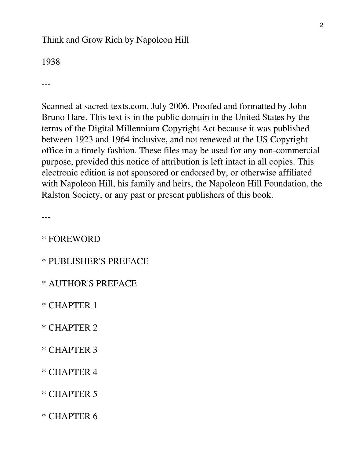### Think and Grow Rich by Napoleon Hill

1938

---

Scanned at sacred-texts.com, July 2006. Proofed and formatted by John Bruno Hare. This text is in the public domain in the United States by the terms of the Digital Millennium Copyright Act because it was published between 1923 and 1964 inclusive, and not renewed at the US Copyright office in a timely fashion. These files may be used for any non-commercial purpose, provided this notice of attribution is left intact in all copies. This electronic edition is not sponsored or endorsed by, or otherwise affiliated with Napoleon Hill, his family and heirs, the Napoleon Hill Foundation, the Ralston Society, or any past or present publishers of this book.

---

\* FOREWORD

\* PUBLISHER'S PREFACE

\* AUTHOR'S PREFACE

\* CHAPTER 1

\* CHAPTER 2

\* CHAPTER 3

\* CHAPTER 4

\* CHAPTER 5

\* CHAPTER 6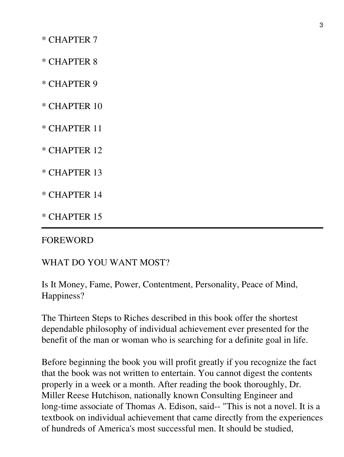\* CHAPTER 7

\* CHAPTER 8

\* CHAPTER 9

\* CHAPTER 10

\* CHAPTER 11

\* CHAPTER 12

\* CHAPTER 13

\* CHAPTER 14

\* CHAPTER 15

#### FOREWORD

#### WHAT DO YOU WANT MOST?

Is It Money, Fame, Power, Contentment, Personality, Peace of Mind, Happiness?

The Thirteen Steps to Riches described in this book offer the shortest dependable philosophy of individual achievement ever presented for the benefit of the man or woman who is searching for a definite goal in life.

Before beginning the book you will profit greatly if you recognize the fact that the book was not written to entertain. You cannot digest the contents properly in a week or a month. After reading the book thoroughly, Dr. Miller Reese Hutchison, nationally known Consulting Engineer and long-time associate of Thomas A. Edison, said-- "This is not a novel. It is a textbook on individual achievement that came directly from the experiences of hundreds of America's most successful men. It should be studied,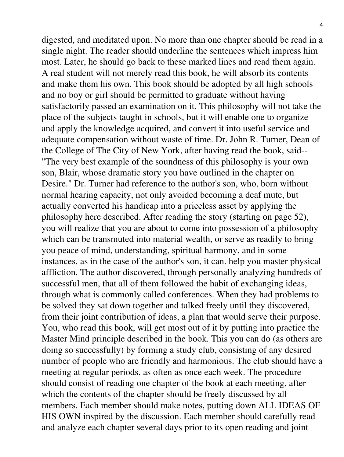digested, and meditated upon. No more than one chapter should be read in a single night. The reader should underline the sentences which impress him most. Later, he should go back to these marked lines and read them again. A real student will not merely read this book, he will absorb its contents and make them his own. This book should be adopted by all high schools and no boy or girl should be permitted to graduate without having satisfactorily passed an examination on it. This philosophy will not take the place of the subjects taught in schools, but it will enable one to organize and apply the knowledge acquired, and convert it into useful service and adequate compensation without waste of time. Dr. John R. Turner, Dean of the College of The City of New York, after having read the book, said-- "The very best example of the soundness of this philosophy is your own son, Blair, whose dramatic story you have outlined in the chapter on Desire." Dr. Turner had reference to the author's son, who, born without normal hearing capacity, not only avoided becoming a deaf mute, but actually converted his handicap into a priceless asset by applying the philosophy here described. After reading the story (starting on page 52), you will realize that you are about to come into possession of a philosophy which can be transmuted into material wealth, or serve as readily to bring you peace of mind, understanding, spiritual harmony, and in some instances, as in the case of the author's son, it can. help you master physical affliction. The author discovered, through personally analyzing hundreds of successful men, that all of them followed the habit of exchanging ideas, through what is commonly called conferences. When they had problems to be solved they sat down together and talked freely until they discovered, from their joint contribution of ideas, a plan that would serve their purpose. You, who read this book, will get most out of it by putting into practice the Master Mind principle described in the book. This you can do (as others are doing so successfully) by forming a study club, consisting of any desired number of people who are friendly and harmonious. The club should have a meeting at regular periods, as often as once each week. The procedure should consist of reading one chapter of the book at each meeting, after which the contents of the chapter should be freely discussed by all members. Each member should make notes, putting down ALL IDEAS OF HIS OWN inspired by the discussion. Each member should carefully read and analyze each chapter several days prior to its open reading and joint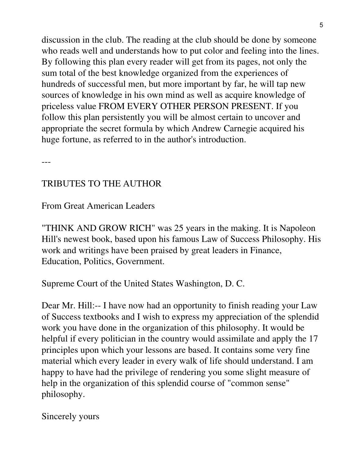discussion in the club. The reading at the club should be done by someone who reads well and understands how to put color and feeling into the lines. By following this plan every reader will get from its pages, not only the sum total of the best knowledge organized from the experiences of hundreds of successful men, but more important by far, he will tap new sources of knowledge in his own mind as well as acquire knowledge of priceless value FROM EVERY OTHER PERSON PRESENT. If you follow this plan persistently you will be almost certain to uncover and appropriate the secret formula by which Andrew Carnegie acquired his huge fortune, as referred to in the author's introduction.

---

### TRIBUTES TO THE AUTHOR

From Great American Leaders

"THINK AND GROW RICH" was 25 years in the making. It is Napoleon Hill's newest book, based upon his famous Law of Success Philosophy. His work and writings have been praised by great leaders in Finance, Education, Politics, Government.

Supreme Court of the United States Washington, D. C.

Dear Mr. Hill:-- I have now had an opportunity to finish reading your Law of Success textbooks and I wish to express my appreciation of the splendid work you have done in the organization of this philosophy. It would be helpful if every politician in the country would assimilate and apply the 17 principles upon which your lessons are based. It contains some very fine material which every leader in every walk of life should understand. I am happy to have had the privilege of rendering you some slight measure of help in the organization of this splendid course of "common sense" philosophy.

Sincerely yours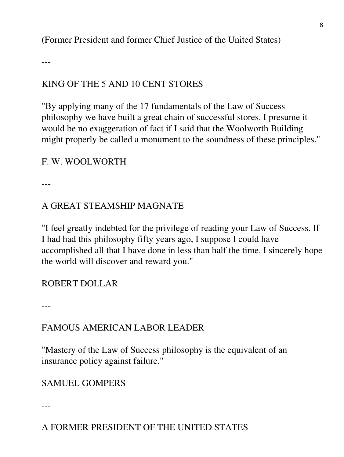(Former President and former Chief Justice of the United States)

---

### KING OF THE 5 AND 10 CENT STORES

"By applying many of the 17 fundamentals of the Law of Success philosophy we have built a great chain of successful stores. I presume it would be no exaggeration of fact if I said that the Woolworth Building might properly be called a monument to the soundness of these principles."

# F. W. WOOLWORTH

---

# A GREAT STEAMSHIP MAGNATE

"I feel greatly indebted for the privilege of reading your Law of Success. If I had had this philosophy fifty years ago, I suppose I could have accomplished all that I have done in less than half the time. I sincerely hope the world will discover and reward you."

### ROBERT DOLLAR

---

# FAMOUS AMERICAN LABOR LEADER

"Mastery of the Law of Success philosophy is the equivalent of an insurance policy against failure."

# SAMUEL GOMPERS

---

# A FORMER PRESIDENT OF THE UNITED STATES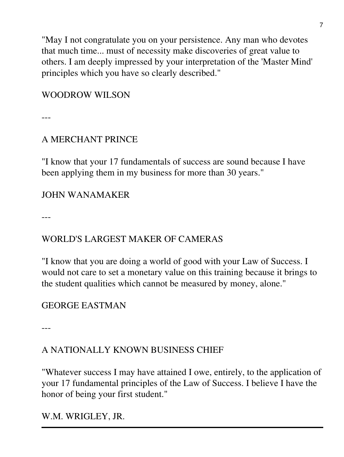"May I not congratulate you on your persistence. Any man who devotes that much time... must of necessity make discoveries of great value to others. I am deeply impressed by your interpretation of the 'Master Mind' principles which you have so clearly described."

### WOODROW WILSON

---

### A MERCHANT PRINCE

"I know that your 17 fundamentals of success are sound because I have been applying them in my business for more than 30 years."

### JOHN WANAMAKER

---

### WORLD'S LARGEST MAKER OF CAMERAS

"I know that you are doing a world of good with your Law of Success. I would not care to set a monetary value on this training because it brings to the student qualities which cannot be measured by money, alone."

### GEORGE EASTMAN

---

### A NATIONALLY KNOWN BUSINESS CHIEF

"Whatever success I may have attained I owe, entirely, to the application of your 17 fundamental principles of the Law of Success. I believe I have the honor of being your first student."

W.M. WRIGLEY, JR.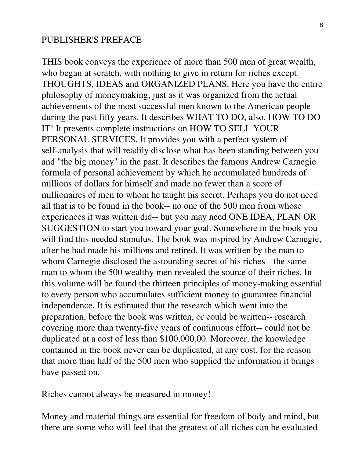### PUBLISHER'S PREFACE

THIS book conveys the experience of more than 500 men of great wealth, who began at scratch, with nothing to give in return for riches except THOUGHTS, IDEAS and ORGANIZED PLANS. Here you have the entire philosophy of moneymaking, just as it was organized from the actual achievements of the most successful men known to the American people during the past fifty years. It describes WHAT TO DO, also, HOW TO DO IT! It presents complete instructions on HOW TO SELL YOUR PERSONAL SERVICES. It provides you with a perfect system of self-analysis that will readily disclose what has been standing between you and "the big money" in the past. It describes the famous Andrew Carnegie formula of personal achievement by which he accumulated hundreds of millions of dollars for himself and made no fewer than a score of millionaires of men to whom he taught his secret. Perhaps you do not need all that is to be found in the book-- no one of the 500 men from whose experiences it was written did-- but you may need ONE IDEA, PLAN OR SUGGESTION to start you toward your goal. Somewhere in the book you will find this needed stimulus. The book was inspired by Andrew Carnegie, after he had made his millions and retired. It was written by the man to whom Carnegie disclosed the astounding secret of his riches-- the same man to whom the 500 wealthy men revealed the source of their riches. In this volume will be found the thirteen principles of money-making essential to every person who accumulates sufficient money to guarantee financial independence. It is estimated that the research which went into the preparation, before the book was written, or could be written-- research covering more than twenty-five years of continuous effort-- could not be duplicated at a cost of less than \$100,000.00. Moreover, the knowledge contained in the book never can be duplicated, at any cost, for the reason that more than half of the 500 men who supplied the information it brings have passed on.

Riches cannot always be measured in money!

Money and material things are essential for freedom of body and mind, but there are some who will feel that the greatest of all riches can be evaluated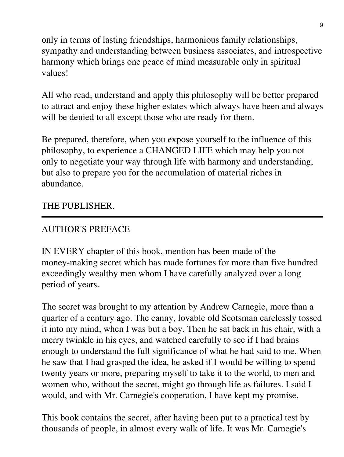only in terms of lasting friendships, harmonious family relationships, sympathy and understanding between business associates, and introspective harmony which brings one peace of mind measurable only in spiritual values!

All who read, understand and apply this philosophy will be better prepared to attract and enjoy these higher estates which always have been and always will be denied to all except those who are ready for them.

Be prepared, therefore, when you expose yourself to the influence of this philosophy, to experience a CHANGED LIFE which may help you not only to negotiate your way through life with harmony and understanding, but also to prepare you for the accumulation of material riches in abundance.

# THE PUBLISHER.

# AUTHOR'S PREFACE

IN EVERY chapter of this book, mention has been made of the money-making secret which has made fortunes for more than five hundred exceedingly wealthy men whom I have carefully analyzed over a long period of years.

The secret was brought to my attention by Andrew Carnegie, more than a quarter of a century ago. The canny, lovable old Scotsman carelessly tossed it into my mind, when I was but a boy. Then he sat back in his chair, with a merry twinkle in his eyes, and watched carefully to see if I had brains enough to understand the full significance of what he had said to me. When he saw that I had grasped the idea, he asked if I would be willing to spend twenty years or more, preparing myself to take it to the world, to men and women who, without the secret, might go through life as failures. I said I would, and with Mr. Carnegie's cooperation, I have kept my promise.

This book contains the secret, after having been put to a practical test by thousands of people, in almost every walk of life. It was Mr. Carnegie's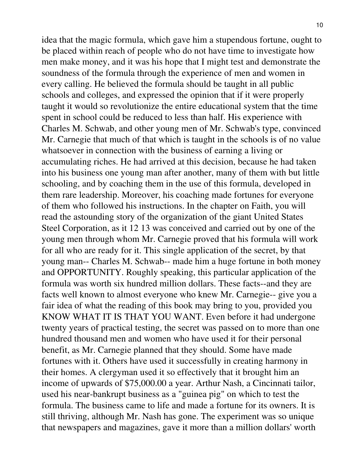idea that the magic formula, which gave him a stupendous fortune, ought to be placed within reach of people who do not have time to investigate how men make money, and it was his hope that I might test and demonstrate the soundness of the formula through the experience of men and women in every calling. He believed the formula should be taught in all public schools and colleges, and expressed the opinion that if it were properly taught it would so revolutionize the entire educational system that the time spent in school could be reduced to less than half. His experience with Charles M. Schwab, and other young men of Mr. Schwab's type, convinced Mr. Carnegie that much of that which is taught in the schools is of no value whatsoever in connection with the business of earning a living or accumulating riches. He had arrived at this decision, because he had taken into his business one young man after another, many of them with but little schooling, and by coaching them in the use of this formula, developed in them rare leadership. Moreover, his coaching made fortunes for everyone of them who followed his instructions. In the chapter on Faith, you will read the astounding story of the organization of the giant United States Steel Corporation, as it 12 13 was conceived and carried out by one of the young men through whom Mr. Carnegie proved that his formula will work for all who are ready for it. This single application of the secret, by that young man-- Charles M. Schwab-- made him a huge fortune in both money and OPPORTUNITY. Roughly speaking, this particular application of the formula was worth six hundred million dollars. These facts--and they are facts well known to almost everyone who knew Mr. Carnegie-- give you a fair idea of what the reading of this book may bring to you, provided you KNOW WHAT IT IS THAT YOU WANT. Even before it had undergone twenty years of practical testing, the secret was passed on to more than one hundred thousand men and women who have used it for their personal benefit, as Mr. Carnegie planned that they should. Some have made fortunes with it. Others have used it successfully in creating harmony in their homes. A clergyman used it so effectively that it brought him an income of upwards of \$75,000.00 a year. Arthur Nash, a Cincinnati tailor, used his near-bankrupt business as a "guinea pig" on which to test the formula. The business came to life and made a fortune for its owners. It is still thriving, although Mr. Nash has gone. The experiment was so unique that newspapers and magazines, gave it more than a million dollars' worth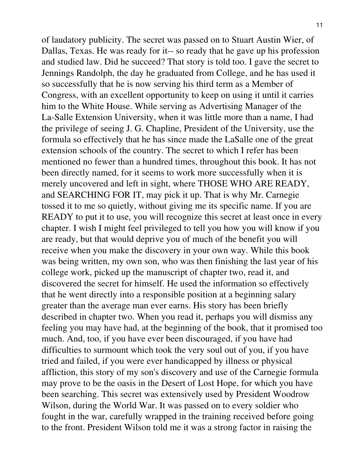of laudatory publicity. The secret was passed on to Stuart Austin Wier, of Dallas, Texas. He was ready for it-- so ready that he gave up his profession and studied law. Did he succeed? That story is told too. I gave the secret to Jennings Randolph, the day he graduated from College, and he has used it so successfully that he is now serving his third term as a Member of Congress, with an excellent opportunity to keep on using it until it carries him to the White House. While serving as Advertising Manager of the La-Salle Extension University, when it was little more than a name, I had the privilege of seeing J. G. Chapline, President of the University, use the formula so effectively that he has since made the LaSalle one of the great extension schools of the country. The secret to which I refer has been mentioned no fewer than a hundred times, throughout this book. It has not been directly named, for it seems to work more successfully when it is merely uncovered and left in sight, where THOSE WHO ARE READY, and SEARCHING FOR IT, may pick it up. That is why Mr. Carnegie tossed it to me so quietly, without giving me its specific name. If you are READY to put it to use, you will recognize this secret at least once in every chapter. I wish I might feel privileged to tell you how you will know if you are ready, but that would deprive you of much of the benefit you will receive when you make the discovery in your own way. While this book was being written, my own son, who was then finishing the last year of his college work, picked up the manuscript of chapter two, read it, and discovered the secret for himself. He used the information so effectively that he went directly into a responsible position at a beginning salary greater than the average man ever earns. His story has been briefly described in chapter two. When you read it, perhaps you will dismiss any feeling you may have had, at the beginning of the book, that it promised too much. And, too, if you have ever been discouraged, if you have had difficulties to surmount which took the very soul out of you, if you have tried and failed, if you were ever handicapped by illness or physical affliction, this story of my son's discovery and use of the Carnegie formula may prove to be the oasis in the Desert of Lost Hope, for which you have been searching. This secret was extensively used by President Woodrow Wilson, during the World War. It was passed on to every soldier who fought in the war, carefully wrapped in the training received before going to the front. President Wilson told me it was a strong factor in raising the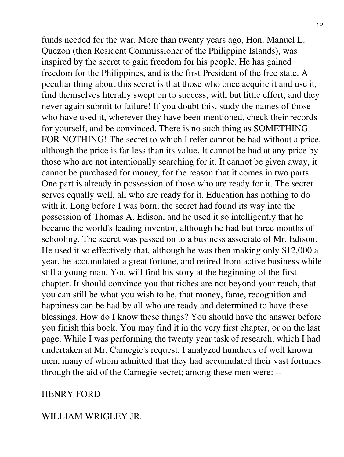funds needed for the war. More than twenty years ago, Hon. Manuel L. Quezon (then Resident Commissioner of the Philippine Islands), was inspired by the secret to gain freedom for his people. He has gained freedom for the Philippines, and is the first President of the free state. A peculiar thing about this secret is that those who once acquire it and use it, find themselves literally swept on to success, with but little effort, and they never again submit to failure! If you doubt this, study the names of those who have used it, wherever they have been mentioned, check their records for yourself, and be convinced. There is no such thing as SOMETHING FOR NOTHING! The secret to which I refer cannot be had without a price, although the price is far less than its value. It cannot be had at any price by those who are not intentionally searching for it. It cannot be given away, it cannot be purchased for money, for the reason that it comes in two parts. One part is already in possession of those who are ready for it. The secret serves equally well, all who are ready for it. Education has nothing to do with it. Long before I was born, the secret had found its way into the possession of Thomas A. Edison, and he used it so intelligently that he became the world's leading inventor, although he had but three months of schooling. The secret was passed on to a business associate of Mr. Edison. He used it so effectively that, although he was then making only \$12,000 a year, he accumulated a great fortune, and retired from active business while still a young man. You will find his story at the beginning of the first chapter. It should convince you that riches are not beyond your reach, that you can still be what you wish to be, that money, fame, recognition and happiness can be had by all who are ready and determined to have these blessings. How do I know these things? You should have the answer before you finish this book. You may find it in the very first chapter, or on the last page. While I was performing the twenty year task of research, which I had undertaken at Mr. Carnegie's request, I analyzed hundreds of well known men, many of whom admitted that they had accumulated their vast fortunes through the aid of the Carnegie secret; among these men were: --

### HENRY FORD

#### WILLIAM WRIGLEY JR.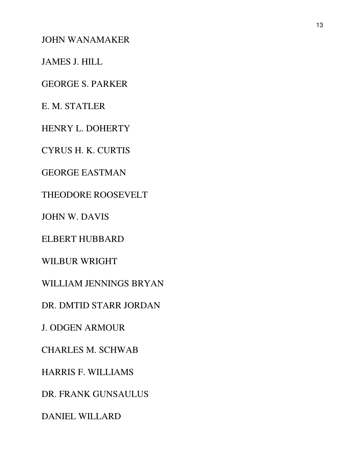JOHN WANAMAKER

JAMES J. HILL

GEORGE S. PARKER

E. M. STATLER

HENRY L. DOHERTY

CYRUS H. K. CURTIS

GEORGE EASTMAN

THEODORE ROOSEVELT

JOHN W. DAVIS

ELBERT HUBBARD

WILBUR WRIGHT

WILLIAM JENNINGS BRYAN

DR. DMTID STARR JORDAN

J. ODGEN ARMOUR

CHARLES M. SCHWAB

HARRIS F. WILLIAMS

DR. FRANK GUNSAULUS

DANIEL WILLARD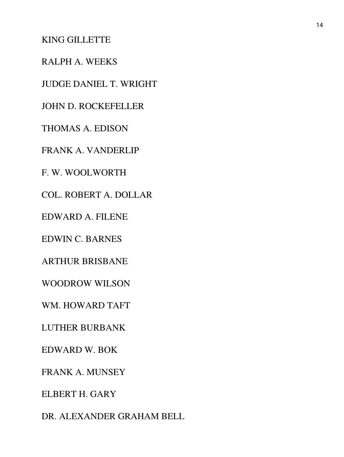KING GILLETTE

RALPH A. WEEKS

JUDGE DANIEL T. WRIGHT

JOHN D. ROCKEFELLER

THOMAS A. EDISON

FRANK A. VANDERLIP

F. W. WOOLWORTH

COL. ROBERT A. DOLLAR

EDWARD A. FILENE

EDWIN C. BARNES

ARTHUR BRISBANE

WOODROW WILSON

WM. HOWARD TAFT

LUTHER BURBANK

EDWARD W. BOK

FRANK A. MUNSEY

ELBERT H. GARY

DR. ALEXANDER GRAHAM BELL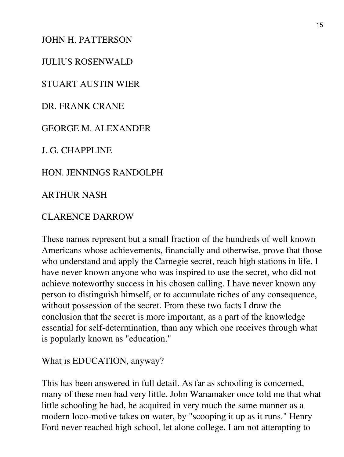JOHN H. PATTERSON

### JULIUS ROSENWALD

### STUART AUSTIN WIER

DR. FRANK CRANE

# GEORGE M. ALEXANDER

J. G. CHAPPLINE

HON. JENNINGS RANDOLPH

ARTHUR NASH

# CLARENCE DARROW

These names represent but a small fraction of the hundreds of well known Americans whose achievements, financially and otherwise, prove that those who understand and apply the Carnegie secret, reach high stations in life. I have never known anyone who was inspired to use the secret, who did not achieve noteworthy success in his chosen calling. I have never known any person to distinguish himself, or to accumulate riches of any consequence, without possession of the secret. From these two facts I draw the conclusion that the secret is more important, as a part of the knowledge essential for self-determination, than any which one receives through what is popularly known as "education."

What is EDUCATION, anyway?

This has been answered in full detail. As far as schooling is concerned, many of these men had very little. John Wanamaker once told me that what little schooling he had, he acquired in very much the same manner as a modern loco-motive takes on water, by "scooping it up as it runs." Henry Ford never reached high school, let alone college. I am not attempting to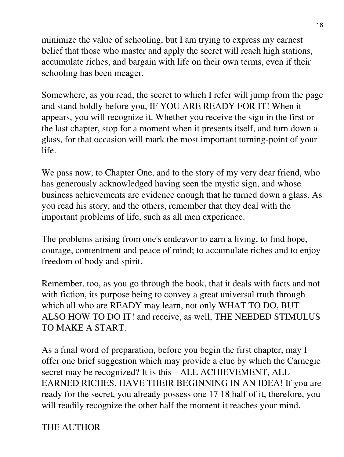minimize the value of schooling, but I am trying to express my earnest belief that those who master and apply the secret will reach high stations, accumulate riches, and bargain with life on their own terms, even if their schooling has been meager.

Somewhere, as you read, the secret to which I refer will jump from the page and stand boldly before you, IF YOU ARE READY FOR IT! When it appears, you will recognize it. Whether you receive the sign in the first or the last chapter, stop for a moment when it presents itself, and turn down a glass, for that occasion will mark the most important turning-point of your life.

We pass now, to Chapter One, and to the story of my very dear friend, who has generously acknowledged having seen the mystic sign, and whose business achievements are evidence enough that he turned down a glass. As you read his story, and the others, remember that they deal with the important problems of life, such as all men experience.

The problems arising from one's endeavor to earn a living, to find hope, courage, contentment and peace of mind; to accumulate riches and to enjoy freedom of body and spirit.

Remember, too, as you go through the book, that it deals with facts and not with fiction, its purpose being to convey a great universal truth through which all who are READY may learn, not only WHAT TO DO, BUT ALSO HOW TO DO IT! and receive, as well, THE NEEDED STIMULUS TO MAKE A START.

As a final word of preparation, before you begin the first chapter, may I offer one brief suggestion which may provide a clue by which the Carnegie secret may be recognized? It is this-- ALL ACHIEVEMENT, ALL EARNED RICHES, HAVE THEIR BEGINNING IN AN IDEA! If you are ready for the secret, you already possess one 17 18 half of it, therefore, you will readily recognize the other half the moment it reaches your mind.

THE AUTHOR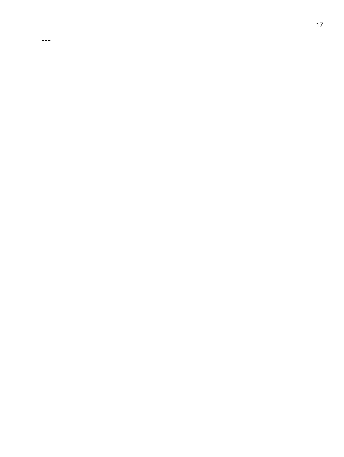---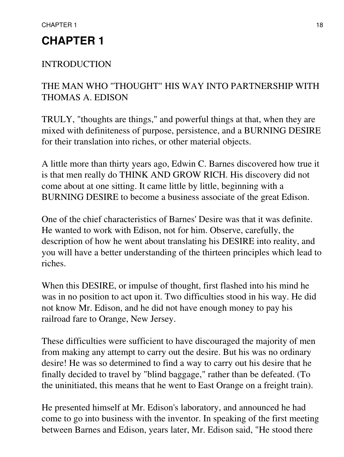# <span id="page-17-0"></span>**CHAPTER 1**

# INTRODUCTION

# THE MAN WHO "THOUGHT" HIS WAY INTO PARTNERSHIP WITH THOMAS A. EDISON

TRULY, "thoughts are things," and powerful things at that, when they are mixed with definiteness of purpose, persistence, and a BURNING DESIRE for their translation into riches, or other material objects.

A little more than thirty years ago, Edwin C. Barnes discovered how true it is that men really do THINK AND GROW RICH. His discovery did not come about at one sitting. It came little by little, beginning with a BURNING DESIRE to become a business associate of the great Edison.

One of the chief characteristics of Barnes' Desire was that it was definite. He wanted to work with Edison, not for him. Observe, carefully, the description of how he went about translating his DESIRE into reality, and you will have a better understanding of the thirteen principles which lead to riches.

When this DESIRE, or impulse of thought, first flashed into his mind he was in no position to act upon it. Two difficulties stood in his way. He did not know Mr. Edison, and he did not have enough money to pay his railroad fare to Orange, New Jersey.

These difficulties were sufficient to have discouraged the majority of men from making any attempt to carry out the desire. But his was no ordinary desire! He was so determined to find a way to carry out his desire that he finally decided to travel by "blind baggage," rather than be defeated. (To the uninitiated, this means that he went to East Orange on a freight train).

He presented himself at Mr. Edison's laboratory, and announced he had come to go into business with the inventor. In speaking of the first meeting between Barnes and Edison, years later, Mr. Edison said, "He stood there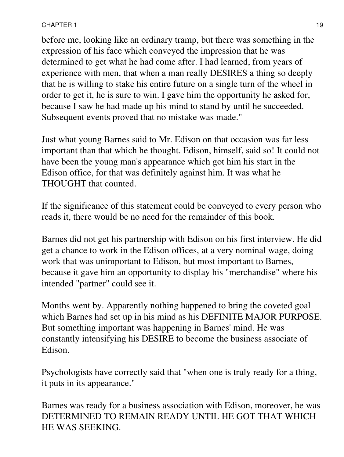before me, looking like an ordinary tramp, but there was something in the expression of his face which conveyed the impression that he was determined to get what he had come after. I had learned, from years of experience with men, that when a man really DESIRES a thing so deeply that he is willing to stake his entire future on a single turn of the wheel in order to get it, he is sure to win. I gave him the opportunity he asked for, because I saw he had made up his mind to stand by until he succeeded. Subsequent events proved that no mistake was made."

Just what young Barnes said to Mr. Edison on that occasion was far less important than that which he thought. Edison, himself, said so! It could not have been the young man's appearance which got him his start in the Edison office, for that was definitely against him. It was what he THOUGHT that counted.

If the significance of this statement could be conveyed to every person who reads it, there would be no need for the remainder of this book.

Barnes did not get his partnership with Edison on his first interview. He did get a chance to work in the Edison offices, at a very nominal wage, doing work that was unimportant to Edison, but most important to Barnes, because it gave him an opportunity to display his "merchandise" where his intended "partner" could see it.

Months went by. Apparently nothing happened to bring the coveted goal which Barnes had set up in his mind as his DEFINITE MAJOR PURPOSE. But something important was happening in Barnes' mind. He was constantly intensifying his DESIRE to become the business associate of Edison.

Psychologists have correctly said that "when one is truly ready for a thing, it puts in its appearance."

Barnes was ready for a business association with Edison, moreover, he was DETERMINED TO REMAIN READY UNTIL HE GOT THAT WHICH HE WAS SEEKING.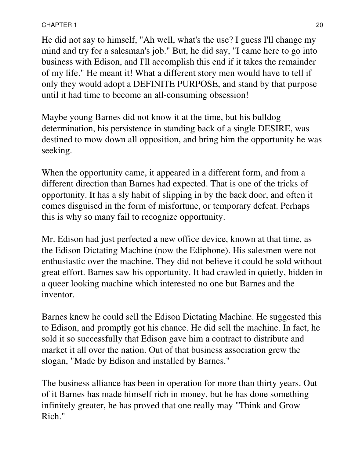He did not say to himself, "Ah well, what's the use? I guess I'll change my mind and try for a salesman's job." But, he did say, "I came here to go into business with Edison, and I'll accomplish this end if it takes the remainder of my life." He meant it! What a different story men would have to tell if only they would adopt a DEFINITE PURPOSE, and stand by that purpose until it had time to become an all-consuming obsession!

Maybe young Barnes did not know it at the time, but his bulldog determination, his persistence in standing back of a single DESIRE, was destined to mow down all opposition, and bring him the opportunity he was seeking.

When the opportunity came, it appeared in a different form, and from a different direction than Barnes had expected. That is one of the tricks of opportunity. It has a sly habit of slipping in by the back door, and often it comes disguised in the form of misfortune, or temporary defeat. Perhaps this is why so many fail to recognize opportunity.

Mr. Edison had just perfected a new office device, known at that time, as the Edison Dictating Machine (now the Ediphone). His salesmen were not enthusiastic over the machine. They did not believe it could be sold without great effort. Barnes saw his opportunity. It had crawled in quietly, hidden in a queer looking machine which interested no one but Barnes and the inventor.

Barnes knew he could sell the Edison Dictating Machine. He suggested this to Edison, and promptly got his chance. He did sell the machine. In fact, he sold it so successfully that Edison gave him a contract to distribute and market it all over the nation. Out of that business association grew the slogan, "Made by Edison and installed by Barnes."

The business alliance has been in operation for more than thirty years. Out of it Barnes has made himself rich in money, but he has done something infinitely greater, he has proved that one really may "Think and Grow Rich."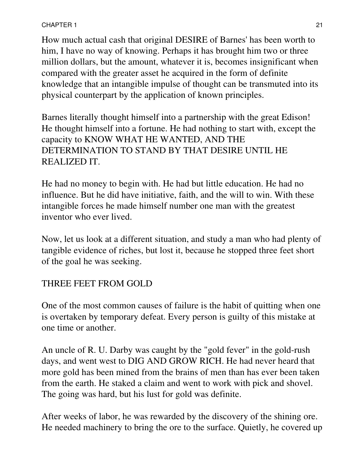How much actual cash that original DESIRE of Barnes' has been worth to him, I have no way of knowing. Perhaps it has brought him two or three million dollars, but the amount, whatever it is, becomes insignificant when compared with the greater asset he acquired in the form of definite knowledge that an intangible impulse of thought can be transmuted into its physical counterpart by the application of known principles.

Barnes literally thought himself into a partnership with the great Edison! He thought himself into a fortune. He had nothing to start with, except the capacity to KNOW WHAT HE WANTED, AND THE DETERMINATION TO STAND BY THAT DESIRE UNTIL HE REALIZED IT.

He had no money to begin with. He had but little education. He had no influence. But he did have initiative, faith, and the will to win. With these intangible forces he made himself number one man with the greatest inventor who ever lived.

Now, let us look at a different situation, and study a man who had plenty of tangible evidence of riches, but lost it, because he stopped three feet short of the goal he was seeking.

# THREE FEET FROM GOLD

One of the most common causes of failure is the habit of quitting when one is overtaken by temporary defeat. Every person is guilty of this mistake at one time or another.

An uncle of R. U. Darby was caught by the "gold fever" in the gold-rush days, and went west to DIG AND GROW RICH. He had never heard that more gold has been mined from the brains of men than has ever been taken from the earth. He staked a claim and went to work with pick and shovel. The going was hard, but his lust for gold was definite.

After weeks of labor, he was rewarded by the discovery of the shining ore. He needed machinery to bring the ore to the surface. Quietly, he covered up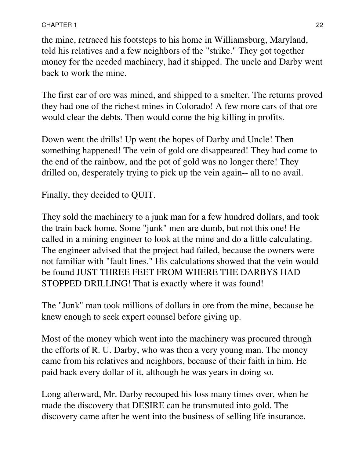the mine, retraced his footsteps to his home in Williamsburg, Maryland, told his relatives and a few neighbors of the "strike." They got together money for the needed machinery, had it shipped. The uncle and Darby went back to work the mine.

The first car of ore was mined, and shipped to a smelter. The returns proved they had one of the richest mines in Colorado! A few more cars of that ore would clear the debts. Then would come the big killing in profits.

Down went the drills! Up went the hopes of Darby and Uncle! Then something happened! The vein of gold ore disappeared! They had come to the end of the rainbow, and the pot of gold was no longer there! They drilled on, desperately trying to pick up the vein again-- all to no avail.

Finally, they decided to QUIT.

They sold the machinery to a junk man for a few hundred dollars, and took the train back home. Some "junk" men are dumb, but not this one! He called in a mining engineer to look at the mine and do a little calculating. The engineer advised that the project had failed, because the owners were not familiar with "fault lines." His calculations showed that the vein would be found JUST THREE FEET FROM WHERE THE DARBYS HAD STOPPED DRILLING! That is exactly where it was found!

The "Junk" man took millions of dollars in ore from the mine, because he knew enough to seek expert counsel before giving up.

Most of the money which went into the machinery was procured through the efforts of R. U. Darby, who was then a very young man. The money came from his relatives and neighbors, because of their faith in him. He paid back every dollar of it, although he was years in doing so.

Long afterward, Mr. Darby recouped his loss many times over, when he made the discovery that DESIRE can be transmuted into gold. The discovery came after he went into the business of selling life insurance.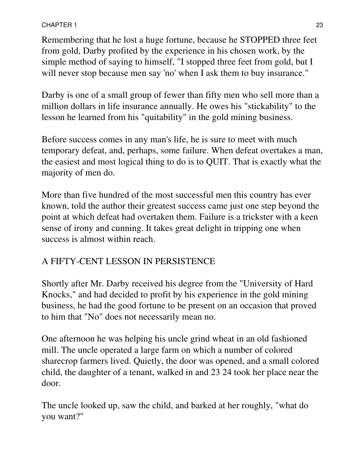Remembering that he lost a huge fortune, because he STOPPED three feet from gold, Darby profited by the experience in his chosen work, by the simple method of saying to himself, "I stopped three feet from gold, but I will never stop because men say 'no' when I ask them to buy insurance."

Darby is one of a small group of fewer than fifty men who sell more than a million dollars in life insurance annually. He owes his "stickability" to the lesson he learned from his "quitability" in the gold mining business.

Before success comes in any man's life, he is sure to meet with much temporary defeat, and, perhaps, some failure. When defeat overtakes a man, the easiest and most logical thing to do is to QUIT. That is exactly what the majority of men do.

More than five hundred of the most successful men this country has ever known, told the author their greatest success came just one step beyond the point at which defeat had overtaken them. Failure is a trickster with a keen sense of irony and cunning. It takes great delight in tripping one when success is almost within reach.

# A FIFTY-CENT LESSON IN PERSISTENCE

Shortly after Mr. Darby received his degree from the "University of Hard Knocks," and had decided to profit by his experience in the gold mining business, he had the good fortune to be present on an occasion that proved to him that "No" does not necessarily mean no.

One afternoon he was helping his uncle grind wheat in an old fashioned mill. The uncle operated a large farm on which a number of colored sharecrop farmers lived. Quietly, the door was opened, and a small colored child, the daughter of a tenant, walked in and 23 24 took her place near the door.

The uncle looked up, saw the child, and barked at her roughly, "what do you want?"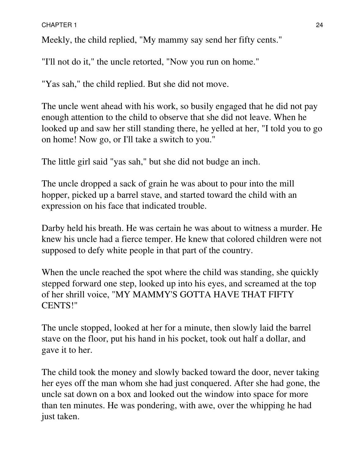Meekly, the child replied, "My mammy say send her fifty cents."

"I'll not do it," the uncle retorted, "Now you run on home."

"Yas sah," the child replied. But she did not move.

The uncle went ahead with his work, so busily engaged that he did not pay enough attention to the child to observe that she did not leave. When he looked up and saw her still standing there, he yelled at her, "I told you to go on home! Now go, or I'll take a switch to you."

The little girl said "yas sah," but she did not budge an inch.

The uncle dropped a sack of grain he was about to pour into the mill hopper, picked up a barrel stave, and started toward the child with an expression on his face that indicated trouble.

Darby held his breath. He was certain he was about to witness a murder. He knew his uncle had a fierce temper. He knew that colored children were not supposed to defy white people in that part of the country.

When the uncle reached the spot where the child was standing, she quickly stepped forward one step, looked up into his eyes, and screamed at the top of her shrill voice, "MY MAMMY'S GOTTA HAVE THAT FIFTY CENTS!"

The uncle stopped, looked at her for a minute, then slowly laid the barrel stave on the floor, put his hand in his pocket, took out half a dollar, and gave it to her.

The child took the money and slowly backed toward the door, never taking her eyes off the man whom she had just conquered. After she had gone, the uncle sat down on a box and looked out the window into space for more than ten minutes. He was pondering, with awe, over the whipping he had just taken.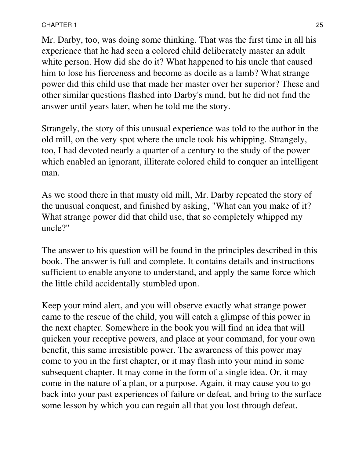Mr. Darby, too, was doing some thinking. That was the first time in all his experience that he had seen a colored child deliberately master an adult white person. How did she do it? What happened to his uncle that caused him to lose his fierceness and become as docile as a lamb? What strange power did this child use that made her master over her superior? These and other similar questions flashed into Darby's mind, but he did not find the answer until years later, when he told me the story.

Strangely, the story of this unusual experience was told to the author in the old mill, on the very spot where the uncle took his whipping. Strangely, too, I had devoted nearly a quarter of a century to the study of the power which enabled an ignorant, illiterate colored child to conquer an intelligent man.

As we stood there in that musty old mill, Mr. Darby repeated the story of the unusual conquest, and finished by asking, "What can you make of it? What strange power did that child use, that so completely whipped my uncle?"

The answer to his question will be found in the principles described in this book. The answer is full and complete. It contains details and instructions sufficient to enable anyone to understand, and apply the same force which the little child accidentally stumbled upon.

Keep your mind alert, and you will observe exactly what strange power came to the rescue of the child, you will catch a glimpse of this power in the next chapter. Somewhere in the book you will find an idea that will quicken your receptive powers, and place at your command, for your own benefit, this same irresistible power. The awareness of this power may come to you in the first chapter, or it may flash into your mind in some subsequent chapter. It may come in the form of a single idea. Or, it may come in the nature of a plan, or a purpose. Again, it may cause you to go back into your past experiences of failure or defeat, and bring to the surface some lesson by which you can regain all that you lost through defeat.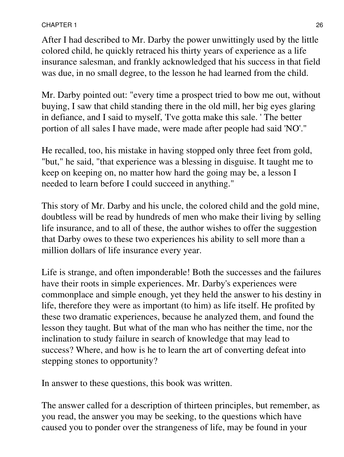After I had described to Mr. Darby the power unwittingly used by the little colored child, he quickly retraced his thirty years of experience as a life insurance salesman, and frankly acknowledged that his success in that field was due, in no small degree, to the lesson he had learned from the child.

Mr. Darby pointed out: "every time a prospect tried to bow me out, without buying, I saw that child standing there in the old mill, her big eyes glaring in defiance, and I said to myself, 'I've gotta make this sale. ' The better portion of all sales I have made, were made after people had said 'NO'."

He recalled, too, his mistake in having stopped only three feet from gold, "but," he said, "that experience was a blessing in disguise. It taught me to keep on keeping on, no matter how hard the going may be, a lesson I needed to learn before I could succeed in anything."

This story of Mr. Darby and his uncle, the colored child and the gold mine, doubtless will be read by hundreds of men who make their living by selling life insurance, and to all of these, the author wishes to offer the suggestion that Darby owes to these two experiences his ability to sell more than a million dollars of life insurance every year.

Life is strange, and often imponderable! Both the successes and the failures have their roots in simple experiences. Mr. Darby's experiences were commonplace and simple enough, yet they held the answer to his destiny in life, therefore they were as important (to him) as life itself. He profited by these two dramatic experiences, because he analyzed them, and found the lesson they taught. But what of the man who has neither the time, nor the inclination to study failure in search of knowledge that may lead to success? Where, and how is he to learn the art of converting defeat into stepping stones to opportunity?

In answer to these questions, this book was written.

The answer called for a description of thirteen principles, but remember, as you read, the answer you may be seeking, to the questions which have caused you to ponder over the strangeness of life, may be found in your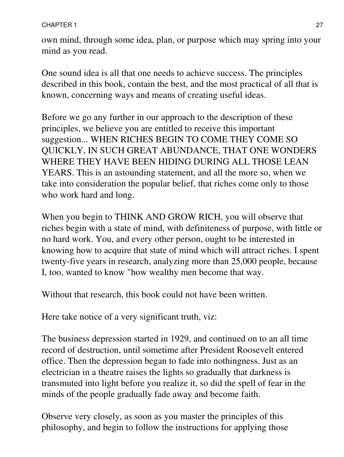own mind, through some idea, plan, or purpose which may spring into your mind as you read.

One sound idea is all that one needs to achieve success. The principles described in this book, contain the best, and the most practical of all that is known, concerning ways and means of creating useful ideas.

Before we go any further in our approach to the description of these principles, we believe you are entitled to receive this important suggestion... WHEN RICHES BEGIN TO COME THEY COME SO QUICKLY, IN SUCH GREAT ABUNDANCE, THAT ONE WONDERS WHERE THEY HAVE BEEN HIDING DURING ALL THOSE LEAN YEARS. This is an astounding statement, and all the more so, when we take into consideration the popular belief, that riches come only to those who work hard and long.

When you begin to THINK AND GROW RICH, you will observe that riches begin with a state of mind, with definiteness of purpose, with little or no hard work. You, and every other person, ought to be interested in knowing how to acquire that state of mind which will attract riches. I spent twenty-five years in research, analyzing more than 25,000 people, because I, too, wanted to know "how wealthy men become that way.

Without that research, this book could not have been written.

Here take notice of a very significant truth, viz:

The business depression started in 1929, and continued on to an all time record of destruction, until sometime after President Roosevelt entered office. Then the depression began to fade into nothingness. Just as an electrician in a theatre raises the lights so gradually that darkness is transmuted into light before you realize it, so did the spell of fear in the minds of the people gradually fade away and become faith.

Observe very closely, as soon as you master the principles of this philosophy, and begin to follow the instructions for applying those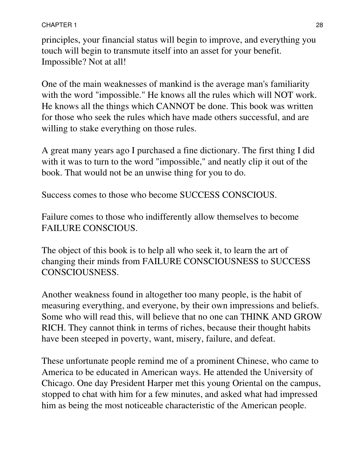principles, your financial status will begin to improve, and everything you touch will begin to transmute itself into an asset for your benefit. Impossible? Not at all!

One of the main weaknesses of mankind is the average man's familiarity with the word "impossible." He knows all the rules which will NOT work. He knows all the things which CANNOT be done. This book was written for those who seek the rules which have made others successful, and are willing to stake everything on those rules.

A great many years ago I purchased a fine dictionary. The first thing I did with it was to turn to the word "impossible," and neatly clip it out of the book. That would not be an unwise thing for you to do.

Success comes to those who become SUCCESS CONSCIOUS.

Failure comes to those who indifferently allow themselves to become FAILURE CONSCIOUS.

The object of this book is to help all who seek it, to learn the art of changing their minds from FAILURE CONSCIOUSNESS to SUCCESS CONSCIOUSNESS.

Another weakness found in altogether too many people, is the habit of measuring everything, and everyone, by their own impressions and beliefs. Some who will read this, will believe that no one can THINK AND GROW RICH. They cannot think in terms of riches, because their thought habits have been steeped in poverty, want, misery, failure, and defeat.

These unfortunate people remind me of a prominent Chinese, who came to America to be educated in American ways. He attended the University of Chicago. One day President Harper met this young Oriental on the campus, stopped to chat with him for a few minutes, and asked what had impressed him as being the most noticeable characteristic of the American people.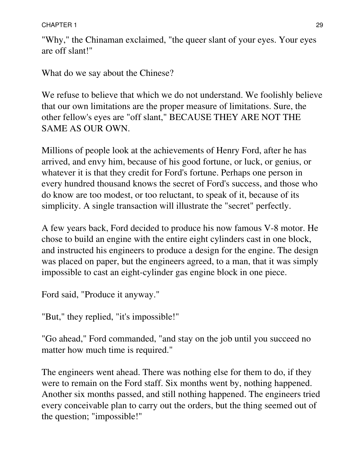"Why," the Chinaman exclaimed, "the queer slant of your eyes. Your eyes are off slant!"

What do we say about the Chinese?

We refuse to believe that which we do not understand. We foolishly believe that our own limitations are the proper measure of limitations. Sure, the other fellow's eyes are "off slant," BECAUSE THEY ARE NOT THE SAME AS OUR OWN.

Millions of people look at the achievements of Henry Ford, after he has arrived, and envy him, because of his good fortune, or luck, or genius, or whatever it is that they credit for Ford's fortune. Perhaps one person in every hundred thousand knows the secret of Ford's success, and those who do know are too modest, or too reluctant, to speak of it, because of its simplicity. A single transaction will illustrate the "secret" perfectly.

A few years back, Ford decided to produce his now famous V-8 motor. He chose to build an engine with the entire eight cylinders cast in one block, and instructed his engineers to produce a design for the engine. The design was placed on paper, but the engineers agreed, to a man, that it was simply impossible to cast an eight-cylinder gas engine block in one piece.

Ford said, "Produce it anyway."

"But," they replied, "it's impossible!"

"Go ahead," Ford commanded, "and stay on the job until you succeed no matter how much time is required."

The engineers went ahead. There was nothing else for them to do, if they were to remain on the Ford staff. Six months went by, nothing happened. Another six months passed, and still nothing happened. The engineers tried every conceivable plan to carry out the orders, but the thing seemed out of the question; "impossible!"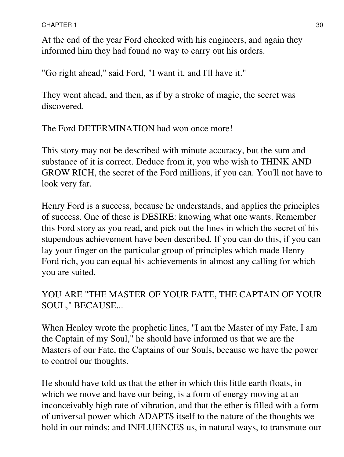At the end of the year Ford checked with his engineers, and again they informed him they had found no way to carry out his orders.

"Go right ahead," said Ford, "I want it, and I'll have it."

They went ahead, and then, as if by a stroke of magic, the secret was discovered.

The Ford DETERMINATION had won once more!

This story may not be described with minute accuracy, but the sum and substance of it is correct. Deduce from it, you who wish to THINK AND GROW RICH, the secret of the Ford millions, if you can. You'll not have to look very far.

Henry Ford is a success, because he understands, and applies the principles of success. One of these is DESIRE: knowing what one wants. Remember this Ford story as you read, and pick out the lines in which the secret of his stupendous achievement have been described. If you can do this, if you can lay your finger on the particular group of principles which made Henry Ford rich, you can equal his achievements in almost any calling for which you are suited.

# YOU ARE "THE MASTER OF YOUR FATE, THE CAPTAIN OF YOUR SOUL," BECAUSE...

When Henley wrote the prophetic lines, "I am the Master of my Fate, I am the Captain of my Soul," he should have informed us that we are the Masters of our Fate, the Captains of our Souls, because we have the power to control our thoughts.

He should have told us that the ether in which this little earth floats, in which we move and have our being, is a form of energy moving at an inconceivably high rate of vibration, and that the ether is filled with a form of universal power which ADAPTS itself to the nature of the thoughts we hold in our minds; and INFLUENCES us, in natural ways, to transmute our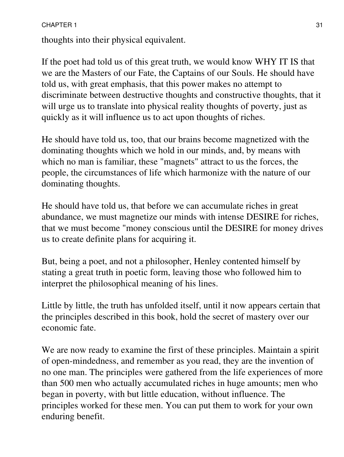thoughts into their physical equivalent.

If the poet had told us of this great truth, we would know WHY IT IS that we are the Masters of our Fate, the Captains of our Souls. He should have told us, with great emphasis, that this power makes no attempt to discriminate between destructive thoughts and constructive thoughts, that it will urge us to translate into physical reality thoughts of poverty, just as quickly as it will influence us to act upon thoughts of riches.

He should have told us, too, that our brains become magnetized with the dominating thoughts which we hold in our minds, and, by means with which no man is familiar, these "magnets" attract to us the forces, the people, the circumstances of life which harmonize with the nature of our dominating thoughts.

He should have told us, that before we can accumulate riches in great abundance, we must magnetize our minds with intense DESIRE for riches, that we must become "money conscious until the DESIRE for money drives us to create definite plans for acquiring it.

But, being a poet, and not a philosopher, Henley contented himself by stating a great truth in poetic form, leaving those who followed him to interpret the philosophical meaning of his lines.

Little by little, the truth has unfolded itself, until it now appears certain that the principles described in this book, hold the secret of mastery over our economic fate.

We are now ready to examine the first of these principles. Maintain a spirit of open-mindedness, and remember as you read, they are the invention of no one man. The principles were gathered from the life experiences of more than 500 men who actually accumulated riches in huge amounts; men who began in poverty, with but little education, without influence. The principles worked for these men. You can put them to work for your own enduring benefit.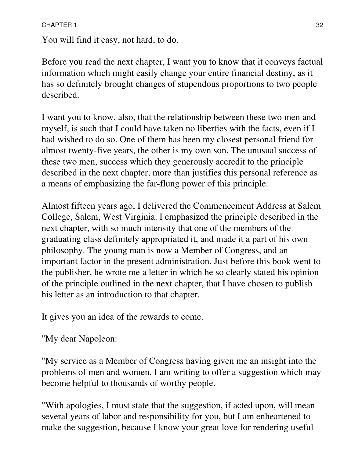You will find it easy, not hard, to do.

Before you read the next chapter, I want you to know that it conveys factual information which might easily change your entire financial destiny, as it has so definitely brought changes of stupendous proportions to two people described.

I want you to know, also, that the relationship between these two men and myself, is such that I could have taken no liberties with the facts, even if I had wished to do so. One of them has been my closest personal friend for almost twenty-five years, the other is my own son. The unusual success of these two men, success which they generously accredit to the principle described in the next chapter, more than justifies this personal reference as a means of emphasizing the far-flung power of this principle.

Almost fifteen years ago, I delivered the Commencement Address at Salem College, Salem, West Virginia. I emphasized the principle described in the next chapter, with so much intensity that one of the members of the graduating class definitely appropriated it, and made it a part of his own philosophy. The young man is now a Member of Congress, and an important factor in the present administration. Just before this book went to the publisher, he wrote me a letter in which he so clearly stated his opinion of the principle outlined in the next chapter, that I have chosen to publish his letter as an introduction to that chapter.

It gives you an idea of the rewards to come.

"My dear Napoleon:

"My service as a Member of Congress having given me an insight into the problems of men and women, I am writing to offer a suggestion which may become helpful to thousands of worthy people.

"With apologies, I must state that the suggestion, if acted upon, will mean several years of labor and responsibility for you, but I am enheartened to make the suggestion, because I know your great love for rendering useful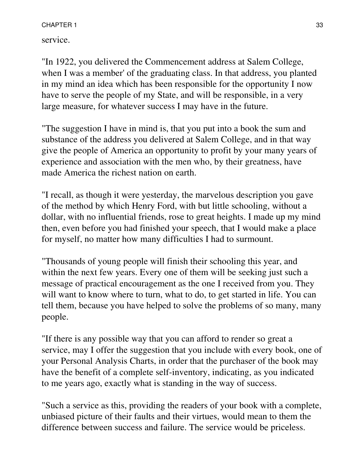service.

"In 1922, you delivered the Commencement address at Salem College, when I was a member' of the graduating class. In that address, you planted in my mind an idea which has been responsible for the opportunity I now have to serve the people of my State, and will be responsible, in a very large measure, for whatever success I may have in the future.

"The suggestion I have in mind is, that you put into a book the sum and substance of the address you delivered at Salem College, and in that way give the people of America an opportunity to profit by your many years of experience and association with the men who, by their greatness, have made America the richest nation on earth.

"I recall, as though it were yesterday, the marvelous description you gave of the method by which Henry Ford, with but little schooling, without a dollar, with no influential friends, rose to great heights. I made up my mind then, even before you had finished your speech, that I would make a place for myself, no matter how many difficulties I had to surmount.

"Thousands of young people will finish their schooling this year, and within the next few years. Every one of them will be seeking just such a message of practical encouragement as the one I received from you. They will want to know where to turn, what to do, to get started in life. You can tell them, because you have helped to solve the problems of so many, many people.

"If there is any possible way that you can afford to render so great a service, may I offer the suggestion that you include with every book, one of your Personal Analysis Charts, in order that the purchaser of the book may have the benefit of a complete self-inventory, indicating, as you indicated to me years ago, exactly what is standing in the way of success.

"Such a service as this, providing the readers of your book with a complete, unbiased picture of their faults and their virtues, would mean to them the difference between success and failure. The service would be priceless.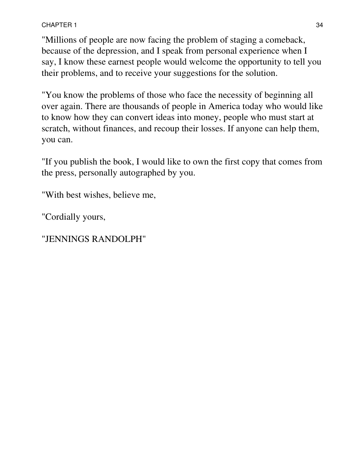"Millions of people are now facing the problem of staging a comeback, because of the depression, and I speak from personal experience when I say, I know these earnest people would welcome the opportunity to tell you their problems, and to receive your suggestions for the solution.

"You know the problems of those who face the necessity of beginning all over again. There are thousands of people in America today who would like to know how they can convert ideas into money, people who must start at scratch, without finances, and recoup their losses. If anyone can help them, you can.

"If you publish the book, I would like to own the first copy that comes from the press, personally autographed by you.

"With best wishes, believe me,

"Cordially yours,

"JENNINGS RANDOLPH"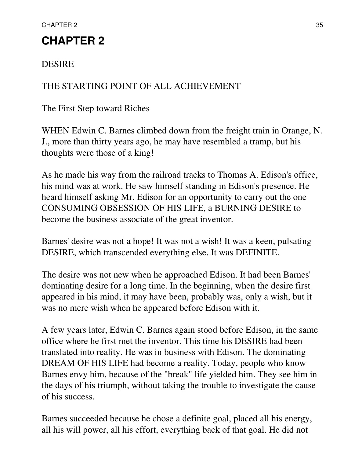# <span id="page-34-0"></span>**CHAPTER 2**

# **DESIRE**

# THE STARTING POINT OF ALL ACHIEVEMENT

The First Step toward Riches

WHEN Edwin C. Barnes climbed down from the freight train in Orange, N. J., more than thirty years ago, he may have resembled a tramp, but his thoughts were those of a king!

As he made his way from the railroad tracks to Thomas A. Edison's office, his mind was at work. He saw himself standing in Edison's presence. He heard himself asking Mr. Edison for an opportunity to carry out the one CONSUMING OBSESSION OF HIS LIFE, a BURNING DESIRE to become the business associate of the great inventor.

Barnes' desire was not a hope! It was not a wish! It was a keen, pulsating DESIRE, which transcended everything else. It was DEFINITE.

The desire was not new when he approached Edison. It had been Barnes' dominating desire for a long time. In the beginning, when the desire first appeared in his mind, it may have been, probably was, only a wish, but it was no mere wish when he appeared before Edison with it.

A few years later, Edwin C. Barnes again stood before Edison, in the same office where he first met the inventor. This time his DESIRE had been translated into reality. He was in business with Edison. The dominating DREAM OF HIS LIFE had become a reality. Today, people who know Barnes envy him, because of the "break" life yielded him. They see him in the days of his triumph, without taking the trouble to investigate the cause of his success.

Barnes succeeded because he chose a definite goal, placed all his energy, all his will power, all his effort, everything back of that goal. He did not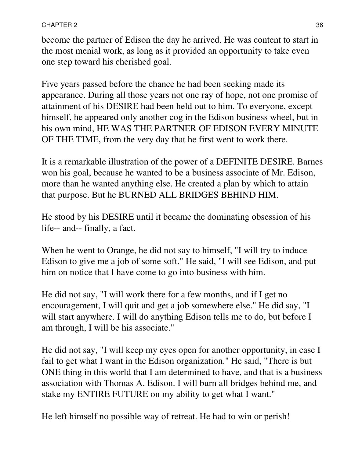#### CHAPTER 2 36

become the partner of Edison the day he arrived. He was content to start in the most menial work, as long as it provided an opportunity to take even one step toward his cherished goal.

Five years passed before the chance he had been seeking made its appearance. During all those years not one ray of hope, not one promise of attainment of his DESIRE had been held out to him. To everyone, except himself, he appeared only another cog in the Edison business wheel, but in his own mind, HE WAS THE PARTNER OF EDISON EVERY MINUTE OF THE TIME, from the very day that he first went to work there.

It is a remarkable illustration of the power of a DEFINITE DESIRE. Barnes won his goal, because he wanted to be a business associate of Mr. Edison, more than he wanted anything else. He created a plan by which to attain that purpose. But he BURNED ALL BRIDGES BEHIND HIM.

He stood by his DESIRE until it became the dominating obsession of his life-- and-- finally, a fact.

When he went to Orange, he did not say to himself, "I will try to induce Edison to give me a job of some soft." He said, "I will see Edison, and put him on notice that I have come to go into business with him.

He did not say, "I will work there for a few months, and if I get no encouragement, I will quit and get a job somewhere else." He did say, "I will start anywhere. I will do anything Edison tells me to do, but before I am through, I will be his associate."

He did not say, "I will keep my eyes open for another opportunity, in case I fail to get what I want in the Edison organization." He said, "There is but ONE thing in this world that I am determined to have, and that is a business association with Thomas A. Edison. I will burn all bridges behind me, and stake my ENTIRE FUTURE on my ability to get what I want."

He left himself no possible way of retreat. He had to win or perish!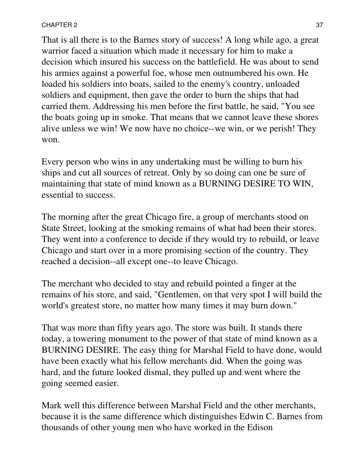That is all there is to the Barnes story of success! A long while ago, a great warrior faced a situation which made it necessary for him to make a decision which insured his success on the battlefield. He was about to send his armies against a powerful foe, whose men outnumbered his own. He loaded his soldiers into boats, sailed to the enemy's country, unloaded soldiers and equipment, then gave the order to burn the ships that had carried them. Addressing his men before the first battle, he said, "You see the boats going up in smoke. That means that we cannot leave these shores alive unless we win! We now have no choice--we win, or we perish! They won.

Every person who wins in any undertaking must be willing to burn his ships and cut all sources of retreat. Only by so doing can one be sure of maintaining that state of mind known as a BURNING DESIRE TO WIN, essential to success.

The morning after the great Chicago fire, a group of merchants stood on State Street, looking at the smoking remains of what had been their stores. They went into a conference to decide if they would try to rebuild, or leave Chicago and start over in a more promising section of the country. They reached a decision--all except one--to leave Chicago.

The merchant who decided to stay and rebuild pointed a finger at the remains of his store, and said, "Gentlemen, on that very spot I will build the world's greatest store, no matter how many times it may burn down."

That was more than fifty years ago. The store was built. It stands there today, a towering monument to the power of that state of mind known as a BURNING DESIRE. The easy thing for Marshal Field to have done, would have been exactly what his fellow merchants did. When the going was hard, and the future looked dismal, they pulled up and went where the going seemed easier.

Mark well this difference between Marshal Field and the other merchants, because it is the same difference which distinguishes Edwin C. Barnes from thousands of other young men who have worked in the Edison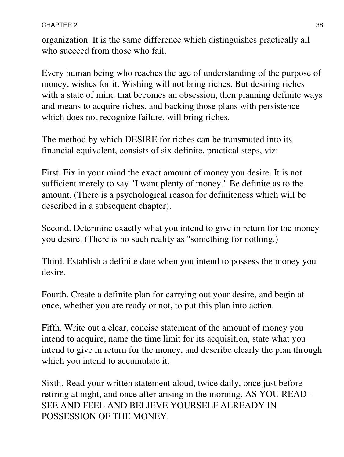organization. It is the same difference which distinguishes practically all who succeed from those who fail.

Every human being who reaches the age of understanding of the purpose of money, wishes for it. Wishing will not bring riches. But desiring riches with a state of mind that becomes an obsession, then planning definite ways and means to acquire riches, and backing those plans with persistence which does not recognize failure, will bring riches.

The method by which DESIRE for riches can be transmuted into its financial equivalent, consists of six definite, practical steps, viz:

First. Fix in your mind the exact amount of money you desire. It is not sufficient merely to say "I want plenty of money." Be definite as to the amount. (There is a psychological reason for definiteness which will be described in a subsequent chapter).

Second. Determine exactly what you intend to give in return for the money you desire. (There is no such reality as "something for nothing.)

Third. Establish a definite date when you intend to possess the money you desire.

Fourth. Create a definite plan for carrying out your desire, and begin at once, whether you are ready or not, to put this plan into action.

Fifth. Write out a clear, concise statement of the amount of money you intend to acquire, name the time limit for its acquisition, state what you intend to give in return for the money, and describe clearly the plan through which you intend to accumulate it.

Sixth. Read your written statement aloud, twice daily, once just before retiring at night, and once after arising in the morning. AS YOU READ-- SEE AND FEEL AND BELIEVE YOURSELF ALREADY IN POSSESSION OF THE MONEY.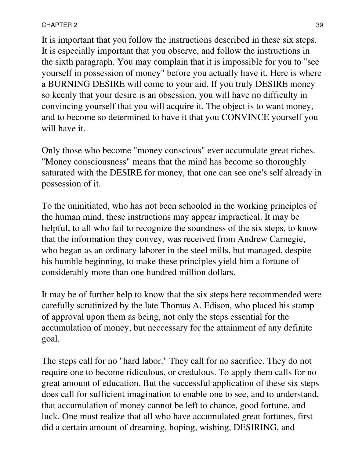It is important that you follow the instructions described in these six steps. It is especially important that you observe, and follow the instructions in the sixth paragraph. You may complain that it is impossible for you to "see yourself in possession of money" before you actually have it. Here is where a BURNING DESIRE will come to your aid. If you truly DESIRE money so keenly that your desire is an obsession, you will have no difficulty in convincing yourself that you will acquire it. The object is to want money, and to become so determined to have it that you CONVINCE yourself you will have it.

Only those who become "money conscious" ever accumulate great riches. "Money consciousness" means that the mind has become so thoroughly saturated with the DESIRE for money, that one can see one's self already in possession of it.

To the uninitiated, who has not been schooled in the working principles of the human mind, these instructions may appear impractical. It may be helpful, to all who fail to recognize the soundness of the six steps, to know that the information they convey, was received from Andrew Carnegie, who began as an ordinary laborer in the steel mills, but managed, despite his humble beginning, to make these principles yield him a fortune of considerably more than one hundred million dollars.

It may be of further help to know that the six steps here recommended were carefully scrutinized by the late Thomas A. Edison, who placed his stamp of approval upon them as being, not only the steps essential for the accumulation of money, but neccessary for the attainment of any definite goal.

The steps call for no "hard labor." They call for no sacrifice. They do not require one to become ridiculous, or credulous. To apply them calls for no great amount of education. But the successful application of these six steps does call for sufficient imagination to enable one to see, and to understand, that accumulation of money cannot be left to chance, good fortune, and luck. One must realize that all who have accumulated great fortunes, first did a certain amount of dreaming, hoping, wishing, DESIRING, and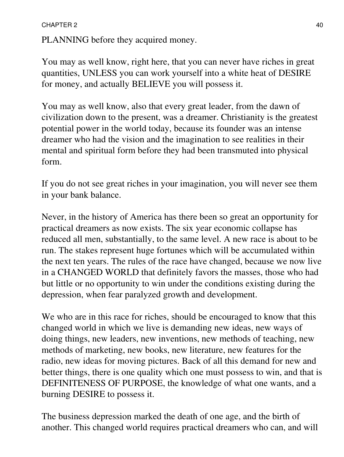PLANNING before they acquired money.

You may as well know, right here, that you can never have riches in great quantities, UNLESS you can work yourself into a white heat of DESIRE for money, and actually BELIEVE you will possess it.

You may as well know, also that every great leader, from the dawn of civilization down to the present, was a dreamer. Christianity is the greatest potential power in the world today, because its founder was an intense dreamer who had the vision and the imagination to see realities in their mental and spiritual form before they had been transmuted into physical form.

If you do not see great riches in your imagination, you will never see them in your bank balance.

Never, in the history of America has there been so great an opportunity for practical dreamers as now exists. The six year economic collapse has reduced all men, substantially, to the same level. A new race is about to be run. The stakes represent huge fortunes which will be accumulated within the next ten years. The rules of the race have changed, because we now live in a CHANGED WORLD that definitely favors the masses, those who had but little or no opportunity to win under the conditions existing during the depression, when fear paralyzed growth and development.

We who are in this race for riches, should be encouraged to know that this changed world in which we live is demanding new ideas, new ways of doing things, new leaders, new inventions, new methods of teaching, new methods of marketing, new books, new literature, new features for the radio, new ideas for moving pictures. Back of all this demand for new and better things, there is one quality which one must possess to win, and that is DEFINITENESS OF PURPOSE, the knowledge of what one wants, and a burning DESIRE to possess it.

The business depression marked the death of one age, and the birth of another. This changed world requires practical dreamers who can, and will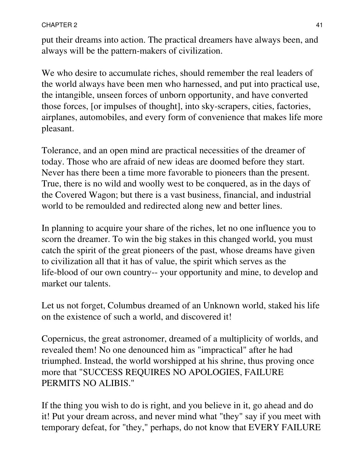put their dreams into action. The practical dreamers have always been, and always will be the pattern-makers of civilization.

We who desire to accumulate riches, should remember the real leaders of the world always have been men who harnessed, and put into practical use, the intangible, unseen forces of unborn opportunity, and have converted those forces, [or impulses of thought], into sky-scrapers, cities, factories, airplanes, automobiles, and every form of convenience that makes life more pleasant.

Tolerance, and an open mind are practical necessities of the dreamer of today. Those who are afraid of new ideas are doomed before they start. Never has there been a time more favorable to pioneers than the present. True, there is no wild and woolly west to be conquered, as in the days of the Covered Wagon; but there is a vast business, financial, and industrial world to be remoulded and redirected along new and better lines.

In planning to acquire your share of the riches, let no one influence you to scorn the dreamer. To win the big stakes in this changed world, you must catch the spirit of the great pioneers of the past, whose dreams have given to civilization all that it has of value, the spirit which serves as the life-blood of our own country-- your opportunity and mine, to develop and market our talents.

Let us not forget, Columbus dreamed of an Unknown world, staked his life on the existence of such a world, and discovered it!

Copernicus, the great astronomer, dreamed of a multiplicity of worlds, and revealed them! No one denounced him as "impractical" after he had triumphed. Instead, the world worshipped at his shrine, thus proving once more that "SUCCESS REQUIRES NO APOLOGIES, FAILURE PERMITS NO ALIBIS."

If the thing you wish to do is right, and you believe in it, go ahead and do it! Put your dream across, and never mind what "they" say if you meet with temporary defeat, for "they," perhaps, do not know that EVERY FAILURE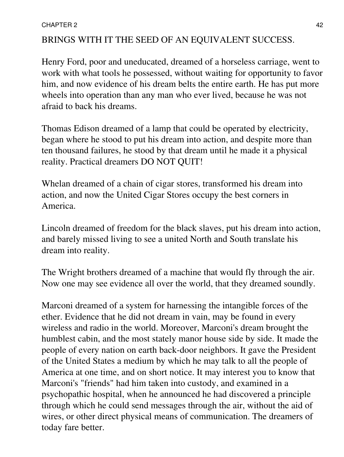### BRINGS WITH IT THE SEED OF AN EQUIVALENT SUCCESS.

Henry Ford, poor and uneducated, dreamed of a horseless carriage, went to work with what tools he possessed, without waiting for opportunity to favor him, and now evidence of his dream belts the entire earth. He has put more wheels into operation than any man who ever lived, because he was not afraid to back his dreams.

Thomas Edison dreamed of a lamp that could be operated by electricity, began where he stood to put his dream into action, and despite more than ten thousand failures, he stood by that dream until he made it a physical reality. Practical dreamers DO NOT QUIT!

Whelan dreamed of a chain of cigar stores, transformed his dream into action, and now the United Cigar Stores occupy the best corners in America.

Lincoln dreamed of freedom for the black slaves, put his dream into action, and barely missed living to see a united North and South translate his dream into reality.

The Wright brothers dreamed of a machine that would fly through the air. Now one may see evidence all over the world, that they dreamed soundly.

Marconi dreamed of a system for harnessing the intangible forces of the ether. Evidence that he did not dream in vain, may be found in every wireless and radio in the world. Moreover, Marconi's dream brought the humblest cabin, and the most stately manor house side by side. It made the people of every nation on earth back-door neighbors. It gave the President of the United States a medium by which he may talk to all the people of America at one time, and on short notice. It may interest you to know that Marconi's "friends" had him taken into custody, and examined in a psychopathic hospital, when he announced he had discovered a principle through which he could send messages through the air, without the aid of wires, or other direct physical means of communication. The dreamers of today fare better.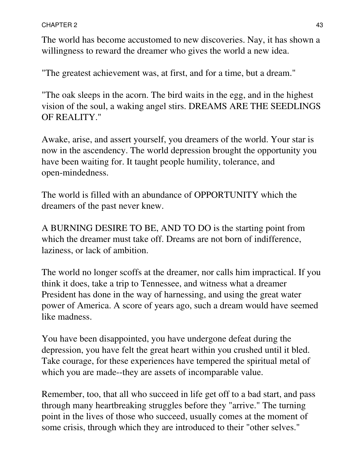The world has become accustomed to new discoveries. Nay, it has shown a willingness to reward the dreamer who gives the world a new idea.

"The greatest achievement was, at first, and for a time, but a dream."

"The oak sleeps in the acorn. The bird waits in the egg, and in the highest vision of the soul, a waking angel stirs. DREAMS ARE THE SEEDLINGS OF REALITY."

Awake, arise, and assert yourself, you dreamers of the world. Your star is now in the ascendency. The world depression brought the opportunity you have been waiting for. It taught people humility, tolerance, and open-mindedness.

The world is filled with an abundance of OPPORTUNITY which the dreamers of the past never knew.

A BURNING DESIRE TO BE, AND TO DO is the starting point from which the dreamer must take off. Dreams are not born of indifference, laziness, or lack of ambition.

The world no longer scoffs at the dreamer, nor calls him impractical. If you think it does, take a trip to Tennessee, and witness what a dreamer President has done in the way of harnessing, and using the great water power of America. A score of years ago, such a dream would have seemed like madness.

You have been disappointed, you have undergone defeat during the depression, you have felt the great heart within you crushed until it bled. Take courage, for these experiences have tempered the spiritual metal of which you are made--they are assets of incomparable value.

Remember, too, that all who succeed in life get off to a bad start, and pass through many heartbreaking struggles before they "arrive." The turning point in the lives of those who succeed, usually comes at the moment of some crisis, through which they are introduced to their "other selves."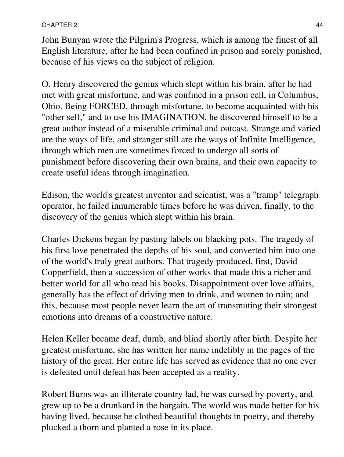John Bunyan wrote the Pilgrim's Progress, which is among the finest of all English literature, after he had been confined in prison and sorely punished, because of his views on the subject of religion.

O. Henry discovered the genius which slept within his brain, after he had met with great misfortune, and was confined in a prison cell, in Columbus, Ohio. Being FORCED, through misfortune, to become acquainted with his "other self," and to use his IMAGINATION, he discovered himself to be a great author instead of a miserable criminal and outcast. Strange and varied are the ways of life, and stranger still are the ways of Infinite Intelligence, through which men are sometimes forced to undergo all sorts of punishment before discovering their own brains, and their own capacity to create useful ideas through imagination.

Edison, the world's greatest inventor and scientist, was a "tramp" telegraph operator, he failed innumerable times before he was driven, finally, to the discovery of the genius which slept within his brain.

Charles Dickens began by pasting labels on blacking pots. The tragedy of his first love penetrated the depths of his soul, and converted him into one of the world's truly great authors. That tragedy produced, first, David Copperfield, then a succession of other works that made this a richer and better world for all who read his books. Disappointment over love affairs, generally has the effect of driving men to drink, and women to ruin; and this, because most people never learn the art of transmuting their strongest emotions into dreams of a constructive nature.

Helen Keller became deaf, dumb, and blind shortly after birth. Despite her greatest misfortune, she has written her name indelibly in the pages of the history of the great. Her entire life has served as evidence that no one ever is defeated until defeat has been accepted as a reality.

Robert Burns was an illiterate country lad, he was cursed by poverty, and grew up to be a drunkard in the bargain. The world was made better for his having lived, because he clothed beautiful thoughts in poetry, and thereby plucked a thorn and planted a rose in its place.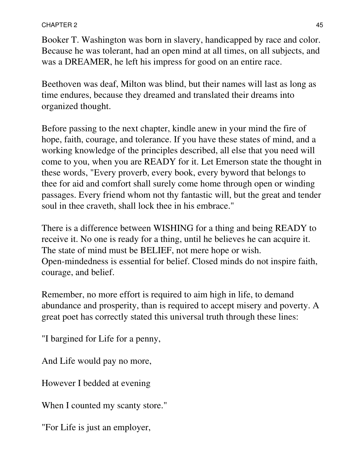Booker T. Washington was born in slavery, handicapped by race and color. Because he was tolerant, had an open mind at all times, on all subjects, and was a DREAMER, he left his impress for good on an entire race.

Beethoven was deaf, Milton was blind, but their names will last as long as time endures, because they dreamed and translated their dreams into organized thought.

Before passing to the next chapter, kindle anew in your mind the fire of hope, faith, courage, and tolerance. If you have these states of mind, and a working knowledge of the principles described, all else that you need will come to you, when you are READY for it. Let Emerson state the thought in these words, "Every proverb, every book, every byword that belongs to thee for aid and comfort shall surely come home through open or winding passages. Every friend whom not thy fantastic will, but the great and tender soul in thee craveth, shall lock thee in his embrace."

There is a difference between WISHING for a thing and being READY to receive it. No one is ready for a thing, until he believes he can acquire it. The state of mind must be BELIEF, not mere hope or wish. Open-mindedness is essential for belief. Closed minds do not inspire faith, courage, and belief.

Remember, no more effort is required to aim high in life, to demand abundance and prosperity, than is required to accept misery and poverty. A great poet has correctly stated this universal truth through these lines:

"I bargined for Life for a penny,

And Life would pay no more,

However I bedded at evening

When I counted my scanty store."

"For Life is just an employer,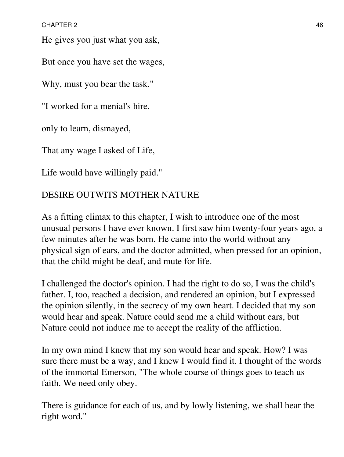He gives you just what you ask,

But once you have set the wages,

Why, must you bear the task."

"I worked for a menial's hire,

only to learn, dismayed,

That any wage I asked of Life,

Life would have willingly paid."

### DESIRE OUTWITS MOTHER NATURE

As a fitting climax to this chapter, I wish to introduce one of the most unusual persons I have ever known. I first saw him twenty-four years ago, a few minutes after he was born. He came into the world without any physical sign of ears, and the doctor admitted, when pressed for an opinion, that the child might be deaf, and mute for life.

I challenged the doctor's opinion. I had the right to do so, I was the child's father. I, too, reached a decision, and rendered an opinion, but I expressed the opinion silently, in the secrecy of my own heart. I decided that my son would hear and speak. Nature could send me a child without ears, but Nature could not induce me to accept the reality of the affliction.

In my own mind I knew that my son would hear and speak. How? I was sure there must be a way, and I knew I would find it. I thought of the words of the immortal Emerson, "The whole course of things goes to teach us faith. We need only obey.

There is guidance for each of us, and by lowly listening, we shall hear the right word."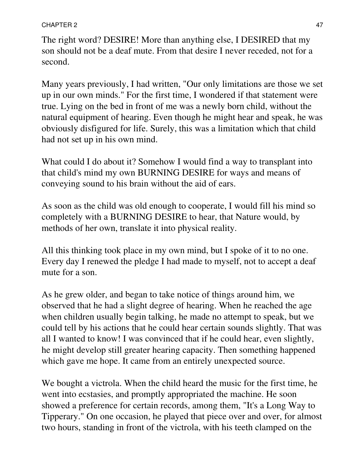The right word? DESIRE! More than anything else, I DESIRED that my son should not be a deaf mute. From that desire I never receded, not for a second.

Many years previously, I had written, "Our only limitations are those we set up in our own minds." For the first time, I wondered if that statement were true. Lying on the bed in front of me was a newly born child, without the natural equipment of hearing. Even though he might hear and speak, he was obviously disfigured for life. Surely, this was a limitation which that child had not set up in his own mind.

What could I do about it? Somehow I would find a way to transplant into that child's mind my own BURNING DESIRE for ways and means of conveying sound to his brain without the aid of ears.

As soon as the child was old enough to cooperate, I would fill his mind so completely with a BURNING DESIRE to hear, that Nature would, by methods of her own, translate it into physical reality.

All this thinking took place in my own mind, but I spoke of it to no one. Every day I renewed the pledge I had made to myself, not to accept a deaf mute for a son.

As he grew older, and began to take notice of things around him, we observed that he had a slight degree of hearing. When he reached the age when children usually begin talking, he made no attempt to speak, but we could tell by his actions that he could hear certain sounds slightly. That was all I wanted to know! I was convinced that if he could hear, even slightly, he might develop still greater hearing capacity. Then something happened which gave me hope. It came from an entirely unexpected source.

We bought a victrola. When the child heard the music for the first time, he went into ecstasies, and promptly appropriated the machine. He soon showed a preference for certain records, among them, "It's a Long Way to Tipperary." On one occasion, he played that piece over and over, for almost two hours, standing in front of the victrola, with his teeth clamped on the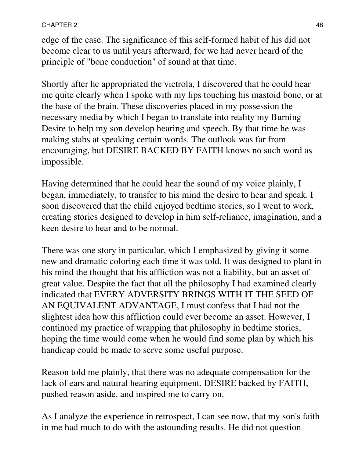edge of the case. The significance of this self-formed habit of his did not become clear to us until years afterward, for we had never heard of the principle of "bone conduction" of sound at that time.

Shortly after he appropriated the victrola, I discovered that he could hear me quite clearly when I spoke with my lips touching his mastoid bone, or at the base of the brain. These discoveries placed in my possession the necessary media by which I began to translate into reality my Burning Desire to help my son develop hearing and speech. By that time he was making stabs at speaking certain words. The outlook was far from encouraging, but DESIRE BACKED BY FAITH knows no such word as impossible.

Having determined that he could hear the sound of my voice plainly, I began, immediately, to transfer to his mind the desire to hear and speak. I soon discovered that the child enjoyed bedtime stories, so I went to work, creating stories designed to develop in him self-reliance, imagination, and a keen desire to hear and to be normal.

There was one story in particular, which I emphasized by giving it some new and dramatic coloring each time it was told. It was designed to plant in his mind the thought that his affliction was not a liability, but an asset of great value. Despite the fact that all the philosophy I had examined clearly indicated that EVERY ADVERSITY BRINGS WITH IT THE SEED OF AN EQUIVALENT ADVANTAGE, I must confess that I had not the slightest idea how this affliction could ever become an asset. However, I continued my practice of wrapping that philosophy in bedtime stories, hoping the time would come when he would find some plan by which his handicap could be made to serve some useful purpose.

Reason told me plainly, that there was no adequate compensation for the lack of ears and natural hearing equipment. DESIRE backed by FAITH, pushed reason aside, and inspired me to carry on.

As I analyze the experience in retrospect, I can see now, that my son's faith in me had much to do with the astounding results. He did not question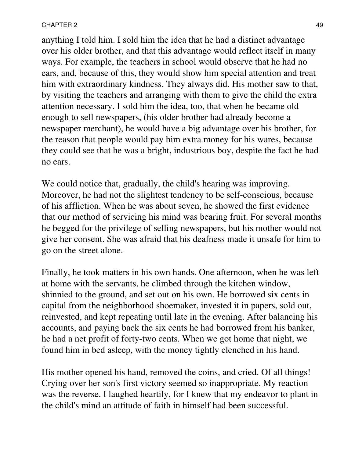anything I told him. I sold him the idea that he had a distinct advantage over his older brother, and that this advantage would reflect itself in many ways. For example, the teachers in school would observe that he had no ears, and, because of this, they would show him special attention and treat him with extraordinary kindness. They always did. His mother saw to that, by visiting the teachers and arranging with them to give the child the extra attention necessary. I sold him the idea, too, that when he became old enough to sell newspapers, (his older brother had already become a newspaper merchant), he would have a big advantage over his brother, for the reason that people would pay him extra money for his wares, because they could see that he was a bright, industrious boy, despite the fact he had no ears.

We could notice that, gradually, the child's hearing was improving. Moreover, he had not the slightest tendency to be self-conscious, because of his affliction. When he was about seven, he showed the first evidence that our method of servicing his mind was bearing fruit. For several months he begged for the privilege of selling newspapers, but his mother would not give her consent. She was afraid that his deafness made it unsafe for him to go on the street alone.

Finally, he took matters in his own hands. One afternoon, when he was left at home with the servants, he climbed through the kitchen window, shinnied to the ground, and set out on his own. He borrowed six cents in capital from the neighborhood shoemaker, invested it in papers, sold out, reinvested, and kept repeating until late in the evening. After balancing his accounts, and paying back the six cents he had borrowed from his banker, he had a net profit of forty-two cents. When we got home that night, we found him in bed asleep, with the money tightly clenched in his hand.

His mother opened his hand, removed the coins, and cried. Of all things! Crying over her son's first victory seemed so inappropriate. My reaction was the reverse. I laughed heartily, for I knew that my endeavor to plant in the child's mind an attitude of faith in himself had been successful.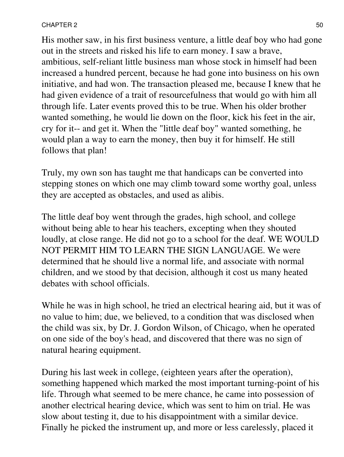His mother saw, in his first business venture, a little deaf boy who had gone out in the streets and risked his life to earn money. I saw a brave, ambitious, self-reliant little business man whose stock in himself had been increased a hundred percent, because he had gone into business on his own initiative, and had won. The transaction pleased me, because I knew that he had given evidence of a trait of resourcefulness that would go with him all through life. Later events proved this to be true. When his older brother wanted something, he would lie down on the floor, kick his feet in the air, cry for it-- and get it. When the "little deaf boy" wanted something, he would plan a way to earn the money, then buy it for himself. He still follows that plan!

Truly, my own son has taught me that handicaps can be converted into stepping stones on which one may climb toward some worthy goal, unless they are accepted as obstacles, and used as alibis.

The little deaf boy went through the grades, high school, and college without being able to hear his teachers, excepting when they shouted loudly, at close range. He did not go to a school for the deaf. WE WOULD NOT PERMIT HIM TO LEARN THE SIGN LANGUAGE. We were determined that he should live a normal life, and associate with normal children, and we stood by that decision, although it cost us many heated debates with school officials.

While he was in high school, he tried an electrical hearing aid, but it was of no value to him; due, we believed, to a condition that was disclosed when the child was six, by Dr. J. Gordon Wilson, of Chicago, when he operated on one side of the boy's head, and discovered that there was no sign of natural hearing equipment.

During his last week in college, (eighteen years after the operation), something happened which marked the most important turning-point of his life. Through what seemed to be mere chance, he came into possession of another electrical hearing device, which was sent to him on trial. He was slow about testing it, due to his disappointment with a similar device. Finally he picked the instrument up, and more or less carelessly, placed it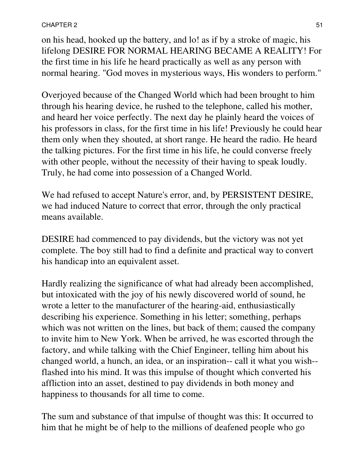on his head, hooked up the battery, and lo! as if by a stroke of magic, his lifelong DESIRE FOR NORMAL HEARING BECAME A REALITY! For the first time in his life he heard practically as well as any person with normal hearing. "God moves in mysterious ways, His wonders to perform."

Overjoyed because of the Changed World which had been brought to him through his hearing device, he rushed to the telephone, called his mother, and heard her voice perfectly. The next day he plainly heard the voices of his professors in class, for the first time in his life! Previously he could hear them only when they shouted, at short range. He heard the radio. He heard the talking pictures. For the first time in his life, he could converse freely with other people, without the necessity of their having to speak loudly. Truly, he had come into possession of a Changed World.

We had refused to accept Nature's error, and, by PERSISTENT DESIRE, we had induced Nature to correct that error, through the only practical means available.

DESIRE had commenced to pay dividends, but the victory was not yet complete. The boy still had to find a definite and practical way to convert his handicap into an equivalent asset.

Hardly realizing the significance of what had already been accomplished, but intoxicated with the joy of his newly discovered world of sound, he wrote a letter to the manufacturer of the hearing-aid, enthusiastically describing his experience. Something in his letter; something, perhaps which was not written on the lines, but back of them; caused the company to invite him to New York. When be arrived, he was escorted through the factory, and while talking with the Chief Engineer, telling him about his changed world, a hunch, an idea, or an inspiration-- call it what you wish- flashed into his mind. It was this impulse of thought which converted his affliction into an asset, destined to pay dividends in both money and happiness to thousands for all time to come.

The sum and substance of that impulse of thought was this: It occurred to him that he might be of help to the millions of deafened people who go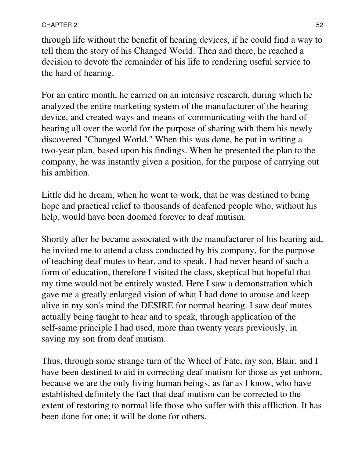through life without the benefit of hearing devices, if he could find a way to tell them the story of his Changed World. Then and there, he reached a decision to devote the remainder of his life to rendering useful service to the hard of hearing.

For an entire month, he carried on an intensive research, during which he analyzed the entire marketing system of the manufacturer of the hearing device, and created ways and means of communicating with the hard of hearing all over the world for the purpose of sharing with them his newly discovered "Changed World." When this was done, he put in writing a two-year plan, based upon his findings. When he presented the plan to the company, he was instantly given a position, for the purpose of carrying out his ambition.

Little did he dream, when he went to work, that he was destined to bring hope and practical relief to thousands of deafened people who, without his help, would have been doomed forever to deaf mutism.

Shortly after he became associated with the manufacturer of his hearing aid, he invited me to attend a class conducted by his company, for the purpose of teaching deaf mutes to hear, and to speak. I had never heard of such a form of education, therefore I visited the class, skeptical but hopeful that my time would not be entirely wasted. Here I saw a demonstration which gave me a greatly enlarged vision of what I had done to arouse and keep alive in my son's mind the DESIRE for normal hearing. I saw deaf mutes actually being taught to hear and to speak, through application of the self-same principle I had used, more than twenty years previously, in saving my son from deaf mutism.

Thus, through some strange turn of the Wheel of Fate, my son, Blair, and I have been destined to aid in correcting deaf mutism for those as yet unborn, because we are the only living human beings, as far as I know, who have established definitely the fact that deaf mutism can be corrected to the extent of restoring to normal life those who suffer with this affliction. It has been done for one; it will be done for others.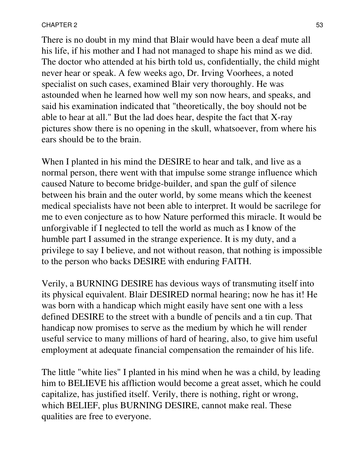There is no doubt in my mind that Blair would have been a deaf mute all his life, if his mother and I had not managed to shape his mind as we did. The doctor who attended at his birth told us, confidentially, the child might never hear or speak. A few weeks ago, Dr. Irving Voorhees, a noted specialist on such cases, examined Blair very thoroughly. He was astounded when he learned how well my son now hears, and speaks, and said his examination indicated that "theoretically, the boy should not be able to hear at all." But the lad does hear, despite the fact that X-ray pictures show there is no opening in the skull, whatsoever, from where his ears should be to the brain.

When I planted in his mind the DESIRE to hear and talk, and live as a normal person, there went with that impulse some strange influence which caused Nature to become bridge-builder, and span the gulf of silence between his brain and the outer world, by some means which the keenest medical specialists have not been able to interpret. It would be sacrilege for me to even conjecture as to how Nature performed this miracle. It would be unforgivable if I neglected to tell the world as much as I know of the humble part I assumed in the strange experience. It is my duty, and a privilege to say I believe, and not without reason, that nothing is impossible to the person who backs DESIRE with enduring FAITH.

Verily, a BURNING DESIRE has devious ways of transmuting itself into its physical equivalent. Blair DESIRED normal hearing; now he has it! He was born with a handicap which might easily have sent one with a less defined DESIRE to the street with a bundle of pencils and a tin cup. That handicap now promises to serve as the medium by which he will render useful service to many millions of hard of hearing, also, to give him useful employment at adequate financial compensation the remainder of his life.

The little "white lies" I planted in his mind when he was a child, by leading him to BELIEVE his affliction would become a great asset, which he could capitalize, has justified itself. Verily, there is nothing, right or wrong, which BELIEF, plus BURNING DESIRE, cannot make real. These qualities are free to everyone.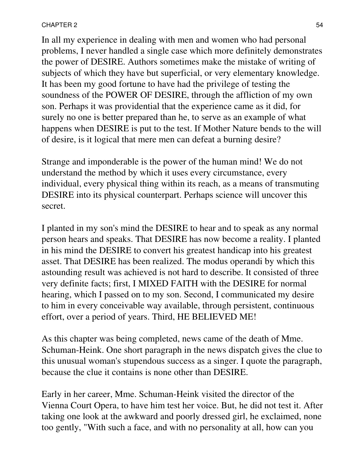In all my experience in dealing with men and women who had personal problems, I never handled a single case which more definitely demonstrates the power of DESIRE. Authors sometimes make the mistake of writing of subjects of which they have but superficial, or very elementary knowledge. It has been my good fortune to have had the privilege of testing the soundness of the POWER OF DESIRE, through the affliction of my own son. Perhaps it was providential that the experience came as it did, for surely no one is better prepared than he, to serve as an example of what happens when DESIRE is put to the test. If Mother Nature bends to the will of desire, is it logical that mere men can defeat a burning desire?

Strange and imponderable is the power of the human mind! We do not understand the method by which it uses every circumstance, every individual, every physical thing within its reach, as a means of transmuting DESIRE into its physical counterpart. Perhaps science will uncover this secret.

I planted in my son's mind the DESIRE to hear and to speak as any normal person hears and speaks. That DESIRE has now become a reality. I planted in his mind the DESIRE to convert his greatest handicap into his greatest asset. That DESIRE has been realized. The modus operandi by which this astounding result was achieved is not hard to describe. It consisted of three very definite facts; first, I MIXED FAITH with the DESIRE for normal hearing, which I passed on to my son. Second, I communicated my desire to him in every conceivable way available, through persistent, continuous effort, over a period of years. Third, HE BELIEVED ME!

As this chapter was being completed, news came of the death of Mme. Schuman-Heink. One short paragraph in the news dispatch gives the clue to this unusual woman's stupendous success as a singer. I quote the paragraph, because the clue it contains is none other than DESIRE.

Early in her career, Mme. Schuman-Heink visited the director of the Vienna Court Opera, to have him test her voice. But, he did not test it. After taking one look at the awkward and poorly dressed girl, he exclaimed, none too gently, "With such a face, and with no personality at all, how can you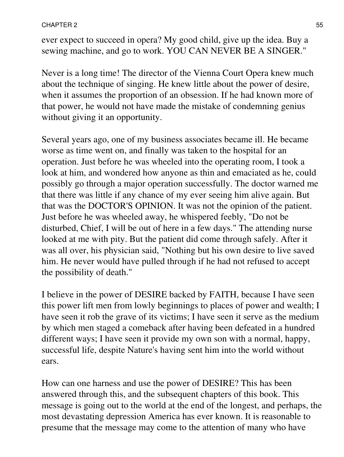ever expect to succeed in opera? My good child, give up the idea. Buy a sewing machine, and go to work. YOU CAN NEVER BE A SINGER."

Never is a long time! The director of the Vienna Court Opera knew much about the technique of singing. He knew little about the power of desire, when it assumes the proportion of an obsession. If he had known more of that power, he would not have made the mistake of condemning genius without giving it an opportunity.

Several years ago, one of my business associates became ill. He became worse as time went on, and finally was taken to the hospital for an operation. Just before he was wheeled into the operating room, I took a look at him, and wondered how anyone as thin and emaciated as he, could possibly go through a major operation successfully. The doctor warned me that there was little if any chance of my ever seeing him alive again. But that was the DOCTOR'S OPINION. It was not the opinion of the patient. Just before he was wheeled away, he whispered feebly, "Do not be disturbed, Chief, I will be out of here in a few days." The attending nurse looked at me with pity. But the patient did come through safely. After it was all over, his physician said, "Nothing but his own desire to live saved him. He never would have pulled through if he had not refused to accept the possibility of death."

I believe in the power of DESIRE backed by FAITH, because I have seen this power lift men from lowly beginnings to places of power and wealth; I have seen it rob the grave of its victims; I have seen it serve as the medium by which men staged a comeback after having been defeated in a hundred different ways; I have seen it provide my own son with a normal, happy, successful life, despite Nature's having sent him into the world without ears.

How can one harness and use the power of DESIRE? This has been answered through this, and the subsequent chapters of this book. This message is going out to the world at the end of the longest, and perhaps, the most devastating depression America has ever known. It is reasonable to presume that the message may come to the attention of many who have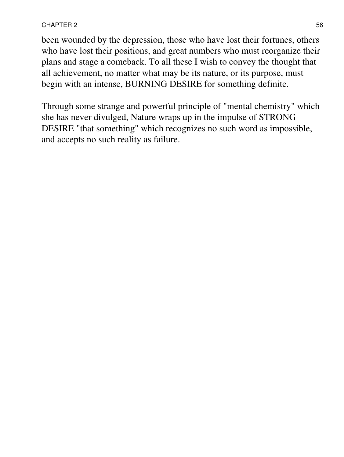been wounded by the depression, those who have lost their fortunes, others who have lost their positions, and great numbers who must reorganize their plans and stage a comeback. To all these I wish to convey the thought that all achievement, no matter what may be its nature, or its purpose, must begin with an intense, BURNING DESIRE for something definite.

Through some strange and powerful principle of "mental chemistry" which she has never divulged, Nature wraps up in the impulse of STRONG DESIRE "that something" which recognizes no such word as impossible, and accepts no such reality as failure.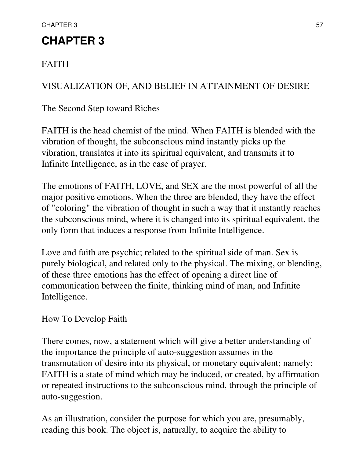# **CHAPTER 3**

# FAITH

# VISUALIZATION OF, AND BELIEF IN ATTAINMENT OF DESIRE

The Second Step toward Riches

FAITH is the head chemist of the mind. When FAITH is blended with the vibration of thought, the subconscious mind instantly picks up the vibration, translates it into its spiritual equivalent, and transmits it to Infinite Intelligence, as in the case of prayer.

The emotions of FAITH, LOVE, and SEX are the most powerful of all the major positive emotions. When the three are blended, they have the effect of "coloring" the vibration of thought in such a way that it instantly reaches the subconscious mind, where it is changed into its spiritual equivalent, the only form that induces a response from Infinite Intelligence.

Love and faith are psychic; related to the spiritual side of man. Sex is purely biological, and related only to the physical. The mixing, or blending, of these three emotions has the effect of opening a direct line of communication between the finite, thinking mind of man, and Infinite Intelligence.

How To Develop Faith

There comes, now, a statement which will give a better understanding of the importance the principle of auto-suggestion assumes in the transmutation of desire into its physical, or monetary equivalent; namely: FAITH is a state of mind which may be induced, or created, by affirmation or repeated instructions to the subconscious mind, through the principle of auto-suggestion.

As an illustration, consider the purpose for which you are, presumably, reading this book. The object is, naturally, to acquire the ability to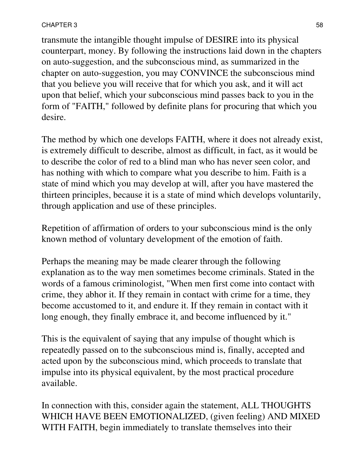transmute the intangible thought impulse of DESIRE into its physical counterpart, money. By following the instructions laid down in the chapters on auto-suggestion, and the subconscious mind, as summarized in the chapter on auto-suggestion, you may CONVINCE the subconscious mind that you believe you will receive that for which you ask, and it will act upon that belief, which your subconscious mind passes back to you in the form of "FAITH," followed by definite plans for procuring that which you desire.

The method by which one develops FAITH, where it does not already exist, is extremely difficult to describe, almost as difficult, in fact, as it would be to describe the color of red to a blind man who has never seen color, and has nothing with which to compare what you describe to him. Faith is a state of mind which you may develop at will, after you have mastered the thirteen principles, because it is a state of mind which develops voluntarily, through application and use of these principles.

Repetition of affirmation of orders to your subconscious mind is the only known method of voluntary development of the emotion of faith.

Perhaps the meaning may be made clearer through the following explanation as to the way men sometimes become criminals. Stated in the words of a famous criminologist, "When men first come into contact with crime, they abhor it. If they remain in contact with crime for a time, they become accustomed to it, and endure it. If they remain in contact with it long enough, they finally embrace it, and become influenced by it."

This is the equivalent of saying that any impulse of thought which is repeatedly passed on to the subconscious mind is, finally, accepted and acted upon by the subconscious mind, which proceeds to translate that impulse into its physical equivalent, by the most practical procedure available.

In connection with this, consider again the statement, ALL THOUGHTS WHICH HAVE BEEN EMOTIONALIZED, (given feeling) AND MIXED WITH FAITH, begin immediately to translate themselves into their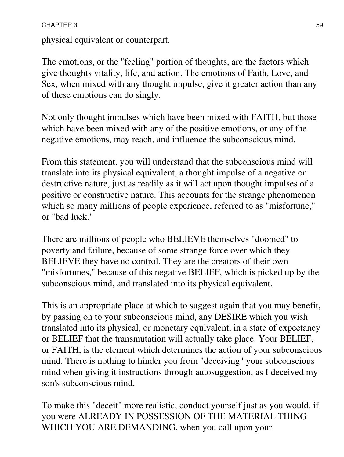physical equivalent or counterpart.

The emotions, or the "feeling" portion of thoughts, are the factors which give thoughts vitality, life, and action. The emotions of Faith, Love, and Sex, when mixed with any thought impulse, give it greater action than any of these emotions can do singly.

Not only thought impulses which have been mixed with FAITH, but those which have been mixed with any of the positive emotions, or any of the negative emotions, may reach, and influence the subconscious mind.

From this statement, you will understand that the subconscious mind will translate into its physical equivalent, a thought impulse of a negative or destructive nature, just as readily as it will act upon thought impulses of a positive or constructive nature. This accounts for the strange phenomenon which so many millions of people experience, referred to as "misfortune," or "bad luck."

There are millions of people who BELIEVE themselves "doomed" to poverty and failure, because of some strange force over which they BELIEVE they have no control. They are the creators of their own "misfortunes," because of this negative BELIEF, which is picked up by the subconscious mind, and translated into its physical equivalent.

This is an appropriate place at which to suggest again that you may benefit, by passing on to your subconscious mind, any DESIRE which you wish translated into its physical, or monetary equivalent, in a state of expectancy or BELIEF that the transmutation will actually take place. Your BELIEF, or FAITH, is the element which determines the action of your subconscious mind. There is nothing to hinder you from "deceiving" your subconscious mind when giving it instructions through autosuggestion, as I deceived my son's subconscious mind.

To make this "deceit" more realistic, conduct yourself just as you would, if you were ALREADY IN POSSESSION OF THE MATERIAL THING WHICH YOU ARE DEMANDING, when you call upon your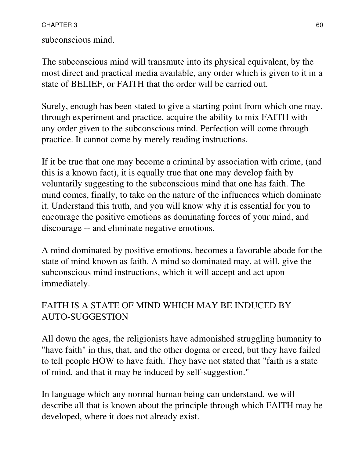subconscious mind.

The subconscious mind will transmute into its physical equivalent, by the most direct and practical media available, any order which is given to it in a state of BELIEF, or FAITH that the order will be carried out.

Surely, enough has been stated to give a starting point from which one may, through experiment and practice, acquire the ability to mix FAITH with any order given to the subconscious mind. Perfection will come through practice. It cannot come by merely reading instructions.

If it be true that one may become a criminal by association with crime, (and this is a known fact), it is equally true that one may develop faith by voluntarily suggesting to the subconscious mind that one has faith. The mind comes, finally, to take on the nature of the influences which dominate it. Understand this truth, and you will know why it is essential for you to encourage the positive emotions as dominating forces of your mind, and discourage -- and eliminate negative emotions.

A mind dominated by positive emotions, becomes a favorable abode for the state of mind known as faith. A mind so dominated may, at will, give the subconscious mind instructions, which it will accept and act upon immediately.

# FAITH IS A STATE OF MIND WHICH MAY BE INDUCED BY AUTO-SUGGESTION

All down the ages, the religionists have admonished struggling humanity to "have faith" in this, that, and the other dogma or creed, but they have failed to tell people HOW to have faith. They have not stated that "faith is a state of mind, and that it may be induced by self-suggestion."

In language which any normal human being can understand, we will describe all that is known about the principle through which FAITH may be developed, where it does not already exist.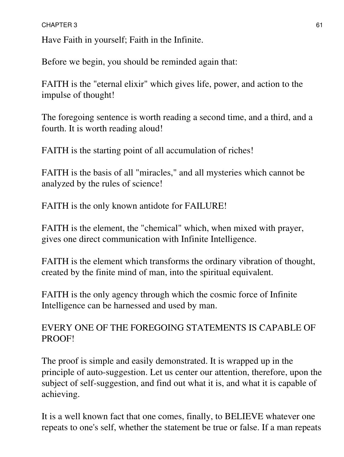Have Faith in yourself; Faith in the Infinite.

Before we begin, you should be reminded again that:

FAITH is the "eternal elixir" which gives life, power, and action to the impulse of thought!

The foregoing sentence is worth reading a second time, and a third, and a fourth. It is worth reading aloud!

FAITH is the starting point of all accumulation of riches!

FAITH is the basis of all "miracles," and all mysteries which cannot be analyzed by the rules of science!

FAITH is the only known antidote for FAILURE!

FAITH is the element, the "chemical" which, when mixed with prayer, gives one direct communication with Infinite Intelligence.

FAITH is the element which transforms the ordinary vibration of thought, created by the finite mind of man, into the spiritual equivalent.

FAITH is the only agency through which the cosmic force of Infinite Intelligence can be harnessed and used by man.

### EVERY ONE OF THE FOREGOING STATEMENTS IS CAPABLE OF PROOF!

The proof is simple and easily demonstrated. It is wrapped up in the principle of auto-suggestion. Let us center our attention, therefore, upon the subject of self-suggestion, and find out what it is, and what it is capable of achieving.

It is a well known fact that one comes, finally, to BELIEVE whatever one repeats to one's self, whether the statement be true or false. If a man repeats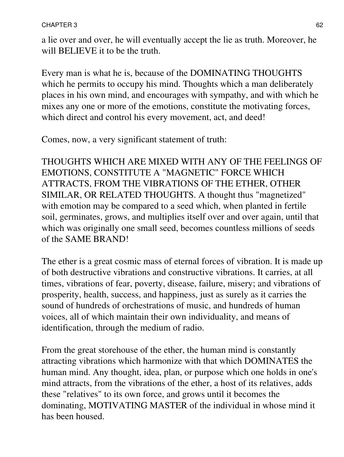a lie over and over, he will eventually accept the lie as truth. Moreover, he will BELIEVE it to be the truth.

Every man is what he is, because of the DOMINATING THOUGHTS which he permits to occupy his mind. Thoughts which a man deliberately places in his own mind, and encourages with sympathy, and with which he mixes any one or more of the emotions, constitute the motivating forces, which direct and control his every movement, act, and deed!

Comes, now, a very significant statement of truth:

THOUGHTS WHICH ARE MIXED WITH ANY OF THE FEELINGS OF EMOTIONS, CONSTITUTE A "MAGNETIC" FORCE WHICH ATTRACTS, FROM THE VIBRATIONS OF THE ETHER, OTHER SIMILAR, OR RELATED THOUGHTS. A thought thus "magnetized" with emotion may be compared to a seed which, when planted in fertile soil, germinates, grows, and multiplies itself over and over again, until that which was originally one small seed, becomes countless millions of seeds of the SAME BRAND!

The ether is a great cosmic mass of eternal forces of vibration. It is made up of both destructive vibrations and constructive vibrations. It carries, at all times, vibrations of fear, poverty, disease, failure, misery; and vibrations of prosperity, health, success, and happiness, just as surely as it carries the sound of hundreds of orchestrations of music, and hundreds of human voices, all of which maintain their own individuality, and means of identification, through the medium of radio.

From the great storehouse of the ether, the human mind is constantly attracting vibrations which harmonize with that which DOMINATES the human mind. Any thought, idea, plan, or purpose which one holds in one's mind attracts, from the vibrations of the ether, a host of its relatives, adds these "relatives" to its own force, and grows until it becomes the dominating, MOTIVATING MASTER of the individual in whose mind it has been housed.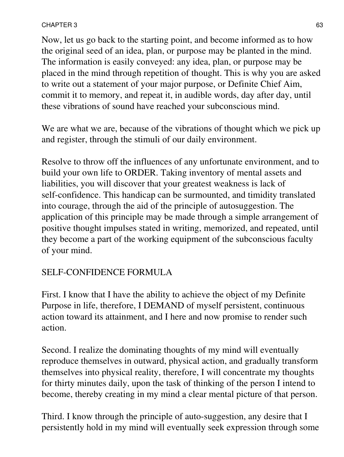Now, let us go back to the starting point, and become informed as to how the original seed of an idea, plan, or purpose may be planted in the mind. The information is easily conveyed: any idea, plan, or purpose may be placed in the mind through repetition of thought. This is why you are asked to write out a statement of your major purpose, or Definite Chief Aim, commit it to memory, and repeat it, in audible words, day after day, until these vibrations of sound have reached your subconscious mind.

We are what we are, because of the vibrations of thought which we pick up and register, through the stimuli of our daily environment.

Resolve to throw off the influences of any unfortunate environment, and to build your own life to ORDER. Taking inventory of mental assets and liabilities, you will discover that your greatest weakness is lack of self-confidence. This handicap can be surmounted, and timidity translated into courage, through the aid of the principle of autosuggestion. The application of this principle may be made through a simple arrangement of positive thought impulses stated in writing, memorized, and repeated, until they become a part of the working equipment of the subconscious faculty of your mind.

### SELF-CONFIDENCE FORMULA

First. I know that I have the ability to achieve the object of my Definite Purpose in life, therefore, I DEMAND of myself persistent, continuous action toward its attainment, and I here and now promise to render such action.

Second. I realize the dominating thoughts of my mind will eventually reproduce themselves in outward, physical action, and gradually transform themselves into physical reality, therefore, I will concentrate my thoughts for thirty minutes daily, upon the task of thinking of the person I intend to become, thereby creating in my mind a clear mental picture of that person.

Third. I know through the principle of auto-suggestion, any desire that I persistently hold in my mind will eventually seek expression through some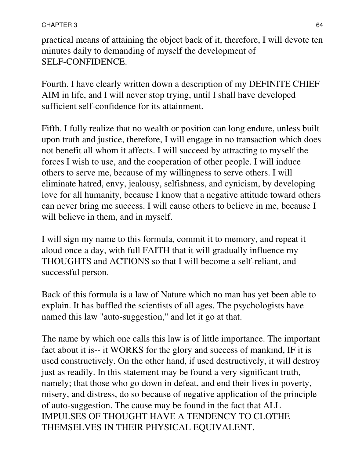practical means of attaining the object back of it, therefore, I will devote ten minutes daily to demanding of myself the development of SELF-CONFIDENCE.

Fourth. I have clearly written down a description of my DEFINITE CHIEF AIM in life, and I will never stop trying, until I shall have developed sufficient self-confidence for its attainment.

Fifth. I fully realize that no wealth or position can long endure, unless built upon truth and justice, therefore, I will engage in no transaction which does not benefit all whom it affects. I will succeed by attracting to myself the forces I wish to use, and the cooperation of other people. I will induce others to serve me, because of my willingness to serve others. I will eliminate hatred, envy, jealousy, selfishness, and cynicism, by developing love for all humanity, because I know that a negative attitude toward others can never bring me success. I will cause others to believe in me, because I will believe in them, and in myself.

I will sign my name to this formula, commit it to memory, and repeat it aloud once a day, with full FAITH that it will gradually influence my THOUGHTS and ACTIONS so that I will become a self-reliant, and successful person.

Back of this formula is a law of Nature which no man has yet been able to explain. It has baffled the scientists of all ages. The psychologists have named this law "auto-suggestion," and let it go at that.

The name by which one calls this law is of little importance. The important fact about it is-- it WORKS for the glory and success of mankind, IF it is used constructively. On the other hand, if used destructively, it will destroy just as readily. In this statement may be found a very significant truth, namely; that those who go down in defeat, and end their lives in poverty, misery, and distress, do so because of negative application of the principle of auto-suggestion. The cause may be found in the fact that ALL IMPULSES OF THOUGHT HAVE A TENDENCY TO CLOTHE THEMSELVES IN THEIR PHYSICAL EQUIVALENT.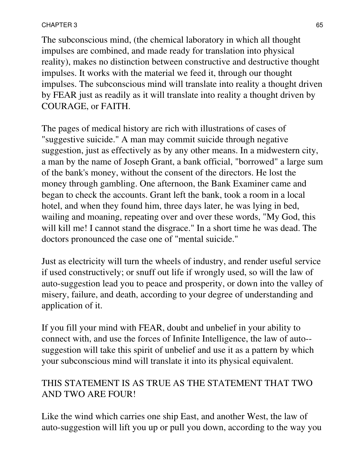The subconscious mind, (the chemical laboratory in which all thought impulses are combined, and made ready for translation into physical reality), makes no distinction between constructive and destructive thought impulses. It works with the material we feed it, through our thought impulses. The subconscious mind will translate into reality a thought driven by FEAR just as readily as it will translate into reality a thought driven by COURAGE, or FAITH.

The pages of medical history are rich with illustrations of cases of "suggestive suicide." A man may commit suicide through negative suggestion, just as effectively as by any other means. In a midwestern city, a man by the name of Joseph Grant, a bank official, "borrowed" a large sum of the bank's money, without the consent of the directors. He lost the money through gambling. One afternoon, the Bank Examiner came and began to check the accounts. Grant left the bank, took a room in a local hotel, and when they found him, three days later, he was lying in bed, wailing and moaning, repeating over and over these words, "My God, this will kill me! I cannot stand the disgrace." In a short time he was dead. The doctors pronounced the case one of "mental suicide."

Just as electricity will turn the wheels of industry, and render useful service if used constructively; or snuff out life if wrongly used, so will the law of auto-suggestion lead you to peace and prosperity, or down into the valley of misery, failure, and death, according to your degree of understanding and application of it.

If you fill your mind with FEAR, doubt and unbelief in your ability to connect with, and use the forces of Infinite Intelligence, the law of auto- suggestion will take this spirit of unbelief and use it as a pattern by which your subconscious mind will translate it into its physical equivalent.

# THIS STATEMENT IS AS TRUE AS THE STATEMENT THAT TWO AND TWO ARE FOUR!

Like the wind which carries one ship East, and another West, the law of auto-suggestion will lift you up or pull you down, according to the way you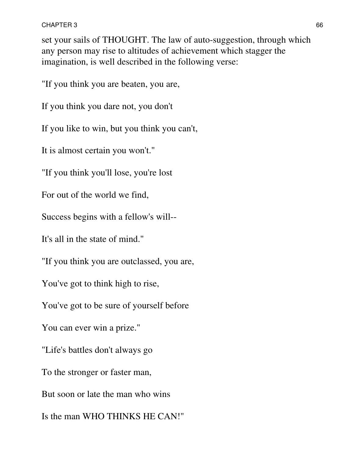set your sails of THOUGHT. The law of auto-suggestion, through which any person may rise to altitudes of achievement which stagger the imagination, is well described in the following verse:

"If you think you are beaten, you are,

If you think you dare not, you don't

If you like to win, but you think you can't,

It is almost certain you won't."

"If you think you'll lose, you're lost

For out of the world we find,

Success begins with a fellow's will--

It's all in the state of mind."

"If you think you are outclassed, you are,

You've got to think high to rise,

You've got to be sure of yourself before

You can ever win a prize."

"Life's battles don't always go

To the stronger or faster man,

But soon or late the man who wins

Is the man WHO THINKS HE CAN!"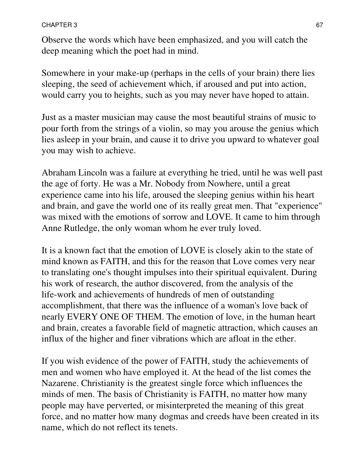Observe the words which have been emphasized, and you will catch the deep meaning which the poet had in mind.

Somewhere in your make-up (perhaps in the cells of your brain) there lies sleeping, the seed of achievement which, if aroused and put into action, would carry you to heights, such as you may never have hoped to attain.

Just as a master musician may cause the most beautiful strains of music to pour forth from the strings of a violin, so may you arouse the genius which lies asleep in your brain, and cause it to drive you upward to whatever goal you may wish to achieve.

Abraham Lincoln was a failure at everything he tried, until he was well past the age of forty. He was a Mr. Nobody from Nowhere, until a great experience came into his life, aroused the sleeping genius within his heart and brain, and gave the world one of its really great men. That "experience" was mixed with the emotions of sorrow and LOVE. It came to him through Anne Rutledge, the only woman whom he ever truly loved.

It is a known fact that the emotion of LOVE is closely akin to the state of mind known as FAITH, and this for the reason that Love comes very near to translating one's thought impulses into their spiritual equivalent. During his work of research, the author discovered, from the analysis of the life-work and achievements of hundreds of men of outstanding accomplishment, that there was the influence of a woman's love back of nearly EVERY ONE OF THEM. The emotion of love, in the human heart and brain, creates a favorable field of magnetic attraction, which causes an influx of the higher and finer vibrations which are afloat in the ether.

If you wish evidence of the power of FAITH, study the achievements of men and women who have employed it. At the head of the list comes the Nazarene. Christianity is the greatest single force which influences the minds of men. The basis of Christianity is FAITH, no matter how many people may have perverted, or misinterpreted the meaning of this great force, and no matter how many dogmas and creeds have been created in its name, which do not reflect its tenets.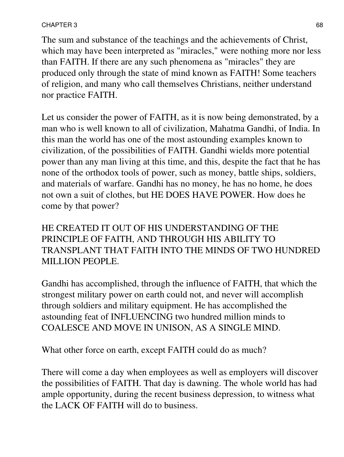The sum and substance of the teachings and the achievements of Christ, which may have been interpreted as "miracles," were nothing more nor less than FAITH. If there are any such phenomena as "miracles" they are produced only through the state of mind known as FAITH! Some teachers of religion, and many who call themselves Christians, neither understand nor practice FAITH.

Let us consider the power of FAITH, as it is now being demonstrated, by a man who is well known to all of civilization, Mahatma Gandhi, of India. In this man the world has one of the most astounding examples known to civilization, of the possibilities of FAITH. Gandhi wields more potential power than any man living at this time, and this, despite the fact that he has none of the orthodox tools of power, such as money, battle ships, soldiers, and materials of warfare. Gandhi has no money, he has no home, he does not own a suit of clothes, but HE DOES HAVE POWER. How does he come by that power?

HE CREATED IT OUT OF HIS UNDERSTANDING OF THE PRINCIPLE OF FAITH, AND THROUGH HIS ABILITY TO TRANSPLANT THAT FAITH INTO THE MINDS OF TWO HUNDRED MILLION PEOPLE.

Gandhi has accomplished, through the influence of FAITH, that which the strongest military power on earth could not, and never will accomplish through soldiers and military equipment. He has accomplished the astounding feat of INFLUENCING two hundred million minds to COALESCE AND MOVE IN UNISON, AS A SINGLE MIND.

What other force on earth, except FAITH could do as much?

There will come a day when employees as well as employers will discover the possibilities of FAITH. That day is dawning. The whole world has had ample opportunity, during the recent business depression, to witness what the LACK OF FAITH will do to business.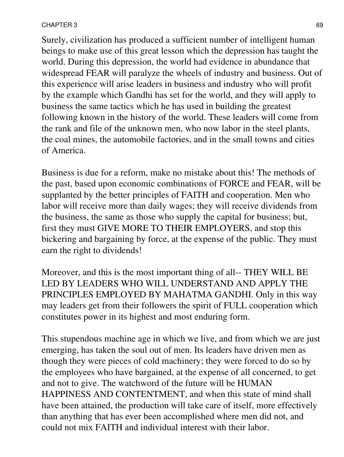Surely, civilization has produced a sufficient number of intelligent human beings to make use of this great lesson which the depression has taught the world. During this depression, the world had evidence in abundance that widespread FEAR will paralyze the wheels of industry and business. Out of this experience will arise leaders in business and industry who will profit by the example which Gandhi has set for the world, and they will apply to business the same tactics which he has used in building the greatest following known in the history of the world. These leaders will come from the rank and file of the unknown men, who now labor in the steel plants, the coal mines, the automobile factories, and in the small towns and cities of America.

Business is due for a reform, make no mistake about this! The methods of the past, based upon economic combinations of FORCE and FEAR, will be supplanted by the better principles of FAITH and cooperation. Men who labor will receive more than daily wages; they will receive dividends from the business, the same as those who supply the capital for business; but, first they must GIVE MORE TO THEIR EMPLOYERS, and stop this bickering and bargaining by force, at the expense of the public. They must earn the right to dividends!

Moreover, and this is the most important thing of all-- THEY WILL BE LED BY LEADERS WHO WILL UNDERSTAND AND APPLY THE PRINCIPLES EMPLOYED BY MAHATMA GANDHI. Only in this way may leaders get from their followers the spirit of FULL cooperation which constitutes power in its highest and most enduring form.

This stupendous machine age in which we live, and from which we are just emerging, has taken the soul out of men. Its leaders have driven men as though they were pieces of cold machinery; they were forced to do so by the employees who have bargained, at the expense of all concerned, to get and not to give. The watchword of the future will be HUMAN HAPPINESS AND CONTENTMENT, and when this state of mind shall have been attained, the production will take care of itself, more effectively than anything that has ever been accomplished where men did not, and could not mix FAITH and individual interest with their labor.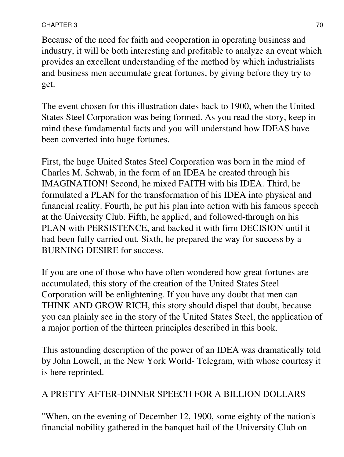Because of the need for faith and cooperation in operating business and industry, it will be both interesting and profitable to analyze an event which provides an excellent understanding of the method by which industrialists and business men accumulate great fortunes, by giving before they try to get.

The event chosen for this illustration dates back to 1900, when the United States Steel Corporation was being formed. As you read the story, keep in mind these fundamental facts and you will understand how IDEAS have been converted into huge fortunes.

First, the huge United States Steel Corporation was born in the mind of Charles M. Schwab, in the form of an IDEA he created through his IMAGINATION! Second, he mixed FAITH with his IDEA. Third, he formulated a PLAN for the transformation of his IDEA into physical and financial reality. Fourth, he put his plan into action with his famous speech at the University Club. Fifth, he applied, and followed-through on his PLAN with PERSISTENCE, and backed it with firm DECISION until it had been fully carried out. Sixth, he prepared the way for success by a BURNING DESIRE for success.

If you are one of those who have often wondered how great fortunes are accumulated, this story of the creation of the United States Steel Corporation will be enlightening. If you have any doubt that men can THINK AND GROW RICH, this story should dispel that doubt, because you can plainly see in the story of the United States Steel, the application of a major portion of the thirteen principles described in this book.

This astounding description of the power of an IDEA was dramatically told by John Lowell, in the New York World- Telegram, with whose courtesy it is here reprinted.

### A PRETTY AFTER-DINNER SPEECH FOR A BILLION DOLLARS

"When, on the evening of December 12, 1900, some eighty of the nation's financial nobility gathered in the banquet hail of the University Club on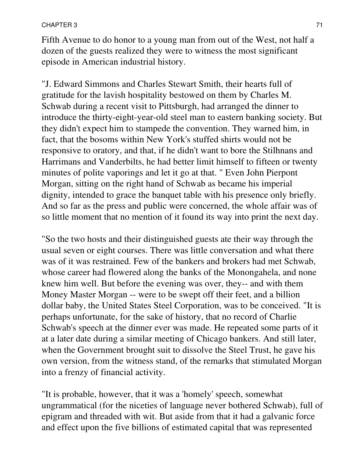Fifth Avenue to do honor to a young man from out of the West, not half a dozen of the guests realized they were to witness the most significant episode in American industrial history.

"J. Edward Simmons and Charles Stewart Smith, their hearts full of gratitude for the lavish hospitality bestowed on them by Charles M. Schwab during a recent visit to Pittsburgh, had arranged the dinner to introduce the thirty-eight-year-old steel man to eastern banking society. But they didn't expect him to stampede the convention. They warned him, in fact, that the bosoms within New York's stuffed shirts would not be responsive to oratory, and that, if he didn't want to bore the Stilhnans and Harrimans and Vanderbilts, he had better limit himself to fifteen or twenty minutes of polite vaporings and let it go at that. " Even John Pierpont Morgan, sitting on the right hand of Schwab as became his imperial dignity, intended to grace the banquet table with his presence only briefly. And so far as the press and public were concerned, the whole affair was of so little moment that no mention of it found its way into print the next day.

"So the two hosts and their distinguished guests ate their way through the usual seven or eight courses. There was little conversation and what there was of it was restrained. Few of the bankers and brokers had met Schwab, whose career had flowered along the banks of the Monongahela, and none knew him well. But before the evening was over, they-- and with them Money Master Morgan -- were to be swept off their feet, and a billion dollar baby, the United States Steel Corporation, was to be conceived. "It is perhaps unfortunate, for the sake of history, that no record of Charlie Schwab's speech at the dinner ever was made. He repeated some parts of it at a later date during a similar meeting of Chicago bankers. And still later, when the Government brought suit to dissolve the Steel Trust, he gave his own version, from the witness stand, of the remarks that stimulated Morgan into a frenzy of financial activity.

"It is probable, however, that it was a 'homely' speech, somewhat ungrammatical (for the niceties of language never bothered Schwab), full of epigram and threaded with wit. But aside from that it had a galvanic force and effect upon the five billions of estimated capital that was represented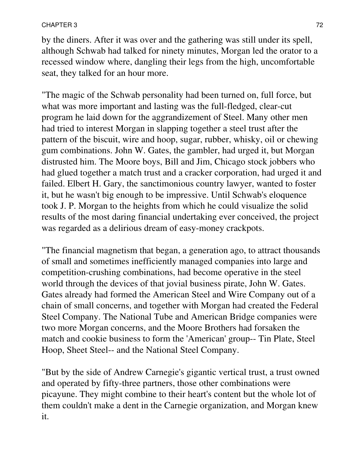by the diners. After it was over and the gathering was still under its spell, although Schwab had talked for ninety minutes, Morgan led the orator to a recessed window where, dangling their legs from the high, uncomfortable seat, they talked for an hour more.

"The magic of the Schwab personality had been turned on, full force, but what was more important and lasting was the full-fledged, clear-cut program he laid down for the aggrandizement of Steel. Many other men had tried to interest Morgan in slapping together a steel trust after the pattern of the biscuit, wire and hoop, sugar, rubber, whisky, oil or chewing gum combinations. John W. Gates, the gambler, had urged it, but Morgan distrusted him. The Moore boys, Bill and Jim, Chicago stock jobbers who had glued together a match trust and a cracker corporation, had urged it and failed. Elbert H. Gary, the sanctimonious country lawyer, wanted to foster it, but he wasn't big enough to be impressive. Until Schwab's eloquence took J. P. Morgan to the heights from which he could visualize the solid results of the most daring financial undertaking ever conceived, the project was regarded as a delirious dream of easy-money crackpots.

"The financial magnetism that began, a generation ago, to attract thousands of small and sometimes inefficiently managed companies into large and competition-crushing combinations, had become operative in the steel world through the devices of that jovial business pirate, John W. Gates. Gates already had formed the American Steel and Wire Company out of a chain of small concerns, and together with Morgan had created the Federal Steel Company. The National Tube and American Bridge companies were two more Morgan concerns, and the Moore Brothers had forsaken the match and cookie business to form the 'American' group-- Tin Plate, Steel Hoop, Sheet Steel-- and the National Steel Company.

"But by the side of Andrew Carnegie's gigantic vertical trust, a trust owned and operated by fifty-three partners, those other combinations were picayune. They might combine to their heart's content but the whole lot of them couldn't make a dent in the Carnegie organization, and Morgan knew it.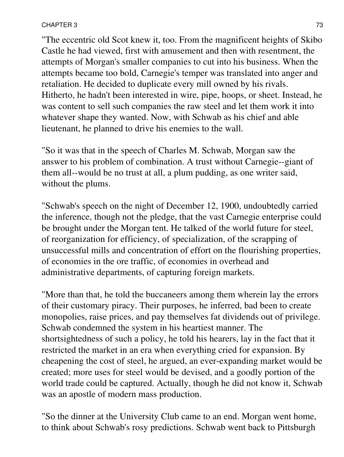"The eccentric old Scot knew it, too. From the magnificent heights of Skibo Castle he had viewed, first with amusement and then with resentment, the attempts of Morgan's smaller companies to cut into his business. When the attempts became too bold, Carnegie's temper was translated into anger and retaliation. He decided to duplicate every mill owned by his rivals. Hitherto, he hadn't been interested in wire, pipe, hoops, or sheet. Instead, he was content to sell such companies the raw steel and let them work it into whatever shape they wanted. Now, with Schwab as his chief and able lieutenant, he planned to drive his enemies to the wall.

"So it was that in the speech of Charles M. Schwab, Morgan saw the answer to his problem of combination. A trust without Carnegie--giant of them all--would be no trust at all, a plum pudding, as one writer said, without the plums.

"Schwab's speech on the night of December 12, 1900, undoubtedly carried the inference, though not the pledge, that the vast Carnegie enterprise could be brought under the Morgan tent. He talked of the world future for steel, of reorganization for efficiency, of specialization, of the scrapping of unsuccessful mills and concentration of effort on the flourishing properties, of economies in the ore traffic, of economies in overhead and administrative departments, of capturing foreign markets.

"More than that, he told the buccaneers among them wherein lay the errors of their customary piracy. Their purposes, he inferred, bad been to create monopolies, raise prices, and pay themselves fat dividends out of privilege. Schwab condemned the system in his heartiest manner. The shortsightedness of such a policy, he told his hearers, lay in the fact that it restricted the market in an era when everything cried for expansion. By cheapening the cost of steel, he argued, an ever-expanding market would be created; more uses for steel would be devised, and a goodly portion of the world trade could be captured. Actually, though he did not know it, Schwab was an apostle of modern mass production.

"So the dinner at the University Club came to an end. Morgan went home, to think about Schwab's rosy predictions. Schwab went back to Pittsburgh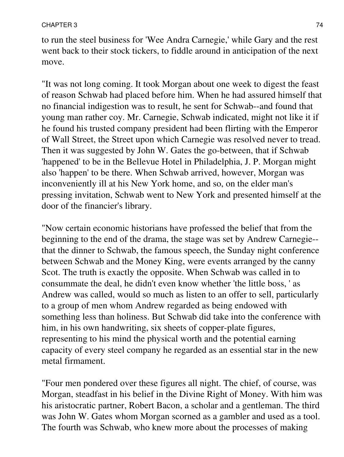to run the steel business for 'Wee Andra Carnegie,' while Gary and the rest went back to their stock tickers, to fiddle around in anticipation of the next move.

"It was not long coming. It took Morgan about one week to digest the feast of reason Schwab had placed before him. When he had assured himself that no financial indigestion was to result, he sent for Schwab--and found that young man rather coy. Mr. Carnegie, Schwab indicated, might not like it if he found his trusted company president had been flirting with the Emperor of Wall Street, the Street upon which Carnegie was resolved never to tread. Then it was suggested by John W. Gates the go-between, that if Schwab 'happened' to be in the Bellevue Hotel in Philadelphia, J. P. Morgan might also 'happen' to be there. When Schwab arrived, however, Morgan was inconveniently ill at his New York home, and so, on the elder man's pressing invitation, Schwab went to New York and presented himself at the door of the financier's library.

"Now certain economic historians have professed the belief that from the beginning to the end of the drama, the stage was set by Andrew Carnegie- that the dinner to Schwab, the famous speech, the Sunday night conference between Schwab and the Money King, were events arranged by the canny Scot. The truth is exactly the opposite. When Schwab was called in to consummate the deal, he didn't even know whether 'the little boss, ' as Andrew was called, would so much as listen to an offer to sell, particularly to a group of men whom Andrew regarded as being endowed with something less than holiness. But Schwab did take into the conference with him, in his own handwriting, six sheets of copper-plate figures, representing to his mind the physical worth and the potential earning capacity of every steel company he regarded as an essential star in the new metal firmament.

"Four men pondered over these figures all night. The chief, of course, was Morgan, steadfast in his belief in the Divine Right of Money. With him was his aristocratic partner, Robert Bacon, a scholar and a gentleman. The third was John W. Gates whom Morgan scorned as a gambler and used as a tool. The fourth was Schwab, who knew more about the processes of making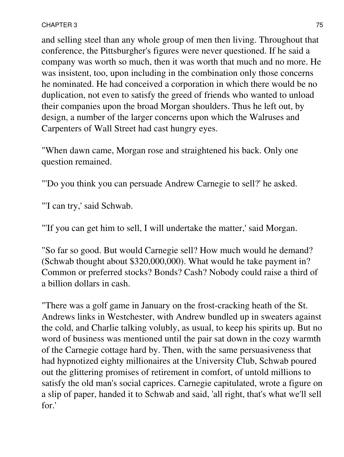and selling steel than any whole group of men then living. Throughout that conference, the Pittsburgher's figures were never questioned. If he said a company was worth so much, then it was worth that much and no more. He was insistent, too, upon including in the combination only those concerns he nominated. He had conceived a corporation in which there would be no duplication, not even to satisfy the greed of friends who wanted to unload their companies upon the broad Morgan shoulders. Thus he left out, by design, a number of the larger concerns upon which the Walruses and Carpenters of Wall Street had cast hungry eyes.

"When dawn came, Morgan rose and straightened his back. Only one question remained.

"'Do you think you can persuade Andrew Carnegie to sell?' he asked.

"'I can try,' said Schwab.

"'If you can get him to sell, I will undertake the matter,' said Morgan.

"So far so good. But would Carnegie sell? How much would he demand? (Schwab thought about \$320,000,000). What would he take payment in? Common or preferred stocks? Bonds? Cash? Nobody could raise a third of a billion dollars in cash.

"There was a golf game in January on the frost-cracking heath of the St. Andrews links in Westchester, with Andrew bundled up in sweaters against the cold, and Charlie talking volubly, as usual, to keep his spirits up. But no word of business was mentioned until the pair sat down in the cozy warmth of the Carnegie cottage hard by. Then, with the same persuasiveness that had hypnotized eighty millionaires at the University Club, Schwab poured out the glittering promises of retirement in comfort, of untold millions to satisfy the old man's social caprices. Carnegie capitulated, wrote a figure on a slip of paper, handed it to Schwab and said, 'all right, that's what we'll sell for.'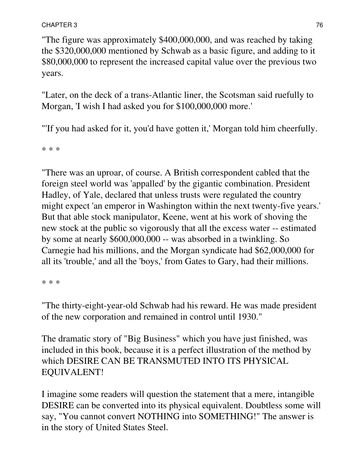"The figure was approximately \$400,000,000, and was reached by taking the \$320,000,000 mentioned by Schwab as a basic figure, and adding to it \$80,000,000 to represent the increased capital value over the previous two years.

"Later, on the deck of a trans-Atlantic liner, the Scotsman said ruefully to Morgan, 'I wish I had asked you for \$100,000,000 more.'

"'If you had asked for it, you'd have gotten it,' Morgan told him cheerfully.

\* \* \*

"There was an uproar, of course. A British correspondent cabled that the foreign steel world was 'appalled' by the gigantic combination. President Hadley, of Yale, declared that unless trusts were regulated the country might expect 'an emperor in Washington within the next twenty-five years.' But that able stock manipulator, Keene, went at his work of shoving the new stock at the public so vigorously that all the excess water -- estimated by some at nearly \$600,000,000 -- was absorbed in a twinkling. So Carnegie had his millions, and the Morgan syndicate had \$62,000,000 for all its 'trouble,' and all the 'boys,' from Gates to Gary, had their millions.

\* \* \*

"The thirty-eight-year-old Schwab had his reward. He was made president of the new corporation and remained in control until 1930."

The dramatic story of "Big Business" which you have just finished, was included in this book, because it is a perfect illustration of the method by which DESIRE CAN BE TRANSMUTED INTO ITS PHYSICAL EQUIVALENT!

I imagine some readers will question the statement that a mere, intangible DESIRE can be converted into its physical equivalent. Doubtless some will say, "You cannot convert NOTHING into SOMETHING!" The answer is in the story of United States Steel.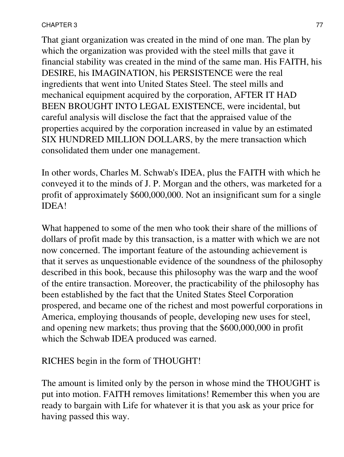That giant organization was created in the mind of one man. The plan by which the organization was provided with the steel mills that gave it financial stability was created in the mind of the same man. His FAITH, his DESIRE, his IMAGINATION, his PERSISTENCE were the real ingredients that went into United States Steel. The steel mills and mechanical equipment acquired by the corporation, AFTER IT HAD BEEN BROUGHT INTO LEGAL EXISTENCE, were incidental, but careful analysis will disclose the fact that the appraised value of the properties acquired by the corporation increased in value by an estimated SIX HUNDRED MILLION DOLLARS, by the mere transaction which consolidated them under one management.

In other words, Charles M. Schwab's IDEA, plus the FAITH with which he conveyed it to the minds of J. P. Morgan and the others, was marketed for a profit of approximately \$600,000,000. Not an insignificant sum for a single IDEA!

What happened to some of the men who took their share of the millions of dollars of profit made by this transaction, is a matter with which we are not now concerned. The important feature of the astounding achievement is that it serves as unquestionable evidence of the soundness of the philosophy described in this book, because this philosophy was the warp and the woof of the entire transaction. Moreover, the practicability of the philosophy has been established by the fact that the United States Steel Corporation prospered, and became one of the richest and most powerful corporations in America, employing thousands of people, developing new uses for steel, and opening new markets; thus proving that the \$600,000,000 in profit which the Schwab IDEA produced was earned.

### RICHES begin in the form of THOUGHT!

The amount is limited only by the person in whose mind the THOUGHT is put into motion. FAITH removes limitations! Remember this when you are ready to bargain with Life for whatever it is that you ask as your price for having passed this way.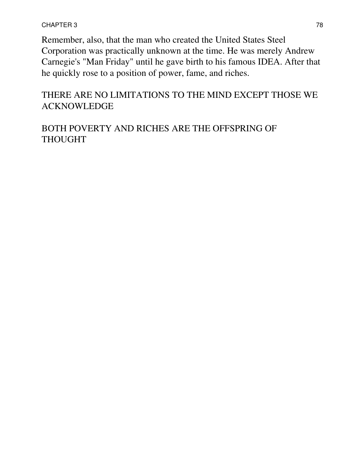Remember, also, that the man who created the United States Steel Corporation was practically unknown at the time. He was merely Andrew Carnegie's "Man Friday" until he gave birth to his famous IDEA. After that he quickly rose to a position of power, fame, and riches.

THERE ARE NO LIMITATIONS TO THE MIND EXCEPT THOSE WE ACKNOWLEDGE

BOTH POVERTY AND RICHES ARE THE OFFSPRING OF THOUGHT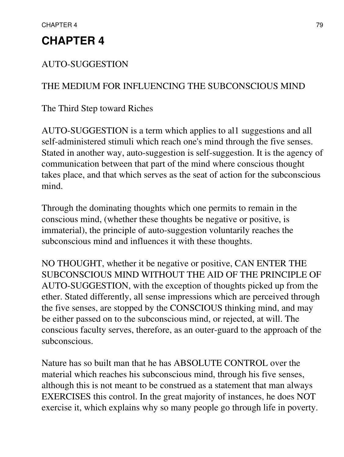# **CHAPTER 4**

## AUTO-SUGGESTION

## THE MEDIUM FOR INFLUENCING THE SUBCONSCIOUS MIND

The Third Step toward Riches

AUTO-SUGGESTION is a term which applies to al1 suggestions and all self-administered stimuli which reach one's mind through the five senses. Stated in another way, auto-suggestion is self-suggestion. It is the agency of communication between that part of the mind where conscious thought takes place, and that which serves as the seat of action for the subconscious mind.

Through the dominating thoughts which one permits to remain in the conscious mind, (whether these thoughts be negative or positive, is immaterial), the principle of auto-suggestion voluntarily reaches the subconscious mind and influences it with these thoughts.

NO THOUGHT, whether it be negative or positive, CAN ENTER THE SUBCONSCIOUS MIND WITHOUT THE AID OF THE PRINCIPLE OF AUTO-SUGGESTION, with the exception of thoughts picked up from the ether. Stated differently, all sense impressions which are perceived through the five senses, are stopped by the CONSCIOUS thinking mind, and may be either passed on to the subconscious mind, or rejected, at will. The conscious faculty serves, therefore, as an outer-guard to the approach of the subconscious.

Nature has so built man that he has ABSOLUTE CONTROL over the material which reaches his subconscious mind, through his five senses, although this is not meant to be construed as a statement that man always EXERCISES this control. In the great majority of instances, he does NOT exercise it, which explains why so many people go through life in poverty.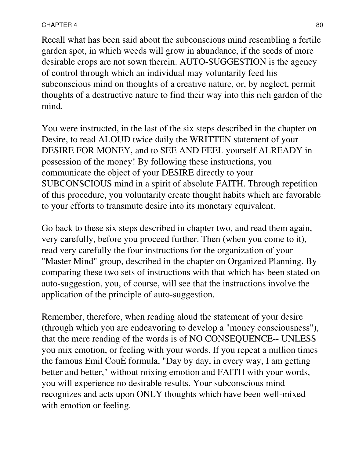Recall what has been said about the subconscious mind resembling a fertile garden spot, in which weeds will grow in abundance, if the seeds of more desirable crops are not sown therein. AUTO-SUGGESTION is the agency of control through which an individual may voluntarily feed his subconscious mind on thoughts of a creative nature, or, by neglect, permit thoughts of a destructive nature to find their way into this rich garden of the mind.

You were instructed, in the last of the six steps described in the chapter on Desire, to read ALOUD twice daily the WRITTEN statement of your DESIRE FOR MONEY, and to SEE AND FEEL yourself ALREADY in possession of the money! By following these instructions, you communicate the object of your DESIRE directly to your SUBCONSCIOUS mind in a spirit of absolute FAITH. Through repetition of this procedure, you voluntarily create thought habits which are favorable to your efforts to transmute desire into its monetary equivalent.

Go back to these six steps described in chapter two, and read them again, very carefully, before you proceed further. Then (when you come to it), read very carefully the four instructions for the organization of your "Master Mind" group, described in the chapter on Organized Planning. By comparing these two sets of instructions with that which has been stated on auto-suggestion, you, of course, will see that the instructions involve the application of the principle of auto-suggestion.

Remember, therefore, when reading aloud the statement of your desire (through which you are endeavoring to develop a "money consciousness"), that the mere reading of the words is of NO CONSEQUENCE-- UNLESS you mix emotion, or feeling with your words. If you repeat a million times the famous Emil CouÈ formula, "Day by day, in every way, I am getting better and better," without mixing emotion and FAITH with your words, you will experience no desirable results. Your subconscious mind recognizes and acts upon ONLY thoughts which have been well-mixed with emotion or feeling.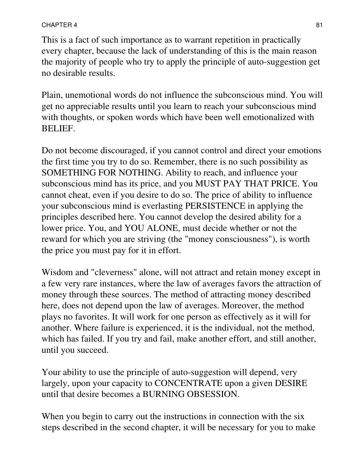This is a fact of such importance as to warrant repetition in practically every chapter, because the lack of understanding of this is the main reason the majority of people who try to apply the principle of auto-suggestion get no desirable results.

Plain, unemotional words do not influence the subconscious mind. You will get no appreciable results until you learn to reach your subconscious mind with thoughts, or spoken words which have been well emotionalized with BELIEF.

Do not become discouraged, if you cannot control and direct your emotions the first time you try to do so. Remember, there is no such possibility as SOMETHING FOR NOTHING. Ability to reach, and influence your subconscious mind has its price, and you MUST PAY THAT PRICE. You cannot cheat, even if you desire to do so. The price of ability to influence your subconscious mind is everlasting PERSISTENCE in applying the principles described here. You cannot develop the desired ability for a lower price. You, and YOU ALONE, must decide whether or not the reward for which you are striving (the "money consciousness"), is worth the price you must pay for it in effort.

Wisdom and "cleverness" alone, will not attract and retain money except in a few very rare instances, where the law of averages favors the attraction of money through these sources. The method of attracting money described here, does not depend upon the law of averages. Moreover, the method plays no favorites. It will work for one person as effectively as it will for another. Where failure is experienced, it is the individual, not the method, which has failed. If you try and fail, make another effort, and still another, until you succeed.

Your ability to use the principle of auto-suggestion will depend, very largely, upon your capacity to CONCENTRATE upon a given DESIRE until that desire becomes a BURNING OBSESSION.

When you begin to carry out the instructions in connection with the six steps described in the second chapter, it will be necessary for you to make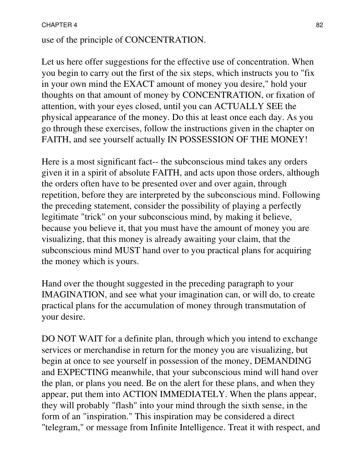use of the principle of CONCENTRATION.

Let us here offer suggestions for the effective use of concentration. When you begin to carry out the first of the six steps, which instructs you to "fix in your own mind the EXACT amount of money you desire," hold your thoughts on that amount of money by CONCENTRATION, or fixation of attention, with your eyes closed, until you can ACTUALLY SEE the physical appearance of the money. Do this at least once each day. As you go through these exercises, follow the instructions given in the chapter on FAITH, and see yourself actually IN POSSESSION OF THE MONEY!

Here is a most significant fact-- the subconscious mind takes any orders given it in a spirit of absolute FAITH, and acts upon those orders, although the orders often have to be presented over and over again, through repetition, before they are interpreted by the subconscious mind. Following the preceding statement, consider the possibility of playing a perfectly legitimate "trick" on your subconscious mind, by making it believe, because you believe it, that you must have the amount of money you are visualizing, that this money is already awaiting your claim, that the subconscious mind MUST hand over to you practical plans for acquiring the money which is yours.

Hand over the thought suggested in the preceding paragraph to your IMAGINATION, and see what your imagination can, or will do, to create practical plans for the accumulation of money through transmutation of your desire.

DO NOT WAIT for a definite plan, through which you intend to exchange services or merchandise in return for the money you are visualizing, but begin at once to see yourself in possession of the money, DEMANDING and EXPECTING meanwhile, that your subconscious mind will hand over the plan, or plans you need. Be on the alert for these plans, and when they appear, put them into ACTION IMMEDIATELY. When the plans appear, they will probably "flash" into your mind through the sixth sense, in the form of an "inspiration." This inspiration may be considered a direct "telegram," or message from Infinite Intelligence. Treat it with respect, and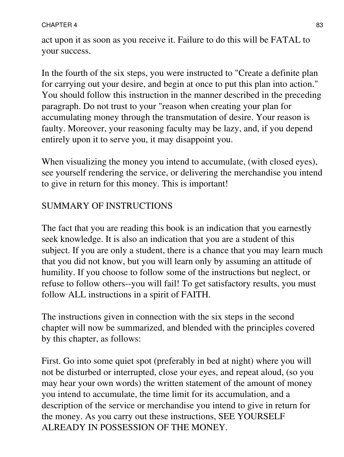act upon it as soon as you receive it. Failure to do this will be FATAL to your success.

In the fourth of the six steps, you were instructed to "Create a definite plan for carrying out your desire, and begin at once to put this plan into action." You should follow this instruction in the manner described in the preceding paragraph. Do not trust to your "reason when creating your plan for accumulating money through the transmutation of desire. Your reason is faulty. Moreover, your reasoning faculty may be lazy, and, if you depend entirely upon it to serve you, it may disappoint you.

When visualizing the money you intend to accumulate, (with closed eyes), see yourself rendering the service, or delivering the merchandise you intend to give in return for this money. This is important!

### SUMMARY OF INSTRUCTIONS

The fact that you are reading this book is an indication that you earnestly seek knowledge. It is also an indication that you are a student of this subject. If you are only a student, there is a chance that you may learn much that you did not know, but you will learn only by assuming an attitude of humility. If you choose to follow some of the instructions but neglect, or refuse to follow others--you will fail! To get satisfactory results, you must follow ALL instructions in a spirit of FAITH.

The instructions given in connection with the six steps in the second chapter will now be summarized, and blended with the principles covered by this chapter, as follows:

First. Go into some quiet spot (preferably in bed at night) where you will not be disturbed or interrupted, close your eyes, and repeat aloud, (so you may hear your own words) the written statement of the amount of money you intend to accumulate, the time limit for its accumulation, and a description of the service or merchandise you intend to give in return for the money. As you carry out these instructions, SEE YOURSELF ALREADY IN POSSESSION OF THE MONEY.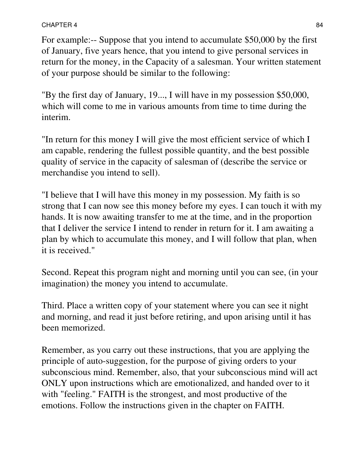For example:-- Suppose that you intend to accumulate \$50,000 by the first of January, five years hence, that you intend to give personal services in return for the money, in the Capacity of a salesman. Your written statement of your purpose should be similar to the following:

"By the first day of January, 19..., I will have in my possession \$50,000, which will come to me in various amounts from time to time during the interim.

"In return for this money I will give the most efficient service of which I am capable, rendering the fullest possible quantity, and the best possible quality of service in the capacity of salesman of (describe the service or merchandise you intend to sell).

"I believe that I will have this money in my possession. My faith is so strong that I can now see this money before my eyes. I can touch it with my hands. It is now awaiting transfer to me at the time, and in the proportion that I deliver the service I intend to render in return for it. I am awaiting a plan by which to accumulate this money, and I will follow that plan, when it is received."

Second. Repeat this program night and morning until you can see, (in your imagination) the money you intend to accumulate.

Third. Place a written copy of your statement where you can see it night and morning, and read it just before retiring, and upon arising until it has been memorized.

Remember, as you carry out these instructions, that you are applying the principle of auto-suggestion, for the purpose of giving orders to your subconscious mind. Remember, also, that your subconscious mind will act ONLY upon instructions which are emotionalized, and handed over to it with "feeling." FAITH is the strongest, and most productive of the emotions. Follow the instructions given in the chapter on FAITH.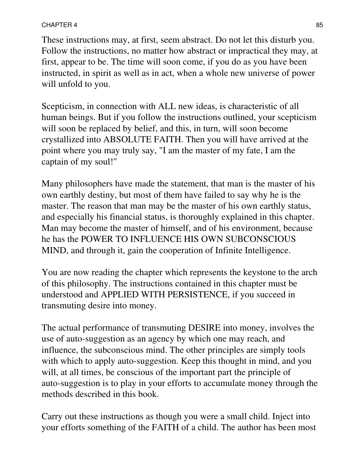These instructions may, at first, seem abstract. Do not let this disturb you. Follow the instructions, no matter how abstract or impractical they may, at first, appear to be. The time will soon come, if you do as you have been instructed, in spirit as well as in act, when a whole new universe of power will unfold to you.

Scepticism, in connection with ALL new ideas, is characteristic of all human beings. But if you follow the instructions outlined, your scepticism will soon be replaced by belief, and this, in turn, will soon become crystallized into ABSOLUTE FAITH. Then you will have arrived at the point where you may truly say, "I am the master of my fate, I am the captain of my soul!"

Many philosophers have made the statement, that man is the master of his own earthly destiny, but most of them have failed to say why he is the master. The reason that man may be the master of his own earthly status, and especially his financial status, is thoroughly explained in this chapter. Man may become the master of himself, and of his environment, because he has the POWER TO INFLUENCE HIS OWN SUBCONSCIOUS MIND, and through it, gain the cooperation of Infinite Intelligence.

You are now reading the chapter which represents the keystone to the arch of this philosophy. The instructions contained in this chapter must be understood and APPLIED WITH PERSISTENCE, if you succeed in transmuting desire into money.

The actual performance of transmuting DESIRE into money, involves the use of auto-suggestion as an agency by which one may reach, and influence, the subconscious mind. The other principles are simply tools with which to apply auto-suggestion. Keep this thought in mind, and you will, at all times, be conscious of the important part the principle of auto-suggestion is to play in your efforts to accumulate money through the methods described in this book.

Carry out these instructions as though you were a small child. Inject into your efforts something of the FAITH of a child. The author has been most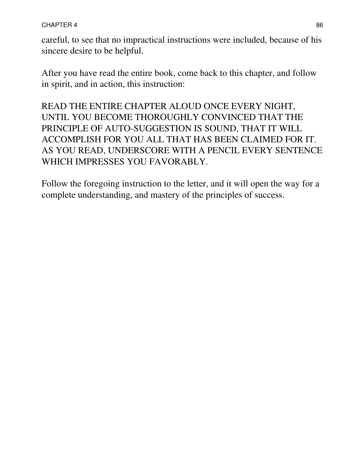careful, to see that no impractical instructions were included, because of his sincere desire to be helpful.

After you have read the entire book, come back to this chapter, and follow in spirit, and in action, this instruction:

READ THE ENTIRE CHAPTER ALOUD ONCE EVERY NIGHT, UNTIL YOU BECOME THOROUGHLY CONVINCED THAT THE PRINCIPLE OF AUTO-SUGGESTION IS SOUND, THAT IT WILL ACCOMPLISH FOR YOU ALL THAT HAS BEEN CLAIMED FOR IT. AS YOU READ, UNDERSCORE WITH A PENCIL EVERY SENTENCE WHICH IMPRESSES YOU FAVORABLY.

Follow the foregoing instruction to the letter, and it will open the way for a complete understanding, and mastery of the principles of success.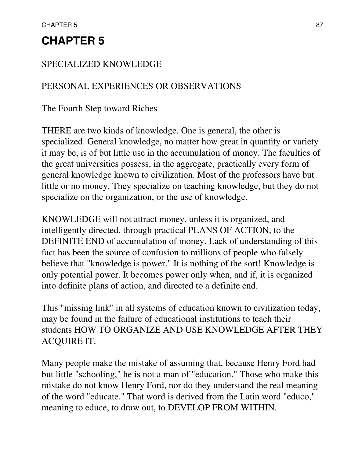# **CHAPTER 5**

### SPECIALIZED KNOWLEDGE

### PERSONAL EXPERIENCES OR OBSERVATIONS

The Fourth Step toward Riches

THERE are two kinds of knowledge. One is general, the other is specialized. General knowledge, no matter how great in quantity or variety it may be, is of but little use in the accumulation of money. The faculties of the great universities possess, in the aggregate, practically every form of general knowledge known to civilization. Most of the professors have but little or no money. They specialize on teaching knowledge, but they do not specialize on the organization, or the use of knowledge.

KNOWLEDGE will not attract money, unless it is organized, and intelligently directed, through practical PLANS OF ACTION, to the DEFINITE END of accumulation of money. Lack of understanding of this fact has been the source of confusion to millions of people who falsely believe that "knowledge is power." It is nothing of the sort! Knowledge is only potential power. It becomes power only when, and if, it is organized into definite plans of action, and directed to a definite end.

This "missing link" in all systems of education known to civilization today, may be found in the failure of educational institutions to teach their students HOW TO ORGANIZE AND USE KNOWLEDGE AFTER THEY ACQUIRE IT.

Many people make the mistake of assuming that, because Henry Ford had but little "schooling," he is not a man of "education." Those who make this mistake do not know Henry Ford, nor do they understand the real meaning of the word "educate." That word is derived from the Latin word "educo," meaning to educe, to draw out, to DEVELOP FROM WITHIN.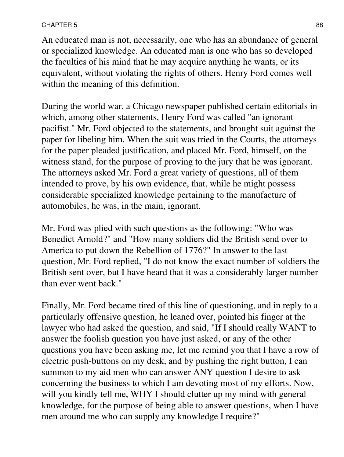An educated man is not, necessarily, one who has an abundance of general or specialized knowledge. An educated man is one who has so developed the faculties of his mind that he may acquire anything he wants, or its equivalent, without violating the rights of others. Henry Ford comes well within the meaning of this definition.

During the world war, a Chicago newspaper published certain editorials in which, among other statements, Henry Ford was called "an ignorant pacifist." Mr. Ford objected to the statements, and brought suit against the paper for libeling him. When the suit was tried in the Courts, the attorneys for the paper pleaded justification, and placed Mr. Ford, himself, on the witness stand, for the purpose of proving to the jury that he was ignorant. The attorneys asked Mr. Ford a great variety of questions, all of them intended to prove, by his own evidence, that, while he might possess considerable specialized knowledge pertaining to the manufacture of automobiles, he was, in the main, ignorant.

Mr. Ford was plied with such questions as the following: "Who was Benedict Arnold?" and "How many soldiers did the British send over to America to put down the Rebellion of 1776?" In answer to the last question, Mr. Ford replied, "I do not know the exact number of soldiers the British sent over, but I have heard that it was a considerably larger number than ever went back."

Finally, Mr. Ford became tired of this line of questioning, and in reply to a particularly offensive question, he leaned over, pointed his finger at the lawyer who had asked the question, and said, "If I should really WANT to answer the foolish question you have just asked, or any of the other questions you have been asking me, let me remind you that I have a row of electric push-buttons on my desk, and by pushing the right button, I can summon to my aid men who can answer ANY question I desire to ask concerning the business to which I am devoting most of my efforts. Now, will you kindly tell me, WHY I should clutter up my mind with general knowledge, for the purpose of being able to answer questions, when I have men around me who can supply any knowledge I require?"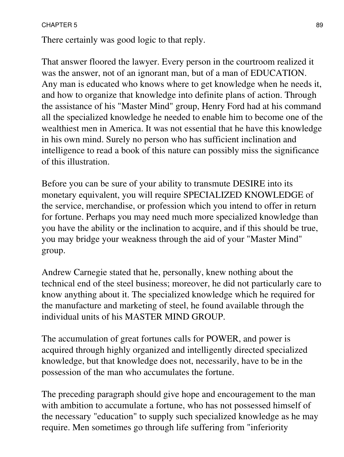There certainly was good logic to that reply.

That answer floored the lawyer. Every person in the courtroom realized it was the answer, not of an ignorant man, but of a man of EDUCATION. Any man is educated who knows where to get knowledge when he needs it, and how to organize that knowledge into definite plans of action. Through the assistance of his "Master Mind" group, Henry Ford had at his command all the specialized knowledge he needed to enable him to become one of the wealthiest men in America. It was not essential that he have this knowledge in his own mind. Surely no person who has sufficient inclination and intelligence to read a book of this nature can possibly miss the significance of this illustration.

Before you can be sure of your ability to transmute DESIRE into its monetary equivalent, you will require SPECIALIZED KNOWLEDGE of the service, merchandise, or profession which you intend to offer in return for fortune. Perhaps you may need much more specialized knowledge than you have the ability or the inclination to acquire, and if this should be true, you may bridge your weakness through the aid of your "Master Mind" group.

Andrew Carnegie stated that he, personally, knew nothing about the technical end of the steel business; moreover, he did not particularly care to know anything about it. The specialized knowledge which he required for the manufacture and marketing of steel, he found available through the individual units of his MASTER MIND GROUP.

The accumulation of great fortunes calls for POWER, and power is acquired through highly organized and intelligently directed specialized knowledge, but that knowledge does not, necessarily, have to be in the possession of the man who accumulates the fortune.

The preceding paragraph should give hope and encouragement to the man with ambition to accumulate a fortune, who has not possessed himself of the necessary "education" to supply such specialized knowledge as he may require. Men sometimes go through life suffering from "inferiority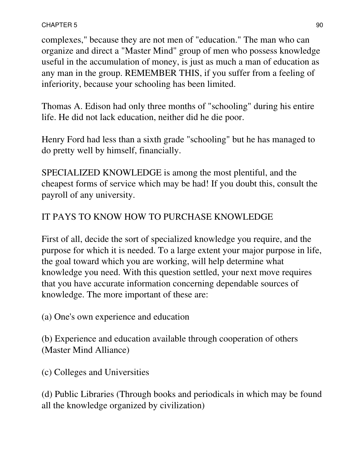complexes," because they are not men of "education." The man who can organize and direct a "Master Mind" group of men who possess knowledge useful in the accumulation of money, is just as much a man of education as any man in the group. REMEMBER THIS, if you suffer from a feeling of inferiority, because your schooling has been limited.

Thomas A. Edison had only three months of "schooling" during his entire life. He did not lack education, neither did he die poor.

Henry Ford had less than a sixth grade "schooling" but he has managed to do pretty well by himself, financially.

SPECIALIZED KNOWLEDGE is among the most plentiful, and the cheapest forms of service which may be had! If you doubt this, consult the payroll of any university.

### IT PAYS TO KNOW HOW TO PURCHASE KNOWLEDGE

First of all, decide the sort of specialized knowledge you require, and the purpose for which it is needed. To a large extent your major purpose in life, the goal toward which you are working, will help determine what knowledge you need. With this question settled, your next move requires that you have accurate information concerning dependable sources of knowledge. The more important of these are:

(a) One's own experience and education

(b) Experience and education available through cooperation of others (Master Mind Alliance)

(c) Colleges and Universities

(d) Public Libraries (Through books and periodicals in which may be found all the knowledge organized by civilization)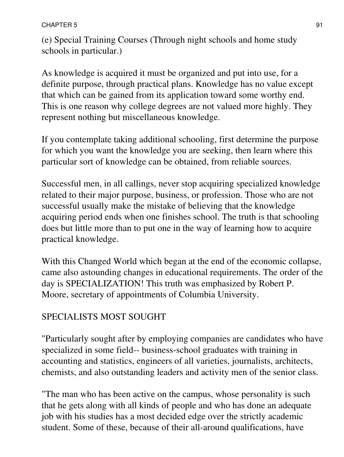(e) Special Training Courses (Through night schools and home study schools in particular.)

As knowledge is acquired it must be organized and put into use, for a definite purpose, through practical plans. Knowledge has no value except that which can be gained from its application toward some worthy end. This is one reason why college degrees are not valued more highly. They represent nothing but miscellaneous knowledge.

If you contemplate taking additional schooling, first determine the purpose for which you want the knowledge you are seeking, then learn where this particular sort of knowledge can be obtained, from reliable sources.

Successful men, in all callings, never stop acquiring specialized knowledge related to their major purpose, business, or profession. Those who are not successful usually make the mistake of believing that the knowledge acquiring period ends when one finishes school. The truth is that schooling does but little more than to put one in the way of learning how to acquire practical knowledge.

With this Changed World which began at the end of the economic collapse, came also astounding changes in educational requirements. The order of the day is SPECIALIZATION! This truth was emphasized by Robert P. Moore, secretary of appointments of Columbia University.

### SPECIALISTS MOST SOUGHT

"Particularly sought after by employing companies are candidates who have specialized in some field-- business-school graduates with training in accounting and statistics, engineers of all varieties, journalists, architects, chemists, and also outstanding leaders and activity men of the senior class.

"The man who has been active on the campus, whose personality is such that he gets along with all kinds of people and who has done an adequate job with his studies has a most decided edge over the strictly academic student. Some of these, because of their all-around qualifications, have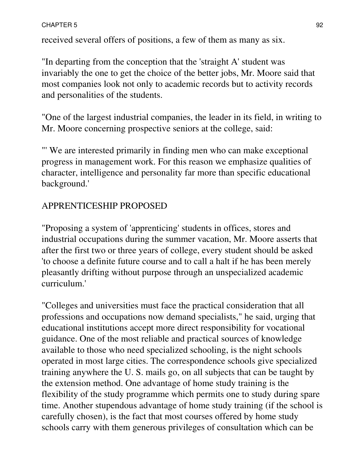received several offers of positions, a few of them as many as six.

"In departing from the conception that the 'straight A' student was invariably the one to get the choice of the better jobs, Mr. Moore said that most companies look not only to academic records but to activity records and personalities of the students.

"One of the largest industrial companies, the leader in its field, in writing to Mr. Moore concerning prospective seniors at the college, said:

"' We are interested primarily in finding men who can make exceptional progress in management work. For this reason we emphasize qualities of character, intelligence and personality far more than specific educational background.'

### APPRENTICESHIP PROPOSED

"Proposing a system of 'apprenticing' students in offices, stores and industrial occupations during the summer vacation, Mr. Moore asserts that after the first two or three years of college, every student should be asked 'to choose a definite future course and to call a halt if he has been merely pleasantly drifting without purpose through an unspecialized academic curriculum.'

"Colleges and universities must face the practical consideration that all professions and occupations now demand specialists," he said, urging that educational institutions accept more direct responsibility for vocational guidance. One of the most reliable and practical sources of knowledge available to those who need specialized schooling, is the night schools operated in most large cities. The correspondence schools give specialized training anywhere the U. S. mails go, on all subjects that can be taught by the extension method. One advantage of home study training is the flexibility of the study programme which permits one to study during spare time. Another stupendous advantage of home study training (if the school is carefully chosen), is the fact that most courses offered by home study schools carry with them generous privileges of consultation which can be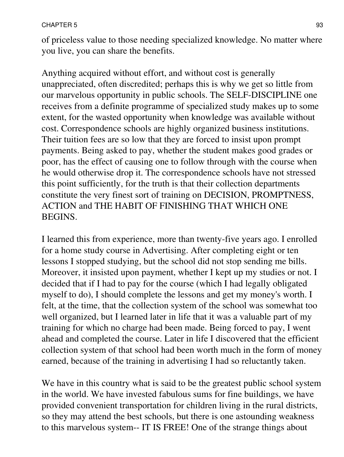of priceless value to those needing specialized knowledge. No matter where you live, you can share the benefits.

Anything acquired without effort, and without cost is generally unappreciated, often discredited; perhaps this is why we get so little from our marvelous opportunity in public schools. The SELF-DISCIPLINE one receives from a definite programme of specialized study makes up to some extent, for the wasted opportunity when knowledge was available without cost. Correspondence schools are highly organized business institutions. Their tuition fees are so low that they are forced to insist upon prompt payments. Being asked to pay, whether the student makes good grades or poor, has the effect of causing one to follow through with the course when he would otherwise drop it. The correspondence schools have not stressed this point sufficiently, for the truth is that their collection departments constitute the very finest sort of training on DECISION, PROMPTNESS, ACTION and THE HABIT OF FINISHING THAT WHICH ONE BEGINS.

I learned this from experience, more than twenty-five years ago. I enrolled for a home study course in Advertising. After completing eight or ten lessons I stopped studying, but the school did not stop sending me bills. Moreover, it insisted upon payment, whether I kept up my studies or not. I decided that if I had to pay for the course (which I had legally obligated myself to do), I should complete the lessons and get my money's worth. I felt, at the time, that the collection system of the school was somewhat too well organized, but I learned later in life that it was a valuable part of my training for which no charge had been made. Being forced to pay, I went ahead and completed the course. Later in life I discovered that the efficient collection system of that school had been worth much in the form of money earned, because of the training in advertising I had so reluctantly taken.

We have in this country what is said to be the greatest public school system in the world. We have invested fabulous sums for fine buildings, we have provided convenient transportation for children living in the rural districts, so they may attend the best schools, but there is one astounding weakness to this marvelous system-- IT IS FREE! One of the strange things about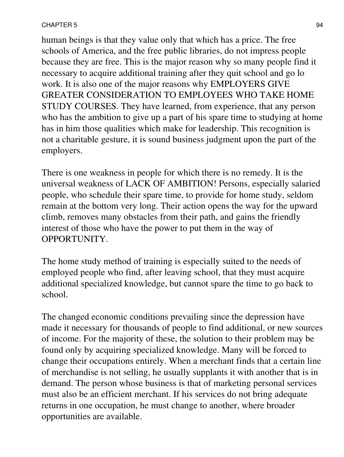human beings is that they value only that which has a price. The free schools of America, and the free public libraries, do not impress people because they are free. This is the major reason why so many people find it necessary to acquire additional training after they quit school and go lo work. It is also one of the major reasons why EMPLOYERS GIVE GREATER CONSIDERATION TO EMPLOYEES WHO TAKE HOME STUDY COURSES. They have learned, from experience, that any person who has the ambition to give up a part of his spare time to studying at home has in him those qualities which make for leadership. This recognition is not a charitable gesture, it is sound business judgment upon the part of the employers.

There is one weakness in people for which there is no remedy. It is the universal weakness of LACK OF AMBITION! Persons, especially salaried people, who schedule their spare time, to provide for home study, seldom remain at the bottom very long. Their action opens the way for the upward climb, removes many obstacles from their path, and gains the friendly interest of those who have the power to put them in the way of OPPORTUNITY.

The home study method of training is especially suited to the needs of employed people who find, after leaving school, that they must acquire additional specialized knowledge, but cannot spare the time to go back to school.

The changed economic conditions prevailing since the depression have made it necessary for thousands of people to find additional, or new sources of income. For the majority of these, the solution to their problem may be found only by acquiring specialized knowledge. Many will be forced to change their occupations entirely. When a merchant finds that a certain line of merchandise is not selling, he usually supplants it with another that is in demand. The person whose business is that of marketing personal services must also be an efficient merchant. If his services do not bring adequate returns in one occupation, he must change to another, where broader opportunities are available.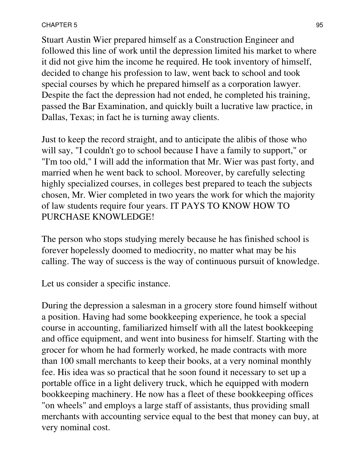Stuart Austin Wier prepared himself as a Construction Engineer and followed this line of work until the depression limited his market to where it did not give him the income he required. He took inventory of himself, decided to change his profession to law, went back to school and took special courses by which he prepared himself as a corporation lawyer. Despite the fact the depression had not ended, he completed his training, passed the Bar Examination, and quickly built a lucrative law practice, in Dallas, Texas; in fact he is turning away clients.

Just to keep the record straight, and to anticipate the alibis of those who will say, "I couldn't go to school because I have a family to support," or "I'm too old," I will add the information that Mr. Wier was past forty, and married when he went back to school. Moreover, by carefully selecting highly specialized courses, in colleges best prepared to teach the subjects chosen, Mr. Wier completed in two years the work for which the majority of law students require four years. IT PAYS TO KNOW HOW TO PURCHASE KNOWLEDGE!

The person who stops studying merely because he has finished school is forever hopelessly doomed to mediocrity, no matter what may be his calling. The way of success is the way of continuous pursuit of knowledge.

Let us consider a specific instance.

During the depression a salesman in a grocery store found himself without a position. Having had some bookkeeping experience, he took a special course in accounting, familiarized himself with all the latest bookkeeping and office equipment, and went into business for himself. Starting with the grocer for whom he had formerly worked, he made contracts with more than 100 small merchants to keep their books, at a very nominal monthly fee. His idea was so practical that he soon found it necessary to set up a portable office in a light delivery truck, which he equipped with modern bookkeeping machinery. He now has a fleet of these bookkeeping offices "on wheels" and employs a large staff of assistants, thus providing small merchants with accounting service equal to the best that money can buy, at very nominal cost.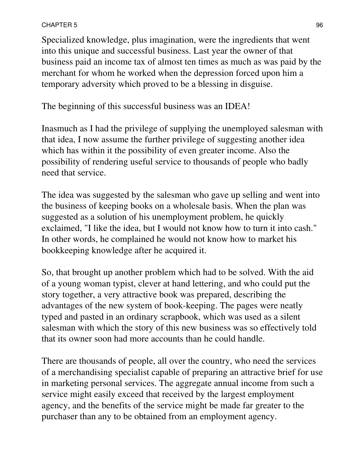Specialized knowledge, plus imagination, were the ingredients that went into this unique and successful business. Last year the owner of that business paid an income tax of almost ten times as much as was paid by the merchant for whom he worked when the depression forced upon him a temporary adversity which proved to be a blessing in disguise.

The beginning of this successful business was an IDEA!

Inasmuch as I had the privilege of supplying the unemployed salesman with that idea, I now assume the further privilege of suggesting another idea which has within it the possibility of even greater income. Also the possibility of rendering useful service to thousands of people who badly need that service.

The idea was suggested by the salesman who gave up selling and went into the business of keeping books on a wholesale basis. When the plan was suggested as a solution of his unemployment problem, he quickly exclaimed, "I like the idea, but I would not know how to turn it into cash." In other words, he complained he would not know how to market his bookkeeping knowledge after he acquired it.

So, that brought up another problem which had to be solved. With the aid of a young woman typist, clever at hand lettering, and who could put the story together, a very attractive book was prepared, describing the advantages of the new system of book-keeping. The pages were neatly typed and pasted in an ordinary scrapbook, which was used as a silent salesman with which the story of this new business was so effectively told that its owner soon had more accounts than he could handle.

There are thousands of people, all over the country, who need the services of a merchandising specialist capable of preparing an attractive brief for use in marketing personal services. The aggregate annual income from such a service might easily exceed that received by the largest employment agency, and the benefits of the service might be made far greater to the purchaser than any to be obtained from an employment agency.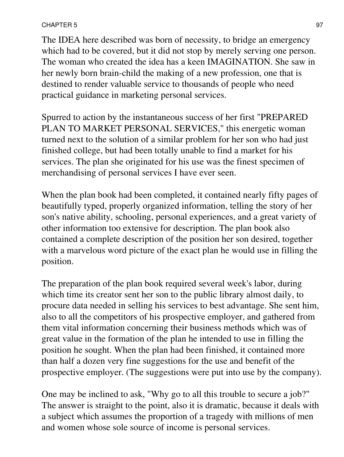The IDEA here described was born of necessity, to bridge an emergency which had to be covered, but it did not stop by merely serving one person. The woman who created the idea has a keen IMAGINATION. She saw in her newly born brain-child the making of a new profession, one that is destined to render valuable service to thousands of people who need practical guidance in marketing personal services.

Spurred to action by the instantaneous success of her first "PREPARED PLAN TO MARKET PERSONAL SERVICES," this energetic woman turned next to the solution of a similar problem for her son who had just finished college, but had been totally unable to find a market for his services. The plan she originated for his use was the finest specimen of merchandising of personal services I have ever seen.

When the plan book had been completed, it contained nearly fifty pages of beautifully typed, properly organized information, telling the story of her son's native ability, schooling, personal experiences, and a great variety of other information too extensive for description. The plan book also contained a complete description of the position her son desired, together with a marvelous word picture of the exact plan he would use in filling the position.

The preparation of the plan book required several week's labor, during which time its creator sent her son to the public library almost daily, to procure data needed in selling his services to best advantage. She sent him, also to all the competitors of his prospective employer, and gathered from them vital information concerning their business methods which was of great value in the formation of the plan he intended to use in filling the position he sought. When the plan had been finished, it contained more than half a dozen very fine suggestions for the use and benefit of the prospective employer. (The suggestions were put into use by the company).

One may be inclined to ask, "Why go to all this trouble to secure a job?" The answer is straight to the point, also it is dramatic, because it deals with a subject which assumes the proportion of a tragedy with millions of men and women whose sole source of income is personal services.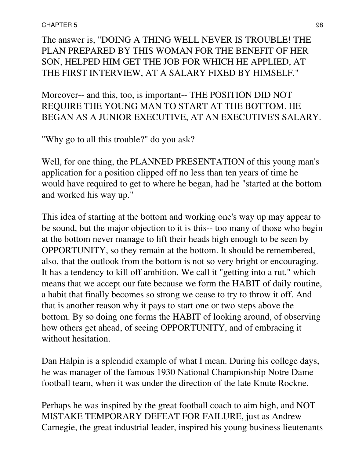The answer is, "DOING A THING WELL NEVER IS TROUBLE! THE PLAN PREPARED BY THIS WOMAN FOR THE BENEFIT OF HER SON, HELPED HIM GET THE JOB FOR WHICH HE APPLIED, AT THE FIRST INTERVIEW, AT A SALARY FIXED BY HIMSELF."

Moreover-- and this, too, is important-- THE POSITION DID NOT REQUIRE THE YOUNG MAN TO START AT THE BOTTOM. HE BEGAN AS A JUNIOR EXECUTIVE, AT AN EXECUTIVE'S SALARY.

"Why go to all this trouble?" do you ask?

Well, for one thing, the PLANNED PRESENTATION of this young man's application for a position clipped off no less than ten years of time he would have required to get to where he began, had he "started at the bottom and worked his way up."

This idea of starting at the bottom and working one's way up may appear to be sound, but the major objection to it is this-- too many of those who begin at the bottom never manage to lift their heads high enough to be seen by OPPORTUNITY, so they remain at the bottom. It should be remembered, also, that the outlook from the bottom is not so very bright or encouraging. It has a tendency to kill off ambition. We call it "getting into a rut," which means that we accept our fate because we form the HABIT of daily routine, a habit that finally becomes so strong we cease to try to throw it off. And that is another reason why it pays to start one or two steps above the bottom. By so doing one forms the HABIT of looking around, of observing how others get ahead, of seeing OPPORTUNITY, and of embracing it without hesitation.

Dan Halpin is a splendid example of what I mean. During his college days, he was manager of the famous 1930 National Championship Notre Dame football team, when it was under the direction of the late Knute Rockne.

Perhaps he was inspired by the great football coach to aim high, and NOT MISTAKE TEMPORARY DEFEAT FOR FAILURE, just as Andrew Carnegie, the great industrial leader, inspired his young business lieutenants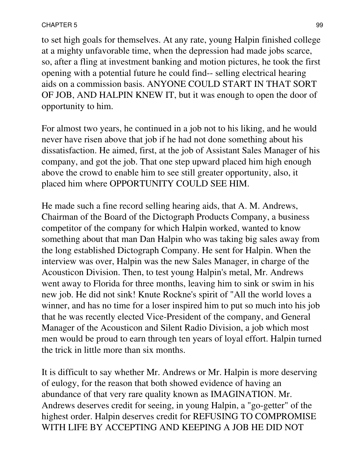to set high goals for themselves. At any rate, young Halpin finished college at a mighty unfavorable time, when the depression had made jobs scarce, so, after a fling at investment banking and motion pictures, he took the first opening with a potential future he could find-- selling electrical hearing aids on a commission basis. ANYONE COULD START IN THAT SORT OF JOB, AND HALPIN KNEW IT, but it was enough to open the door of opportunity to him.

For almost two years, he continued in a job not to his liking, and he would never have risen above that job if he had not done something about his dissatisfaction. He aimed, first, at the job of Assistant Sales Manager of his company, and got the job. That one step upward placed him high enough above the crowd to enable him to see still greater opportunity, also, it placed him where OPPORTUNITY COULD SEE HIM.

He made such a fine record selling hearing aids, that A. M. Andrews, Chairman of the Board of the Dictograph Products Company, a business competitor of the company for which Halpin worked, wanted to know something about that man Dan Halpin who was taking big sales away from the long established Dictograph Company. He sent for Halpin. When the interview was over, Halpin was the new Sales Manager, in charge of the Acousticon Division. Then, to test young Halpin's metal, Mr. Andrews went away to Florida for three months, leaving him to sink or swim in his new job. He did not sink! Knute Rockne's spirit of "All the world loves a winner, and has no time for a loser inspired him to put so much into his job that he was recently elected Vice-President of the company, and General Manager of the Acousticon and Silent Radio Division, a job which most men would be proud to earn through ten years of loyal effort. Halpin turned the trick in little more than six months.

It is difficult to say whether Mr. Andrews or Mr. Halpin is more deserving of eulogy, for the reason that both showed evidence of having an abundance of that very rare quality known as IMAGINATION. Mr. Andrews deserves credit for seeing, in young Halpin, a "go-getter" of the highest order. Halpin deserves credit for REFUSING TO COMPROMISE WITH LIFE BY ACCEPTING AND KEEPING A JOB HE DID NOT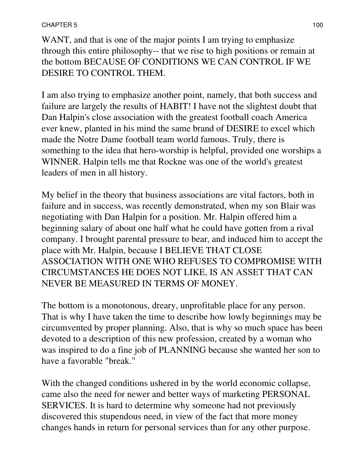WANT, and that is one of the major points I am trying to emphasize through this entire philosophy-- that we rise to high positions or remain at the bottom BECAUSE OF CONDITIONS WE CAN CONTROL IF WE DESIRE TO CONTROL THEM.

I am also trying to emphasize another point, namely, that both success and failure are largely the results of HABIT! I have not the slightest doubt that Dan Halpin's close association with the greatest football coach America ever knew, planted in his mind the same brand of DESIRE to excel which made the Notre Dame football team world famous. Truly, there is something to the idea that hero-worship is helpful, provided one worships a WINNER. Halpin tells me that Rockne was one of the world's greatest leaders of men in all history.

My belief in the theory that business associations are vital factors, both in failure and in success, was recently demonstrated, when my son Blair was negotiating with Dan Halpin for a position. Mr. Halpin offered him a beginning salary of about one half what he could have gotten from a rival company. I brought parental pressure to bear, and induced him to accept the place with Mr. Halpin, because I BELIEVE THAT CLOSE ASSOCIATION WITH ONE WHO REFUSES TO COMPROMISE WITH CIRCUMSTANCES HE DOES NOT LIKE, IS AN ASSET THAT CAN NEVER BE MEASURED IN TERMS OF MONEY.

The bottom is a monotonous, dreary, unprofitable place for any person. That is why I have taken the time to describe how lowly beginnings may be circumvented by proper planning. Also, that is why so much space has been devoted to a description of this new profession, created by a woman who was inspired to do a fine job of PLANNING because she wanted her son to have a favorable "break."

With the changed conditions ushered in by the world economic collapse, came also the need for newer and better ways of marketing PERSONAL SERVICES. It is hard to determine why someone had not previously discovered this stupendous need, in view of the fact that more money changes hands in return for personal services than for any other purpose.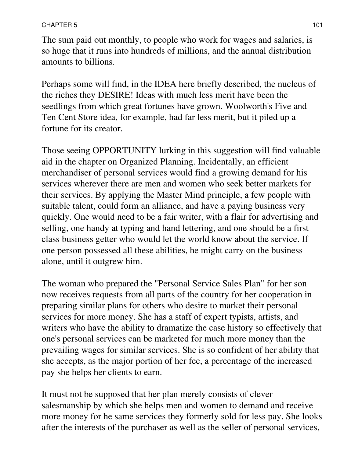The sum paid out monthly, to people who work for wages and salaries, is so huge that it runs into hundreds of millions, and the annual distribution amounts to billions.

Perhaps some will find, in the IDEA here briefly described, the nucleus of the riches they DESIRE! Ideas with much less merit have been the seedlings from which great fortunes have grown. Woolworth's Five and Ten Cent Store idea, for example, had far less merit, but it piled up a fortune for its creator.

Those seeing OPPORTUNITY lurking in this suggestion will find valuable aid in the chapter on Organized Planning. Incidentally, an efficient merchandiser of personal services would find a growing demand for his services wherever there are men and women who seek better markets for their services. By applying the Master Mind principle, a few people with suitable talent, could form an alliance, and have a paying business very quickly. One would need to be a fair writer, with a flair for advertising and selling, one handy at typing and hand lettering, and one should be a first class business getter who would let the world know about the service. If one person possessed all these abilities, he might carry on the business alone, until it outgrew him.

The woman who prepared the "Personal Service Sales Plan" for her son now receives requests from all parts of the country for her cooperation in preparing similar plans for others who desire to market their personal services for more money. She has a staff of expert typists, artists, and writers who have the ability to dramatize the case history so effectively that one's personal services can be marketed for much more money than the prevailing wages for similar services. She is so confident of her ability that she accepts, as the major portion of her fee, a percentage of the increased pay she helps her clients to earn.

It must not be supposed that her plan merely consists of clever salesmanship by which she helps men and women to demand and receive more money for he same services they formerly sold for less pay. She looks after the interests of the purchaser as well as the seller of personal services,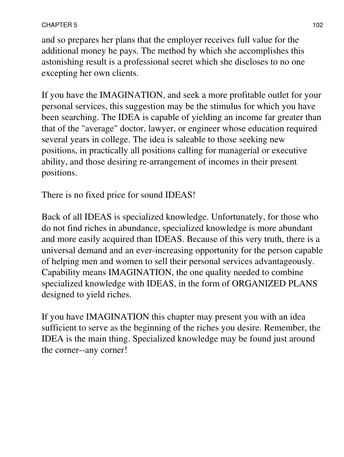and so prepares her plans that the employer receives full value for the additional money he pays. The method by which she accomplishes this astonishing result is a professional secret which she discloses to no one excepting her own clients.

If you have the IMAGINATION, and seek a more profitable outlet for your personal services, this suggestion may be the stimulus for which you have been searching. The IDEA is capable of yielding an income far greater than that of the "average" doctor, lawyer, or engineer whose education required several years in college. The idea is saleable to those seeking new positions, in practically all positions calling for managerial or executive ability, and those desiring re-arrangement of incomes in their present positions.

There is no fixed price for sound IDEAS!

Back of all IDEAS is specialized knowledge. Unfortunately, for those who do not find riches in abundance, specialized knowledge is more abundant and more easily acquired than IDEAS. Because of this very truth, there is a universal demand and an ever-increasing opportunity for the person capable of helping men and women to sell their personal services advantageously. Capability means IMAGINATION, the one quality needed to combine specialized knowledge with IDEAS, in the form of ORGANIZED PLANS designed to yield riches.

If you have IMAGINATION this chapter may present you with an idea sufficient to serve as the beginning of the riches you desire. Remember, the IDEA is the main thing. Specialized knowledge may be found just around the corner--any corner!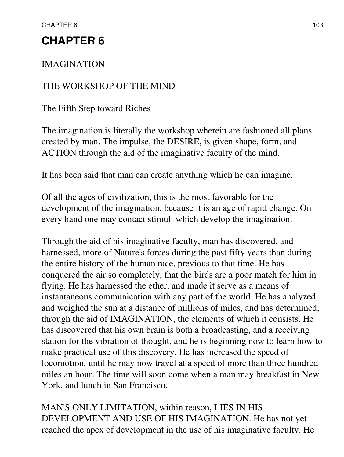# **CHAPTER 6**

### IMAGINATION

### THE WORKSHOP OF THE MIND

The Fifth Step toward Riches

The imagination is literally the workshop wherein are fashioned all plans created by man. The impulse, the DESIRE, is given shape, form, and ACTION through the aid of the imaginative faculty of the mind.

It has been said that man can create anything which he can imagine.

Of all the ages of civilization, this is the most favorable for the development of the imagination, because it is an age of rapid change. On every hand one may contact stimuli which develop the imagination.

Through the aid of his imaginative faculty, man has discovered, and harnessed, more of Nature's forces during the past fifty years than during the entire history of the human race, previous to that time. He has conquered the air so completely, that the birds are a poor match for him in flying. He has harnessed the ether, and made it serve as a means of instantaneous communication with any part of the world. He has analyzed, and weighed the sun at a distance of millions of miles, and has determined, through the aid of IMAGINATION, the elements of which it consists. He has discovered that his own brain is both a broadcasting, and a receiving station for the vibration of thought, and he is beginning now to learn how to make practical use of this discovery. He has increased the speed of locomotion, until he may now travel at a speed of more than three hundred miles an hour. The time will soon come when a man may breakfast in New York, and lunch in San Francisco.

MAN'S ONLY LIMITATION, within reason, LIES IN HIS DEVELOPMENT AND USE OF HIS IMAGINATION. He has not yet reached the apex of development in the use of his imaginative faculty. He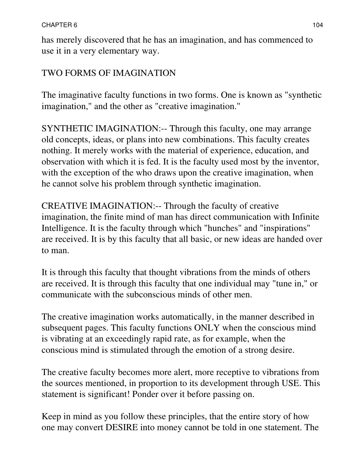has merely discovered that he has an imagination, and has commenced to use it in a very elementary way.

### TWO FORMS OF IMAGINATION

The imaginative faculty functions in two forms. One is known as "synthetic imagination," and the other as "creative imagination."

SYNTHETIC IMAGINATION:-- Through this faculty, one may arrange old concepts, ideas, or plans into new combinations. This faculty creates nothing. It merely works with the material of experience, education, and observation with which it is fed. It is the faculty used most by the inventor, with the exception of the who draws upon the creative imagination, when he cannot solve his problem through synthetic imagination.

CREATIVE IMAGINATION:-- Through the faculty of creative imagination, the finite mind of man has direct communication with Infinite Intelligence. It is the faculty through which "hunches" and "inspirations" are received. It is by this faculty that all basic, or new ideas are handed over to man.

It is through this faculty that thought vibrations from the minds of others are received. It is through this faculty that one individual may "tune in," or communicate with the subconscious minds of other men.

The creative imagination works automatically, in the manner described in subsequent pages. This faculty functions ONLY when the conscious mind is vibrating at an exceedingly rapid rate, as for example, when the conscious mind is stimulated through the emotion of a strong desire.

The creative faculty becomes more alert, more receptive to vibrations from the sources mentioned, in proportion to its development through USE. This statement is significant! Ponder over it before passing on.

Keep in mind as you follow these principles, that the entire story of how one may convert DESIRE into money cannot be told in one statement. The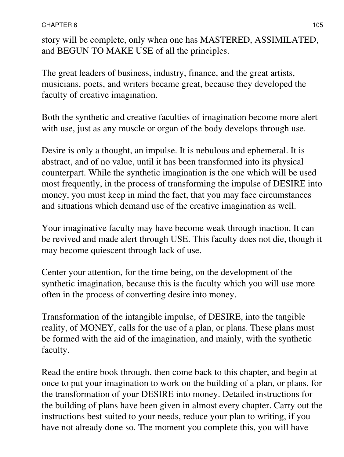story will be complete, only when one has MASTERED, ASSIMILATED, and BEGUN TO MAKE USE of all the principles.

The great leaders of business, industry, finance, and the great artists, musicians, poets, and writers became great, because they developed the faculty of creative imagination.

Both the synthetic and creative faculties of imagination become more alert with use, just as any muscle or organ of the body develops through use.

Desire is only a thought, an impulse. It is nebulous and ephemeral. It is abstract, and of no value, until it has been transformed into its physical counterpart. While the synthetic imagination is the one which will be used most frequently, in the process of transforming the impulse of DESIRE into money, you must keep in mind the fact, that you may face circumstances and situations which demand use of the creative imagination as well.

Your imaginative faculty may have become weak through inaction. It can be revived and made alert through USE. This faculty does not die, though it may become quiescent through lack of use.

Center your attention, for the time being, on the development of the synthetic imagination, because this is the faculty which you will use more often in the process of converting desire into money.

Transformation of the intangible impulse, of DESIRE, into the tangible reality, of MONEY, calls for the use of a plan, or plans. These plans must be formed with the aid of the imagination, and mainly, with the synthetic faculty.

Read the entire book through, then come back to this chapter, and begin at once to put your imagination to work on the building of a plan, or plans, for the transformation of your DESIRE into money. Detailed instructions for the building of plans have been given in almost every chapter. Carry out the instructions best suited to your needs, reduce your plan to writing, if you have not already done so. The moment you complete this, you will have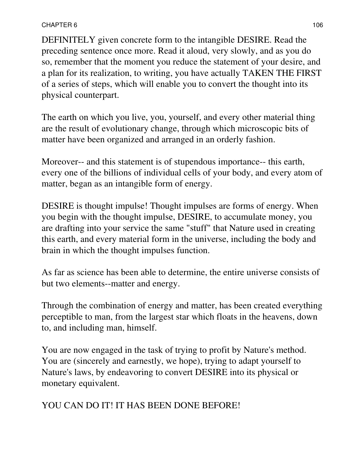DEFINITELY given concrete form to the intangible DESIRE. Read the preceding sentence once more. Read it aloud, very slowly, and as you do so, remember that the moment you reduce the statement of your desire, and a plan for its realization, to writing, you have actually TAKEN THE FIRST of a series of steps, which will enable you to convert the thought into its physical counterpart.

The earth on which you live, you, yourself, and every other material thing are the result of evolutionary change, through which microscopic bits of matter have been organized and arranged in an orderly fashion.

Moreover-- and this statement is of stupendous importance-- this earth, every one of the billions of individual cells of your body, and every atom of matter, began as an intangible form of energy.

DESIRE is thought impulse! Thought impulses are forms of energy. When you begin with the thought impulse, DESIRE, to accumulate money, you are drafting into your service the same "stuff" that Nature used in creating this earth, and every material form in the universe, including the body and brain in which the thought impulses function.

As far as science has been able to determine, the entire universe consists of but two elements--matter and energy.

Through the combination of energy and matter, has been created everything perceptible to man, from the largest star which floats in the heavens, down to, and including man, himself.

You are now engaged in the task of trying to profit by Nature's method. You are (sincerely and earnestly, we hope), trying to adapt yourself to Nature's laws, by endeavoring to convert DESIRE into its physical or monetary equivalent.

## YOU CAN DO IT! IT HAS BEEN DONE BEFORE!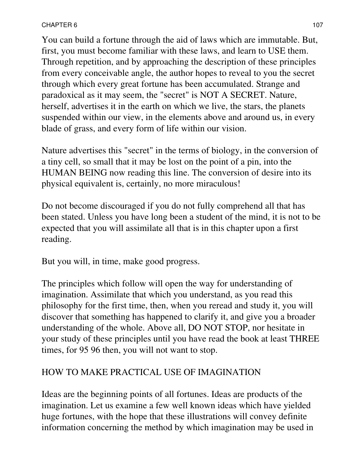You can build a fortune through the aid of laws which are immutable. But, first, you must become familiar with these laws, and learn to USE them. Through repetition, and by approaching the description of these principles from every conceivable angle, the author hopes to reveal to you the secret through which every great fortune has been accumulated. Strange and paradoxical as it may seem, the "secret" is NOT A SECRET. Nature, herself, advertises it in the earth on which we live, the stars, the planets suspended within our view, in the elements above and around us, in every blade of grass, and every form of life within our vision.

Nature advertises this "secret" in the terms of biology, in the conversion of a tiny cell, so small that it may be lost on the point of a pin, into the HUMAN BEING now reading this line. The conversion of desire into its physical equivalent is, certainly, no more miraculous!

Do not become discouraged if you do not fully comprehend all that has been stated. Unless you have long been a student of the mind, it is not to be expected that you will assimilate all that is in this chapter upon a first reading.

But you will, in time, make good progress.

The principles which follow will open the way for understanding of imagination. Assimilate that which you understand, as you read this philosophy for the first time, then, when you reread and study it, you will discover that something has happened to clarify it, and give you a broader understanding of the whole. Above all, DO NOT STOP, nor hesitate in your study of these principles until you have read the book at least THREE times, for 95 96 then, you will not want to stop.

### HOW TO MAKE PRACTICAL USE OF IMAGINATION

Ideas are the beginning points of all fortunes. Ideas are products of the imagination. Let us examine a few well known ideas which have yielded huge fortunes, with the hope that these illustrations will convey definite information concerning the method by which imagination may be used in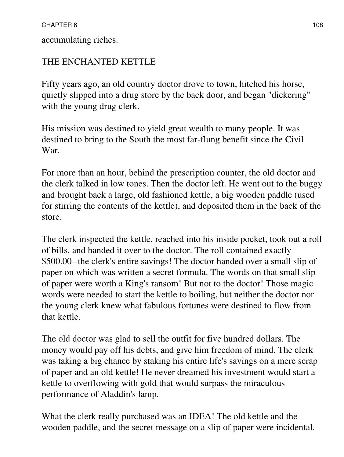accumulating riches.

# THE ENCHANTED KETTLE

Fifty years ago, an old country doctor drove to town, hitched his horse, quietly slipped into a drug store by the back door, and began "dickering" with the young drug clerk.

His mission was destined to yield great wealth to many people. It was destined to bring to the South the most far-flung benefit since the Civil War.

For more than an hour, behind the prescription counter, the old doctor and the clerk talked in low tones. Then the doctor left. He went out to the buggy and brought back a large, old fashioned kettle, a big wooden paddle (used for stirring the contents of the kettle), and deposited them in the back of the store.

The clerk inspected the kettle, reached into his inside pocket, took out a roll of bills, and handed it over to the doctor. The roll contained exactly \$500.00--the clerk's entire savings! The doctor handed over a small slip of paper on which was written a secret formula. The words on that small slip of paper were worth a King's ransom! But not to the doctor! Those magic words were needed to start the kettle to boiling, but neither the doctor nor the young clerk knew what fabulous fortunes were destined to flow from that kettle.

The old doctor was glad to sell the outfit for five hundred dollars. The money would pay off his debts, and give him freedom of mind. The clerk was taking a big chance by staking his entire life's savings on a mere scrap of paper and an old kettle! He never dreamed his investment would start a kettle to overflowing with gold that would surpass the miraculous performance of Aladdin's lamp.

What the clerk really purchased was an IDEA! The old kettle and the wooden paddle, and the secret message on a slip of paper were incidental.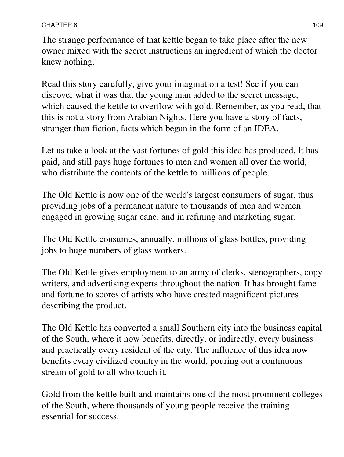The strange performance of that kettle began to take place after the new owner mixed with the secret instructions an ingredient of which the doctor knew nothing.

Read this story carefully, give your imagination a test! See if you can discover what it was that the young man added to the secret message, which caused the kettle to overflow with gold. Remember, as you read, that this is not a story from Arabian Nights. Here you have a story of facts, stranger than fiction, facts which began in the form of an IDEA.

Let us take a look at the vast fortunes of gold this idea has produced. It has paid, and still pays huge fortunes to men and women all over the world, who distribute the contents of the kettle to millions of people.

The Old Kettle is now one of the world's largest consumers of sugar, thus providing jobs of a permanent nature to thousands of men and women engaged in growing sugar cane, and in refining and marketing sugar.

The Old Kettle consumes, annually, millions of glass bottles, providing jobs to huge numbers of glass workers.

The Old Kettle gives employment to an army of clerks, stenographers, copy writers, and advertising experts throughout the nation. It has brought fame and fortune to scores of artists who have created magnificent pictures describing the product.

The Old Kettle has converted a small Southern city into the business capital of the South, where it now benefits, directly, or indirectly, every business and practically every resident of the city. The influence of this idea now benefits every civilized country in the world, pouring out a continuous stream of gold to all who touch it.

Gold from the kettle built and maintains one of the most prominent colleges of the South, where thousands of young people receive the training essential for success.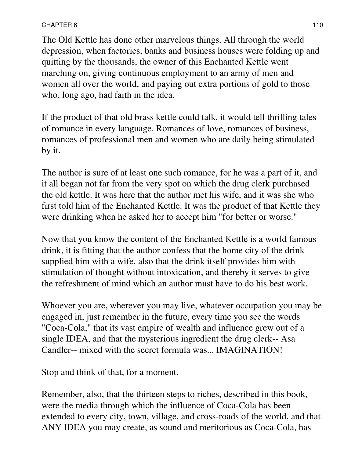The Old Kettle has done other marvelous things. All through the world depression, when factories, banks and business houses were folding up and quitting by the thousands, the owner of this Enchanted Kettle went marching on, giving continuous employment to an army of men and women all over the world, and paying out extra portions of gold to those who, long ago, had faith in the idea.

If the product of that old brass kettle could talk, it would tell thrilling tales of romance in every language. Romances of love, romances of business, romances of professional men and women who are daily being stimulated by it.

The author is sure of at least one such romance, for he was a part of it, and it all began not far from the very spot on which the drug clerk purchased the old kettle. It was here that the author met his wife, and it was she who first told him of the Enchanted Kettle. It was the product of that Kettle they were drinking when he asked her to accept him "for better or worse."

Now that you know the content of the Enchanted Kettle is a world famous drink, it is fitting that the author confess that the home city of the drink supplied him with a wife, also that the drink itself provides him with stimulation of thought without intoxication, and thereby it serves to give the refreshment of mind which an author must have to do his best work.

Whoever you are, wherever you may live, whatever occupation you may be engaged in, just remember in the future, every time you see the words "Coca-Cola," that its vast empire of wealth and influence grew out of a single IDEA, and that the mysterious ingredient the drug clerk-- Asa Candler-- mixed with the secret formula was... IMAGINATION!

Stop and think of that, for a moment.

Remember, also, that the thirteen steps to riches, described in this book, were the media through which the influence of Coca-Cola has been extended to every city, town, village, and cross-roads of the world, and that ANY IDEA you may create, as sound and meritorious as Coca-Cola, has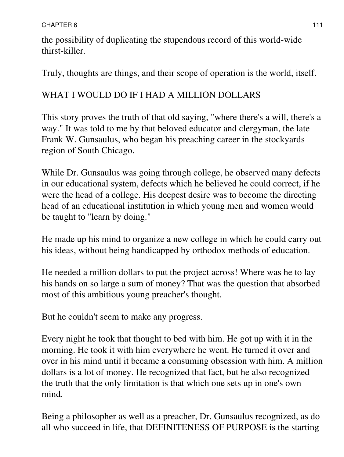the possibility of duplicating the stupendous record of this world-wide thirst-killer.

Truly, thoughts are things, and their scope of operation is the world, itself.

### WHAT I WOULD DO IF I HAD A MILLION DOLLARS

This story proves the truth of that old saying, "where there's a will, there's a way." It was told to me by that beloved educator and clergyman, the late Frank W. Gunsaulus, who began his preaching career in the stockyards region of South Chicago.

While Dr. Gunsaulus was going through college, he observed many defects in our educational system, defects which he believed he could correct, if he were the head of a college. His deepest desire was to become the directing head of an educational institution in which young men and women would be taught to "learn by doing."

He made up his mind to organize a new college in which he could carry out his ideas, without being handicapped by orthodox methods of education.

He needed a million dollars to put the project across! Where was he to lay his hands on so large a sum of money? That was the question that absorbed most of this ambitious young preacher's thought.

But he couldn't seem to make any progress.

Every night he took that thought to bed with him. He got up with it in the morning. He took it with him everywhere he went. He turned it over and over in his mind until it became a consuming obsession with him. A million dollars is a lot of money. He recognized that fact, but he also recognized the truth that the only limitation is that which one sets up in one's own mind.

Being a philosopher as well as a preacher, Dr. Gunsaulus recognized, as do all who succeed in life, that DEFINITENESS OF PURPOSE is the starting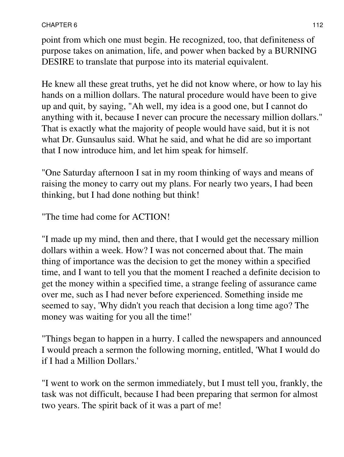point from which one must begin. He recognized, too, that definiteness of purpose takes on animation, life, and power when backed by a BURNING DESIRE to translate that purpose into its material equivalent.

He knew all these great truths, yet he did not know where, or how to lay his hands on a million dollars. The natural procedure would have been to give up and quit, by saying, "Ah well, my idea is a good one, but I cannot do anything with it, because I never can procure the necessary million dollars." That is exactly what the majority of people would have said, but it is not what Dr. Gunsaulus said. What he said, and what he did are so important that I now introduce him, and let him speak for himself.

"One Saturday afternoon I sat in my room thinking of ways and means of raising the money to carry out my plans. For nearly two years, I had been thinking, but I had done nothing but think!

"The time had come for ACTION!

"I made up my mind, then and there, that I would get the necessary million dollars within a week. How? I was not concerned about that. The main thing of importance was the decision to get the money within a specified time, and I want to tell you that the moment I reached a definite decision to get the money within a specified time, a strange feeling of assurance came over me, such as I had never before experienced. Something inside me seemed to say, 'Why didn't you reach that decision a long time ago? The money was waiting for you all the time!'

"Things began to happen in a hurry. I called the newspapers and announced I would preach a sermon the following morning, entitled, 'What I would do if I had a Million Dollars.'

"I went to work on the sermon immediately, but I must tell you, frankly, the task was not difficult, because I had been preparing that sermon for almost two years. The spirit back of it was a part of me!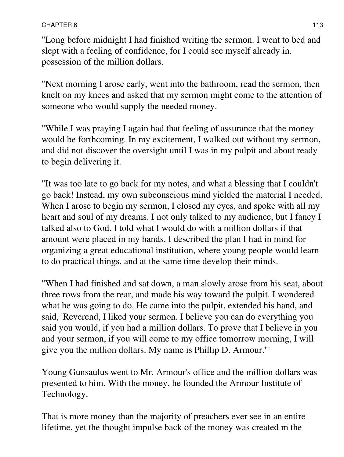"Long before midnight I had finished writing the sermon. I went to bed and slept with a feeling of confidence, for I could see myself already in. possession of the million dollars.

"Next morning I arose early, went into the bathroom, read the sermon, then knelt on my knees and asked that my sermon might come to the attention of someone who would supply the needed money.

"While I was praying I again had that feeling of assurance that the money would be forthcoming. In my excitement, I walked out without my sermon, and did not discover the oversight until I was in my pulpit and about ready to begin delivering it.

"It was too late to go back for my notes, and what a blessing that I couldn't go back! Instead, my own subconscious mind yielded the material I needed. When I arose to begin my sermon, I closed my eyes, and spoke with all my heart and soul of my dreams. I not only talked to my audience, but I fancy I talked also to God. I told what I would do with a million dollars if that amount were placed in my hands. I described the plan I had in mind for organizing a great educational institution, where young people would learn to do practical things, and at the same time develop their minds.

"When I had finished and sat down, a man slowly arose from his seat, about three rows from the rear, and made his way toward the pulpit. I wondered what he was going to do. He came into the pulpit, extended his hand, and said, 'Reverend, I liked your sermon. I believe you can do everything you said you would, if you had a million dollars. To prove that I believe in you and your sermon, if you will come to my office tomorrow morning, I will give you the million dollars. My name is Phillip D. Armour."'

Young Gunsaulus went to Mr. Armour's office and the million dollars was presented to him. With the money, he founded the Armour Institute of Technology.

That is more money than the majority of preachers ever see in an entire lifetime, yet the thought impulse back of the money was created m the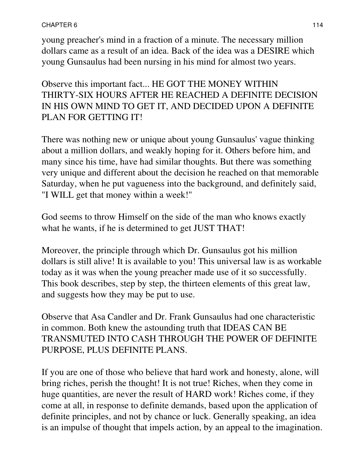young preacher's mind in a fraction of a minute. The necessary million dollars came as a result of an idea. Back of the idea was a DESIRE which young Gunsaulus had been nursing in his mind for almost two years.

Observe this important fact... HE GOT THE MONEY WITHIN THIRTY-SIX HOURS AFTER HE REACHED A DEFINITE DECISION IN HIS OWN MIND TO GET IT, AND DECIDED UPON A DEFINITE PLAN FOR GETTING IT!

There was nothing new or unique about young Gunsaulus' vague thinking about a million dollars, and weakly hoping for it. Others before him, and many since his time, have had similar thoughts. But there was something very unique and different about the decision he reached on that memorable Saturday, when he put vagueness into the background, and definitely said, "I WILL get that money within a week!"

God seems to throw Himself on the side of the man who knows exactly what he wants, if he is determined to get JUST THAT!

Moreover, the principle through which Dr. Gunsaulus got his million dollars is still alive! It is available to you! This universal law is as workable today as it was when the young preacher made use of it so successfully. This book describes, step by step, the thirteen elements of this great law, and suggests how they may be put to use.

Observe that Asa Candler and Dr. Frank Gunsaulus had one characteristic in common. Both knew the astounding truth that IDEAS CAN BE TRANSMUTED INTO CASH THROUGH THE POWER OF DEFINITE PURPOSE, PLUS DEFINITE PLANS.

If you are one of those who believe that hard work and honesty, alone, will bring riches, perish the thought! It is not true! Riches, when they come in huge quantities, are never the result of HARD work! Riches come, if they come at all, in response to definite demands, based upon the application of definite principles, and not by chance or luck. Generally speaking, an idea is an impulse of thought that impels action, by an appeal to the imagination.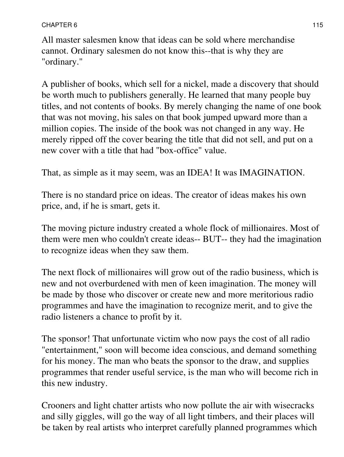All master salesmen know that ideas can be sold where merchandise cannot. Ordinary salesmen do not know this--that is why they are "ordinary."

A publisher of books, which sell for a nickel, made a discovery that should be worth much to publishers generally. He learned that many people buy titles, and not contents of books. By merely changing the name of one book that was not moving, his sales on that book jumped upward more than a million copies. The inside of the book was not changed in any way. He merely ripped off the cover bearing the title that did not sell, and put on a new cover with a title that had "box-office" value.

That, as simple as it may seem, was an IDEA! It was IMAGINATION.

There is no standard price on ideas. The creator of ideas makes his own price, and, if he is smart, gets it.

The moving picture industry created a whole flock of millionaires. Most of them were men who couldn't create ideas-- BUT-- they had the imagination to recognize ideas when they saw them.

The next flock of millionaires will grow out of the radio business, which is new and not overburdened with men of keen imagination. The money will be made by those who discover or create new and more meritorious radio programmes and have the imagination to recognize merit, and to give the radio listeners a chance to profit by it.

The sponsor! That unfortunate victim who now pays the cost of all radio "entertainment," soon will become idea conscious, and demand something for his money. The man who beats the sponsor to the draw, and supplies programmes that render useful service, is the man who will become rich in this new industry.

Crooners and light chatter artists who now pollute the air with wisecracks and silly giggles, will go the way of all light timbers, and their places will be taken by real artists who interpret carefully planned programmes which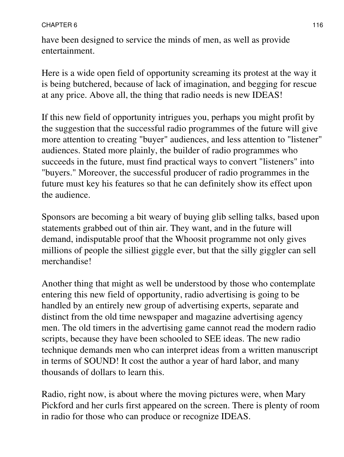have been designed to service the minds of men, as well as provide entertainment.

Here is a wide open field of opportunity screaming its protest at the way it is being butchered, because of lack of imagination, and begging for rescue at any price. Above all, the thing that radio needs is new IDEAS!

If this new field of opportunity intrigues you, perhaps you might profit by the suggestion that the successful radio programmes of the future will give more attention to creating "buyer" audiences, and less attention to "listener" audiences. Stated more plainly, the builder of radio programmes who succeeds in the future, must find practical ways to convert "listeners" into "buyers." Moreover, the successful producer of radio programmes in the future must key his features so that he can definitely show its effect upon the audience.

Sponsors are becoming a bit weary of buying glib selling talks, based upon statements grabbed out of thin air. They want, and in the future will demand, indisputable proof that the Whoosit programme not only gives millions of people the silliest giggle ever, but that the silly giggler can sell merchandise!

Another thing that might as well be understood by those who contemplate entering this new field of opportunity, radio advertising is going to be handled by an entirely new group of advertising experts, separate and distinct from the old time newspaper and magazine advertising agency men. The old timers in the advertising game cannot read the modern radio scripts, because they have been schooled to SEE ideas. The new radio technique demands men who can interpret ideas from a written manuscript in terms of SOUND! It cost the author a year of hard labor, and many thousands of dollars to learn this.

Radio, right now, is about where the moving pictures were, when Mary Pickford and her curls first appeared on the screen. There is plenty of room in radio for those who can produce or recognize IDEAS.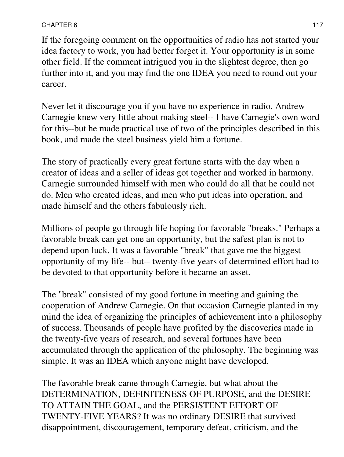If the foregoing comment on the opportunities of radio has not started your idea factory to work, you had better forget it. Your opportunity is in some other field. If the comment intrigued you in the slightest degree, then go further into it, and you may find the one IDEA you need to round out your career.

Never let it discourage you if you have no experience in radio. Andrew Carnegie knew very little about making steel-- I have Carnegie's own word for this--but he made practical use of two of the principles described in this book, and made the steel business yield him a fortune.

The story of practically every great fortune starts with the day when a creator of ideas and a seller of ideas got together and worked in harmony. Carnegie surrounded himself with men who could do all that he could not do. Men who created ideas, and men who put ideas into operation, and made himself and the others fabulously rich.

Millions of people go through life hoping for favorable "breaks." Perhaps a favorable break can get one an opportunity, but the safest plan is not to depend upon luck. It was a favorable "break" that gave me the biggest opportunity of my life-- but-- twenty-five years of determined effort had to be devoted to that opportunity before it became an asset.

The "break" consisted of my good fortune in meeting and gaining the cooperation of Andrew Carnegie. On that occasion Carnegie planted in my mind the idea of organizing the principles of achievement into a philosophy of success. Thousands of people have profited by the discoveries made in the twenty-five years of research, and several fortunes have been accumulated through the application of the philosophy. The beginning was simple. It was an IDEA which anyone might have developed.

The favorable break came through Carnegie, but what about the DETERMINATION, DEFINITENESS OF PURPOSE, and the DESIRE TO ATTAIN THE GOAL, and the PERSISTENT EFFORT OF TWENTY-FIVE YEARS? It was no ordinary DESIRE that survived disappointment, discouragement, temporary defeat, criticism, and the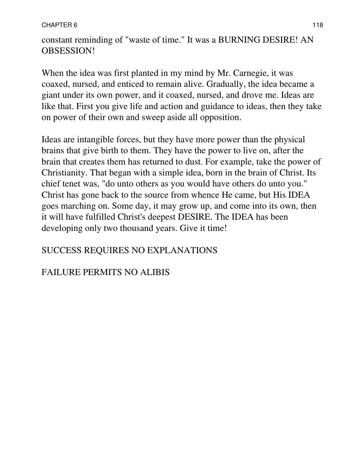constant reminding of "waste of time." It was a BURNING DESIRE! AN OBSESSION!

When the idea was first planted in my mind by Mr. Carnegie, it was coaxed, nursed, and enticed to remain alive. Gradually, the idea became a giant under its own power, and it coaxed, nursed, and drove me. Ideas are like that. First you give life and action and guidance to ideas, then they take on power of their own and sweep aside all opposition.

Ideas are intangible forces, but they have more power than the physical brains that give birth to them. They have the power to live on, after the brain that creates them has returned to dust. For example, take the power of Christianity. That began with a simple idea, born in the brain of Christ. Its chief tenet was, "do unto others as you would have others do unto you." Christ has gone back to the source from whence He came, but His IDEA goes marching on. Some day, it may grow up, and come into its own, then it will have fulfilled Christ's deepest DESIRE. The IDEA has been developing only two thousand years. Give it time!

### SUCCESS REQUIRES NO EXPLANATIONS

# FAILURE PERMITS NO ALIBIS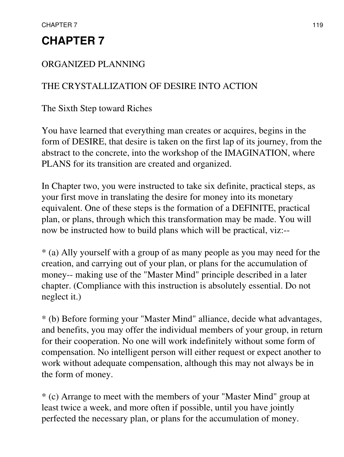# **CHAPTER 7**

## ORGANIZED PLANNING

### THE CRYSTALLIZATION OF DESIRE INTO ACTION

The Sixth Step toward Riches

You have learned that everything man creates or acquires, begins in the form of DESIRE, that desire is taken on the first lap of its journey, from the abstract to the concrete, into the workshop of the IMAGINATION, where PLANS for its transition are created and organized.

In Chapter two, you were instructed to take six definite, practical steps, as your first move in translating the desire for money into its monetary equivalent. One of these steps is the formation of a DEFINITE, practical plan, or plans, through which this transformation may be made. You will now be instructed how to build plans which will be practical, viz:--

\* (a) Ally yourself with a group of as many people as you may need for the creation, and carrying out of your plan, or plans for the accumulation of money-- making use of the "Master Mind" principle described in a later chapter. (Compliance with this instruction is absolutely essential. Do not neglect it.)

\* (b) Before forming your "Master Mind" alliance, decide what advantages, and benefits, you may offer the individual members of your group, in return for their cooperation. No one will work indefinitely without some form of compensation. No intelligent person will either request or expect another to work without adequate compensation, although this may not always be in the form of money.

\* (c) Arrange to meet with the members of your "Master Mind" group at least twice a week, and more often if possible, until you have jointly perfected the necessary plan, or plans for the accumulation of money.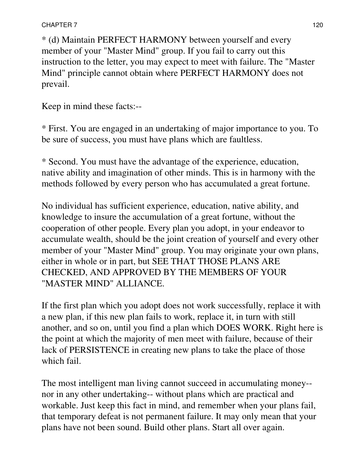\* (d) Maintain PERFECT HARMONY between yourself and every member of your "Master Mind" group. If you fail to carry out this instruction to the letter, you may expect to meet with failure. The "Master Mind" principle cannot obtain where PERFECT HARMONY does not prevail.

Keep in mind these facts:--

\* First. You are engaged in an undertaking of major importance to you. To be sure of success, you must have plans which are faultless.

\* Second. You must have the advantage of the experience, education, native ability and imagination of other minds. This is in harmony with the methods followed by every person who has accumulated a great fortune.

No individual has sufficient experience, education, native ability, and knowledge to insure the accumulation of a great fortune, without the cooperation of other people. Every plan you adopt, in your endeavor to accumulate wealth, should be the joint creation of yourself and every other member of your "Master Mind" group. You may originate your own plans, either in whole or in part, but SEE THAT THOSE PLANS ARE CHECKED, AND APPROVED BY THE MEMBERS OF YOUR "MASTER MIND" ALLIANCE.

If the first plan which you adopt does not work successfully, replace it with a new plan, if this new plan fails to work, replace it, in turn with still another, and so on, until you find a plan which DOES WORK. Right here is the point at which the majority of men meet with failure, because of their lack of PERSISTENCE in creating new plans to take the place of those which fail.

The most intelligent man living cannot succeed in accumulating money- nor in any other undertaking-- without plans which are practical and workable. Just keep this fact in mind, and remember when your plans fail, that temporary defeat is not permanent failure. It may only mean that your plans have not been sound. Build other plans. Start all over again.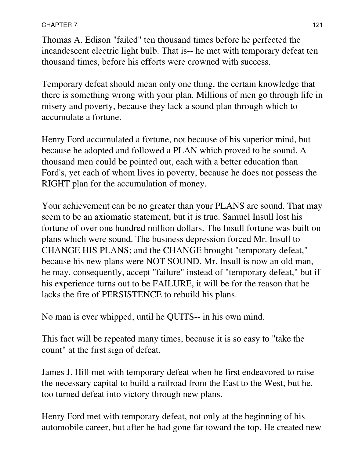Thomas A. Edison "failed" ten thousand times before he perfected the incandescent electric light bulb. That is-- he met with temporary defeat ten thousand times, before his efforts were crowned with success.

Temporary defeat should mean only one thing, the certain knowledge that there is something wrong with your plan. Millions of men go through life in misery and poverty, because they lack a sound plan through which to accumulate a fortune.

Henry Ford accumulated a fortune, not because of his superior mind, but because he adopted and followed a PLAN which proved to be sound. A thousand men could be pointed out, each with a better education than Ford's, yet each of whom lives in poverty, because he does not possess the RIGHT plan for the accumulation of money.

Your achievement can be no greater than your PLANS are sound. That may seem to be an axiomatic statement, but it is true. Samuel Insull lost his fortune of over one hundred million dollars. The Insull fortune was built on plans which were sound. The business depression forced Mr. Insull to CHANGE HIS PLANS; and the CHANGE brought "temporary defeat," because his new plans were NOT SOUND. Mr. Insull is now an old man, he may, consequently, accept "failure" instead of "temporary defeat," but if his experience turns out to be FAILURE, it will be for the reason that he lacks the fire of PERSISTENCE to rebuild his plans.

No man is ever whipped, until he QUITS-- in his own mind.

This fact will be repeated many times, because it is so easy to "take the count" at the first sign of defeat.

James J. Hill met with temporary defeat when he first endeavored to raise the necessary capital to build a railroad from the East to the West, but he, too turned defeat into victory through new plans.

Henry Ford met with temporary defeat, not only at the beginning of his automobile career, but after he had gone far toward the top. He created new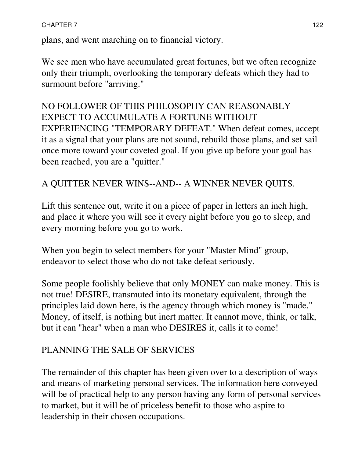plans, and went marching on to financial victory.

We see men who have accumulated great fortunes, but we often recognize only their triumph, overlooking the temporary defeats which they had to surmount before "arriving."

NO FOLLOWER OF THIS PHILOSOPHY CAN REASONABLY EXPECT TO ACCUMULATE A FORTUNE WITHOUT EXPERIENCING "TEMPORARY DEFEAT." When defeat comes, accept it as a signal that your plans are not sound, rebuild those plans, and set sail once more toward your coveted goal. If you give up before your goal has been reached, you are a "quitter."

# A QUITTER NEVER WINS--AND-- A WINNER NEVER QUITS.

Lift this sentence out, write it on a piece of paper in letters an inch high, and place it where you will see it every night before you go to sleep, and every morning before you go to work.

When you begin to select members for your "Master Mind" group, endeavor to select those who do not take defeat seriously.

Some people foolishly believe that only MONEY can make money. This is not true! DESIRE, transmuted into its monetary equivalent, through the principles laid down here, is the agency through which money is "made." Money, of itself, is nothing but inert matter. It cannot move, think, or talk, but it can "hear" when a man who DESIRES it, calls it to come!

# PLANNING THE SALE OF SERVICES

The remainder of this chapter has been given over to a description of ways and means of marketing personal services. The information here conveyed will be of practical help to any person having any form of personal services to market, but it will be of priceless benefit to those who aspire to leadership in their chosen occupations.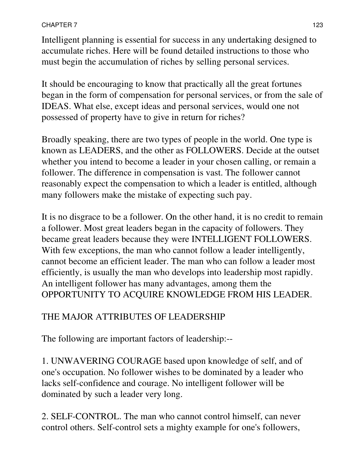Intelligent planning is essential for success in any undertaking designed to accumulate riches. Here will be found detailed instructions to those who must begin the accumulation of riches by selling personal services.

It should be encouraging to know that practically all the great fortunes began in the form of compensation for personal services, or from the sale of IDEAS. What else, except ideas and personal services, would one not possessed of property have to give in return for riches?

Broadly speaking, there are two types of people in the world. One type is known as LEADERS, and the other as FOLLOWERS. Decide at the outset whether you intend to become a leader in your chosen calling, or remain a follower. The difference in compensation is vast. The follower cannot reasonably expect the compensation to which a leader is entitled, although many followers make the mistake of expecting such pay.

It is no disgrace to be a follower. On the other hand, it is no credit to remain a follower. Most great leaders began in the capacity of followers. They became great leaders because they were INTELLIGENT FOLLOWERS. With few exceptions, the man who cannot follow a leader intelligently, cannot become an efficient leader. The man who can follow a leader most efficiently, is usually the man who develops into leadership most rapidly. An intelligent follower has many advantages, among them the OPPORTUNITY TO ACQUIRE KNOWLEDGE FROM HIS LEADER.

## THE MAJOR ATTRIBUTES OF LEADERSHIP

The following are important factors of leadership:--

1. UNWAVERING COURAGE based upon knowledge of self, and of one's occupation. No follower wishes to be dominated by a leader who lacks self-confidence and courage. No intelligent follower will be dominated by such a leader very long.

2. SELF-CONTROL. The man who cannot control himself, can never control others. Self-control sets a mighty example for one's followers,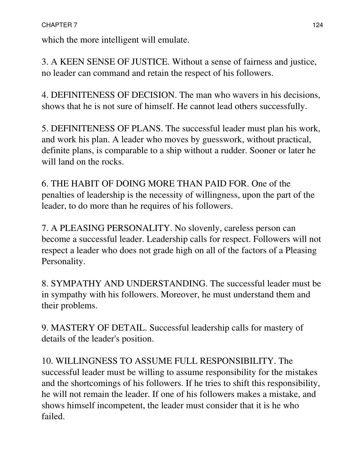which the more intelligent will emulate.

3. A KEEN SENSE OF JUSTICE. Without a sense of fairness and justice, no leader can command and retain the respect of his followers.

4. DEFINITENESS OF DECISION. The man who wavers in his decisions, shows that he is not sure of himself. He cannot lead others successfully.

5. DEFINITENESS OF PLANS. The successful leader must plan his work, and work his plan. A leader who moves by guesswork, without practical, definite plans, is comparable to a ship without a rudder. Sooner or later he will land on the rocks.

6. THE HABIT OF DOING MORE THAN PAID FOR. One of the penalties of leadership is the necessity of willingness, upon the part of the leader, to do more than he requires of his followers.

7. A PLEASING PERSONALITY. No slovenly, careless person can become a successful leader. Leadership calls for respect. Followers will not respect a leader who does not grade high on all of the factors of a Pleasing Personality.

8. SYMPATHY AND UNDERSTANDING. The successful leader must be in sympathy with his followers. Moreover, he must understand them and their problems.

9. MASTERY OF DETAIL. Successful leadership calls for mastery of details of the leader's position.

10. WILLINGNESS TO ASSUME FULL RESPONSIBILITY. The successful leader must be willing to assume responsibility for the mistakes and the shortcomings of his followers. If he tries to shift this responsibility, he will not remain the leader. If one of his followers makes a mistake, and shows himself incompetent, the leader must consider that it is he who failed.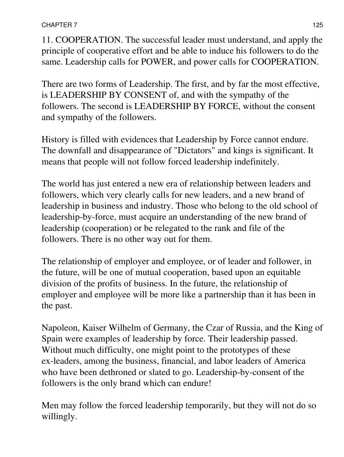11. COOPERATION. The successful leader must understand, and apply the principle of cooperative effort and be able to induce his followers to do the same. Leadership calls for POWER, and power calls for COOPERATION.

There are two forms of Leadership. The first, and by far the most effective, is LEADERSHIP BY CONSENT of, and with the sympathy of the followers. The second is LEADERSHIP BY FORCE, without the consent and sympathy of the followers.

History is filled with evidences that Leadership by Force cannot endure. The downfall and disappearance of "Dictators" and kings is significant. It means that people will not follow forced leadership indefinitely.

The world has just entered a new era of relationship between leaders and followers, which very clearly calls for new leaders, and a new brand of leadership in business and industry. Those who belong to the old school of leadership-by-force, must acquire an understanding of the new brand of leadership (cooperation) or be relegated to the rank and file of the followers. There is no other way out for them.

The relationship of employer and employee, or of leader and follower, in the future, will be one of mutual cooperation, based upon an equitable division of the profits of business. In the future, the relationship of employer and employee will be more like a partnership than it has been in the past.

Napoleon, Kaiser Wilhelm of Germany, the Czar of Russia, and the King of Spain were examples of leadership by force. Their leadership passed. Without much difficulty, one might point to the prototypes of these ex-leaders, among the business, financial, and labor leaders of America who have been dethroned or slated to go. Leadership-by-consent of the followers is the only brand which can endure!

Men may follow the forced leadership temporarily, but they will not do so willingly.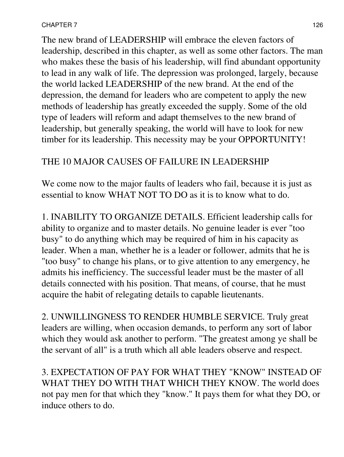The new brand of LEADERSHIP will embrace the eleven factors of leadership, described in this chapter, as well as some other factors. The man who makes these the basis of his leadership, will find abundant opportunity to lead in any walk of life. The depression was prolonged, largely, because the world lacked LEADERSHIP of the new brand. At the end of the depression, the demand for leaders who are competent to apply the new methods of leadership has greatly exceeded the supply. Some of the old type of leaders will reform and adapt themselves to the new brand of leadership, but generally speaking, the world will have to look for new timber for its leadership. This necessity may be your OPPORTUNITY!

### THE 10 MAJOR CAUSES OF FAILURE IN LEADERSHIP

We come now to the major faults of leaders who fail, because it is just as essential to know WHAT NOT TO DO as it is to know what to do.

1. INABILITY TO ORGANIZE DETAILS. Efficient leadership calls for ability to organize and to master details. No genuine leader is ever "too busy" to do anything which may be required of him in his capacity as leader. When a man, whether he is a leader or follower, admits that he is "too busy" to change his plans, or to give attention to any emergency, he admits his inefficiency. The successful leader must be the master of all details connected with his position. That means, of course, that he must acquire the habit of relegating details to capable lieutenants.

2. UNWILLINGNESS TO RENDER HUMBLE SERVICE. Truly great leaders are willing, when occasion demands, to perform any sort of labor which they would ask another to perform. "The greatest among ye shall be the servant of all" is a truth which all able leaders observe and respect.

3. EXPECTATION OF PAY FOR WHAT THEY "KNOW" INSTEAD OF WHAT THEY DO WITH THAT WHICH THEY KNOW. The world does not pay men for that which they "know." It pays them for what they DO, or induce others to do.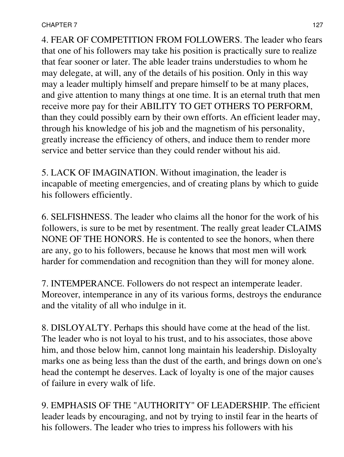4. FEAR OF COMPETITION FROM FOLLOWERS. The leader who fears that one of his followers may take his position is practically sure to realize that fear sooner or later. The able leader trains understudies to whom he may delegate, at will, any of the details of his position. Only in this way may a leader multiply himself and prepare himself to be at many places, and give attention to many things at one time. It is an eternal truth that men receive more pay for their ABILITY TO GET OTHERS TO PERFORM, than they could possibly earn by their own efforts. An efficient leader may, through his knowledge of his job and the magnetism of his personality, greatly increase the efficiency of others, and induce them to render more service and better service than they could render without his aid.

5. LACK OF IMAGINATION. Without imagination, the leader is incapable of meeting emergencies, and of creating plans by which to guide his followers efficiently.

6. SELFISHNESS. The leader who claims all the honor for the work of his followers, is sure to be met by resentment. The really great leader CLAIMS NONE OF THE HONORS. He is contented to see the honors, when there are any, go to his followers, because he knows that most men will work harder for commendation and recognition than they will for money alone.

7. INTEMPERANCE. Followers do not respect an intemperate leader. Moreover, intemperance in any of its various forms, destroys the endurance and the vitality of all who indulge in it.

8. DISLOYALTY. Perhaps this should have come at the head of the list. The leader who is not loyal to his trust, and to his associates, those above him, and those below him, cannot long maintain his leadership. Disloyalty marks one as being less than the dust of the earth, and brings down on one's head the contempt he deserves. Lack of loyalty is one of the major causes of failure in every walk of life.

9. EMPHASIS OF THE "AUTHORITY" OF LEADERSHIP. The efficient leader leads by encouraging, and not by trying to instil fear in the hearts of his followers. The leader who tries to impress his followers with his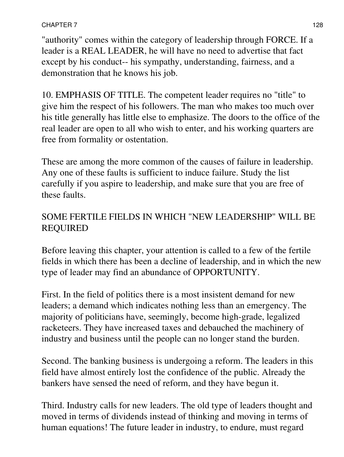"authority" comes within the category of leadership through FORCE. If a leader is a REAL LEADER, he will have no need to advertise that fact except by his conduct-- his sympathy, understanding, fairness, and a demonstration that he knows his job.

10. EMPHASIS OF TITLE. The competent leader requires no "title" to give him the respect of his followers. The man who makes too much over his title generally has little else to emphasize. The doors to the office of the real leader are open to all who wish to enter, and his working quarters are free from formality or ostentation.

These are among the more common of the causes of failure in leadership. Any one of these faults is sufficient to induce failure. Study the list carefully if you aspire to leadership, and make sure that you are free of these faults.

# SOME FERTILE FIELDS IN WHICH "NEW LEADERSHIP" WILL BE REQUIRED

Before leaving this chapter, your attention is called to a few of the fertile fields in which there has been a decline of leadership, and in which the new type of leader may find an abundance of OPPORTUNITY.

First. In the field of politics there is a most insistent demand for new leaders; a demand which indicates nothing less than an emergency. The majority of politicians have, seemingly, become high-grade, legalized racketeers. They have increased taxes and debauched the machinery of industry and business until the people can no longer stand the burden.

Second. The banking business is undergoing a reform. The leaders in this field have almost entirely lost the confidence of the public. Already the bankers have sensed the need of reform, and they have begun it.

Third. Industry calls for new leaders. The old type of leaders thought and moved in terms of dividends instead of thinking and moving in terms of human equations! The future leader in industry, to endure, must regard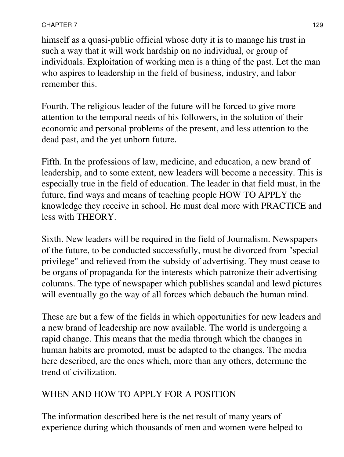himself as a quasi-public official whose duty it is to manage his trust in such a way that it will work hardship on no individual, or group of individuals. Exploitation of working men is a thing of the past. Let the man who aspires to leadership in the field of business, industry, and labor remember this.

Fourth. The religious leader of the future will be forced to give more attention to the temporal needs of his followers, in the solution of their economic and personal problems of the present, and less attention to the dead past, and the yet unborn future.

Fifth. In the professions of law, medicine, and education, a new brand of leadership, and to some extent, new leaders will become a necessity. This is especially true in the field of education. The leader in that field must, in the future, find ways and means of teaching people HOW TO APPLY the knowledge they receive in school. He must deal more with PRACTICE and less with THEORY.

Sixth. New leaders will be required in the field of Journalism. Newspapers of the future, to be conducted successfully, must be divorced from "special privilege" and relieved from the subsidy of advertising. They must cease to be organs of propaganda for the interests which patronize their advertising columns. The type of newspaper which publishes scandal and lewd pictures will eventually go the way of all forces which debauch the human mind.

These are but a few of the fields in which opportunities for new leaders and a new brand of leadership are now available. The world is undergoing a rapid change. This means that the media through which the changes in human habits are promoted, must be adapted to the changes. The media here described, are the ones which, more than any others, determine the trend of civilization.

# WHEN AND HOW TO APPLY FOR A POSITION

The information described here is the net result of many years of experience during which thousands of men and women were helped to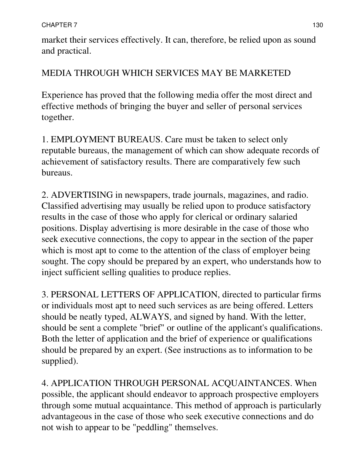market their services effectively. It can, therefore, be relied upon as sound and practical.

### MEDIA THROUGH WHICH SERVICES MAY BE MARKETED

Experience has proved that the following media offer the most direct and effective methods of bringing the buyer and seller of personal services together.

1. EMPLOYMENT BUREAUS. Care must be taken to select only reputable bureaus, the management of which can show adequate records of achievement of satisfactory results. There are comparatively few such bureaus.

2. ADVERTISING in newspapers, trade journals, magazines, and radio. Classified advertising may usually be relied upon to produce satisfactory results in the case of those who apply for clerical or ordinary salaried positions. Display advertising is more desirable in the case of those who seek executive connections, the copy to appear in the section of the paper which is most apt to come to the attention of the class of employer being sought. The copy should be prepared by an expert, who understands how to inject sufficient selling qualities to produce replies.

3. PERSONAL LETTERS OF APPLICATION, directed to particular firms or individuals most apt to need such services as are being offered. Letters should be neatly typed, ALWAYS, and signed by hand. With the letter, should be sent a complete "brief" or outline of the applicant's qualifications. Both the letter of application and the brief of experience or qualifications should be prepared by an expert. (See instructions as to information to be supplied).

4. APPLICATION THROUGH PERSONAL ACQUAINTANCES. When possible, the applicant should endeavor to approach prospective employers through some mutual acquaintance. This method of approach is particularly advantageous in the case of those who seek executive connections and do not wish to appear to be "peddling" themselves.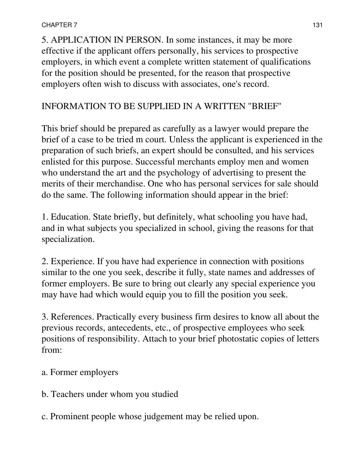5. APPLICATION IN PERSON. In some instances, it may be more effective if the applicant offers personally, his services to prospective employers, in which event a complete written statement of qualifications for the position should be presented, for the reason that prospective employers often wish to discuss with associates, one's record.

### INFORMATION TO BE SUPPLIED IN A WRITTEN "BRIEF"

This brief should be prepared as carefully as a lawyer would prepare the brief of a case to be tried m court. Unless the applicant is experienced in the preparation of such briefs, an expert should be consulted, and his services enlisted for this purpose. Successful merchants employ men and women who understand the art and the psychology of advertising to present the merits of their merchandise. One who has personal services for sale should do the same. The following information should appear in the brief:

1. Education. State briefly, but definitely, what schooling you have had, and in what subjects you specialized in school, giving the reasons for that specialization.

2. Experience. If you have had experience in connection with positions similar to the one you seek, describe it fully, state names and addresses of former employers. Be sure to bring out clearly any special experience you may have had which would equip you to fill the position you seek.

3. References. Practically every business firm desires to know all about the previous records, antecedents, etc., of prospective employees who seek positions of responsibility. Attach to your brief photostatic copies of letters from:

- a. Former employers
- b. Teachers under whom you studied
- c. Prominent people whose judgement may be relied upon.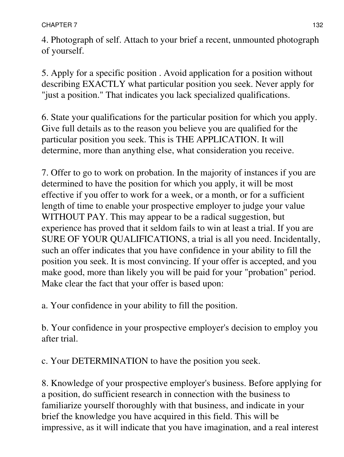4. Photograph of self. Attach to your brief a recent, unmounted photograph of yourself.

5. Apply for a specific position . Avoid application for a position without describing EXACTLY what particular position you seek. Never apply for "just a position." That indicates you lack specialized qualifications.

6. State your qualifications for the particular position for which you apply. Give full details as to the reason you believe you are qualified for the particular position you seek. This is THE APPLICATION. It will determine, more than anything else, what consideration you receive.

7. Offer to go to work on probation. In the majority of instances if you are determined to have the position for which you apply, it will be most effective if you offer to work for a week, or a month, or for a sufficient length of time to enable your prospective employer to judge your value WITHOUT PAY. This may appear to be a radical suggestion, but experience has proved that it seldom fails to win at least a trial. If you are SURE OF YOUR QUALIFICATIONS, a trial is all you need. Incidentally, such an offer indicates that you have confidence in your ability to fill the position you seek. It is most convincing. If your offer is accepted, and you make good, more than likely you will be paid for your "probation" period. Make clear the fact that your offer is based upon:

a. Your confidence in your ability to fill the position.

b. Your confidence in your prospective employer's decision to employ you after trial.

c. Your DETERMINATION to have the position you seek.

8. Knowledge of your prospective employer's business. Before applying for a position, do sufficient research in connection with the business to familiarize yourself thoroughly with that business, and indicate in your brief the knowledge you have acquired in this field. This will be impressive, as it will indicate that you have imagination, and a real interest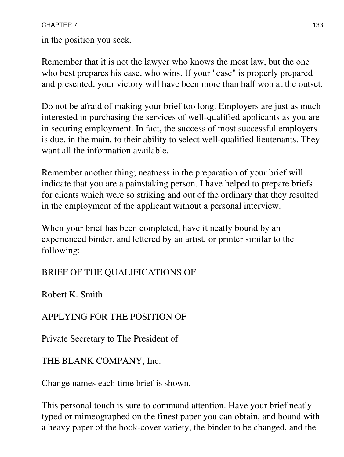in the position you seek.

Remember that it is not the lawyer who knows the most law, but the one who best prepares his case, who wins. If your "case" is properly prepared and presented, your victory will have been more than half won at the outset.

Do not be afraid of making your brief too long. Employers are just as much interested in purchasing the services of well-qualified applicants as you are in securing employment. In fact, the success of most successful employers is due, in the main, to their ability to select well-qualified lieutenants. They want all the information available.

Remember another thing; neatness in the preparation of your brief will indicate that you are a painstaking person. I have helped to prepare briefs for clients which were so striking and out of the ordinary that they resulted in the employment of the applicant without a personal interview.

When your brief has been completed, have it neatly bound by an experienced binder, and lettered by an artist, or printer similar to the following:

BRIEF OF THE QUALIFICATIONS OF

Robert K. Smith

APPLYING FOR THE POSITION OF

Private Secretary to The President of

THE BLANK COMPANY, Inc.

Change names each time brief is shown.

This personal touch is sure to command attention. Have your brief neatly typed or mimeographed on the finest paper you can obtain, and bound with a heavy paper of the book-cover variety, the binder to be changed, and the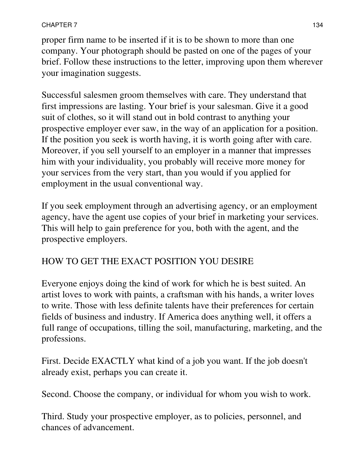proper firm name to be inserted if it is to be shown to more than one company. Your photograph should be pasted on one of the pages of your brief. Follow these instructions to the letter, improving upon them wherever your imagination suggests.

Successful salesmen groom themselves with care. They understand that first impressions are lasting. Your brief is your salesman. Give it a good suit of clothes, so it will stand out in bold contrast to anything your prospective employer ever saw, in the way of an application for a position. If the position you seek is worth having, it is worth going after with care. Moreover, if you sell yourself to an employer in a manner that impresses him with your individuality, you probably will receive more money for your services from the very start, than you would if you applied for employment in the usual conventional way.

If you seek employment through an advertising agency, or an employment agency, have the agent use copies of your brief in marketing your services. This will help to gain preference for you, both with the agent, and the prospective employers.

## HOW TO GET THE EXACT POSITION YOU DESIRE

Everyone enjoys doing the kind of work for which he is best suited. An artist loves to work with paints, a craftsman with his hands, a writer loves to write. Those with less definite talents have their preferences for certain fields of business and industry. If America does anything well, it offers a full range of occupations, tilling the soil, manufacturing, marketing, and the professions.

First. Decide EXACTLY what kind of a job you want. If the job doesn't already exist, perhaps you can create it.

Second. Choose the company, or individual for whom you wish to work.

Third. Study your prospective employer, as to policies, personnel, and chances of advancement.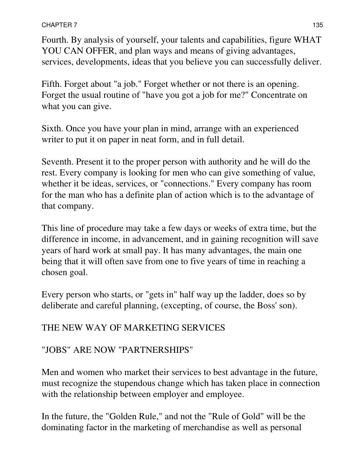Fourth. By analysis of yourself, your talents and capabilities, figure WHAT YOU CAN OFFER, and plan ways and means of giving advantages, services, developments, ideas that you believe you can successfully deliver.

Fifth. Forget about "a job." Forget whether or not there is an opening. Forget the usual routine of "have you got a job for me?" Concentrate on what you can give.

Sixth. Once you have your plan in mind, arrange with an experienced writer to put it on paper in neat form, and in full detail.

Seventh. Present it to the proper person with authority and he will do the rest. Every company is looking for men who can give something of value, whether it be ideas, services, or "connections." Every company has room for the man who has a definite plan of action which is to the advantage of that company.

This line of procedure may take a few days or weeks of extra time, but the difference in income, in advancement, and in gaining recognition will save years of hard work at small pay. It has many advantages, the main one being that it will often save from one to five years of time in reaching a chosen goal.

Every person who starts, or "gets in" half way up the ladder, does so by deliberate and careful planning, (excepting, of course, the Boss' son).

## THE NEW WAY OF MARKETING SERVICES

# "JOBS" ARE NOW "PARTNERSHIPS"

Men and women who market their services to best advantage in the future, must recognize the stupendous change which has taken place in connection with the relationship between employer and employee.

In the future, the "Golden Rule," and not the "Rule of Gold" will be the dominating factor in the marketing of merchandise as well as personal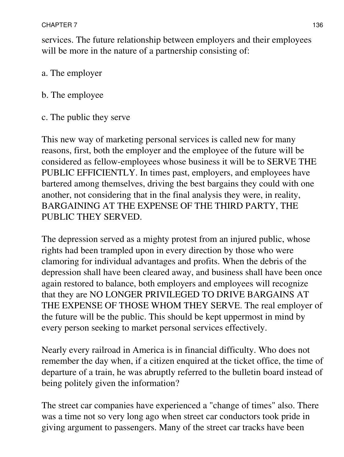services. The future relationship between employers and their employees will be more in the nature of a partnership consisting of:

# a. The employer

# b. The employee

# c. The public they serve

This new way of marketing personal services is called new for many reasons, first, both the employer and the employee of the future will be considered as fellow-employees whose business it will be to SERVE THE PUBLIC EFFICIENTLY. In times past, employers, and employees have bartered among themselves, driving the best bargains they could with one another, not considering that in the final analysis they were, in reality, BARGAINING AT THE EXPENSE OF THE THIRD PARTY, THE PUBLIC THEY SERVED.

The depression served as a mighty protest from an injured public, whose rights had been trampled upon in every direction by those who were clamoring for individual advantages and profits. When the debris of the depression shall have been cleared away, and business shall have been once again restored to balance, both employers and employees will recognize that they are NO LONGER PRIVILEGED TO DRIVE BARGAINS AT THE EXPENSE OF THOSE WHOM THEY SERVE. The real employer of the future will be the public. This should be kept uppermost in mind by every person seeking to market personal services effectively.

Nearly every railroad in America is in financial difficulty. Who does not remember the day when, if a citizen enquired at the ticket office, the time of departure of a train, he was abruptly referred to the bulletin board instead of being politely given the information?

The street car companies have experienced a "change of times" also. There was a time not so very long ago when street car conductors took pride in giving argument to passengers. Many of the street car tracks have been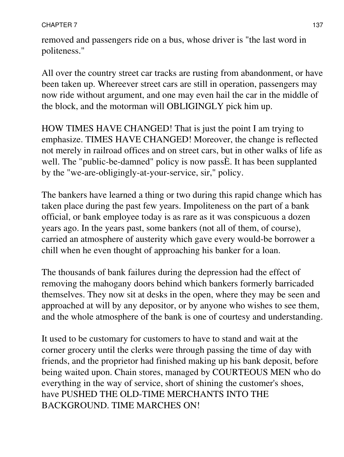removed and passengers ride on a bus, whose driver is "the last word in politeness."

All over the country street car tracks are rusting from abandonment, or have been taken up. Whereever street cars are still in operation, passengers may now ride without argument, and one may even hail the car in the middle of the block, and the motorman will OBLIGINGLY pick him up.

HOW TIMES HAVE CHANGED! That is just the point I am trying to emphasize. TIMES HAVE CHANGED! Moreover, the change is reflected not merely in railroad offices and on street cars, but in other walks of life as well. The "public-be-damned" policy is now passÈ. It has been supplanted by the "we-are-obligingly-at-your-service, sir," policy.

The bankers have learned a thing or two during this rapid change which has taken place during the past few years. Impoliteness on the part of a bank official, or bank employee today is as rare as it was conspicuous a dozen years ago. In the years past, some bankers (not all of them, of course), carried an atmosphere of austerity which gave every would-be borrower a chill when he even thought of approaching his banker for a loan.

The thousands of bank failures during the depression had the effect of removing the mahogany doors behind which bankers formerly barricaded themselves. They now sit at desks in the open, where they may be seen and approached at will by any depositor, or by anyone who wishes to see them, and the whole atmosphere of the bank is one of courtesy and understanding.

It used to be customary for customers to have to stand and wait at the corner grocery until the clerks were through passing the time of day with friends, and the proprietor had finished making up his bank deposit, before being waited upon. Chain stores, managed by COURTEOUS MEN who do everything in the way of service, short of shining the customer's shoes, have PUSHED THE OLD-TIME MERCHANTS INTO THE BACKGROUND. TIME MARCHES ON!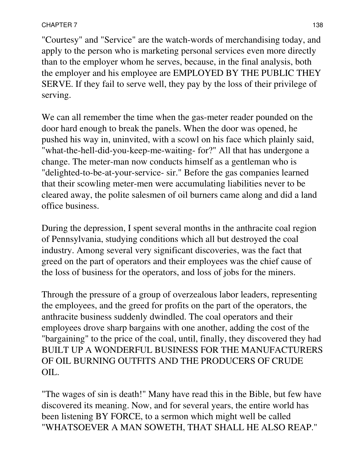"Courtesy" and "Service" are the watch-words of merchandising today, and apply to the person who is marketing personal services even more directly than to the employer whom he serves, because, in the final analysis, both the employer and his employee are EMPLOYED BY THE PUBLIC THEY SERVE. If they fail to serve well, they pay by the loss of their privilege of serving.

We can all remember the time when the gas-meter reader pounded on the door hard enough to break the panels. When the door was opened, he pushed his way in, uninvited, with a scowl on his face which plainly said, "what-the-hell-did-you-keep-me-waiting- for?" All that has undergone a change. The meter-man now conducts himself as a gentleman who is "delighted-to-be-at-your-service- sir." Before the gas companies learned that their scowling meter-men were accumulating liabilities never to be cleared away, the polite salesmen of oil burners came along and did a land office business.

During the depression, I spent several months in the anthracite coal region of Pennsylvania, studying conditions which all but destroyed the coal industry. Among several very significant discoveries, was the fact that greed on the part of operators and their employees was the chief cause of the loss of business for the operators, and loss of jobs for the miners.

Through the pressure of a group of overzealous labor leaders, representing the employees, and the greed for profits on the part of the operators, the anthracite business suddenly dwindled. The coal operators and their employees drove sharp bargains with one another, adding the cost of the "bargaining" to the price of the coal, until, finally, they discovered they had BUILT UP A WONDERFUL BUSINESS FOR THE MANUFACTURERS OF OIL BURNING OUTFITS AND THE PRODUCERS OF CRUDE OIL.

"The wages of sin is death!" Many have read this in the Bible, but few have discovered its meaning. Now, and for several years, the entire world has been listening BY FORCE, to a sermon which might well be called "WHATSOEVER A MAN SOWETH, THAT SHALL HE ALSO REAP."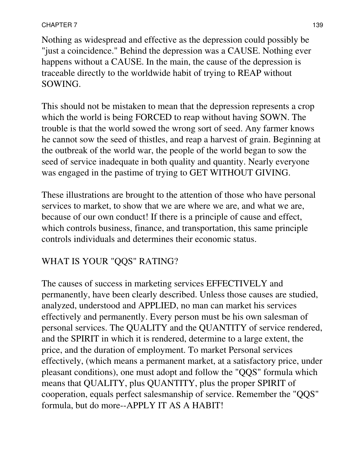Nothing as widespread and effective as the depression could possibly be "just a coincidence." Behind the depression was a CAUSE. Nothing ever happens without a CAUSE. In the main, the cause of the depression is traceable directly to the worldwide habit of trying to REAP without SOWING.

This should not be mistaken to mean that the depression represents a crop which the world is being FORCED to reap without having SOWN. The trouble is that the world sowed the wrong sort of seed. Any farmer knows he cannot sow the seed of thistles, and reap a harvest of grain. Beginning at the outbreak of the world war, the people of the world began to sow the seed of service inadequate in both quality and quantity. Nearly everyone was engaged in the pastime of trying to GET WITHOUT GIVING.

These illustrations are brought to the attention of those who have personal services to market, to show that we are where we are, and what we are, because of our own conduct! If there is a principle of cause and effect, which controls business, finance, and transportation, this same principle controls individuals and determines their economic status.

## WHAT IS YOUR "QQS" RATING?

The causes of success in marketing services EFFECTIVELY and permanently, have been clearly described. Unless those causes are studied, analyzed, understood and APPLIED, no man can market his services effectively and permanently. Every person must be his own salesman of personal services. The QUALITY and the QUANTITY of service rendered, and the SPIRIT in which it is rendered, determine to a large extent, the price, and the duration of employment. To market Personal services effectively, (which means a permanent market, at a satisfactory price, under pleasant conditions), one must adopt and follow the "QQS" formula which means that QUALITY, plus QUANTITY, plus the proper SPIRIT of cooperation, equals perfect salesmanship of service. Remember the "QQS" formula, but do more--APPLY IT AS A HABIT!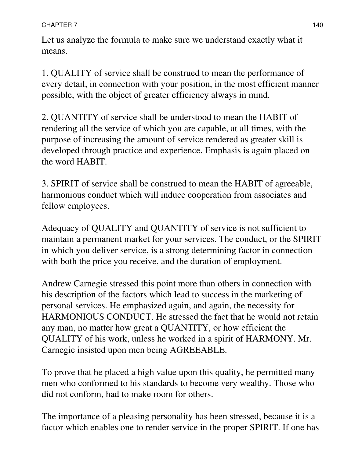Let us analyze the formula to make sure we understand exactly what it means.

1. QUALITY of service shall be construed to mean the performance of every detail, in connection with your position, in the most efficient manner possible, with the object of greater efficiency always in mind.

2. QUANTITY of service shall be understood to mean the HABIT of rendering all the service of which you are capable, at all times, with the purpose of increasing the amount of service rendered as greater skill is developed through practice and experience. Emphasis is again placed on the word HABIT.

3. SPIRIT of service shall be construed to mean the HABIT of agreeable, harmonious conduct which will induce cooperation from associates and fellow employees.

Adequacy of QUALITY and QUANTITY of service is not sufficient to maintain a permanent market for your services. The conduct, or the SPIRIT in which you deliver service, is a strong determining factor in connection with both the price you receive, and the duration of employment.

Andrew Carnegie stressed this point more than others in connection with his description of the factors which lead to success in the marketing of personal services. He emphasized again, and again, the necessity for HARMONIOUS CONDUCT. He stressed the fact that he would not retain any man, no matter how great a QUANTITY, or how efficient the QUALITY of his work, unless he worked in a spirit of HARMONY. Mr. Carnegie insisted upon men being AGREEABLE.

To prove that he placed a high value upon this quality, he permitted many men who conformed to his standards to become very wealthy. Those who did not conform, had to make room for others.

The importance of a pleasing personality has been stressed, because it is a factor which enables one to render service in the proper SPIRIT. If one has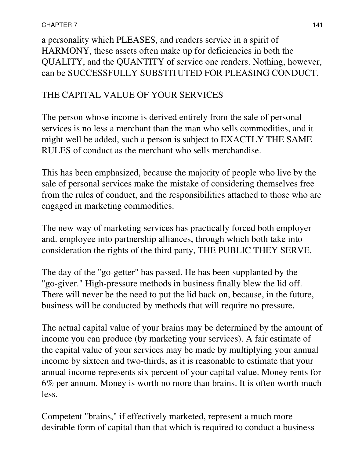a personality which PLEASES, and renders service in a spirit of HARMONY, these assets often make up for deficiencies in both the QUALITY, and the QUANTITY of service one renders. Nothing, however, can be SUCCESSFULLY SUBSTITUTED FOR PLEASING CONDUCT.

# THE CAPITAL VALUE OF YOUR SERVICES

The person whose income is derived entirely from the sale of personal services is no less a merchant than the man who sells commodities, and it might well be added, such a person is subject to EXACTLY THE SAME RULES of conduct as the merchant who sells merchandise.

This has been emphasized, because the majority of people who live by the sale of personal services make the mistake of considering themselves free from the rules of conduct, and the responsibilities attached to those who are engaged in marketing commodities.

The new way of marketing services has practically forced both employer and. employee into partnership alliances, through which both take into consideration the rights of the third party, THE PUBLIC THEY SERVE.

The day of the "go-getter" has passed. He has been supplanted by the "go-giver." High-pressure methods in business finally blew the lid off. There will never be the need to put the lid back on, because, in the future, business will be conducted by methods that will require no pressure.

The actual capital value of your brains may be determined by the amount of income you can produce (by marketing your services). A fair estimate of the capital value of your services may be made by multiplying your annual income by sixteen and two-thirds, as it is reasonable to estimate that your annual income represents six percent of your capital value. Money rents for 6% per annum. Money is worth no more than brains. It is often worth much less.

Competent "brains," if effectively marketed, represent a much more desirable form of capital than that which is required to conduct a business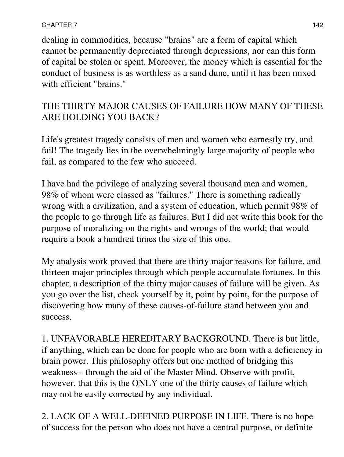dealing in commodities, because "brains" are a form of capital which cannot be permanently depreciated through depressions, nor can this form of capital be stolen or spent. Moreover, the money which is essential for the conduct of business is as worthless as a sand dune, until it has been mixed with efficient "brains."

# THE THIRTY MAJOR CAUSES OF FAILURE HOW MANY OF THESE ARE HOLDING YOU BACK?

Life's greatest tragedy consists of men and women who earnestly try, and fail! The tragedy lies in the overwhelmingly large majority of people who fail, as compared to the few who succeed.

I have had the privilege of analyzing several thousand men and women, 98% of whom were classed as "failures." There is something radically wrong with a civilization, and a system of education, which permit 98% of the people to go through life as failures. But I did not write this book for the purpose of moralizing on the rights and wrongs of the world; that would require a book a hundred times the size of this one.

My analysis work proved that there are thirty major reasons for failure, and thirteen major principles through which people accumulate fortunes. In this chapter, a description of the thirty major causes of failure will be given. As you go over the list, check yourself by it, point by point, for the purpose of discovering how many of these causes-of-failure stand between you and success.

1. UNFAVORABLE HEREDITARY BACKGROUND. There is but little, if anything, which can be done for people who are born with a deficiency in brain power. This philosophy offers but one method of bridging this weakness-- through the aid of the Master Mind. Observe with profit, however, that this is the ONLY one of the thirty causes of failure which may not be easily corrected by any individual.

2. LACK OF A WELL-DEFINED PURPOSE IN LIFE. There is no hope of success for the person who does not have a central purpose, or definite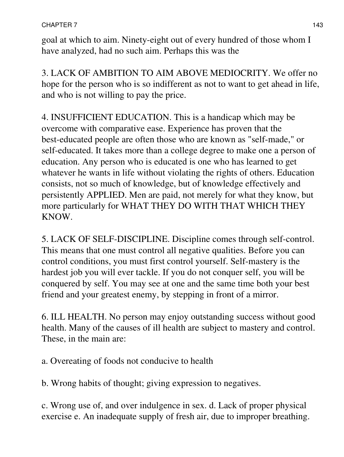goal at which to aim. Ninety-eight out of every hundred of those whom I have analyzed, had no such aim. Perhaps this was the

3. LACK OF AMBITION TO AIM ABOVE MEDIOCRITY. We offer no hope for the person who is so indifferent as not to want to get ahead in life, and who is not willing to pay the price.

4. INSUFFICIENT EDUCATION. This is a handicap which may be overcome with comparative ease. Experience has proven that the best-educated people are often those who are known as "self-made," or self-educated. It takes more than a college degree to make one a person of education. Any person who is educated is one who has learned to get whatever he wants in life without violating the rights of others. Education consists, not so much of knowledge, but of knowledge effectively and persistently APPLIED. Men are paid, not merely for what they know, but more particularly for WHAT THEY DO WITH THAT WHICH THEY KNOW.

5. LACK OF SELF-DISCIPLINE. Discipline comes through self-control. This means that one must control all negative qualities. Before you can control conditions, you must first control yourself. Self-mastery is the hardest job you will ever tackle. If you do not conquer self, you will be conquered by self. You may see at one and the same time both your best friend and your greatest enemy, by stepping in front of a mirror.

6. ILL HEALTH. No person may enjoy outstanding success without good health. Many of the causes of ill health are subject to mastery and control. These, in the main are:

a. Overeating of foods not conducive to health

b. Wrong habits of thought; giving expression to negatives.

c. Wrong use of, and over indulgence in sex. d. Lack of proper physical exercise e. An inadequate supply of fresh air, due to improper breathing.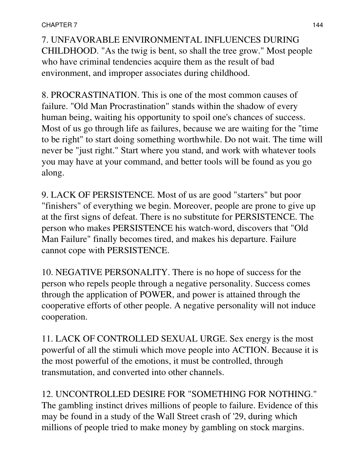7. UNFAVORABLE ENVIRONMENTAL INFLUENCES DURING CHILDHOOD. "As the twig is bent, so shall the tree grow." Most people who have criminal tendencies acquire them as the result of bad environment, and improper associates during childhood.

8. PROCRASTINATION. This is one of the most common causes of failure. "Old Man Procrastination" stands within the shadow of every human being, waiting his opportunity to spoil one's chances of success. Most of us go through life as failures, because we are waiting for the "time to be right" to start doing something worthwhile. Do not wait. The time will never be "just right." Start where you stand, and work with whatever tools you may have at your command, and better tools will be found as you go along.

9. LACK OF PERSISTENCE. Most of us are good "starters" but poor "finishers" of everything we begin. Moreover, people are prone to give up at the first signs of defeat. There is no substitute for PERSISTENCE. The person who makes PERSISTENCE his watch-word, discovers that "Old Man Failure" finally becomes tired, and makes his departure. Failure cannot cope with PERSISTENCE.

10. NEGATIVE PERSONALITY. There is no hope of success for the person who repels people through a negative personality. Success comes through the application of POWER, and power is attained through the cooperative efforts of other people. A negative personality will not induce cooperation.

11. LACK OF CONTROLLED SEXUAL URGE. Sex energy is the most powerful of all the stimuli which move people into ACTION. Because it is the most powerful of the emotions, it must be controlled, through transmutation, and converted into other channels.

12. UNCONTROLLED DESIRE FOR "SOMETHING FOR NOTHING." The gambling instinct drives millions of people to failure. Evidence of this may be found in a study of the Wall Street crash of '29, during which millions of people tried to make money by gambling on stock margins.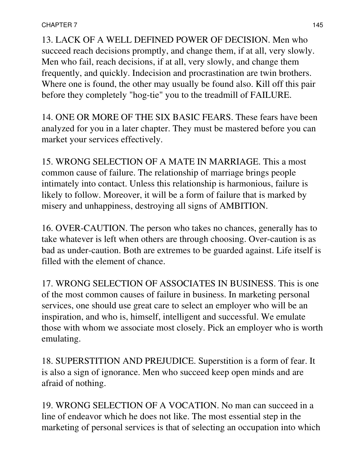13. LACK OF A WELL DEFINED POWER OF DECISION. Men who succeed reach decisions promptly, and change them, if at all, very slowly. Men who fail, reach decisions, if at all, very slowly, and change them frequently, and quickly. Indecision and procrastination are twin brothers. Where one is found, the other may usually be found also. Kill off this pair before they completely "hog-tie" you to the treadmill of FAILURE.

14. ONE OR MORE OF THE SIX BASIC FEARS. These fears have been analyzed for you in a later chapter. They must be mastered before you can market your services effectively.

15. WRONG SELECTION OF A MATE IN MARRIAGE. This a most common cause of failure. The relationship of marriage brings people intimately into contact. Unless this relationship is harmonious, failure is likely to follow. Moreover, it will be a form of failure that is marked by misery and unhappiness, destroying all signs of AMBITION.

16. OVER-CAUTION. The person who takes no chances, generally has to take whatever is left when others are through choosing. Over-caution is as bad as under-caution. Both are extremes to be guarded against. Life itself is filled with the element of chance.

17. WRONG SELECTION OF ASSOCIATES IN BUSINESS. This is one of the most common causes of failure in business. In marketing personal services, one should use great care to select an employer who will be an inspiration, and who is, himself, intelligent and successful. We emulate those with whom we associate most closely. Pick an employer who is worth emulating.

18. SUPERSTITION AND PREJUDICE. Superstition is a form of fear. It is also a sign of ignorance. Men who succeed keep open minds and are afraid of nothing.

19. WRONG SELECTION OF A VOCATION. No man can succeed in a line of endeavor which he does not like. The most essential step in the marketing of personal services is that of selecting an occupation into which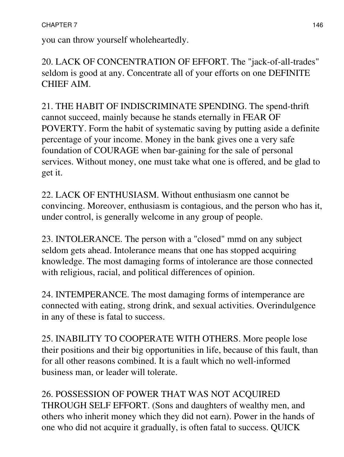you can throw yourself wholeheartedly.

20. LACK OF CONCENTRATION OF EFFORT. The "jack-of-all-trades" seldom is good at any. Concentrate all of your efforts on one DEFINITE CHIEF AIM.

21. THE HABIT OF INDISCRIMINATE SPENDING. The spend-thrift cannot succeed, mainly because he stands eternally in FEAR OF POVERTY. Form the habit of systematic saving by putting aside a definite percentage of your income. Money in the bank gives one a very safe foundation of COURAGE when bar-gaining for the sale of personal services. Without money, one must take what one is offered, and be glad to get it.

22. LACK OF ENTHUSIASM. Without enthusiasm one cannot be convincing. Moreover, enthusiasm is contagious, and the person who has it, under control, is generally welcome in any group of people.

23. INTOLERANCE. The person with a "closed" mmd on any subject seldom gets ahead. Intolerance means that one has stopped acquiring knowledge. The most damaging forms of intolerance are those connected with religious, racial, and political differences of opinion.

24. INTEMPERANCE. The most damaging forms of intemperance are connected with eating, strong drink, and sexual activities. Overindulgence in any of these is fatal to success.

25. INABILITY TO COOPERATE WITH OTHERS. More people lose their positions and their big opportunities in life, because of this fault, than for all other reasons combined. It is a fault which no well-informed business man, or leader will tolerate.

26. POSSESSION OF POWER THAT WAS NOT ACQUIRED THROUGH SELF EFFORT. (Sons and daughters of wealthy men, and others who inherit money which they did not earn). Power in the hands of one who did not acquire it gradually, is often fatal to success. QUICK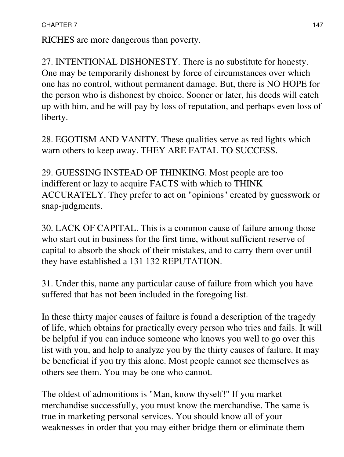RICHES are more dangerous than poverty.

27. INTENTIONAL DISHONESTY. There is no substitute for honesty. One may be temporarily dishonest by force of circumstances over which one has no control, without permanent damage. But, there is NO HOPE for the person who is dishonest by choice. Sooner or later, his deeds will catch up with him, and he will pay by loss of reputation, and perhaps even loss of liberty.

28. EGOTISM AND VANITY. These qualities serve as red lights which warn others to keep away. THEY ARE FATAL TO SUCCESS.

29. GUESSING INSTEAD OF THINKING. Most people are too indifferent or lazy to acquire FACTS with which to THINK ACCURATELY. They prefer to act on "opinions" created by guesswork or snap-judgments.

30. LACK OF CAPITAL. This is a common cause of failure among those who start out in business for the first time, without sufficient reserve of capital to absorb the shock of their mistakes, and to carry them over until they have established a 131 132 REPUTATION.

31. Under this, name any particular cause of failure from which you have suffered that has not been included in the foregoing list.

In these thirty major causes of failure is found a description of the tragedy of life, which obtains for practically every person who tries and fails. It will be helpful if you can induce someone who knows you well to go over this list with you, and help to analyze you by the thirty causes of failure. It may be beneficial if you try this alone. Most people cannot see themselves as others see them. You may be one who cannot.

The oldest of admonitions is "Man, know thyself!" If you market merchandise successfully, you must know the merchandise. The same is true in marketing personal services. You should know all of your weaknesses in order that you may either bridge them or eliminate them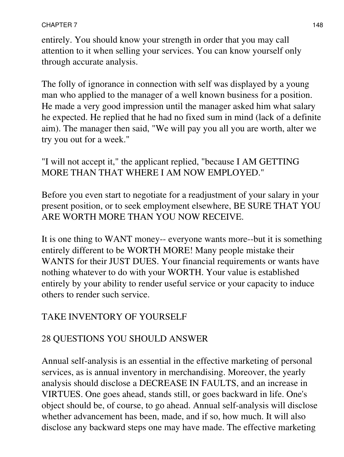entirely. You should know your strength in order that you may call attention to it when selling your services. You can know yourself only through accurate analysis.

The folly of ignorance in connection with self was displayed by a young man who applied to the manager of a well known business for a position. He made a very good impression until the manager asked him what salary he expected. He replied that he had no fixed sum in mind (lack of a definite aim). The manager then said, "We will pay you all you are worth, alter we try you out for a week."

"I will not accept it," the applicant replied, "because I AM GETTING MORE THAN THAT WHERE I AM NOW EMPLOYED."

Before you even start to negotiate for a readjustment of your salary in your present position, or to seek employment elsewhere, BE SURE THAT YOU ARE WORTH MORE THAN YOU NOW RECEIVE.

It is one thing to WANT money-- everyone wants more--but it is something entirely different to be WORTH MORE! Many people mistake their WANTS for their JUST DUES. Your financial requirements or wants have nothing whatever to do with your WORTH. Your value is established entirely by your ability to render useful service or your capacity to induce others to render such service.

## TAKE INVENTORY OF YOURSELF

## 28 QUESTIONS YOU SHOULD ANSWER

Annual self-analysis is an essential in the effective marketing of personal services, as is annual inventory in merchandising. Moreover, the yearly analysis should disclose a DECREASE IN FAULTS, and an increase in VIRTUES. One goes ahead, stands still, or goes backward in life. One's object should be, of course, to go ahead. Annual self-analysis will disclose whether advancement has been, made, and if so, how much. It will also disclose any backward steps one may have made. The effective marketing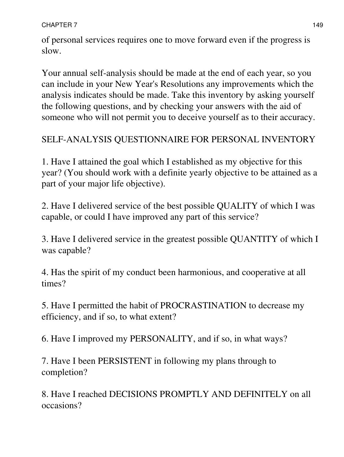of personal services requires one to move forward even if the progress is slow.

Your annual self-analysis should be made at the end of each year, so you can include in your New Year's Resolutions any improvements which the analysis indicates should be made. Take this inventory by asking yourself the following questions, and by checking your answers with the aid of someone who will not permit you to deceive yourself as to their accuracy.

### SELF-ANALYSIS QUESTIONNAIRE FOR PERSONAL INVENTORY

1. Have I attained the goal which I established as my objective for this year? (You should work with a definite yearly objective to be attained as a part of your major life objective).

2. Have I delivered service of the best possible QUALITY of which I was capable, or could I have improved any part of this service?

3. Have I delivered service in the greatest possible QUANTITY of which I was capable?

4. Has the spirit of my conduct been harmonious, and cooperative at all times?

5. Have I permitted the habit of PROCRASTINATION to decrease my efficiency, and if so, to what extent?

6. Have I improved my PERSONALITY, and if so, in what ways?

7. Have I been PERSISTENT in following my plans through to completion?

8. Have I reached DECISIONS PROMPTLY AND DEFINITELY on all occasions?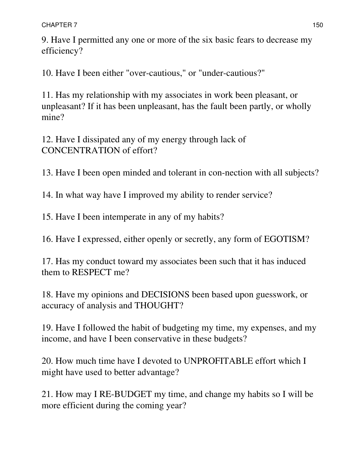9. Have I permitted any one or more of the six basic fears to decrease my efficiency?

10. Have I been either "over-cautious," or "under-cautious?"

11. Has my relationship with my associates in work been pleasant, or unpleasant? If it has been unpleasant, has the fault been partly, or wholly mine?

12. Have I dissipated any of my energy through lack of CONCENTRATION of effort?

13. Have I been open minded and tolerant in con-nection with all subjects?

14. In what way have I improved my ability to render service?

15. Have I been intemperate in any of my habits?

16. Have I expressed, either openly or secretly, any form of EGOTISM?

17. Has my conduct toward my associates been such that it has induced them to RESPECT me?

18. Have my opinions and DECISIONS been based upon guesswork, or accuracy of analysis and THOUGHT?

19. Have I followed the habit of budgeting my time, my expenses, and my income, and have I been conservative in these budgets?

20. How much time have I devoted to UNPROFITABLE effort which I might have used to better advantage?

21. How may I RE-BUDGET my time, and change my habits so I will be more efficient during the coming year?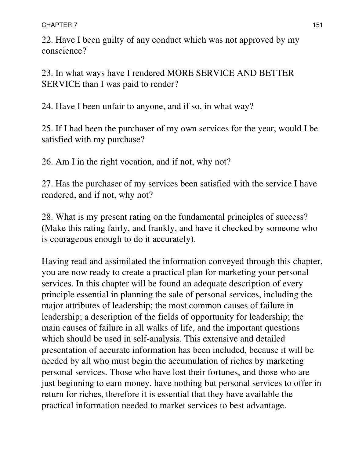22. Have I been guilty of any conduct which was not approved by my conscience?

23. In what ways have I rendered MORE SERVICE AND BETTER SERVICE than I was paid to render?

24. Have I been unfair to anyone, and if so, in what way?

25. If I had been the purchaser of my own services for the year, would I be satisfied with my purchase?

26. Am I in the right vocation, and if not, why not?

27. Has the purchaser of my services been satisfied with the service I have rendered, and if not, why not?

28. What is my present rating on the fundamental principles of success? (Make this rating fairly, and frankly, and have it checked by someone who is courageous enough to do it accurately).

Having read and assimilated the information conveyed through this chapter, you are now ready to create a practical plan for marketing your personal services. In this chapter will be found an adequate description of every principle essential in planning the sale of personal services, including the major attributes of leadership; the most common causes of failure in leadership; a description of the fields of opportunity for leadership; the main causes of failure in all walks of life, and the important questions which should be used in self-analysis. This extensive and detailed presentation of accurate information has been included, because it will be needed by all who must begin the accumulation of riches by marketing personal services. Those who have lost their fortunes, and those who are just beginning to earn money, have nothing but personal services to offer in return for riches, therefore it is essential that they have available the practical information needed to market services to best advantage.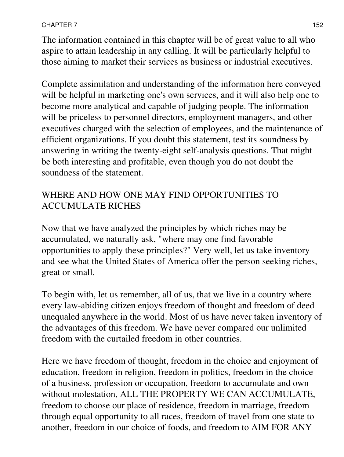The information contained in this chapter will be of great value to all who aspire to attain leadership in any calling. It will be particularly helpful to those aiming to market their services as business or industrial executives.

Complete assimilation and understanding of the information here conveyed will be helpful in marketing one's own services, and it will also help one to become more analytical and capable of judging people. The information will be priceless to personnel directors, employment managers, and other executives charged with the selection of employees, and the maintenance of efficient organizations. If you doubt this statement, test its soundness by answering in writing the twenty-eight self-analysis questions. That might be both interesting and profitable, even though you do not doubt the soundness of the statement.

### WHERE AND HOW ONE MAY FIND OPPORTUNITIES TO ACCUMULATE RICHES

Now that we have analyzed the principles by which riches may be accumulated, we naturally ask, "where may one find favorable opportunities to apply these principles?" Very well, let us take inventory and see what the United States of America offer the person seeking riches, great or small.

To begin with, let us remember, all of us, that we live in a country where every law-abiding citizen enjoys freedom of thought and freedom of deed unequaled anywhere in the world. Most of us have never taken inventory of the advantages of this freedom. We have never compared our unlimited freedom with the curtailed freedom in other countries.

Here we have freedom of thought, freedom in the choice and enjoyment of education, freedom in religion, freedom in politics, freedom in the choice of a business, profession or occupation, freedom to accumulate and own without molestation, ALL THE PROPERTY WE CAN ACCUMULATE, freedom to choose our place of residence, freedom in marriage, freedom through equal opportunity to all races, freedom of travel from one state to another, freedom in our choice of foods, and freedom to AIM FOR ANY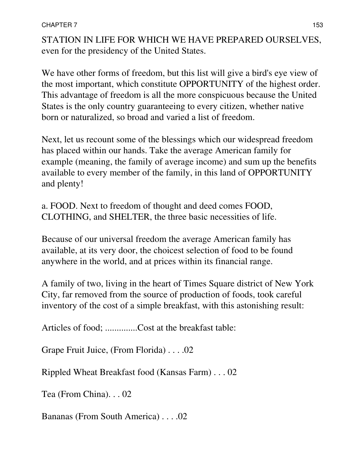STATION IN LIFE FOR WHICH WE HAVE PREPARED OURSELVES, even for the presidency of the United States.

We have other forms of freedom, but this list will give a bird's eye view of the most important, which constitute OPPORTUNITY of the highest order. This advantage of freedom is all the more conspicuous because the United States is the only country guaranteeing to every citizen, whether native born or naturalized, so broad and varied a list of freedom.

Next, let us recount some of the blessings which our widespread freedom has placed within our hands. Take the average American family for example (meaning, the family of average income) and sum up the benefits available to every member of the family, in this land of OPPORTUNITY and plenty!

a. FOOD. Next to freedom of thought and deed comes FOOD, CLOTHING, and SHELTER, the three basic necessities of life.

Because of our universal freedom the average American family has available, at its very door, the choicest selection of food to be found anywhere in the world, and at prices within its financial range.

A family of two, living in the heart of Times Square district of New York City, far removed from the source of production of foods, took careful inventory of the cost of a simple breakfast, with this astonishing result:

Articles of food; ..............Cost at the breakfast table:

Grape Fruit Juice, (From Florida) . . . .02

Rippled Wheat Breakfast food (Kansas Farm) . . . 02

Tea (From China). . . 02

Bananas (From South America) . . . .02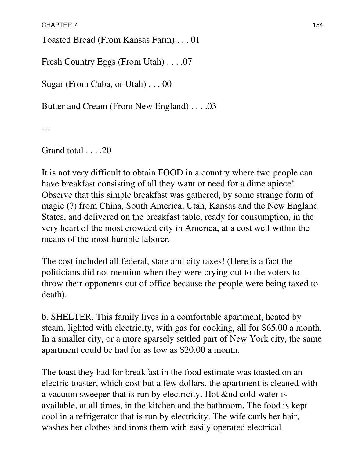Toasted Bread (From Kansas Farm) . . . 01

Fresh Country Eggs (From Utah) . . . .07

Sugar (From Cuba, or Utah) . . . 00

Butter and Cream (From New England) . . . .03

---

Grand total . . . .20

It is not very difficult to obtain FOOD in a country where two people can have breakfast consisting of all they want or need for a dime apiece! Observe that this simple breakfast was gathered, by some strange form of magic (?) from China, South America, Utah, Kansas and the New England States, and delivered on the breakfast table, ready for consumption, in the very heart of the most crowded city in America, at a cost well within the means of the most humble laborer.

The cost included all federal, state and city taxes! (Here is a fact the politicians did not mention when they were crying out to the voters to throw their opponents out of office because the people were being taxed to death).

b. SHELTER. This family lives in a comfortable apartment, heated by steam, lighted with electricity, with gas for cooking, all for \$65.00 a month. In a smaller city, or a more sparsely settled part of New York city, the same apartment could be had for as low as \$20.00 a month.

The toast they had for breakfast in the food estimate was toasted on an electric toaster, which cost but a few dollars, the apartment is cleaned with a vacuum sweeper that is run by electricity. Hot &nd cold water is available, at all times, in the kitchen and the bathroom. The food is kept cool in a refrigerator that is run by electricity. The wife curls her hair, washes her clothes and irons them with easily operated electrical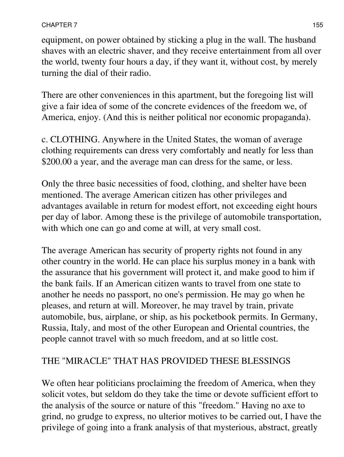equipment, on power obtained by sticking a plug in the wall. The husband shaves with an electric shaver, and they receive entertainment from all over the world, twenty four hours a day, if they want it, without cost, by merely turning the dial of their radio.

There are other conveniences in this apartment, but the foregoing list will give a fair idea of some of the concrete evidences of the freedom we, of America, enjoy. (And this is neither political nor economic propaganda).

c. CLOTHING. Anywhere in the United States, the woman of average clothing requirements can dress very comfortably and neatly for less than \$200.00 a year, and the average man can dress for the same, or less.

Only the three basic necessities of food, clothing, and shelter have been mentioned. The average American citizen has other privileges and advantages available in return for modest effort, not exceeding eight hours per day of labor. Among these is the privilege of automobile transportation, with which one can go and come at will, at very small cost.

The average American has security of property rights not found in any other country in the world. He can place his surplus money in a bank with the assurance that his government will protect it, and make good to him if the bank fails. If an American citizen wants to travel from one state to another he needs no passport, no one's permission. He may go when he pleases, and return at will. Moreover, he may travel by train, private automobile, bus, airplane, or ship, as his pocketbook permits. In Germany, Russia, Italy, and most of the other European and Oriental countries, the people cannot travel with so much freedom, and at so little cost.

### THE "MIRACLE" THAT HAS PROVIDED THESE BLESSINGS

We often hear politicians proclaiming the freedom of America, when they solicit votes, but seldom do they take the time or devote sufficient effort to the analysis of the source or nature of this "freedom." Having no axe to grind, no grudge to express, no ulterior motives to be carried out, I have the privilege of going into a frank analysis of that mysterious, abstract, greatly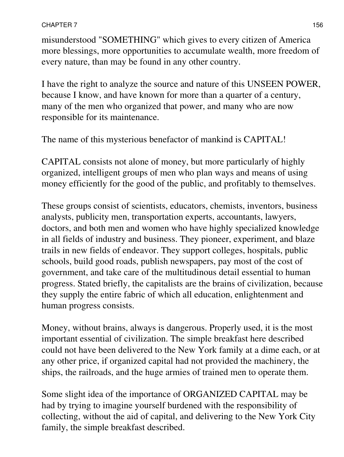misunderstood "SOMETHING" which gives to every citizen of America more blessings, more opportunities to accumulate wealth, more freedom of every nature, than may be found in any other country.

I have the right to analyze the source and nature of this UNSEEN POWER, because I know, and have known for more than a quarter of a century, many of the men who organized that power, and many who are now responsible for its maintenance.

The name of this mysterious benefactor of mankind is CAPITAL!

CAPITAL consists not alone of money, but more particularly of highly organized, intelligent groups of men who plan ways and means of using money efficiently for the good of the public, and profitably to themselves.

These groups consist of scientists, educators, chemists, inventors, business analysts, publicity men, transportation experts, accountants, lawyers, doctors, and both men and women who have highly specialized knowledge in all fields of industry and business. They pioneer, experiment, and blaze trails in new fields of endeavor. They support colleges, hospitals, public schools, build good roads, publish newspapers, pay most of the cost of government, and take care of the multitudinous detail essential to human progress. Stated briefly, the capitalists are the brains of civilization, because they supply the entire fabric of which all education, enlightenment and human progress consists.

Money, without brains, always is dangerous. Properly used, it is the most important essential of civilization. The simple breakfast here described could not have been delivered to the New York family at a dime each, or at any other price, if organized capital had not provided the machinery, the ships, the railroads, and the huge armies of trained men to operate them.

Some slight idea of the importance of ORGANIZED CAPITAL may be had by trying to imagine yourself burdened with the responsibility of collecting, without the aid of capital, and delivering to the New York City family, the simple breakfast described.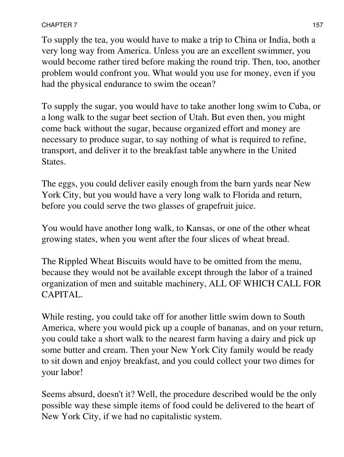To supply the tea, you would have to make a trip to China or India, both a very long way from America. Unless you are an excellent swimmer, you would become rather tired before making the round trip. Then, too, another problem would confront you. What would you use for money, even if you had the physical endurance to swim the ocean?

To supply the sugar, you would have to take another long swim to Cuba, or a long walk to the sugar beet section of Utah. But even then, you might come back without the sugar, because organized effort and money are necessary to produce sugar, to say nothing of what is required to refine, transport, and deliver it to the breakfast table anywhere in the United States.

The eggs, you could deliver easily enough from the barn yards near New York City, but you would have a very long walk to Florida and return, before you could serve the two glasses of grapefruit juice.

You would have another long walk, to Kansas, or one of the other wheat growing states, when you went after the four slices of wheat bread.

The Rippled Wheat Biscuits would have to be omitted from the menu, because they would not be available except through the labor of a trained organization of men and suitable machinery, ALL OF WHICH CALL FOR CAPITAL.

While resting, you could take off for another little swim down to South America, where you would pick up a couple of bananas, and on your return, you could take a short walk to the nearest farm having a dairy and pick up some butter and cream. Then your New York City family would be ready to sit down and enjoy breakfast, and you could collect your two dimes for your labor!

Seems absurd, doesn't it? Well, the procedure described would be the only possible way these simple items of food could be delivered to the heart of New York City, if we had no capitalistic system.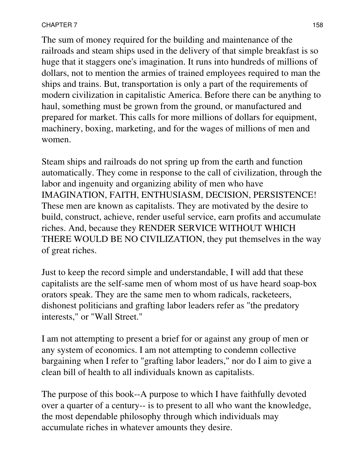The sum of money required for the building and maintenance of the railroads and steam ships used in the delivery of that simple breakfast is so huge that it staggers one's imagination. It runs into hundreds of millions of dollars, not to mention the armies of trained employees required to man the ships and trains. But, transportation is only a part of the requirements of modern civilization in capitalistic America. Before there can be anything to haul, something must be grown from the ground, or manufactured and prepared for market. This calls for more millions of dollars for equipment, machinery, boxing, marketing, and for the wages of millions of men and women.

Steam ships and railroads do not spring up from the earth and function automatically. They come in response to the call of civilization, through the labor and ingenuity and organizing ability of men who have IMAGINATION, FAITH, ENTHUSIASM, DECISION, PERSISTENCE! These men are known as capitalists. They are motivated by the desire to build, construct, achieve, render useful service, earn profits and accumulate riches. And, because they RENDER SERVICE WITHOUT WHICH THERE WOULD BE NO CIVILIZATION, they put themselves in the way of great riches.

Just to keep the record simple and understandable, I will add that these capitalists are the self-same men of whom most of us have heard soap-box orators speak. They are the same men to whom radicals, racketeers, dishonest politicians and grafting labor leaders refer as "the predatory interests," or "Wall Street."

I am not attempting to present a brief for or against any group of men or any system of economics. I am not attempting to condemn collective bargaining when I refer to "grafting labor leaders," nor do I aim to give a clean bill of health to all individuals known as capitalists.

The purpose of this book--A purpose to which I have faithfully devoted over a quarter of a century-- is to present to all who want the knowledge, the most dependable philosophy through which individuals may accumulate riches in whatever amounts they desire.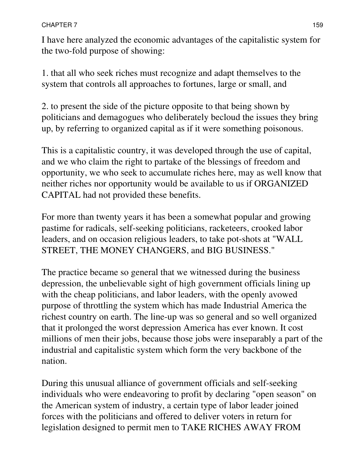I have here analyzed the economic advantages of the capitalistic system for the two-fold purpose of showing:

1. that all who seek riches must recognize and adapt themselves to the system that controls all approaches to fortunes, large or small, and

2. to present the side of the picture opposite to that being shown by politicians and demagogues who deliberately becloud the issues they bring up, by referring to organized capital as if it were something poisonous.

This is a capitalistic country, it was developed through the use of capital, and we who claim the right to partake of the blessings of freedom and opportunity, we who seek to accumulate riches here, may as well know that neither riches nor opportunity would be available to us if ORGANIZED CAPITAL had not provided these benefits.

For more than twenty years it has been a somewhat popular and growing pastime for radicals, self-seeking politicians, racketeers, crooked labor leaders, and on occasion religious leaders, to take pot-shots at "WALL STREET, THE MONEY CHANGERS, and BIG BUSINESS."

The practice became so general that we witnessed during the business depression, the unbelievable sight of high government officials lining up with the cheap politicians, and labor leaders, with the openly avowed purpose of throttling the system which has made Industrial America the richest country on earth. The line-up was so general and so well organized that it prolonged the worst depression America has ever known. It cost millions of men their jobs, because those jobs were inseparably a part of the industrial and capitalistic system which form the very backbone of the nation.

During this unusual alliance of government officials and self-seeking individuals who were endeavoring to profit by declaring "open season" on the American system of industry, a certain type of labor leader joined forces with the politicians and offered to deliver voters in return for legislation designed to permit men to TAKE RICHES AWAY FROM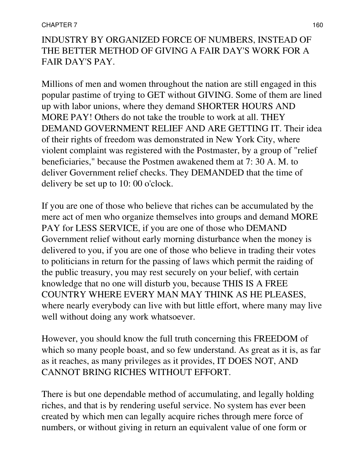### INDUSTRY BY ORGANIZED FORCE OF NUMBERS, INSTEAD OF THE BETTER METHOD OF GIVING A FAIR DAY'S WORK FOR A FAIR DAY'S PAY.

Millions of men and women throughout the nation are still engaged in this popular pastime of trying to GET without GIVING. Some of them are lined up with labor unions, where they demand SHORTER HOURS AND MORE PAY! Others do not take the trouble to work at all. THEY DEMAND GOVERNMENT RELIEF AND ARE GETTING IT. Their idea of their rights of freedom was demonstrated in New York City, where violent complaint was registered with the Postmaster, by a group of "relief beneficiaries," because the Postmen awakened them at 7: 30 A. M. to deliver Government relief checks. They DEMANDED that the time of delivery be set up to 10: 00 o'clock.

If you are one of those who believe that riches can be accumulated by the mere act of men who organize themselves into groups and demand MORE PAY for LESS SERVICE, if you are one of those who DEMAND Government relief without early morning disturbance when the money is delivered to you, if you are one of those who believe in trading their votes to politicians in return for the passing of laws which permit the raiding of the public treasury, you may rest securely on your belief, with certain knowledge that no one will disturb you, because THIS IS A FREE COUNTRY WHERE EVERY MAN MAY THINK AS HE PLEASES, where nearly everybody can live with but little effort, where many may live well without doing any work whatsoever.

However, you should know the full truth concerning this FREEDOM of which so many people boast, and so few understand. As great as it is, as far as it reaches, as many privileges as it provides, IT DOES NOT, AND CANNOT BRING RICHES WITHOUT EFFORT.

There is but one dependable method of accumulating, and legally holding riches, and that is by rendering useful service. No system has ever been created by which men can legally acquire riches through mere force of numbers, or without giving in return an equivalent value of one form or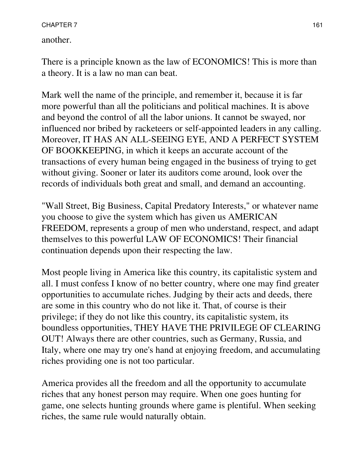another.

There is a principle known as the law of ECONOMICS! This is more than a theory. It is a law no man can beat.

Mark well the name of the principle, and remember it, because it is far more powerful than all the politicians and political machines. It is above and beyond the control of all the labor unions. It cannot be swayed, nor influenced nor bribed by racketeers or self-appointed leaders in any calling. Moreover, IT HAS AN ALL-SEEING EYE, AND A PERFECT SYSTEM OF BOOKKEEPING, in which it keeps an accurate account of the transactions of every human being engaged in the business of trying to get without giving. Sooner or later its auditors come around, look over the records of individuals both great and small, and demand an accounting.

"Wall Street, Big Business, Capital Predatory Interests," or whatever name you choose to give the system which has given us AMERICAN FREEDOM, represents a group of men who understand, respect, and adapt themselves to this powerful LAW OF ECONOMICS! Their financial continuation depends upon their respecting the law.

Most people living in America like this country, its capitalistic system and all. I must confess I know of no better country, where one may find greater opportunities to accumulate riches. Judging by their acts and deeds, there are some in this country who do not like it. That, of course is their privilege; if they do not like this country, its capitalistic system, its boundless opportunities, THEY HAVE THE PRIVILEGE OF CLEARING OUT! Always there are other countries, such as Germany, Russia, and Italy, where one may try one's hand at enjoying freedom, and accumulating riches providing one is not too particular.

America provides all the freedom and all the opportunity to accumulate riches that any honest person may require. When one goes hunting for game, one selects hunting grounds where game is plentiful. When seeking riches, the same rule would naturally obtain.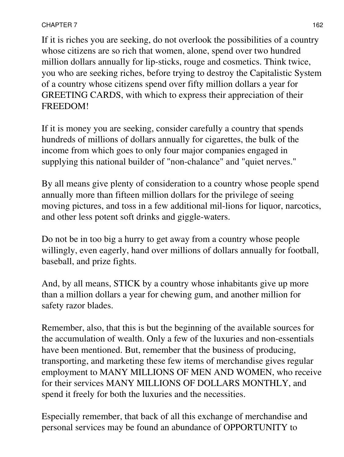If it is riches you are seeking, do not overlook the possibilities of a country whose citizens are so rich that women, alone, spend over two hundred million dollars annually for lip-sticks, rouge and cosmetics. Think twice, you who are seeking riches, before trying to destroy the Capitalistic System of a country whose citizens spend over fifty million dollars a year for GREETING CARDS, with which to express their appreciation of their FREEDOM!

If it is money you are seeking, consider carefully a country that spends hundreds of millions of dollars annually for cigarettes, the bulk of the income from which goes to only four major companies engaged in supplying this national builder of "non-chalance" and "quiet nerves."

By all means give plenty of consideration to a country whose people spend annually more than fifteen million dollars for the privilege of seeing moving pictures, and toss in a few additional mil-lions for liquor, narcotics, and other less potent soft drinks and giggle-waters.

Do not be in too big a hurry to get away from a country whose people willingly, even eagerly, hand over millions of dollars annually for football, baseball, and prize fights.

And, by all means, STICK by a country whose inhabitants give up more than a million dollars a year for chewing gum, and another million for safety razor blades.

Remember, also, that this is but the beginning of the available sources for the accumulation of wealth. Only a few of the luxuries and non-essentials have been mentioned. But, remember that the business of producing, transporting, and marketing these few items of merchandise gives regular employment to MANY MILLIONS OF MEN AND WOMEN, who receive for their services MANY MILLIONS OF DOLLARS MONTHLY, and spend it freely for both the luxuries and the necessities.

Especially remember, that back of all this exchange of merchandise and personal services may be found an abundance of OPPORTUNITY to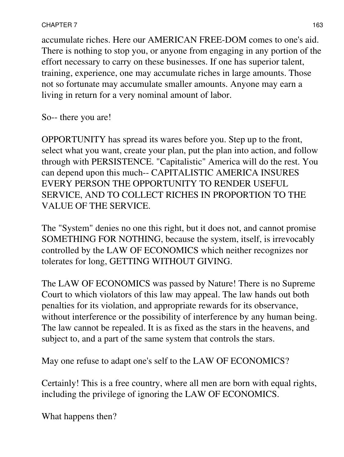accumulate riches. Here our AMERICAN FREE-DOM comes to one's aid. There is nothing to stop you, or anyone from engaging in any portion of the effort necessary to carry on these businesses. If one has superior talent, training, experience, one may accumulate riches in large amounts. Those not so fortunate may accumulate smaller amounts. Anyone may earn a living in return for a very nominal amount of labor.

So-- there you are!

OPPORTUNITY has spread its wares before you. Step up to the front, select what you want, create your plan, put the plan into action, and follow through with PERSISTENCE. "Capitalistic" America will do the rest. You can depend upon this much-- CAPITALISTIC AMERICA INSURES EVERY PERSON THE OPPORTUNITY TO RENDER USEFUL SERVICE, AND TO COLLECT RICHES IN PROPORTION TO THE VALUE OF THE SERVICE.

The "System" denies no one this right, but it does not, and cannot promise SOMETHING FOR NOTHING, because the system, itself, is irrevocably controlled by the LAW OF ECONOMICS which neither recognizes nor tolerates for long, GETTING WITHOUT GIVING.

The LAW OF ECONOMICS was passed by Nature! There is no Supreme Court to which violators of this law may appeal. The law hands out both penalties for its violation, and appropriate rewards for its observance, without interference or the possibility of interference by any human being. The law cannot be repealed. It is as fixed as the stars in the heavens, and subject to, and a part of the same system that controls the stars.

May one refuse to adapt one's self to the LAW OF ECONOMICS?

Certainly! This is a free country, where all men are born with equal rights, including the privilege of ignoring the LAW OF ECONOMICS.

What happens then?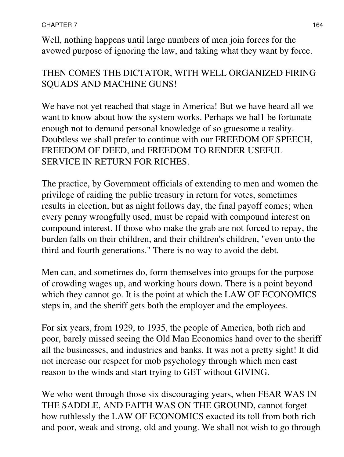Well, nothing happens until large numbers of men join forces for the avowed purpose of ignoring the law, and taking what they want by force.

### THEN COMES THE DICTATOR, WITH WELL ORGANIZED FIRING SQUADS AND MACHINE GUNS!

We have not yet reached that stage in America! But we have heard all we want to know about how the system works. Perhaps we hal1 be fortunate enough not to demand personal knowledge of so gruesome a reality. Doubtless we shall prefer to continue with our FREEDOM OF SPEECH, FREEDOM OF DEED, and FREEDOM TO RENDER USEFUL SERVICE IN RETURN FOR RICHES.

The practice, by Government officials of extending to men and women the privilege of raiding the public treasury in return for votes, sometimes results in election, but as night follows day, the final payoff comes; when every penny wrongfully used, must be repaid with compound interest on compound interest. If those who make the grab are not forced to repay, the burden falls on their children, and their children's children, "even unto the third and fourth generations." There is no way to avoid the debt.

Men can, and sometimes do, form themselves into groups for the purpose of crowding wages up, and working hours down. There is a point beyond which they cannot go. It is the point at which the LAW OF ECONOMICS steps in, and the sheriff gets both the employer and the employees.

For six years, from 1929, to 1935, the people of America, both rich and poor, barely missed seeing the Old Man Economics hand over to the sheriff all the businesses, and industries and banks. It was not a pretty sight! It did not increase our respect for mob psychology through which men cast reason to the winds and start trying to GET without GIVING.

We who went through those six discouraging years, when FEAR WAS IN THE SADDLE, AND FAITH WAS ON THE GROUND, cannot forget how ruthlessly the LAW OF ECONOMICS exacted its toll from both rich and poor, weak and strong, old and young. We shall not wish to go through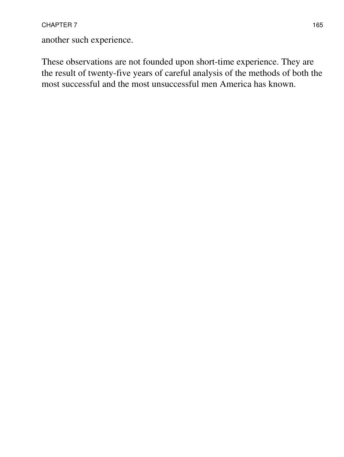another such experience.

These observations are not founded upon short-time experience. They are the result of twenty-five years of careful analysis of the methods of both the most successful and the most unsuccessful men America has known.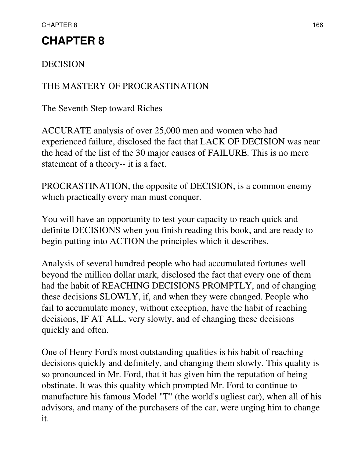# **CHAPTER 8**

### DECISION

### THE MASTERY OF PROCRASTINATION

The Seventh Step toward Riches

ACCURATE analysis of over 25,000 men and women who had experienced failure, disclosed the fact that LACK OF DECISION was near the head of the list of the 30 major causes of FAILURE. This is no mere statement of a theory-- it is a fact.

PROCRASTINATION, the opposite of DECISION, is a common enemy which practically every man must conquer.

You will have an opportunity to test your capacity to reach quick and definite DECISIONS when you finish reading this book, and are ready to begin putting into ACTION the principles which it describes.

Analysis of several hundred people who had accumulated fortunes well beyond the million dollar mark, disclosed the fact that every one of them had the habit of REACHING DECISIONS PROMPTLY, and of changing these decisions SLOWLY, if, and when they were changed. People who fail to accumulate money, without exception, have the habit of reaching decisions, IF AT ALL, very slowly, and of changing these decisions quickly and often.

One of Henry Ford's most outstanding qualities is his habit of reaching decisions quickly and definitely, and changing them slowly. This quality is so pronounced in Mr. Ford, that it has given him the reputation of being obstinate. It was this quality which prompted Mr. Ford to continue to manufacture his famous Model "T" (the world's ugliest car), when all of his advisors, and many of the purchasers of the car, were urging him to change it.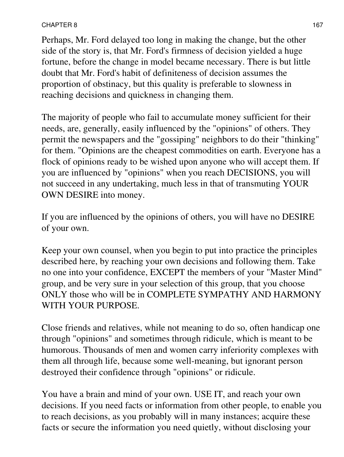Perhaps, Mr. Ford delayed too long in making the change, but the other side of the story is, that Mr. Ford's firmness of decision yielded a huge fortune, before the change in model became necessary. There is but little doubt that Mr. Ford's habit of definiteness of decision assumes the proportion of obstinacy, but this quality is preferable to slowness in reaching decisions and quickness in changing them.

The majority of people who fail to accumulate money sufficient for their needs, are, generally, easily influenced by the "opinions" of others. They permit the newspapers and the "gossiping" neighbors to do their "thinking" for them. "Opinions are the cheapest commodities on earth. Everyone has a flock of opinions ready to be wished upon anyone who will accept them. If you are influenced by "opinions" when you reach DECISIONS, you will not succeed in any undertaking, much less in that of transmuting YOUR OWN DESIRE into money.

If you are influenced by the opinions of others, you will have no DESIRE of your own.

Keep your own counsel, when you begin to put into practice the principles described here, by reaching your own decisions and following them. Take no one into your confidence, EXCEPT the members of your "Master Mind" group, and be very sure in your selection of this group, that you choose ONLY those who will be in COMPLETE SYMPATHY AND HARMONY WITH YOUR PURPOSE.

Close friends and relatives, while not meaning to do so, often handicap one through "opinions" and sometimes through ridicule, which is meant to be humorous. Thousands of men and women carry inferiority complexes with them all through life, because some well-meaning, but ignorant person destroyed their confidence through "opinions" or ridicule.

You have a brain and mind of your own. USE IT, and reach your own decisions. If you need facts or information from other people, to enable you to reach decisions, as you probably will in many instances; acquire these facts or secure the information you need quietly, without disclosing your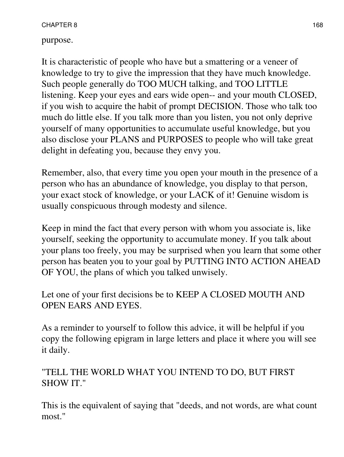### purpose.

It is characteristic of people who have but a smattering or a veneer of knowledge to try to give the impression that they have much knowledge. Such people generally do TOO MUCH talking, and TOO LITTLE listening. Keep your eyes and ears wide open-- and your mouth CLOSED, if you wish to acquire the habit of prompt DECISION. Those who talk too much do little else. If you talk more than you listen, you not only deprive yourself of many opportunities to accumulate useful knowledge, but you also disclose your PLANS and PURPOSES to people who will take great delight in defeating you, because they envy you.

Remember, also, that every time you open your mouth in the presence of a person who has an abundance of knowledge, you display to that person, your exact stock of knowledge, or your LACK of it! Genuine wisdom is usually conspicuous through modesty and silence.

Keep in mind the fact that every person with whom you associate is, like yourself, seeking the opportunity to accumulate money. If you talk about your plans too freely, you may be surprised when you learn that some other person has beaten you to your goal by PUTTING INTO ACTION AHEAD OF YOU, the plans of which you talked unwisely.

Let one of your first decisions be to KEEP A CLOSED MOUTH AND OPEN EARS AND EYES.

As a reminder to yourself to follow this advice, it will be helpful if you copy the following epigram in large letters and place it where you will see it daily.

"TELL THE WORLD WHAT YOU INTEND TO DO, BUT FIRST SHOW IT."

This is the equivalent of saying that "deeds, and not words, are what count most."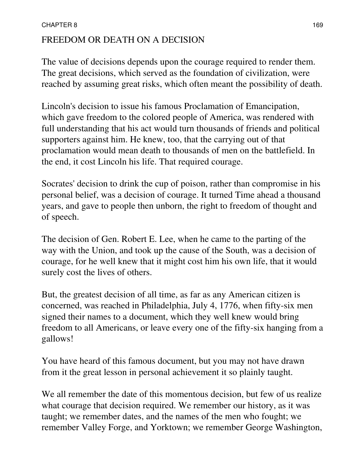### FREEDOM OR DEATH ON A DECISION

The value of decisions depends upon the courage required to render them. The great decisions, which served as the foundation of civilization, were reached by assuming great risks, which often meant the possibility of death.

Lincoln's decision to issue his famous Proclamation of Emancipation, which gave freedom to the colored people of America, was rendered with full understanding that his act would turn thousands of friends and political supporters against him. He knew, too, that the carrying out of that proclamation would mean death to thousands of men on the battlefield. In the end, it cost Lincoln his life. That required courage.

Socrates' decision to drink the cup of poison, rather than compromise in his personal belief, was a decision of courage. It turned Time ahead a thousand years, and gave to people then unborn, the right to freedom of thought and of speech.

The decision of Gen. Robert E. Lee, when he came to the parting of the way with the Union, and took up the cause of the South, was a decision of courage, for he well knew that it might cost him his own life, that it would surely cost the lives of others.

But, the greatest decision of all time, as far as any American citizen is concerned, was reached in Philadelphia, July 4, 1776, when fifty-six men signed their names to a document, which they well knew would bring freedom to all Americans, or leave every one of the fifty-six hanging from a gallows!

You have heard of this famous document, but you may not have drawn from it the great lesson in personal achievement it so plainly taught.

We all remember the date of this momentous decision, but few of us realize what courage that decision required. We remember our history, as it was taught; we remember dates, and the names of the men who fought; we remember Valley Forge, and Yorktown; we remember George Washington,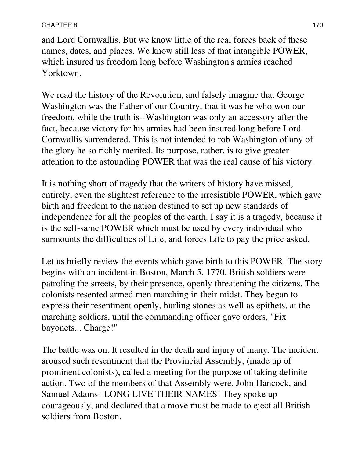and Lord Cornwallis. But we know little of the real forces back of these names, dates, and places. We know still less of that intangible POWER, which insured us freedom long before Washington's armies reached Yorktown.

We read the history of the Revolution, and falsely imagine that George Washington was the Father of our Country, that it was he who won our freedom, while the truth is--Washington was only an accessory after the fact, because victory for his armies had been insured long before Lord Cornwallis surrendered. This is not intended to rob Washington of any of the glory he so richly merited. Its purpose, rather, is to give greater attention to the astounding POWER that was the real cause of his victory.

It is nothing short of tragedy that the writers of history have missed, entirely, even the slightest reference to the irresistible POWER, which gave birth and freedom to the nation destined to set up new standards of independence for all the peoples of the earth. I say it is a tragedy, because it is the self-same POWER which must be used by every individual who surmounts the difficulties of Life, and forces Life to pay the price asked.

Let us briefly review the events which gave birth to this POWER. The story begins with an incident in Boston, March 5, 1770. British soldiers were patroling the streets, by their presence, openly threatening the citizens. The colonists resented armed men marching in their midst. They began to express their resentment openly, hurling stones as well as epithets, at the marching soldiers, until the commanding officer gave orders, "Fix bayonets... Charge!"

The battle was on. It resulted in the death and injury of many. The incident aroused such resentment that the Provincial Assembly, (made up of prominent colonists), called a meeting for the purpose of taking definite action. Two of the members of that Assembly were, John Hancock, and Samuel Adams--LONG LIVE THEIR NAMES! They spoke up courageously, and declared that a move must be made to eject all British soldiers from Boston.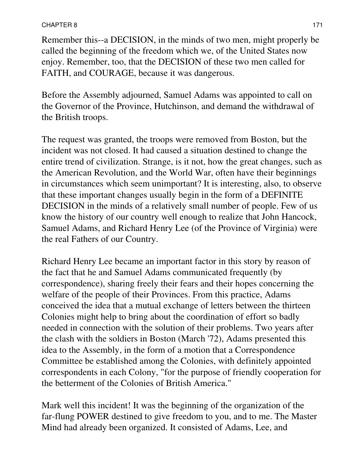Remember this--a DECISION, in the minds of two men, might properly be called the beginning of the freedom which we, of the United States now enjoy. Remember, too, that the DECISION of these two men called for FAITH, and COURAGE, because it was dangerous.

Before the Assembly adjourned, Samuel Adams was appointed to call on the Governor of the Province, Hutchinson, and demand the withdrawal of the British troops.

The request was granted, the troops were removed from Boston, but the incident was not closed. It had caused a situation destined to change the entire trend of civilization. Strange, is it not, how the great changes, such as the American Revolution, and the World War, often have their beginnings in circumstances which seem unimportant? It is interesting, also, to observe that these important changes usually begin in the form of a DEFINITE DECISION in the minds of a relatively small number of people. Few of us know the history of our country well enough to realize that John Hancock, Samuel Adams, and Richard Henry Lee (of the Province of Virginia) were the real Fathers of our Country.

Richard Henry Lee became an important factor in this story by reason of the fact that he and Samuel Adams communicated frequently (by correspondence), sharing freely their fears and their hopes concerning the welfare of the people of their Provinces. From this practice, Adams conceived the idea that a mutual exchange of letters between the thirteen Colonies might help to bring about the coordination of effort so badly needed in connection with the solution of their problems. Two years after the clash with the soldiers in Boston (March '72), Adams presented this idea to the Assembly, in the form of a motion that a Correspondence Committee be established among the Colonies, with definitely appointed correspondents in each Colony, "for the purpose of friendly cooperation for the betterment of the Colonies of British America."

Mark well this incident! It was the beginning of the organization of the far-flung POWER destined to give freedom to you, and to me. The Master Mind had already been organized. It consisted of Adams, Lee, and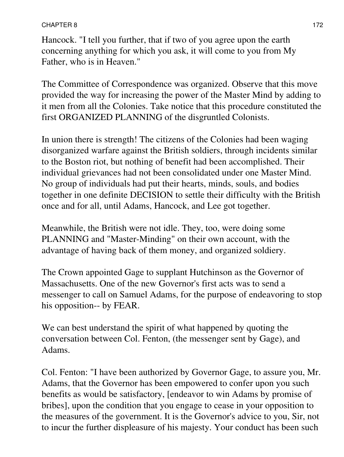Hancock. "I tell you further, that if two of you agree upon the earth concerning anything for which you ask, it will come to you from My Father, who is in Heaven."

The Committee of Correspondence was organized. Observe that this move provided the way for increasing the power of the Master Mind by adding to it men from all the Colonies. Take notice that this procedure constituted the first ORGANIZED PLANNING of the disgruntled Colonists.

In union there is strength! The citizens of the Colonies had been waging disorganized warfare against the British soldiers, through incidents similar to the Boston riot, but nothing of benefit had been accomplished. Their individual grievances had not been consolidated under one Master Mind. No group of individuals had put their hearts, minds, souls, and bodies together in one definite DECISION to settle their difficulty with the British once and for all, until Adams, Hancock, and Lee got together.

Meanwhile, the British were not idle. They, too, were doing some PLANNING and "Master-Minding" on their own account, with the advantage of having back of them money, and organized soldiery.

The Crown appointed Gage to supplant Hutchinson as the Governor of Massachusetts. One of the new Governor's first acts was to send a messenger to call on Samuel Adams, for the purpose of endeavoring to stop his opposition-- by FEAR.

We can best understand the spirit of what happened by quoting the conversation between Col. Fenton, (the messenger sent by Gage), and Adams.

Col. Fenton: "I have been authorized by Governor Gage, to assure you, Mr. Adams, that the Governor has been empowered to confer upon you such benefits as would be satisfactory, [endeavor to win Adams by promise of bribes], upon the condition that you engage to cease in your opposition to the measures of the government. It is the Governor's advice to you, Sir, not to incur the further displeasure of his majesty. Your conduct has been such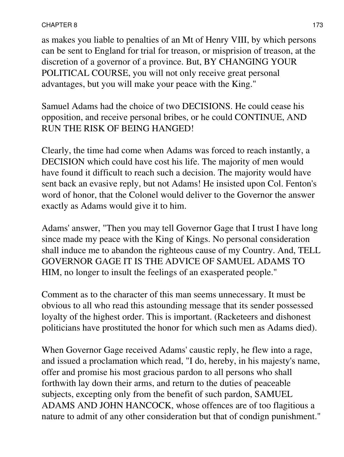as makes you liable to penalties of an Mt of Henry VIII, by which persons can be sent to England for trial for treason, or misprision of treason, at the discretion of a governor of a province. But, BY CHANGING YOUR POLITICAL COURSE, you will not only receive great personal advantages, but you will make your peace with the King."

Samuel Adams had the choice of two DECISIONS. He could cease his opposition, and receive personal bribes, or he could CONTINUE, AND RUN THE RISK OF BEING HANGED!

Clearly, the time had come when Adams was forced to reach instantly, a DECISION which could have cost his life. The majority of men would have found it difficult to reach such a decision. The majority would have sent back an evasive reply, but not Adams! He insisted upon Col. Fenton's word of honor, that the Colonel would deliver to the Governor the answer exactly as Adams would give it to him.

Adams' answer, "Then you may tell Governor Gage that I trust I have long since made my peace with the King of Kings. No personal consideration shall induce me to abandon the righteous cause of my Country. And, TELL GOVERNOR GAGE IT IS THE ADVICE OF SAMUEL ADAMS TO HIM, no longer to insult the feelings of an exasperated people."

Comment as to the character of this man seems unnecessary. It must be obvious to all who read this astounding message that its sender possessed loyalty of the highest order. This is important. (Racketeers and dishonest politicians have prostituted the honor for which such men as Adams died).

When Governor Gage received Adams' caustic reply, he flew into a rage, and issued a proclamation which read, "I do, hereby, in his majesty's name, offer and promise his most gracious pardon to all persons who shall forthwith lay down their arms, and return to the duties of peaceable subjects, excepting only from the benefit of such pardon, SAMUEL ADAMS AND JOHN HANCOCK, whose offences are of too flagitious a nature to admit of any other consideration but that of condign punishment."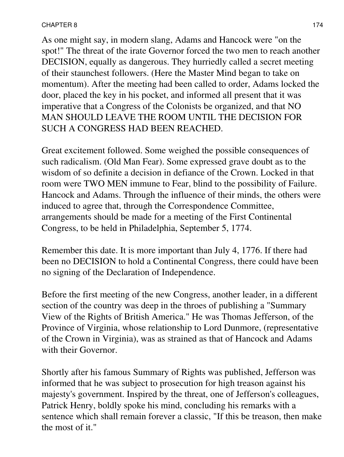As one might say, in modern slang, Adams and Hancock were "on the spot!" The threat of the irate Governor forced the two men to reach another DECISION, equally as dangerous. They hurriedly called a secret meeting of their staunchest followers. (Here the Master Mind began to take on momentum). After the meeting had been called to order, Adams locked the door, placed the key in his pocket, and informed all present that it was imperative that a Congress of the Colonists be organized, and that NO MAN SHOULD LEAVE THE ROOM UNTIL THE DECISION FOR SUCH A CONGRESS HAD BEEN REACHED.

Great excitement followed. Some weighed the possible consequences of such radicalism. (Old Man Fear). Some expressed grave doubt as to the wisdom of so definite a decision in defiance of the Crown. Locked in that room were TWO MEN immune to Fear, blind to the possibility of Failure. Hancock and Adams. Through the influence of their minds, the others were induced to agree that, through the Correspondence Committee, arrangements should be made for a meeting of the First Continental Congress, to be held in Philadelphia, September 5, 1774.

Remember this date. It is more important than July 4, 1776. If there had been no DECISION to hold a Continental Congress, there could have been no signing of the Declaration of Independence.

Before the first meeting of the new Congress, another leader, in a different section of the country was deep in the throes of publishing a "Summary View of the Rights of British America." He was Thomas Jefferson, of the Province of Virginia, whose relationship to Lord Dunmore, (representative of the Crown in Virginia), was as strained as that of Hancock and Adams with their Governor.

Shortly after his famous Summary of Rights was published, Jefferson was informed that he was subject to prosecution for high treason against his majesty's government. Inspired by the threat, one of Jefferson's colleagues, Patrick Henry, boldly spoke his mind, concluding his remarks with a sentence which shall remain forever a classic, "If this be treason, then make the most of it."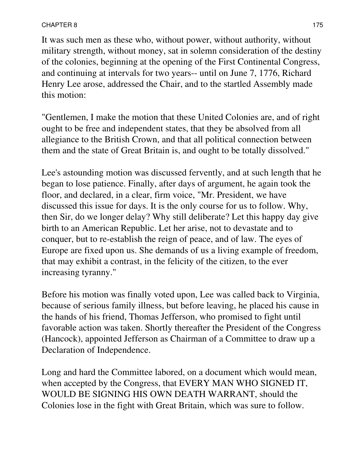It was such men as these who, without power, without authority, without military strength, without money, sat in solemn consideration of the destiny of the colonies, beginning at the opening of the First Continental Congress, and continuing at intervals for two years-- until on June 7, 1776, Richard Henry Lee arose, addressed the Chair, and to the startled Assembly made this motion:

"Gentlemen, I make the motion that these United Colonies are, and of right ought to be free and independent states, that they be absolved from all allegiance to the British Crown, and that all political connection between them and the state of Great Britain is, and ought to be totally dissolved."

Lee's astounding motion was discussed fervently, and at such length that he began to lose patience. Finally, after days of argument, he again took the floor, and declared, in a clear, firm voice, "Mr. President, we have discussed this issue for days. It is the only course for us to follow. Why, then Sir, do we longer delay? Why still deliberate? Let this happy day give birth to an American Republic. Let her arise, not to devastate and to conquer, but to re-establish the reign of peace, and of law. The eyes of Europe are fixed upon us. She demands of us a living example of freedom, that may exhibit a contrast, in the felicity of the citizen, to the ever increasing tyranny."

Before his motion was finally voted upon, Lee was called back to Virginia, because of serious family illness, but before leaving, he placed his cause in the hands of his friend, Thomas Jefferson, who promised to fight until favorable action was taken. Shortly thereafter the President of the Congress (Hancock), appointed Jefferson as Chairman of a Committee to draw up a Declaration of Independence.

Long and hard the Committee labored, on a document which would mean, when accepted by the Congress, that EVERY MAN WHO SIGNED IT, WOULD BE SIGNING HIS OWN DEATH WARRANT, should the Colonies lose in the fight with Great Britain, which was sure to follow.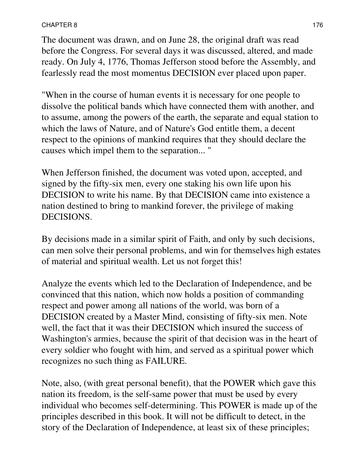The document was drawn, and on June 28, the original draft was read before the Congress. For several days it was discussed, altered, and made ready. On July 4, 1776, Thomas Jefferson stood before the Assembly, and fearlessly read the most momentus DECISION ever placed upon paper.

"When in the course of human events it is necessary for one people to dissolve the political bands which have connected them with another, and to assume, among the powers of the earth, the separate and equal station to which the laws of Nature, and of Nature's God entitle them, a decent respect to the opinions of mankind requires that they should declare the causes which impel them to the separation... "

When Jefferson finished, the document was voted upon, accepted, and signed by the fifty-six men, every one staking his own life upon his DECISION to write his name. By that DECISION came into existence a nation destined to bring to mankind forever, the privilege of making DECISIONS.

By decisions made in a similar spirit of Faith, and only by such decisions, can men solve their personal problems, and win for themselves high estates of material and spiritual wealth. Let us not forget this!

Analyze the events which led to the Declaration of Independence, and be convinced that this nation, which now holds a position of commanding respect and power among all nations of the world, was born of a DECISION created by a Master Mind, consisting of fifty-six men. Note well, the fact that it was their DECISION which insured the success of Washington's armies, because the spirit of that decision was in the heart of every soldier who fought with him, and served as a spiritual power which recognizes no such thing as FAILURE.

Note, also, (with great personal benefit), that the POWER which gave this nation its freedom, is the self-same power that must be used by every individual who becomes self-determining. This POWER is made up of the principles described in this book. It will not be difficult to detect, in the story of the Declaration of Independence, at least six of these principles;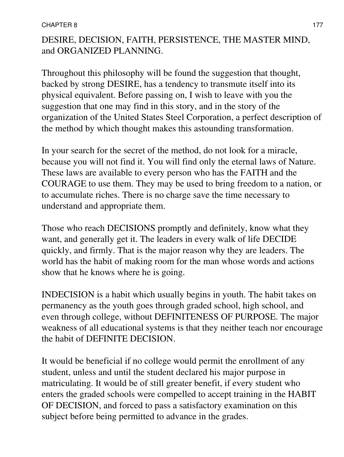### DESIRE, DECISION, FAITH, PERSISTENCE, THE MASTER MIND, and ORGANIZED PLANNING.

Throughout this philosophy will be found the suggestion that thought, backed by strong DESIRE, has a tendency to transmute itself into its physical equivalent. Before passing on, I wish to leave with you the suggestion that one may find in this story, and in the story of the organization of the United States Steel Corporation, a perfect description of the method by which thought makes this astounding transformation.

In your search for the secret of the method, do not look for a miracle, because you will not find it. You will find only the eternal laws of Nature. These laws are available to every person who has the FAITH and the COURAGE to use them. They may be used to bring freedom to a nation, or to accumulate riches. There is no charge save the time necessary to understand and appropriate them.

Those who reach DECISIONS promptly and definitely, know what they want, and generally get it. The leaders in every walk of life DECIDE quickly, and firmly. That is the major reason why they are leaders. The world has the habit of making room for the man whose words and actions show that he knows where he is going.

INDECISION is a habit which usually begins in youth. The habit takes on permanency as the youth goes through graded school, high school, and even through college, without DEFINITENESS OF PURPOSE. The major weakness of all educational systems is that they neither teach nor encourage the habit of DEFINITE DECISION.

It would be beneficial if no college would permit the enrollment of any student, unless and until the student declared his major purpose in matriculating. It would be of still greater benefit, if every student who enters the graded schools were compelled to accept training in the HABIT OF DECISION, and forced to pass a satisfactory examination on this subject before being permitted to advance in the grades.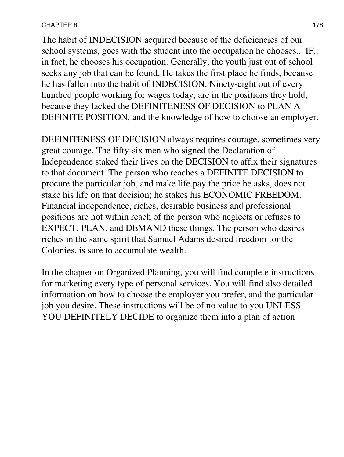The habit of INDECISION acquired because of the deficiencies of our school systems, goes with the student into the occupation he chooses... IF.. in fact, he chooses his occupation. Generally, the youth just out of school seeks any job that can be found. He takes the first place he finds, because he has fallen into the habit of INDECISION. Ninety-eight out of every hundred people working for wages today, are in the positions they hold, because they lacked the DEFINITENESS OF DECISION to PLAN A DEFINITE POSITION, and the knowledge of how to choose an employer.

DEFINITENESS OF DECISION always requires courage, sometimes very great courage. The fifty-six men who signed the Declaration of Independence staked their lives on the DECISION to affix their signatures to that document. The person who reaches a DEFINITE DECISION to procure the particular job, and make life pay the price he asks, does not stake his life on that decision; he stakes his ECONOMIC FREEDOM. Financial independence, riches, desirable business and professional positions are not within reach of the person who neglects or refuses to EXPECT, PLAN, and DEMAND these things. The person who desires riches in the same spirit that Samuel Adams desired freedom for the Colonies, is sure to accumulate wealth.

In the chapter on Organized Planning, you will find complete instructions for marketing every type of personal services. You will find also detailed information on how to choose the employer you prefer, and the particular job you desire. These instructions will be of no value to you UNLESS YOU DEFINITELY DECIDE to organize them into a plan of action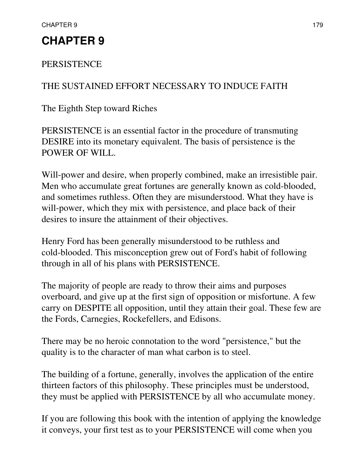# **CHAPTER 9**

### **PERSISTENCE**

### THE SUSTAINED EFFORT NECESSARY TO INDUCE FAITH

The Eighth Step toward Riches

PERSISTENCE is an essential factor in the procedure of transmuting DESIRE into its monetary equivalent. The basis of persistence is the POWER OF WILL.

Will-power and desire, when properly combined, make an irresistible pair. Men who accumulate great fortunes are generally known as cold-blooded, and sometimes ruthless. Often they are misunderstood. What they have is will-power, which they mix with persistence, and place back of their desires to insure the attainment of their objectives.

Henry Ford has been generally misunderstood to be ruthless and cold-blooded. This misconception grew out of Ford's habit of following through in all of his plans with PERSISTENCE.

The majority of people are ready to throw their aims and purposes overboard, and give up at the first sign of opposition or misfortune. A few carry on DESPITE all opposition, until they attain their goal. These few are the Fords, Carnegies, Rockefellers, and Edisons.

There may be no heroic connotation to the word "persistence," but the quality is to the character of man what carbon is to steel.

The building of a fortune, generally, involves the application of the entire thirteen factors of this philosophy. These principles must be understood, they must be applied with PERSISTENCE by all who accumulate money.

If you are following this book with the intention of applying the knowledge it conveys, your first test as to your PERSISTENCE will come when you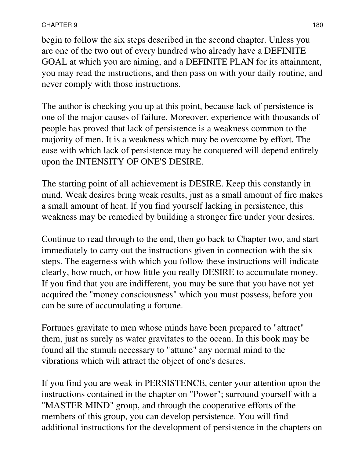### CHAPTER 9 180

begin to follow the six steps described in the second chapter. Unless you are one of the two out of every hundred who already have a DEFINITE GOAL at which you are aiming, and a DEFINITE PLAN for its attainment, you may read the instructions, and then pass on with your daily routine, and never comply with those instructions.

The author is checking you up at this point, because lack of persistence is one of the major causes of failure. Moreover, experience with thousands of people has proved that lack of persistence is a weakness common to the majority of men. It is a weakness which may be overcome by effort. The ease with which lack of persistence may be conquered will depend entirely upon the INTENSITY OF ONE'S DESIRE.

The starting point of all achievement is DESIRE. Keep this constantly in mind. Weak desires bring weak results, just as a small amount of fire makes a small amount of heat. If you find yourself lacking in persistence, this weakness may be remedied by building a stronger fire under your desires.

Continue to read through to the end, then go back to Chapter two, and start immediately to carry out the instructions given in connection with the six steps. The eagerness with which you follow these instructions will indicate clearly, how much, or how little you really DESIRE to accumulate money. If you find that you are indifferent, you may be sure that you have not yet acquired the "money consciousness" which you must possess, before you can be sure of accumulating a fortune.

Fortunes gravitate to men whose minds have been prepared to "attract" them, just as surely as water gravitates to the ocean. In this book may be found all the stimuli necessary to "attune" any normal mind to the vibrations which will attract the object of one's desires.

If you find you are weak in PERSISTENCE, center your attention upon the instructions contained in the chapter on "Power"; surround yourself with a "MASTER MIND" group, and through the cooperative efforts of the members of this group, you can develop persistence. You will find additional instructions for the development of persistence in the chapters on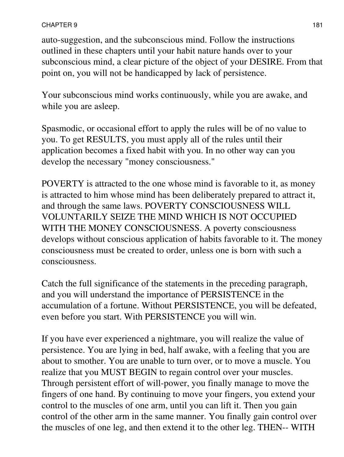auto-suggestion, and the subconscious mind. Follow the instructions outlined in these chapters until your habit nature hands over to your subconscious mind, a clear picture of the object of your DESIRE. From that point on, you will not be handicapped by lack of persistence.

Your subconscious mind works continuously, while you are awake, and while you are asleep.

Spasmodic, or occasional effort to apply the rules will be of no value to you. To get RESULTS, you must apply all of the rules until their application becomes a fixed habit with you. In no other way can you develop the necessary "money consciousness."

POVERTY is attracted to the one whose mind is favorable to it, as money is attracted to him whose mind has been deliberately prepared to attract it, and through the same laws. POVERTY CONSCIOUSNESS WILL VOLUNTARILY SEIZE THE MIND WHICH IS NOT OCCUPIED WITH THE MONEY CONSCIOUSNESS. A poverty consciousness develops without conscious application of habits favorable to it. The money consciousness must be created to order, unless one is born with such a consciousness.

Catch the full significance of the statements in the preceding paragraph, and you will understand the importance of PERSISTENCE in the accumulation of a fortune. Without PERSISTENCE, you will be defeated, even before you start. With PERSISTENCE you will win.

If you have ever experienced a nightmare, you will realize the value of persistence. You are lying in bed, half awake, with a feeling that you are about to smother. You are unable to turn over, or to move a muscle. You realize that you MUST BEGIN to regain control over your muscles. Through persistent effort of will-power, you finally manage to move the fingers of one hand. By continuing to move your fingers, you extend your control to the muscles of one arm, until you can lift it. Then you gain control of the other arm in the same manner. You finally gain control over the muscles of one leg, and then extend it to the other leg. THEN-- WITH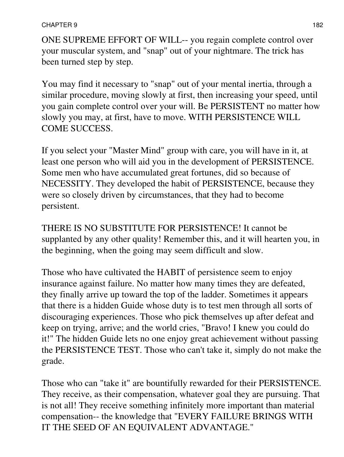ONE SUPREME EFFORT OF WILL-- you regain complete control over your muscular system, and "snap" out of your nightmare. The trick has been turned step by step.

You may find it necessary to "snap" out of your mental inertia, through a similar procedure, moving slowly at first, then increasing your speed, until you gain complete control over your will. Be PERSISTENT no matter how slowly you may, at first, have to move. WITH PERSISTENCE WILL COME SUCCESS.

If you select your "Master Mind" group with care, you will have in it, at least one person who will aid you in the development of PERSISTENCE. Some men who have accumulated great fortunes, did so because of NECESSITY. They developed the habit of PERSISTENCE, because they were so closely driven by circumstances, that they had to become persistent.

THERE IS NO SUBSTITUTE FOR PERSISTENCE! It cannot be supplanted by any other quality! Remember this, and it will hearten you, in the beginning, when the going may seem difficult and slow.

Those who have cultivated the HABIT of persistence seem to enjoy insurance against failure. No matter how many times they are defeated, they finally arrive up toward the top of the ladder. Sometimes it appears that there is a hidden Guide whose duty is to test men through all sorts of discouraging experiences. Those who pick themselves up after defeat and keep on trying, arrive; and the world cries, "Bravo! I knew you could do it!" The hidden Guide lets no one enjoy great achievement without passing the PERSISTENCE TEST. Those who can't take it, simply do not make the grade.

Those who can "take it" are bountifully rewarded for their PERSISTENCE. They receive, as their compensation, whatever goal they are pursuing. That is not all! They receive something infinitely more important than material compensation-- the knowledge that "EVERY FAILURE BRINGS WITH IT THE SEED OF AN EQUIVALENT ADVANTAGE."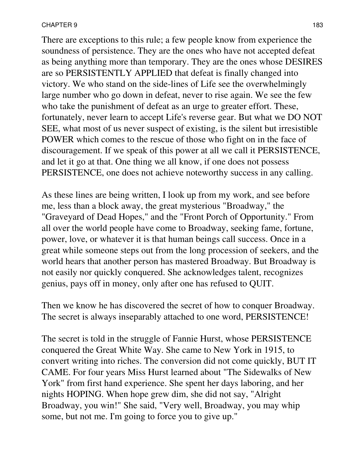There are exceptions to this rule; a few people know from experience the soundness of persistence. They are the ones who have not accepted defeat as being anything more than temporary. They are the ones whose DESIRES are so PERSISTENTLY APPLIED that defeat is finally changed into victory. We who stand on the side-lines of Life see the overwhelmingly large number who go down in defeat, never to rise again. We see the few who take the punishment of defeat as an urge to greater effort. These, fortunately, never learn to accept Life's reverse gear. But what we DO NOT SEE, what most of us never suspect of existing, is the silent but irresistible POWER which comes to the rescue of those who fight on in the face of discouragement. If we speak of this power at all we call it PERSISTENCE, and let it go at that. One thing we all know, if one does not possess PERSISTENCE, one does not achieve noteworthy success in any calling.

As these lines are being written, I look up from my work, and see before me, less than a block away, the great mysterious "Broadway," the "Graveyard of Dead Hopes," and the "Front Porch of Opportunity." From all over the world people have come to Broadway, seeking fame, fortune, power, love, or whatever it is that human beings call success. Once in a great while someone steps out from the long procession of seekers, and the world hears that another person has mastered Broadway. But Broadway is not easily nor quickly conquered. She acknowledges talent, recognizes genius, pays off in money, only after one has refused to QUIT.

Then we know he has discovered the secret of how to conquer Broadway. The secret is always inseparably attached to one word, PERSISTENCE!

The secret is told in the struggle of Fannie Hurst, whose PERSISTENCE conquered the Great White Way. She came to New York in 1915, to convert writing into riches. The conversion did not come quickly, BUT IT CAME. For four years Miss Hurst learned about "The Sidewalks of New York" from first hand experience. She spent her days laboring, and her nights HOPING. When hope grew dim, she did not say, "Alright Broadway, you win!" She said, "Very well, Broadway, you may whip some, but not me. I'm going to force you to give up."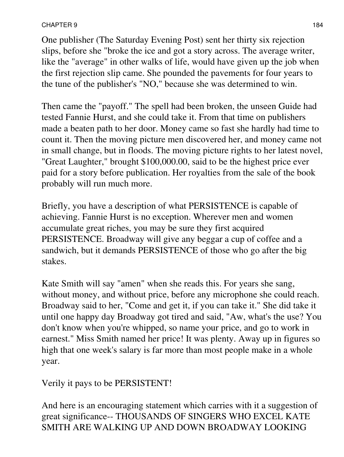One publisher (The Saturday Evening Post) sent her thirty six rejection slips, before she "broke the ice and got a story across. The average writer, like the "average" in other walks of life, would have given up the job when the first rejection slip came. She pounded the pavements for four years to the tune of the publisher's "NO," because she was determined to win.

Then came the "payoff." The spell had been broken, the unseen Guide had tested Fannie Hurst, and she could take it. From that time on publishers made a beaten path to her door. Money came so fast she hardly had time to count it. Then the moving picture men discovered her, and money came not in small change, but in floods. The moving picture rights to her latest novel, "Great Laughter," brought \$100,000.00, said to be the highest price ever paid for a story before publication. Her royalties from the sale of the book probably will run much more.

Briefly, you have a description of what PERSISTENCE is capable of achieving. Fannie Hurst is no exception. Wherever men and women accumulate great riches, you may be sure they first acquired PERSISTENCE. Broadway will give any beggar a cup of coffee and a sandwich, but it demands PERSISTENCE of those who go after the big stakes.

Kate Smith will say "amen" when she reads this. For years she sang, without money, and without price, before any microphone she could reach. Broadway said to her, "Come and get it, if you can take it." She did take it until one happy day Broadway got tired and said, "Aw, what's the use? You don't know when you're whipped, so name your price, and go to work in earnest." Miss Smith named her price! It was plenty. Away up in figures so high that one week's salary is far more than most people make in a whole year.

Verily it pays to be PERSISTENT!

And here is an encouraging statement which carries with it a suggestion of great significance-- THOUSANDS OF SINGERS WHO EXCEL KATE SMITH ARE WALKING UP AND DOWN BROADWAY LOOKING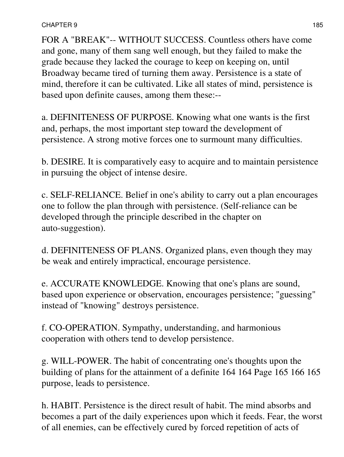FOR A "BREAK"-- WITHOUT SUCCESS. Countless others have come and gone, many of them sang well enough, but they failed to make the grade because they lacked the courage to keep on keeping on, until Broadway became tired of turning them away. Persistence is a state of mind, therefore it can be cultivated. Like all states of mind, persistence is based upon definite causes, among them these:--

a. DEFINITENESS OF PURPOSE. Knowing what one wants is the first and, perhaps, the most important step toward the development of persistence. A strong motive forces one to surmount many difficulties.

b. DESIRE. It is comparatively easy to acquire and to maintain persistence in pursuing the object of intense desire.

c. SELF-RELIANCE. Belief in one's ability to carry out a plan encourages one to follow the plan through with persistence. (Self-reliance can be developed through the principle described in the chapter on auto-suggestion).

d. DEFINITENESS OF PLANS. Organized plans, even though they may be weak and entirely impractical, encourage persistence.

e. ACCURATE KNOWLEDGE. Knowing that one's plans are sound, based upon experience or observation, encourages persistence; "guessing" instead of "knowing" destroys persistence.

f. CO-OPERATION. Sympathy, understanding, and harmonious cooperation with others tend to develop persistence.

g. WILL-POWER. The habit of concentrating one's thoughts upon the building of plans for the attainment of a definite 164 164 Page 165 166 165 purpose, leads to persistence.

h. HABIT. Persistence is the direct result of habit. The mind absorbs and becomes a part of the daily experiences upon which it feeds. Fear, the worst of all enemies, can be effectively cured by forced repetition of acts of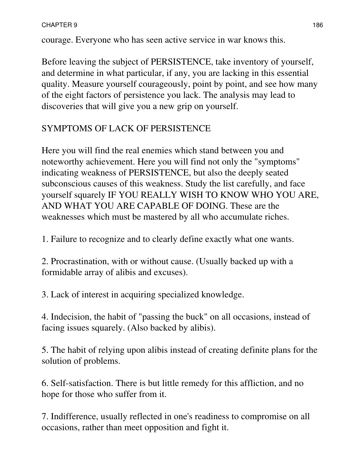courage. Everyone who has seen active service in war knows this.

Before leaving the subject of PERSISTENCE, take inventory of yourself, and determine in what particular, if any, you are lacking in this essential quality. Measure yourself courageously, point by point, and see how many of the eight factors of persistence you lack. The analysis may lead to discoveries that will give you a new grip on yourself.

### SYMPTOMS OF LACK OF PERSISTENCE

Here you will find the real enemies which stand between you and noteworthy achievement. Here you will find not only the "symptoms" indicating weakness of PERSISTENCE, but also the deeply seated subconscious causes of this weakness. Study the list carefully, and face yourself squarely IF YOU REALLY WISH TO KNOW WHO YOU ARE, AND WHAT YOU ARE CAPABLE OF DOING. These are the weaknesses which must be mastered by all who accumulate riches.

1. Failure to recognize and to clearly define exactly what one wants.

2. Procrastination, with or without cause. (Usually backed up with a formidable array of alibis and excuses).

3. Lack of interest in acquiring specialized knowledge.

4. Indecision, the habit of "passing the buck" on all occasions, instead of facing issues squarely. (Also backed by alibis).

5. The habit of relying upon alibis instead of creating definite plans for the solution of problems.

6. Self-satisfaction. There is but little remedy for this affliction, and no hope for those who suffer from it.

7. Indifference, usually reflected in one's readiness to compromise on all occasions, rather than meet opposition and fight it.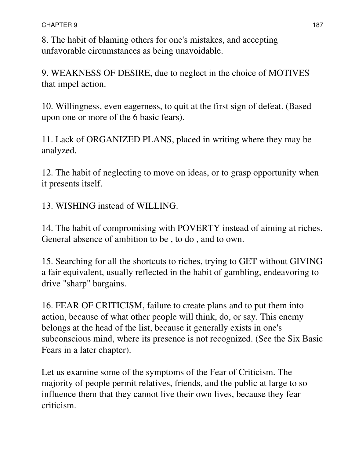8. The habit of blaming others for one's mistakes, and accepting unfavorable circumstances as being unavoidable.

9. WEAKNESS OF DESIRE, due to neglect in the choice of MOTIVES that impel action.

10. Willingness, even eagerness, to quit at the first sign of defeat. (Based upon one or more of the 6 basic fears).

11. Lack of ORGANIZED PLANS, placed in writing where they may be analyzed.

12. The habit of neglecting to move on ideas, or to grasp opportunity when it presents itself.

13. WISHING instead of WILLING.

14. The habit of compromising with POVERTY instead of aiming at riches. General absence of ambition to be , to do , and to own.

15. Searching for all the shortcuts to riches, trying to GET without GIVING a fair equivalent, usually reflected in the habit of gambling, endeavoring to drive "sharp" bargains.

16. FEAR OF CRITICISM, failure to create plans and to put them into action, because of what other people will think, do, or say. This enemy belongs at the head of the list, because it generally exists in one's subconscious mind, where its presence is not recognized. (See the Six Basic Fears in a later chapter).

Let us examine some of the symptoms of the Fear of Criticism. The majority of people permit relatives, friends, and the public at large to so influence them that they cannot live their own lives, because they fear criticism.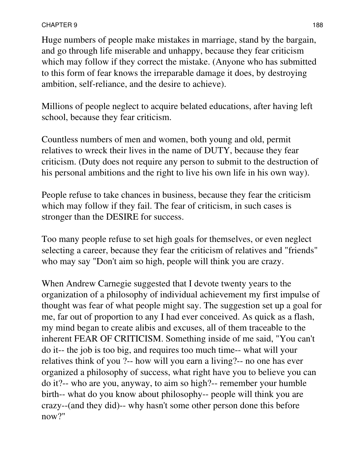Huge numbers of people make mistakes in marriage, stand by the bargain, and go through life miserable and unhappy, because they fear criticism which may follow if they correct the mistake. (Anyone who has submitted to this form of fear knows the irreparable damage it does, by destroying ambition, self-reliance, and the desire to achieve).

Millions of people neglect to acquire belated educations, after having left school, because they fear criticism.

Countless numbers of men and women, both young and old, permit relatives to wreck their lives in the name of DUTY, because they fear criticism. (Duty does not require any person to submit to the destruction of his personal ambitions and the right to live his own life in his own way).

People refuse to take chances in business, because they fear the criticism which may follow if they fail. The fear of criticism, in such cases is stronger than the DESIRE for success.

Too many people refuse to set high goals for themselves, or even neglect selecting a career, because they fear the criticism of relatives and "friends" who may say "Don't aim so high, people will think you are crazy.

When Andrew Carnegie suggested that I devote twenty years to the organization of a philosophy of individual achievement my first impulse of thought was fear of what people might say. The suggestion set up a goal for me, far out of proportion to any I had ever conceived. As quick as a flash, my mind began to create alibis and excuses, all of them traceable to the inherent FEAR OF CRITICISM. Something inside of me said, "You can't do it-- the job is too big, and requires too much time-- what will your relatives think of you ?-- how will you earn a living?-- no one has ever organized a philosophy of success, what right have you to believe you can do it?-- who are you, anyway, to aim so high?-- remember your humble birth-- what do you know about philosophy-- people will think you are crazy--(and they did)-- why hasn't some other person done this before now?"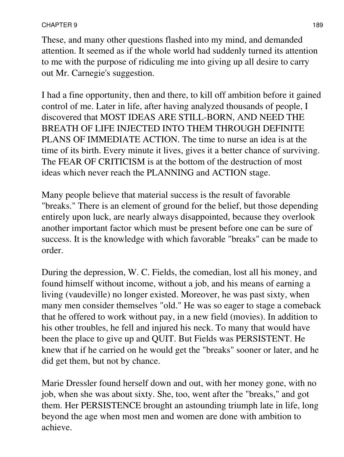These, and many other questions flashed into my mind, and demanded attention. It seemed as if the whole world had suddenly turned its attention to me with the purpose of ridiculing me into giving up all desire to carry out Mr. Carnegie's suggestion.

I had a fine opportunity, then and there, to kill off ambition before it gained control of me. Later in life, after having analyzed thousands of people, I discovered that MOST IDEAS ARE STILL-BORN, AND NEED THE BREATH OF LIFE INJECTED INTO THEM THROUGH DEFINITE PLANS OF IMMEDIATE ACTION. The time to nurse an idea is at the time of its birth. Every minute it lives, gives it a better chance of surviving. The FEAR OF CRITICISM is at the bottom of the destruction of most ideas which never reach the PLANNING and ACTION stage.

Many people believe that material success is the result of favorable "breaks." There is an element of ground for the belief, but those depending entirely upon luck, are nearly always disappointed, because they overlook another important factor which must be present before one can be sure of success. It is the knowledge with which favorable "breaks" can be made to order.

During the depression, W. C. Fields, the comedian, lost all his money, and found himself without income, without a job, and his means of earning a living (vaudeville) no longer existed. Moreover, he was past sixty, when many men consider themselves "old." He was so eager to stage a comeback that he offered to work without pay, in a new field (movies). In addition to his other troubles, he fell and injured his neck. To many that would have been the place to give up and QUIT. But Fields was PERSISTENT. He knew that if he carried on he would get the "breaks" sooner or later, and he did get them, but not by chance.

Marie Dressler found herself down and out, with her money gone, with no job, when she was about sixty. She, too, went after the "breaks," and got them. Her PERSISTENCE brought an astounding triumph late in life, long beyond the age when most men and women are done with ambition to achieve.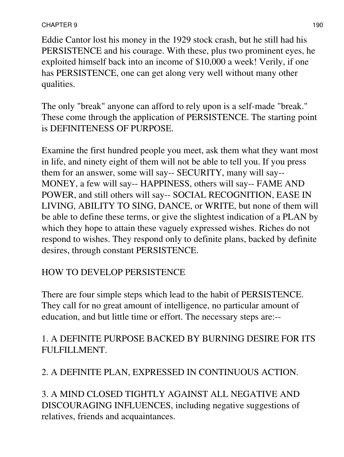Eddie Cantor lost his money in the 1929 stock crash, but he still had his PERSISTENCE and his courage. With these, plus two prominent eyes, he exploited himself back into an income of \$10,000 a week! Verily, if one has PERSISTENCE, one can get along very well without many other qualities.

The only "break" anyone can afford to rely upon is a self-made "break." These come through the application of PERSISTENCE. The starting point is DEFINITENESS OF PURPOSE.

Examine the first hundred people you meet, ask them what they want most in life, and ninety eight of them will not be able to tell you. If you press them for an answer, some will say-- SECURITY, many will say-- MONEY, a few will say-- HAPPINESS, others will say-- FAME AND POWER, and still others will say-- SOCIAL RECOGNITION, EASE IN LIVING, ABILITY TO SING, DANCE, or WRITE, but none of them will be able to define these terms, or give the slightest indication of a PLAN by which they hope to attain these vaguely expressed wishes. Riches do not respond to wishes. They respond only to definite plans, backed by definite desires, through constant PERSISTENCE.

### HOW TO DEVELOP PERSISTENCE

There are four simple steps which lead to the habit of PERSISTENCE. They call for no great amount of intelligence, no particular amount of education, and but little time or effort. The necessary steps are:--

### 1. A DEFINITE PURPOSE BACKED BY BURNING DESIRE FOR ITS FULFILLMENT.

2. A DEFINITE PLAN, EXPRESSED IN CONTINUOUS ACTION.

3. A MIND CLOSED TIGHTLY AGAINST ALL NEGATIVE AND DISCOURAGING INFLUENCES, including negative suggestions of relatives, friends and acquaintances.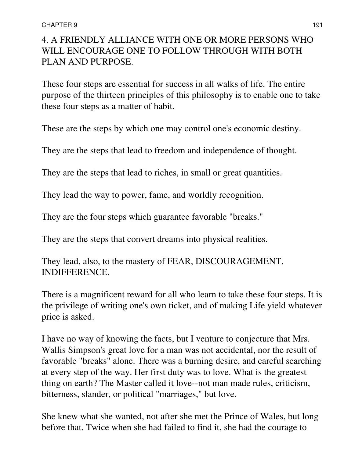### 4. A FRIENDLY ALLIANCE WITH ONE OR MORE PERSONS WHO WILL ENCOURAGE ONE TO FOLLOW THROUGH WITH BOTH PLAN AND PURPOSE.

These four steps are essential for success in all walks of life. The entire purpose of the thirteen principles of this philosophy is to enable one to take these four steps as a matter of habit.

These are the steps by which one may control one's economic destiny.

They are the steps that lead to freedom and independence of thought.

They are the steps that lead to riches, in small or great quantities.

They lead the way to power, fame, and worldly recognition.

They are the four steps which guarantee favorable "breaks."

They are the steps that convert dreams into physical realities.

They lead, also, to the mastery of FEAR, DISCOURAGEMENT, INDIFFERENCE.

There is a magnificent reward for all who learn to take these four steps. It is the privilege of writing one's own ticket, and of making Life yield whatever price is asked.

I have no way of knowing the facts, but I venture to conjecture that Mrs. Wallis Simpson's great love for a man was not accidental, nor the result of favorable "breaks" alone. There was a burning desire, and careful searching at every step of the way. Her first duty was to love. What is the greatest thing on earth? The Master called it love--not man made rules, criticism, bitterness, slander, or political "marriages," but love.

She knew what she wanted, not after she met the Prince of Wales, but long before that. Twice when she had failed to find it, she had the courage to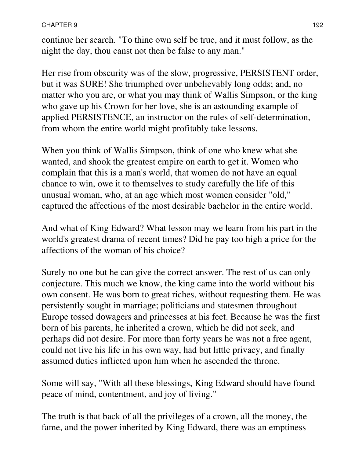continue her search. "To thine own self be true, and it must follow, as the night the day, thou canst not then be false to any man."

Her rise from obscurity was of the slow, progressive, PERSISTENT order, but it was SURE! She triumphed over unbelievably long odds; and, no matter who you are, or what you may think of Wallis Simpson, or the king who gave up his Crown for her love, she is an astounding example of applied PERSISTENCE, an instructor on the rules of self-determination, from whom the entire world might profitably take lessons.

When you think of Wallis Simpson, think of one who knew what she wanted, and shook the greatest empire on earth to get it. Women who complain that this is a man's world, that women do not have an equal chance to win, owe it to themselves to study carefully the life of this unusual woman, who, at an age which most women consider "old," captured the affections of the most desirable bachelor in the entire world.

And what of King Edward? What lesson may we learn from his part in the world's greatest drama of recent times? Did he pay too high a price for the affections of the woman of his choice?

Surely no one but he can give the correct answer. The rest of us can only conjecture. This much we know, the king came into the world without his own consent. He was born to great riches, without requesting them. He was persistently sought in marriage; politicians and statesmen throughout Europe tossed dowagers and princesses at his feet. Because he was the first born of his parents, he inherited a crown, which he did not seek, and perhaps did not desire. For more than forty years he was not a free agent, could not live his life in his own way, had but little privacy, and finally assumed duties inflicted upon him when he ascended the throne.

Some will say, "With all these blessings, King Edward should have found peace of mind, contentment, and joy of living."

The truth is that back of all the privileges of a crown, all the money, the fame, and the power inherited by King Edward, there was an emptiness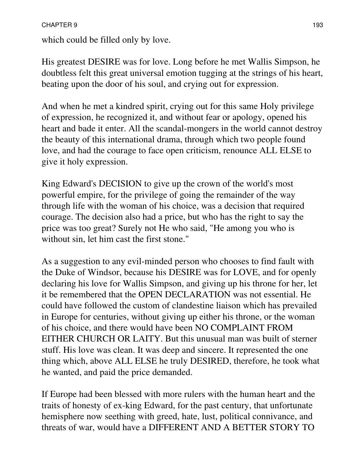which could be filled only by love.

His greatest DESIRE was for love. Long before he met Wallis Simpson, he doubtless felt this great universal emotion tugging at the strings of his heart, beating upon the door of his soul, and crying out for expression.

And when he met a kindred spirit, crying out for this same Holy privilege of expression, he recognized it, and without fear or apology, opened his heart and bade it enter. All the scandal-mongers in the world cannot destroy the beauty of this international drama, through which two people found love, and had the courage to face open criticism, renounce ALL ELSE to give it holy expression.

King Edward's DECISION to give up the crown of the world's most powerful empire, for the privilege of going the remainder of the way through life with the woman of his choice, was a decision that required courage. The decision also had a price, but who has the right to say the price was too great? Surely not He who said, "He among you who is without sin, let him cast the first stone."

As a suggestion to any evil-minded person who chooses to find fault with the Duke of Windsor, because his DESIRE was for LOVE, and for openly declaring his love for Wallis Simpson, and giving up his throne for her, let it be remembered that the OPEN DECLARATION was not essential. He could have followed the custom of clandestine liaison which has prevailed in Europe for centuries, without giving up either his throne, or the woman of his choice, and there would have been NO COMPLAINT FROM EITHER CHURCH OR LAITY. But this unusual man was built of sterner stuff. His love was clean. It was deep and sincere. It represented the one thing which, above ALL ELSE he truly DESIRED, therefore, he took what he wanted, and paid the price demanded.

If Europe had been blessed with more rulers with the human heart and the traits of honesty of ex-king Edward, for the past century, that unfortunate hemisphere now seething with greed, hate, lust, political connivance, and threats of war, would have a DIFFERENT AND A BETTER STORY TO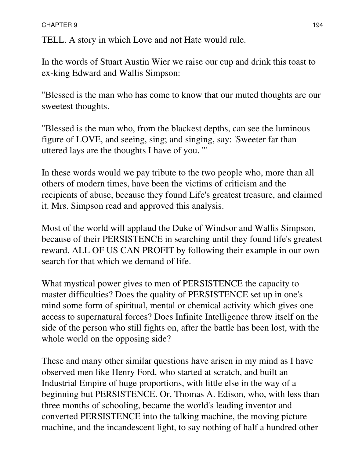TELL. A story in which Love and not Hate would rule.

In the words of Stuart Austin Wier we raise our cup and drink this toast to ex-king Edward and Wallis Simpson:

"Blessed is the man who has come to know that our muted thoughts are our sweetest thoughts.

"Blessed is the man who, from the blackest depths, can see the luminous figure of LOVE, and seeing, sing; and singing, say: 'Sweeter far than uttered lays are the thoughts I have of you. '"

In these words would we pay tribute to the two people who, more than all others of modern times, have been the victims of criticism and the recipients of abuse, because they found Life's greatest treasure, and claimed it. Mrs. Simpson read and approved this analysis.

Most of the world will applaud the Duke of Windsor and Wallis Simpson, because of their PERSISTENCE in searching until they found life's greatest reward. ALL OF US CAN PROFIT by following their example in our own search for that which we demand of life.

What mystical power gives to men of PERSISTENCE the capacity to master difficulties? Does the quality of PERSISTENCE set up in one's mind some form of spiritual, mental or chemical activity which gives one access to supernatural forces? Does Infinite Intelligence throw itself on the side of the person who still fights on, after the battle has been lost, with the whole world on the opposing side?

These and many other similar questions have arisen in my mind as I have observed men like Henry Ford, who started at scratch, and built an Industrial Empire of huge proportions, with little else in the way of a beginning but PERSISTENCE. Or, Thomas A. Edison, who, with less than three months of schooling, became the world's leading inventor and converted PERSISTENCE into the talking machine, the moving picture machine, and the incandescent light, to say nothing of half a hundred other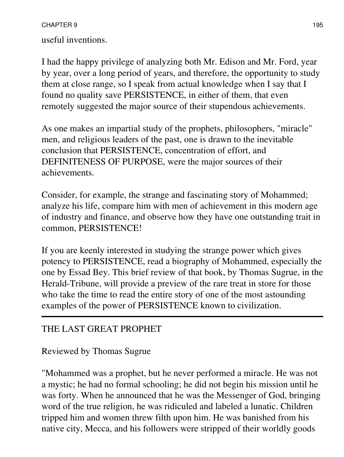useful inventions.

I had the happy privilege of analyzing both Mr. Edison and Mr. Ford, year by year, over a long period of years, and therefore, the opportunity to study them at close range, so I speak from actual knowledge when I say that I found no quality save PERSISTENCE, in either of them, that even remotely suggested the major source of their stupendous achievements.

As one makes an impartial study of the prophets, philosophers, "miracle" men, and religious leaders of the past, one is drawn to the inevitable conclusion that PERSISTENCE, concentration of effort, and DEFINITENESS OF PURPOSE, were the major sources of their achievements.

Consider, for example, the strange and fascinating story of Mohammed; analyze his life, compare him with men of achievement in this modern age of industry and finance, and observe how they have one outstanding trait in common, PERSISTENCE!

If you are keenly interested in studying the strange power which gives potency to PERSISTENCE, read a biography of Mohammed, especially the one by Essad Bey. This brief review of that book, by Thomas Sugrue, in the Herald-Tribune, will provide a preview of the rare treat in store for those who take the time to read the entire story of one of the most astounding examples of the power of PERSISTENCE known to civilization.

## THE LAST GREAT PROPHET

Reviewed by Thomas Sugrue

"Mohammed was a prophet, but he never performed a miracle. He was not a mystic; he had no formal schooling; he did not begin his mission until he was forty. When he announced that he was the Messenger of God, bringing word of the true religion, he was ridiculed and labeled a lunatic. Children tripped him and women threw filth upon him. He was banished from his native city, Mecca, and his followers were stripped of their worldly goods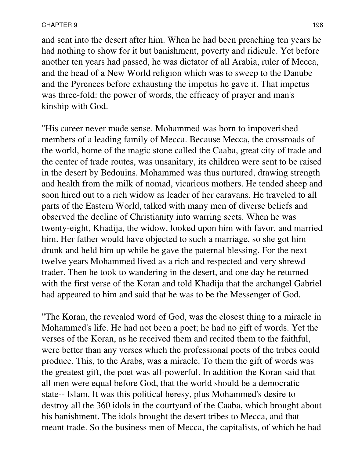and sent into the desert after him. When he had been preaching ten years he had nothing to show for it but banishment, poverty and ridicule. Yet before another ten years had passed, he was dictator of all Arabia, ruler of Mecca, and the head of a New World religion which was to sweep to the Danube and the Pyrenees before exhausting the impetus he gave it. That impetus was three-fold: the power of words, the efficacy of prayer and man's kinship with God.

"His career never made sense. Mohammed was born to impoverished members of a leading family of Mecca. Because Mecca, the crossroads of the world, home of the magic stone called the Caaba, great city of trade and the center of trade routes, was unsanitary, its children were sent to be raised in the desert by Bedouins. Mohammed was thus nurtured, drawing strength and health from the milk of nomad, vicarious mothers. He tended sheep and soon hired out to a rich widow as leader of her caravans. He traveled to all parts of the Eastern World, talked with many men of diverse beliefs and observed the decline of Christianity into warring sects. When he was twenty-eight, Khadija, the widow, looked upon him with favor, and married him. Her father would have objected to such a marriage, so she got him drunk and held him up while he gave the paternal blessing. For the next twelve years Mohammed lived as a rich and respected and very shrewd trader. Then he took to wandering in the desert, and one day he returned with the first verse of the Koran and told Khadija that the archangel Gabriel had appeared to him and said that he was to be the Messenger of God.

"The Koran, the revealed word of God, was the closest thing to a miracle in Mohammed's life. He had not been a poet; he had no gift of words. Yet the verses of the Koran, as he received them and recited them to the faithful, were better than any verses which the professional poets of the tribes could produce. This, to the Arabs, was a miracle. To them the gift of words was the greatest gift, the poet was all-powerful. In addition the Koran said that all men were equal before God, that the world should be a democratic state-- Islam. It was this political heresy, plus Mohammed's desire to destroy all the 360 idols in the courtyard of the Caaba, which brought about his banishment. The idols brought the desert tribes to Mecca, and that meant trade. So the business men of Mecca, the capitalists, of which he had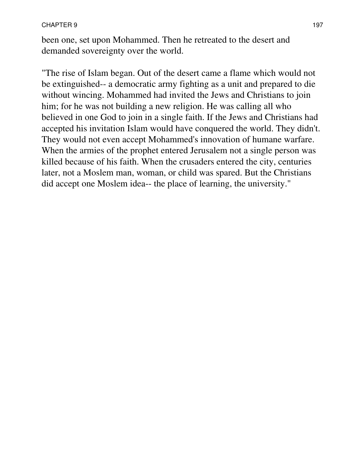been one, set upon Mohammed. Then he retreated to the desert and demanded sovereignty over the world.

"The rise of Islam began. Out of the desert came a flame which would not be extinguished-- a democratic army fighting as a unit and prepared to die without wincing. Mohammed had invited the Jews and Christians to join him; for he was not building a new religion. He was calling all who believed in one God to join in a single faith. If the Jews and Christians had accepted his invitation Islam would have conquered the world. They didn't. They would not even accept Mohammed's innovation of humane warfare. When the armies of the prophet entered Jerusalem not a single person was killed because of his faith. When the crusaders entered the city, centuries later, not a Moslem man, woman, or child was spared. But the Christians did accept one Moslem idea-- the place of learning, the university."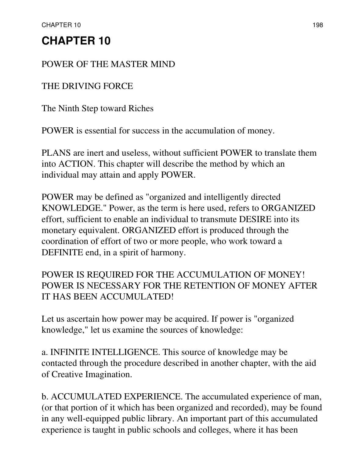# **CHAPTER 10**

### POWER OF THE MASTER MIND

### THE DRIVING FORCE

The Ninth Step toward Riches

POWER is essential for success in the accumulation of money.

PLANS are inert and useless, without sufficient POWER to translate them into ACTION. This chapter will describe the method by which an individual may attain and apply POWER.

POWER may be defined as "organized and intelligently directed KNOWLEDGE." Power, as the term is here used, refers to ORGANIZED effort, sufficient to enable an individual to transmute DESIRE into its monetary equivalent. ORGANIZED effort is produced through the coordination of effort of two or more people, who work toward a DEFINITE end, in a spirit of harmony.

### POWER IS REQUIRED FOR THE ACCUMULATION OF MONEY! POWER IS NECESSARY FOR THE RETENTION OF MONEY AFTER IT HAS BEEN ACCUMULATED!

Let us ascertain how power may be acquired. If power is "organized knowledge," let us examine the sources of knowledge:

a. INFINITE INTELLIGENCE. This source of knowledge may be contacted through the procedure described in another chapter, with the aid of Creative Imagination.

b. ACCUMULATED EXPERIENCE. The accumulated experience of man, (or that portion of it which has been organized and recorded), may be found in any well-equipped public library. An important part of this accumulated experience is taught in public schools and colleges, where it has been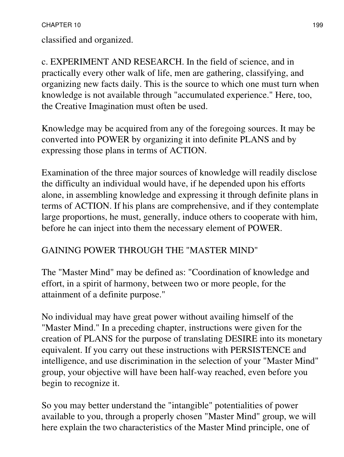classified and organized.

c. EXPERIMENT AND RESEARCH. In the field of science, and in practically every other walk of life, men are gathering, classifying, and organizing new facts daily. This is the source to which one must turn when knowledge is not available through "accumulated experience." Here, too, the Creative Imagination must often be used.

Knowledge may be acquired from any of the foregoing sources. It may be converted into POWER by organizing it into definite PLANS and by expressing those plans in terms of ACTION.

Examination of the three major sources of knowledge will readily disclose the difficulty an individual would have, if he depended upon his efforts alone, in assembling knowledge and expressing it through definite plans in terms of ACTION. If his plans are comprehensive, and if they contemplate large proportions, he must, generally, induce others to cooperate with him, before he can inject into them the necessary element of POWER.

### GAINING POWER THROUGH THE "MASTER MIND"

The "Master Mind" may be defined as: "Coordination of knowledge and effort, in a spirit of harmony, between two or more people, for the attainment of a definite purpose."

No individual may have great power without availing himself of the "Master Mind." In a preceding chapter, instructions were given for the creation of PLANS for the purpose of translating DESIRE into its monetary equivalent. If you carry out these instructions with PERSISTENCE and intelligence, and use discrimination in the selection of your "Master Mind" group, your objective will have been half-way reached, even before you begin to recognize it.

So you may better understand the "intangible" potentialities of power available to you, through a properly chosen "Master Mind" group, we will here explain the two characteristics of the Master Mind principle, one of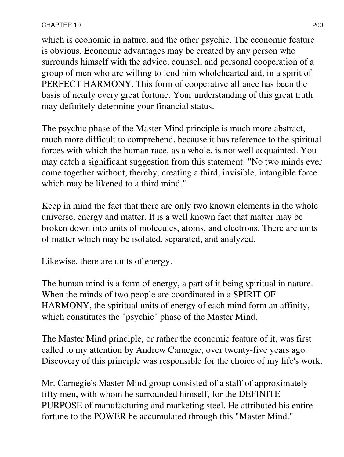#### CHAPTER 10 200

which is economic in nature, and the other psychic. The economic feature is obvious. Economic advantages may be created by any person who surrounds himself with the advice, counsel, and personal cooperation of a group of men who are willing to lend him wholehearted aid, in a spirit of PERFECT HARMONY. This form of cooperative alliance has been the basis of nearly every great fortune. Your understanding of this great truth may definitely determine your financial status.

The psychic phase of the Master Mind principle is much more abstract, much more difficult to comprehend, because it has reference to the spiritual forces with which the human race, as a whole, is not well acquainted. You may catch a significant suggestion from this statement: "No two minds ever come together without, thereby, creating a third, invisible, intangible force which may be likened to a third mind."

Keep in mind the fact that there are only two known elements in the whole universe, energy and matter. It is a well known fact that matter may be broken down into units of molecules, atoms, and electrons. There are units of matter which may be isolated, separated, and analyzed.

Likewise, there are units of energy.

The human mind is a form of energy, a part of it being spiritual in nature. When the minds of two people are coordinated in a SPIRIT OF HARMONY, the spiritual units of energy of each mind form an affinity, which constitutes the "psychic" phase of the Master Mind.

The Master Mind principle, or rather the economic feature of it, was first called to my attention by Andrew Carnegie, over twenty-five years ago. Discovery of this principle was responsible for the choice of my life's work.

Mr. Carnegie's Master Mind group consisted of a staff of approximately fifty men, with whom he surrounded himself, for the DEFINITE PURPOSE of manufacturing and marketing steel. He attributed his entire fortune to the POWER he accumulated through this "Master Mind."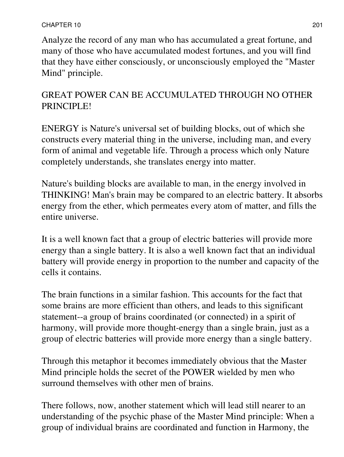#### CHAPTER 10 201

Analyze the record of any man who has accumulated a great fortune, and many of those who have accumulated modest fortunes, and you will find that they have either consciously, or unconsciously employed the "Master Mind" principle.

### GREAT POWER CAN BE ACCUMULATED THROUGH NO OTHER PRINCIPLE!

ENERGY is Nature's universal set of building blocks, out of which she constructs every material thing in the universe, including man, and every form of animal and vegetable life. Through a process which only Nature completely understands, she translates energy into matter.

Nature's building blocks are available to man, in the energy involved in THINKING! Man's brain may be compared to an electric battery. It absorbs energy from the ether, which permeates every atom of matter, and fills the entire universe.

It is a well known fact that a group of electric batteries will provide more energy than a single battery. It is also a well known fact that an individual battery will provide energy in proportion to the number and capacity of the cells it contains.

The brain functions in a similar fashion. This accounts for the fact that some brains are more efficient than others, and leads to this significant statement--a group of brains coordinated (or connected) in a spirit of harmony, will provide more thought-energy than a single brain, just as a group of electric batteries will provide more energy than a single battery.

Through this metaphor it becomes immediately obvious that the Master Mind principle holds the secret of the POWER wielded by men who surround themselves with other men of brains.

There follows, now, another statement which will lead still nearer to an understanding of the psychic phase of the Master Mind principle: When a group of individual brains are coordinated and function in Harmony, the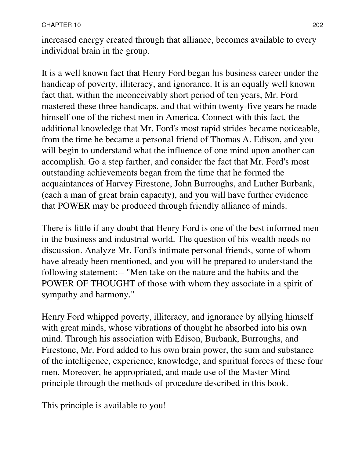increased energy created through that alliance, becomes available to every individual brain in the group.

It is a well known fact that Henry Ford began his business career under the handicap of poverty, illiteracy, and ignorance. It is an equally well known fact that, within the inconceivably short period of ten years, Mr. Ford mastered these three handicaps, and that within twenty-five years he made himself one of the richest men in America. Connect with this fact, the additional knowledge that Mr. Ford's most rapid strides became noticeable, from the time he became a personal friend of Thomas A. Edison, and you will begin to understand what the influence of one mind upon another can accomplish. Go a step farther, and consider the fact that Mr. Ford's most outstanding achievements began from the time that he formed the acquaintances of Harvey Firestone, John Burroughs, and Luther Burbank, (each a man of great brain capacity), and you will have further evidence that POWER may be produced through friendly alliance of minds.

There is little if any doubt that Henry Ford is one of the best informed men in the business and industrial world. The question of his wealth needs no discussion. Analyze Mr. Ford's intimate personal friends, some of whom have already been mentioned, and you will be prepared to understand the following statement:-- "Men take on the nature and the habits and the POWER OF THOUGHT of those with whom they associate in a spirit of sympathy and harmony."

Henry Ford whipped poverty, illiteracy, and ignorance by allying himself with great minds, whose vibrations of thought he absorbed into his own mind. Through his association with Edison, Burbank, Burroughs, and Firestone, Mr. Ford added to his own brain power, the sum and substance of the intelligence, experience, knowledge, and spiritual forces of these four men. Moreover, he appropriated, and made use of the Master Mind principle through the methods of procedure described in this book.

This principle is available to you!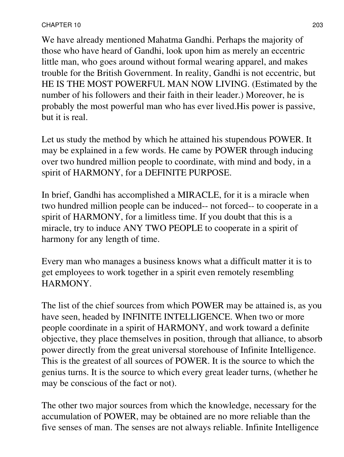We have already mentioned Mahatma Gandhi. Perhaps the majority of those who have heard of Gandhi, look upon him as merely an eccentric little man, who goes around without formal wearing apparel, and makes trouble for the British Government. In reality, Gandhi is not eccentric, but HE IS THE MOST POWERFUL MAN NOW LIVING. (Estimated by the number of his followers and their faith in their leader.) Moreover, he is probably the most powerful man who has ever lived.His power is passive, but it is real.

Let us study the method by which he attained his stupendous POWER. It may be explained in a few words. He came by POWER through inducing over two hundred million people to coordinate, with mind and body, in a spirit of HARMONY, for a DEFINITE PURPOSE.

In brief, Gandhi has accomplished a MIRACLE, for it is a miracle when two hundred million people can be induced-- not forced-- to cooperate in a spirit of HARMONY, for a limitless time. If you doubt that this is a miracle, try to induce ANY TWO PEOPLE to cooperate in a spirit of harmony for any length of time.

Every man who manages a business knows what a difficult matter it is to get employees to work together in a spirit even remotely resembling HARMONY.

The list of the chief sources from which POWER may be attained is, as you have seen, headed by INFINITE INTELLIGENCE. When two or more people coordinate in a spirit of HARMONY, and work toward a definite objective, they place themselves in position, through that alliance, to absorb power directly from the great universal storehouse of Infinite Intelligence. This is the greatest of all sources of POWER. It is the source to which the genius turns. It is the source to which every great leader turns, (whether he may be conscious of the fact or not).

The other two major sources from which the knowledge, necessary for the accumulation of POWER, may be obtained are no more reliable than the five senses of man. The senses are not always reliable. Infinite Intelligence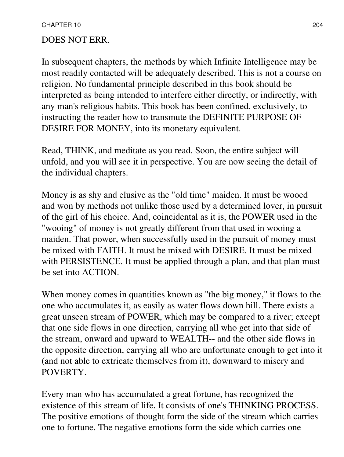### DOES NOT ERR.

In subsequent chapters, the methods by which Infinite Intelligence may be most readily contacted will be adequately described. This is not a course on religion. No fundamental principle described in this book should be interpreted as being intended to interfere either directly, or indirectly, with any man's religious habits. This book has been confined, exclusively, to instructing the reader how to transmute the DEFINITE PURPOSE OF DESIRE FOR MONEY, into its monetary equivalent.

Read, THINK, and meditate as you read. Soon, the entire subject will unfold, and you will see it in perspective. You are now seeing the detail of the individual chapters.

Money is as shy and elusive as the "old time" maiden. It must be wooed and won by methods not unlike those used by a determined lover, in pursuit of the girl of his choice. And, coincidental as it is, the POWER used in the "wooing" of money is not greatly different from that used in wooing a maiden. That power, when successfully used in the pursuit of money must be mixed with FAITH. It must be mixed with DESIRE. It must be mixed with PERSISTENCE. It must be applied through a plan, and that plan must be set into ACTION.

When money comes in quantities known as "the big money," it flows to the one who accumulates it, as easily as water flows down hill. There exists a great unseen stream of POWER, which may be compared to a river; except that one side flows in one direction, carrying all who get into that side of the stream, onward and upward to WEALTH-- and the other side flows in the opposite direction, carrying all who are unfortunate enough to get into it (and not able to extricate themselves from it), downward to misery and POVERTY.

Every man who has accumulated a great fortune, has recognized the existence of this stream of life. It consists of one's THINKING PROCESS. The positive emotions of thought form the side of the stream which carries one to fortune. The negative emotions form the side which carries one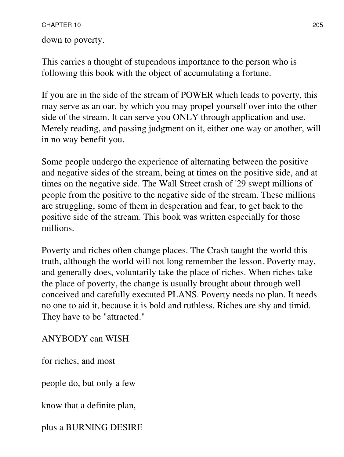#### CHAPTER 10 205

down to poverty.

This carries a thought of stupendous importance to the person who is following this book with the object of accumulating a fortune.

If you are in the side of the stream of POWER which leads to poverty, this may serve as an oar, by which you may propel yourself over into the other side of the stream. It can serve you ONLY through application and use. Merely reading, and passing judgment on it, either one way or another, will in no way benefit you.

Some people undergo the experience of alternating between the positive and negative sides of the stream, being at times on the positive side, and at times on the negative side. The Wall Street crash of '29 swept millions of people from the positive to the negative side of the stream. These millions are struggling, some of them in desperation and fear, to get back to the positive side of the stream. This book was written especially for those millions.

Poverty and riches often change places. The Crash taught the world this truth, although the world will not long remember the lesson. Poverty may, and generally does, voluntarily take the place of riches. When riches take the place of poverty, the change is usually brought about through well conceived and carefully executed PLANS. Poverty needs no plan. It needs no one to aid it, because it is bold and ruthless. Riches are shy and timid. They have to be "attracted."

ANYBODY can WISH

for riches, and most

people do, but only a few

know that a definite plan,

plus a BURNING DESIRE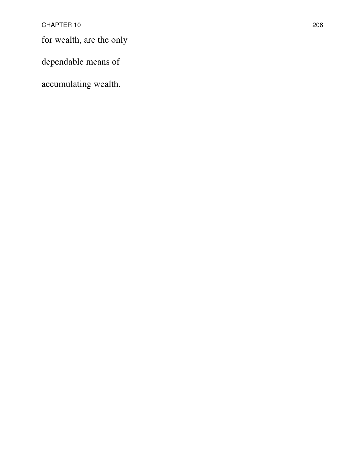CHAPTER 10 206

for wealth, are the only

dependable means of

accumulating wealth.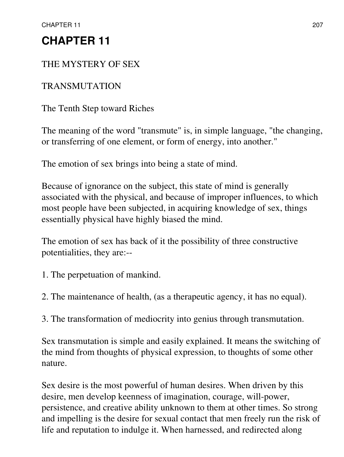# **CHAPTER 11**

### THE MYSTERY OF SEX

### TRANSMUTATION

The Tenth Step toward Riches

The meaning of the word "transmute" is, in simple language, "the changing, or transferring of one element, or form of energy, into another."

The emotion of sex brings into being a state of mind.

Because of ignorance on the subject, this state of mind is generally associated with the physical, and because of improper influences, to which most people have been subjected, in acquiring knowledge of sex, things essentially physical have highly biased the mind.

The emotion of sex has back of it the possibility of three constructive potentialities, they are:--

- 1. The perpetuation of mankind.
- 2. The maintenance of health, (as a therapeutic agency, it has no equal).
- 3. The transformation of mediocrity into genius through transmutation.

Sex transmutation is simple and easily explained. It means the switching of the mind from thoughts of physical expression, to thoughts of some other nature.

Sex desire is the most powerful of human desires. When driven by this desire, men develop keenness of imagination, courage, will-power, persistence, and creative ability unknown to them at other times. So strong and impelling is the desire for sexual contact that men freely run the risk of life and reputation to indulge it. When harnessed, and redirected along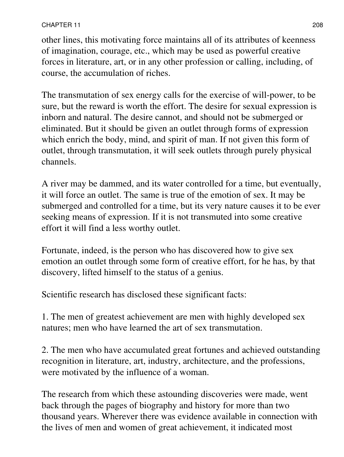other lines, this motivating force maintains all of its attributes of keenness of imagination, courage, etc., which may be used as powerful creative forces in literature, art, or in any other profession or calling, including, of course, the accumulation of riches.

The transmutation of sex energy calls for the exercise of will-power, to be sure, but the reward is worth the effort. The desire for sexual expression is inborn and natural. The desire cannot, and should not be submerged or eliminated. But it should be given an outlet through forms of expression which enrich the body, mind, and spirit of man. If not given this form of outlet, through transmutation, it will seek outlets through purely physical channels.

A river may be dammed, and its water controlled for a time, but eventually, it will force an outlet. The same is true of the emotion of sex. It may be submerged and controlled for a time, but its very nature causes it to be ever seeking means of expression. If it is not transmuted into some creative effort it will find a less worthy outlet.

Fortunate, indeed, is the person who has discovered how to give sex emotion an outlet through some form of creative effort, for he has, by that discovery, lifted himself to the status of a genius.

Scientific research has disclosed these significant facts:

1. The men of greatest achievement are men with highly developed sex natures; men who have learned the art of sex transmutation.

2. The men who have accumulated great fortunes and achieved outstanding recognition in literature, art, industry, architecture, and the professions, were motivated by the influence of a woman.

The research from which these astounding discoveries were made, went back through the pages of biography and history for more than two thousand years. Wherever there was evidence available in connection with the lives of men and women of great achievement, it indicated most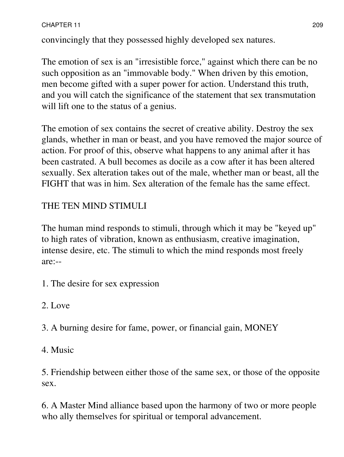convincingly that they possessed highly developed sex natures.

The emotion of sex is an "irresistible force," against which there can be no such opposition as an "immovable body." When driven by this emotion, men become gifted with a super power for action. Understand this truth, and you will catch the significance of the statement that sex transmutation will lift one to the status of a genius.

The emotion of sex contains the secret of creative ability. Destroy the sex glands, whether in man or beast, and you have removed the major source of action. For proof of this, observe what happens to any animal after it has been castrated. A bull becomes as docile as a cow after it has been altered sexually. Sex alteration takes out of the male, whether man or beast, all the FIGHT that was in him. Sex alteration of the female has the same effect.

### THE TEN MIND STIMULI

The human mind responds to stimuli, through which it may be "keyed up" to high rates of vibration, known as enthusiasm, creative imagination, intense desire, etc. The stimuli to which the mind responds most freely are:--

- 1. The desire for sex expression
- 2. Love
- 3. A burning desire for fame, power, or financial gain, MONEY
- 4. Music

5. Friendship between either those of the same sex, or those of the opposite sex.

6. A Master Mind alliance based upon the harmony of two or more people who ally themselves for spiritual or temporal advancement.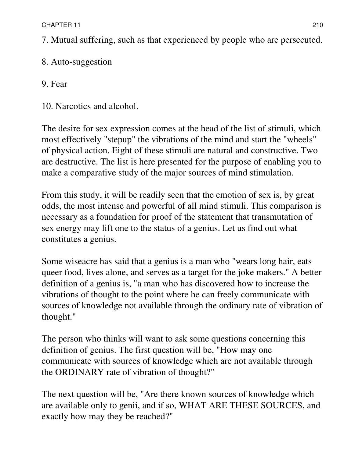7. Mutual suffering, such as that experienced by people who are persecuted.

9. Fear

10. Narcotics and alcohol.

The desire for sex expression comes at the head of the list of stimuli, which most effectively "stepup" the vibrations of the mind and start the "wheels" of physical action. Eight of these stimuli are natural and constructive. Two are destructive. The list is here presented for the purpose of enabling you to make a comparative study of the major sources of mind stimulation.

From this study, it will be readily seen that the emotion of sex is, by great odds, the most intense and powerful of all mind stimuli. This comparison is necessary as a foundation for proof of the statement that transmutation of sex energy may lift one to the status of a genius. Let us find out what constitutes a genius.

Some wiseacre has said that a genius is a man who "wears long hair, eats queer food, lives alone, and serves as a target for the joke makers." A better definition of a genius is, "a man who has discovered how to increase the vibrations of thought to the point where he can freely communicate with sources of knowledge not available through the ordinary rate of vibration of thought."

The person who thinks will want to ask some questions concerning this definition of genius. The first question will be, "How may one communicate with sources of knowledge which are not available through the ORDINARY rate of vibration of thought?"

The next question will be, "Are there known sources of knowledge which are available only to genii, and if so, WHAT ARE THESE SOURCES, and exactly how may they be reached?"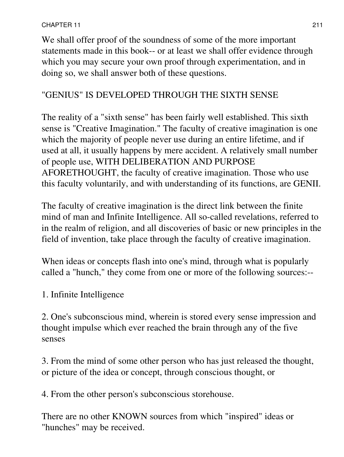We shall offer proof of the soundness of some of the more important statements made in this book-- or at least we shall offer evidence through which you may secure your own proof through experimentation, and in doing so, we shall answer both of these questions.

### "GENIUS" IS DEVELOPED THROUGH THE SIXTH SENSE

The reality of a "sixth sense" has been fairly well established. This sixth sense is "Creative Imagination." The faculty of creative imagination is one which the majority of people never use during an entire lifetime, and if used at all, it usually happens by mere accident. A relatively small number of people use, WITH DELIBERATION AND PURPOSE AFORETHOUGHT, the faculty of creative imagination. Those who use this faculty voluntarily, and with understanding of its functions, are GENII.

The faculty of creative imagination is the direct link between the finite mind of man and Infinite Intelligence. All so-called revelations, referred to in the realm of religion, and all discoveries of basic or new principles in the field of invention, take place through the faculty of creative imagination.

When ideas or concepts flash into one's mind, through what is popularly called a "hunch," they come from one or more of the following sources:--

1. Infinite Intelligence

2. One's subconscious mind, wherein is stored every sense impression and thought impulse which ever reached the brain through any of the five senses

3. From the mind of some other person who has just released the thought, or picture of the idea or concept, through conscious thought, or

4. From the other person's subconscious storehouse.

There are no other KNOWN sources from which "inspired" ideas or "hunches" may be received.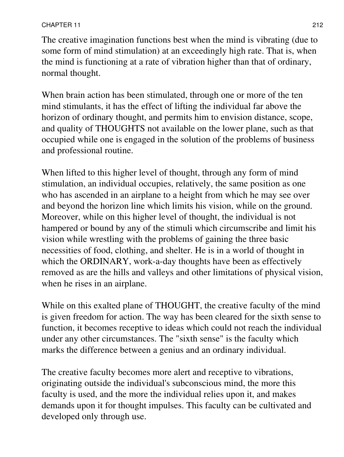The creative imagination functions best when the mind is vibrating (due to some form of mind stimulation) at an exceedingly high rate. That is, when the mind is functioning at a rate of vibration higher than that of ordinary, normal thought.

When brain action has been stimulated, through one or more of the ten mind stimulants, it has the effect of lifting the individual far above the horizon of ordinary thought, and permits him to envision distance, scope, and quality of THOUGHTS not available on the lower plane, such as that occupied while one is engaged in the solution of the problems of business and professional routine.

When lifted to this higher level of thought, through any form of mind stimulation, an individual occupies, relatively, the same position as one who has ascended in an airplane to a height from which he may see over and beyond the horizon line which limits his vision, while on the ground. Moreover, while on this higher level of thought, the individual is not hampered or bound by any of the stimuli which circumscribe and limit his vision while wrestling with the problems of gaining the three basic necessities of food, clothing, and shelter. He is in a world of thought in which the ORDINARY, work-a-day thoughts have been as effectively removed as are the hills and valleys and other limitations of physical vision, when he rises in an airplane.

While on this exalted plane of THOUGHT, the creative faculty of the mind is given freedom for action. The way has been cleared for the sixth sense to function, it becomes receptive to ideas which could not reach the individual under any other circumstances. The "sixth sense" is the faculty which marks the difference between a genius and an ordinary individual.

The creative faculty becomes more alert and receptive to vibrations, originating outside the individual's subconscious mind, the more this faculty is used, and the more the individual relies upon it, and makes demands upon it for thought impulses. This faculty can be cultivated and developed only through use.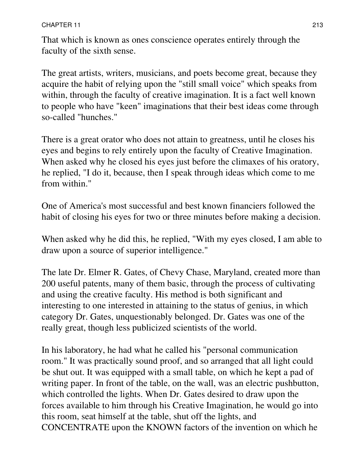That which is known as ones conscience operates entirely through the faculty of the sixth sense.

The great artists, writers, musicians, and poets become great, because they acquire the habit of relying upon the "still small voice" which speaks from within, through the faculty of creative imagination. It is a fact well known to people who have "keen" imaginations that their best ideas come through so-called "hunches."

There is a great orator who does not attain to greatness, until he closes his eyes and begins to rely entirely upon the faculty of Creative Imagination. When asked why he closed his eyes just before the climaxes of his oratory, he replied, "I do it, because, then I speak through ideas which come to me from within."

One of America's most successful and best known financiers followed the habit of closing his eyes for two or three minutes before making a decision.

When asked why he did this, he replied, "With my eyes closed, I am able to draw upon a source of superior intelligence."

The late Dr. Elmer R. Gates, of Chevy Chase, Maryland, created more than 200 useful patents, many of them basic, through the process of cultivating and using the creative faculty. His method is both significant and interesting to one interested in attaining to the status of genius, in which category Dr. Gates, unquestionably belonged. Dr. Gates was one of the really great, though less publicized scientists of the world.

In his laboratory, he had what he called his "personal communication room." It was practically sound proof, and so arranged that all light could be shut out. It was equipped with a small table, on which he kept a pad of writing paper. In front of the table, on the wall, was an electric pushbutton, which controlled the lights. When Dr. Gates desired to draw upon the forces available to him through his Creative Imagination, he would go into this room, seat himself at the table, shut off the lights, and CONCENTRATE upon the KNOWN factors of the invention on which he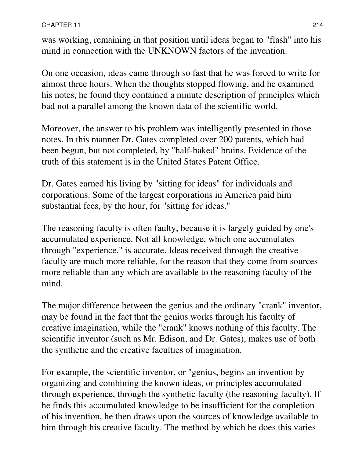was working, remaining in that position until ideas began to "flash" into his mind in connection with the UNKNOWN factors of the invention.

On one occasion, ideas came through so fast that he was forced to write for almost three hours. When the thoughts stopped flowing, and he examined his notes, he found they contained a minute description of principles which bad not a parallel among the known data of the scientific world.

Moreover, the answer to his problem was intelligently presented in those notes. In this manner Dr. Gates completed over 200 patents, which had been begun, but not completed, by "half-baked" brains. Evidence of the truth of this statement is in the United States Patent Office.

Dr. Gates earned his living by "sitting for ideas" for individuals and corporations. Some of the largest corporations in America paid him substantial fees, by the hour, for "sitting for ideas."

The reasoning faculty is often faulty, because it is largely guided by one's accumulated experience. Not all knowledge, which one accumulates through "experience," is accurate. Ideas received through the creative faculty are much more reliable, for the reason that they come from sources more reliable than any which are available to the reasoning faculty of the mind.

The major difference between the genius and the ordinary "crank" inventor, may be found in the fact that the genius works through his faculty of creative imagination, while the "crank" knows nothing of this faculty. The scientific inventor (such as Mr. Edison, and Dr. Gates), makes use of both the synthetic and the creative faculties of imagination.

For example, the scientific inventor, or "genius, begins an invention by organizing and combining the known ideas, or principles accumulated through experience, through the synthetic faculty (the reasoning faculty). If he finds this accumulated knowledge to be insufficient for the completion of his invention, he then draws upon the sources of knowledge available to him through his creative faculty. The method by which he does this varies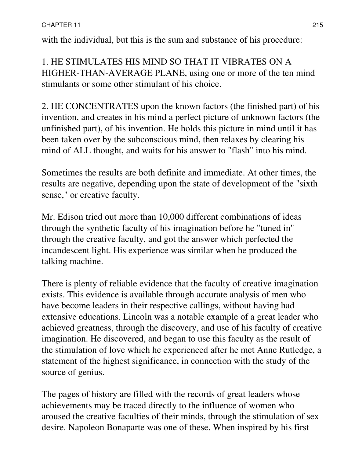with the individual, but this is the sum and substance of his procedure:

1. HE STIMULATES HIS MIND SO THAT IT VIBRATES ON A HIGHER-THAN-AVERAGE PLANE, using one or more of the ten mind stimulants or some other stimulant of his choice.

2. HE CONCENTRATES upon the known factors (the finished part) of his invention, and creates in his mind a perfect picture of unknown factors (the unfinished part), of his invention. He holds this picture in mind until it has been taken over by the subconscious mind, then relaxes by clearing his mind of ALL thought, and waits for his answer to "flash" into his mind.

Sometimes the results are both definite and immediate. At other times, the results are negative, depending upon the state of development of the "sixth sense," or creative faculty.

Mr. Edison tried out more than 10,000 different combinations of ideas through the synthetic faculty of his imagination before he "tuned in" through the creative faculty, and got the answer which perfected the incandescent light. His experience was similar when he produced the talking machine.

There is plenty of reliable evidence that the faculty of creative imagination exists. This evidence is available through accurate analysis of men who have become leaders in their respective callings, without having had extensive educations. Lincoln was a notable example of a great leader who achieved greatness, through the discovery, and use of his faculty of creative imagination. He discovered, and began to use this faculty as the result of the stimulation of love which he experienced after he met Anne Rutledge, a statement of the highest significance, in connection with the study of the source of genius.

The pages of history are filled with the records of great leaders whose achievements may be traced directly to the influence of women who aroused the creative faculties of their minds, through the stimulation of sex desire. Napoleon Bonaparte was one of these. When inspired by his first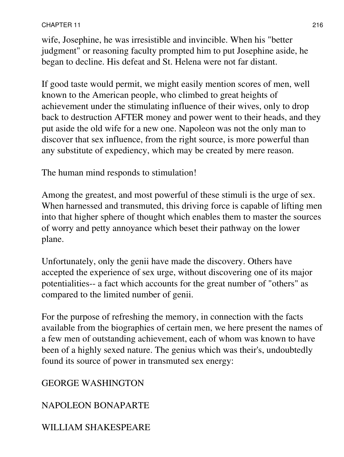wife, Josephine, he was irresistible and invincible. When his "better judgment" or reasoning faculty prompted him to put Josephine aside, he began to decline. His defeat and St. Helena were not far distant.

If good taste would permit, we might easily mention scores of men, well known to the American people, who climbed to great heights of achievement under the stimulating influence of their wives, only to drop back to destruction AFTER money and power went to their heads, and they put aside the old wife for a new one. Napoleon was not the only man to discover that sex influence, from the right source, is more powerful than any substitute of expediency, which may be created by mere reason.

The human mind responds to stimulation!

Among the greatest, and most powerful of these stimuli is the urge of sex. When harnessed and transmuted, this driving force is capable of lifting men into that higher sphere of thought which enables them to master the sources of worry and petty annoyance which beset their pathway on the lower plane.

Unfortunately, only the genii have made the discovery. Others have accepted the experience of sex urge, without discovering one of its major potentialities-- a fact which accounts for the great number of "others" as compared to the limited number of genii.

For the purpose of refreshing the memory, in connection with the facts available from the biographies of certain men, we here present the names of a few men of outstanding achievement, each of whom was known to have been of a highly sexed nature. The genius which was their's, undoubtedly found its source of power in transmuted sex energy:

### GEORGE WASHINGTON

## NAPOLEON BONAPARTE

WILLIAM SHAKESPEARE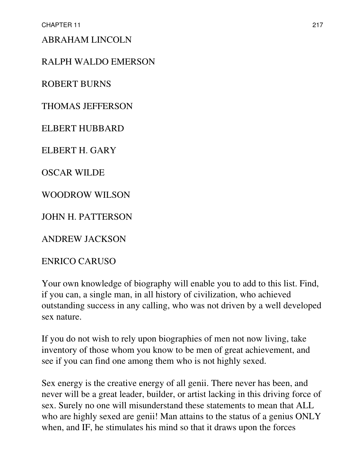### ABRAHAM LINCOLN

RALPH WALDO EMERSON

ROBERT BURNS

THOMAS JEFFERSON

ELBERT HUBBARD

ELBERT H. GARY

OSCAR WILDE

WOODROW WILSON

JOHN H. PATTERSON

ANDREW JACKSON

ENRICO CARUSO

Your own knowledge of biography will enable you to add to this list. Find, if you can, a single man, in all history of civilization, who achieved outstanding success in any calling, who was not driven by a well developed sex nature.

If you do not wish to rely upon biographies of men not now living, take inventory of those whom you know to be men of great achievement, and see if you can find one among them who is not highly sexed.

Sex energy is the creative energy of all genii. There never has been, and never will be a great leader, builder, or artist lacking in this driving force of sex. Surely no one will misunderstand these statements to mean that ALL who are highly sexed are genii! Man attains to the status of a genius ONLY when, and IF, he stimulates his mind so that it draws upon the forces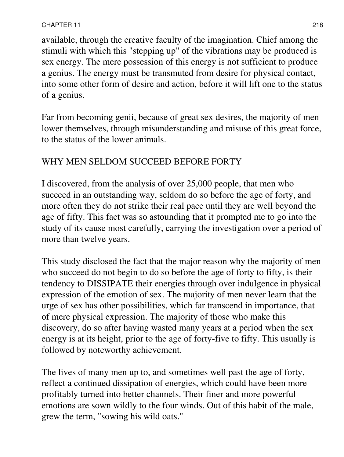available, through the creative faculty of the imagination. Chief among the stimuli with which this "stepping up" of the vibrations may be produced is sex energy. The mere possession of this energy is not sufficient to produce a genius. The energy must be transmuted from desire for physical contact, into some other form of desire and action, before it will lift one to the status of a genius.

Far from becoming genii, because of great sex desires, the majority of men lower themselves, through misunderstanding and misuse of this great force, to the status of the lower animals.

# WHY MEN SELDOM SUCCEED BEFORE FORTY

I discovered, from the analysis of over 25,000 people, that men who succeed in an outstanding way, seldom do so before the age of forty, and more often they do not strike their real pace until they are well beyond the age of fifty. This fact was so astounding that it prompted me to go into the study of its cause most carefully, carrying the investigation over a period of more than twelve years.

This study disclosed the fact that the major reason why the majority of men who succeed do not begin to do so before the age of forty to fifty, is their tendency to DISSIPATE their energies through over indulgence in physical expression of the emotion of sex. The majority of men never learn that the urge of sex has other possibilities, which far transcend in importance, that of mere physical expression. The majority of those who make this discovery, do so after having wasted many years at a period when the sex energy is at its height, prior to the age of forty-five to fifty. This usually is followed by noteworthy achievement.

The lives of many men up to, and sometimes well past the age of forty, reflect a continued dissipation of energies, which could have been more profitably turned into better channels. Their finer and more powerful emotions are sown wildly to the four winds. Out of this habit of the male, grew the term, "sowing his wild oats."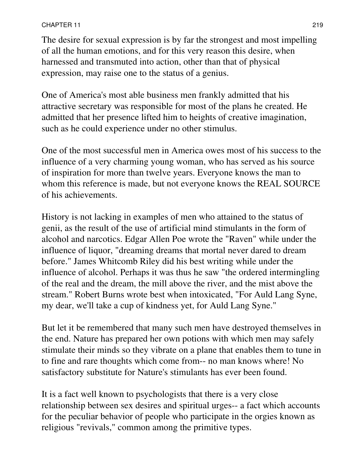The desire for sexual expression is by far the strongest and most impelling of all the human emotions, and for this very reason this desire, when harnessed and transmuted into action, other than that of physical expression, may raise one to the status of a genius.

One of America's most able business men frankly admitted that his attractive secretary was responsible for most of the plans he created. He admitted that her presence lifted him to heights of creative imagination, such as he could experience under no other stimulus.

One of the most successful men in America owes most of his success to the influence of a very charming young woman, who has served as his source of inspiration for more than twelve years. Everyone knows the man to whom this reference is made, but not everyone knows the REAL SOURCE of his achievements.

History is not lacking in examples of men who attained to the status of genii, as the result of the use of artificial mind stimulants in the form of alcohol and narcotics. Edgar Allen Poe wrote the "Raven" while under the influence of liquor, "dreaming dreams that mortal never dared to dream before." James Whitcomb Riley did his best writing while under the influence of alcohol. Perhaps it was thus he saw "the ordered intermingling of the real and the dream, the mill above the river, and the mist above the stream." Robert Burns wrote best when intoxicated, "For Auld Lang Syne, my dear, we'll take a cup of kindness yet, for Auld Lang Syne."

But let it be remembered that many such men have destroyed themselves in the end. Nature has prepared her own potions with which men may safely stimulate their minds so they vibrate on a plane that enables them to tune in to fine and rare thoughts which come from-- no man knows where! No satisfactory substitute for Nature's stimulants has ever been found.

It is a fact well known to psychologists that there is a very close relationship between sex desires and spiritual urges-- a fact which accounts for the peculiar behavior of people who participate in the orgies known as religious "revivals," common among the primitive types.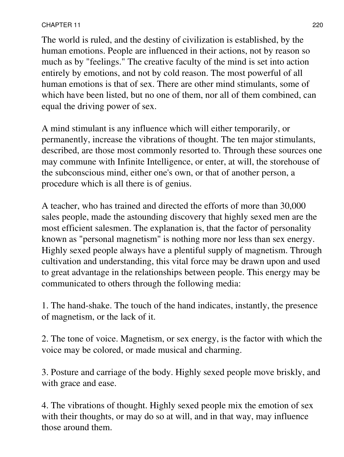The world is ruled, and the destiny of civilization is established, by the human emotions. People are influenced in their actions, not by reason so much as by "feelings." The creative faculty of the mind is set into action entirely by emotions, and not by cold reason. The most powerful of all human emotions is that of sex. There are other mind stimulants, some of which have been listed, but no one of them, nor all of them combined, can equal the driving power of sex.

A mind stimulant is any influence which will either temporarily, or permanently, increase the vibrations of thought. The ten major stimulants, described, are those most commonly resorted to. Through these sources one may commune with Infinite Intelligence, or enter, at will, the storehouse of the subconscious mind, either one's own, or that of another person, a procedure which is all there is of genius.

A teacher, who has trained and directed the efforts of more than 30,000 sales people, made the astounding discovery that highly sexed men are the most efficient salesmen. The explanation is, that the factor of personality known as "personal magnetism" is nothing more nor less than sex energy. Highly sexed people always have a plentiful supply of magnetism. Through cultivation and understanding, this vital force may be drawn upon and used to great advantage in the relationships between people. This energy may be communicated to others through the following media:

1. The hand-shake. The touch of the hand indicates, instantly, the presence of magnetism, or the lack of it.

2. The tone of voice. Magnetism, or sex energy, is the factor with which the voice may be colored, or made musical and charming.

3. Posture and carriage of the body. Highly sexed people move briskly, and with grace and ease.

4. The vibrations of thought. Highly sexed people mix the emotion of sex with their thoughts, or may do so at will, and in that way, may influence those around them.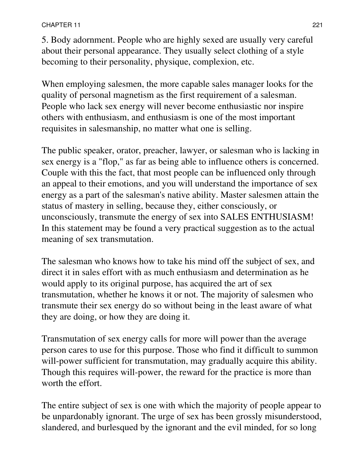5. Body adornment. People who are highly sexed are usually very careful about their personal appearance. They usually select clothing of a style becoming to their personality, physique, complexion, etc.

When employing salesmen, the more capable sales manager looks for the quality of personal magnetism as the first requirement of a salesman. People who lack sex energy will never become enthusiastic nor inspire others with enthusiasm, and enthusiasm is one of the most important requisites in salesmanship, no matter what one is selling.

The public speaker, orator, preacher, lawyer, or salesman who is lacking in sex energy is a "flop," as far as being able to influence others is concerned. Couple with this the fact, that most people can be influenced only through an appeal to their emotions, and you will understand the importance of sex energy as a part of the salesman's native ability. Master salesmen attain the status of mastery in selling, because they, either consciously, or unconsciously, transmute the energy of sex into SALES ENTHUSIASM! In this statement may be found a very practical suggestion as to the actual meaning of sex transmutation.

The salesman who knows how to take his mind off the subject of sex, and direct it in sales effort with as much enthusiasm and determination as he would apply to its original purpose, has acquired the art of sex transmutation, whether he knows it or not. The majority of salesmen who transmute their sex energy do so without being in the least aware of what they are doing, or how they are doing it.

Transmutation of sex energy calls for more will power than the average person cares to use for this purpose. Those who find it difficult to summon will-power sufficient for transmutation, may gradually acquire this ability. Though this requires will-power, the reward for the practice is more than worth the effort.

The entire subject of sex is one with which the majority of people appear to be unpardonably ignorant. The urge of sex has been grossly misunderstood, slandered, and burlesqued by the ignorant and the evil minded, for so long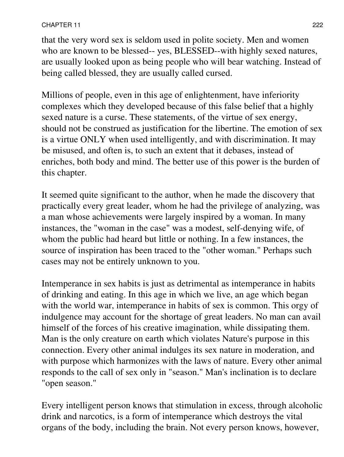that the very word sex is seldom used in polite society. Men and women who are known to be blessed-- yes, BLESSED--with highly sexed natures, are usually looked upon as being people who will bear watching. Instead of being called blessed, they are usually called cursed.

Millions of people, even in this age of enlightenment, have inferiority complexes which they developed because of this false belief that a highly sexed nature is a curse. These statements, of the virtue of sex energy, should not be construed as justification for the libertine. The emotion of sex is a virtue ONLY when used intelligently, and with discrimination. It may be misused, and often is, to such an extent that it debases, instead of enriches, both body and mind. The better use of this power is the burden of this chapter.

It seemed quite significant to the author, when he made the discovery that practically every great leader, whom he had the privilege of analyzing, was a man whose achievements were largely inspired by a woman. In many instances, the "woman in the case" was a modest, self-denying wife, of whom the public had heard but little or nothing. In a few instances, the source of inspiration has been traced to the "other woman." Perhaps such cases may not be entirely unknown to you.

Intemperance in sex habits is just as detrimental as intemperance in habits of drinking and eating. In this age in which we live, an age which began with the world war, intemperance in habits of sex is common. This orgy of indulgence may account for the shortage of great leaders. No man can avail himself of the forces of his creative imagination, while dissipating them. Man is the only creature on earth which violates Nature's purpose in this connection. Every other animal indulges its sex nature in moderation, and with purpose which harmonizes with the laws of nature. Every other animal responds to the call of sex only in "season." Man's inclination is to declare "open season."

Every intelligent person knows that stimulation in excess, through alcoholic drink and narcotics, is a form of intemperance which destroys the vital organs of the body, including the brain. Not every person knows, however,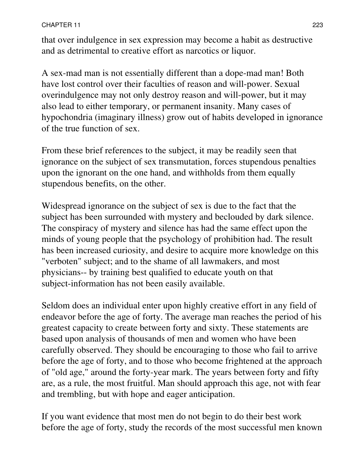that over indulgence in sex expression may become a habit as destructive and as detrimental to creative effort as narcotics or liquor.

A sex-mad man is not essentially different than a dope-mad man! Both have lost control over their faculties of reason and will-power. Sexual overindulgence may not only destroy reason and will-power, but it may also lead to either temporary, or permanent insanity. Many cases of hypochondria (imaginary illness) grow out of habits developed in ignorance of the true function of sex.

From these brief references to the subject, it may be readily seen that ignorance on the subject of sex transmutation, forces stupendous penalties upon the ignorant on the one hand, and withholds from them equally stupendous benefits, on the other.

Widespread ignorance on the subject of sex is due to the fact that the subject has been surrounded with mystery and beclouded by dark silence. The conspiracy of mystery and silence has had the same effect upon the minds of young people that the psychology of prohibition had. The result has been increased curiosity, and desire to acquire more knowledge on this "verboten" subject; and to the shame of all lawmakers, and most physicians-- by training best qualified to educate youth on that subject-information has not been easily available.

Seldom does an individual enter upon highly creative effort in any field of endeavor before the age of forty. The average man reaches the period of his greatest capacity to create between forty and sixty. These statements are based upon analysis of thousands of men and women who have been carefully observed. They should be encouraging to those who fail to arrive before the age of forty, and to those who become frightened at the approach of "old age," around the forty-year mark. The years between forty and fifty are, as a rule, the most fruitful. Man should approach this age, not with fear and trembling, but with hope and eager anticipation.

If you want evidence that most men do not begin to do their best work before the age of forty, study the records of the most successful men known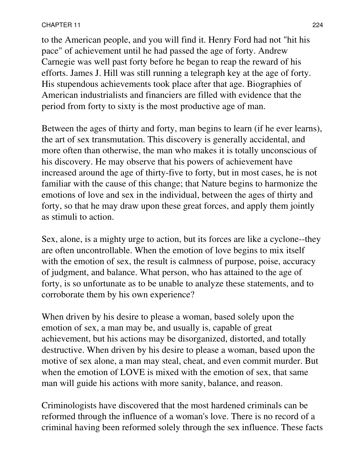to the American people, and you will find it. Henry Ford had not "hit his pace" of achievement until he had passed the age of forty. Andrew Carnegie was well past forty before he began to reap the reward of his efforts. James J. Hill was still running a telegraph key at the age of forty. His stupendous achievements took place after that age. Biographies of American industrialists and financiers are filled with evidence that the period from forty to sixty is the most productive age of man.

Between the ages of thirty and forty, man begins to learn (if he ever learns), the art of sex transmutation. This discovery is generally accidental, and more often than otherwise, the man who makes it is totally unconscious of his discovery. He may observe that his powers of achievement have increased around the age of thirty-five to forty, but in most cases, he is not familiar with the cause of this change; that Nature begins to harmonize the emotions of love and sex in the individual, between the ages of thirty and forty, so that he may draw upon these great forces, and apply them jointly as stimuli to action.

Sex, alone, is a mighty urge to action, but its forces are like a cyclone--they are often uncontrollable. When the emotion of love begins to mix itself with the emotion of sex, the result is calmness of purpose, poise, accuracy of judgment, and balance. What person, who has attained to the age of forty, is so unfortunate as to be unable to analyze these statements, and to corroborate them by his own experience?

When driven by his desire to please a woman, based solely upon the emotion of sex, a man may be, and usually is, capable of great achievement, but his actions may be disorganized, distorted, and totally destructive. When driven by his desire to please a woman, based upon the motive of sex alone, a man may steal, cheat, and even commit murder. But when the emotion of LOVE is mixed with the emotion of sex, that same man will guide his actions with more sanity, balance, and reason.

Criminologists have discovered that the most hardened criminals can be reformed through the influence of a woman's love. There is no record of a criminal having been reformed solely through the sex influence. These facts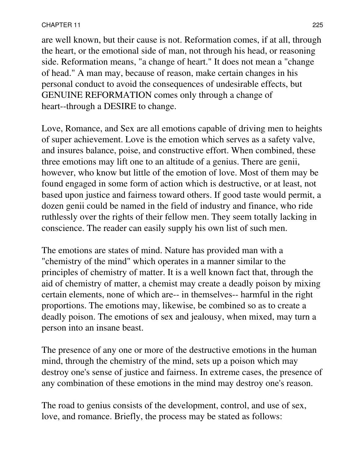are well known, but their cause is not. Reformation comes, if at all, through the heart, or the emotional side of man, not through his head, or reasoning side. Reformation means, "a change of heart." It does not mean a "change of head." A man may, because of reason, make certain changes in his personal conduct to avoid the consequences of undesirable effects, but GENUINE REFORMATION comes only through a change of heart--through a DESIRE to change.

Love, Romance, and Sex are all emotions capable of driving men to heights of super achievement. Love is the emotion which serves as a safety valve, and insures balance, poise, and constructive effort. When combined, these three emotions may lift one to an altitude of a genius. There are genii, however, who know but little of the emotion of love. Most of them may be found engaged in some form of action which is destructive, or at least, not based upon justice and fairness toward others. If good taste would permit, a dozen genii could be named in the field of industry and finance, who ride ruthlessly over the rights of their fellow men. They seem totally lacking in conscience. The reader can easily supply his own list of such men.

The emotions are states of mind. Nature has provided man with a "chemistry of the mind" which operates in a manner similar to the principles of chemistry of matter. It is a well known fact that, through the aid of chemistry of matter, a chemist may create a deadly poison by mixing certain elements, none of which are-- in themselves-- harmful in the right proportions. The emotions may, likewise, be combined so as to create a deadly poison. The emotions of sex and jealousy, when mixed, may turn a person into an insane beast.

The presence of any one or more of the destructive emotions in the human mind, through the chemistry of the mind, sets up a poison which may destroy one's sense of justice and fairness. In extreme cases, the presence of any combination of these emotions in the mind may destroy one's reason.

The road to genius consists of the development, control, and use of sex, love, and romance. Briefly, the process may be stated as follows: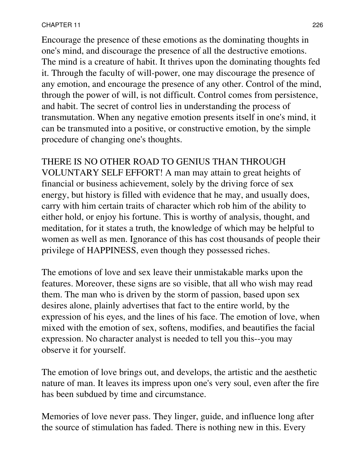Encourage the presence of these emotions as the dominating thoughts in one's mind, and discourage the presence of all the destructive emotions. The mind is a creature of habit. It thrives upon the dominating thoughts fed it. Through the faculty of will-power, one may discourage the presence of any emotion, and encourage the presence of any other. Control of the mind, through the power of will, is not difficult. Control comes from persistence, and habit. The secret of control lies in understanding the process of transmutation. When any negative emotion presents itself in one's mind, it can be transmuted into a positive, or constructive emotion, by the simple procedure of changing one's thoughts.

THERE IS NO OTHER ROAD TO GENIUS THAN THROUGH VOLUNTARY SELF EFFORT! A man may attain to great heights of financial or business achievement, solely by the driving force of sex energy, but history is filled with evidence that he may, and usually does, carry with him certain traits of character which rob him of the ability to either hold, or enjoy his fortune. This is worthy of analysis, thought, and meditation, for it states a truth, the knowledge of which may be helpful to women as well as men. Ignorance of this has cost thousands of people their privilege of HAPPINESS, even though they possessed riches.

The emotions of love and sex leave their unmistakable marks upon the features. Moreover, these signs are so visible, that all who wish may read them. The man who is driven by the storm of passion, based upon sex desires alone, plainly advertises that fact to the entire world, by the expression of his eyes, and the lines of his face. The emotion of love, when mixed with the emotion of sex, softens, modifies, and beautifies the facial expression. No character analyst is needed to tell you this--you may observe it for yourself.

The emotion of love brings out, and develops, the artistic and the aesthetic nature of man. It leaves its impress upon one's very soul, even after the fire has been subdued by time and circumstance.

Memories of love never pass. They linger, guide, and influence long after the source of stimulation has faded. There is nothing new in this. Every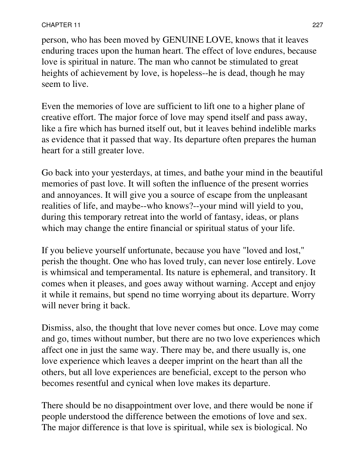person, who has been moved by GENUINE LOVE, knows that it leaves enduring traces upon the human heart. The effect of love endures, because love is spiritual in nature. The man who cannot be stimulated to great heights of achievement by love, is hopeless--he is dead, though he may seem to live.

Even the memories of love are sufficient to lift one to a higher plane of creative effort. The major force of love may spend itself and pass away, like a fire which has burned itself out, but it leaves behind indelible marks as evidence that it passed that way. Its departure often prepares the human heart for a still greater love.

Go back into your yesterdays, at times, and bathe your mind in the beautiful memories of past love. It will soften the influence of the present worries and annoyances. It will give you a source of escape from the unpleasant realities of life, and maybe--who knows?--your mind will yield to you, during this temporary retreat into the world of fantasy, ideas, or plans which may change the entire financial or spiritual status of your life.

If you believe yourself unfortunate, because you have "loved and lost," perish the thought. One who has loved truly, can never lose entirely. Love is whimsical and temperamental. Its nature is ephemeral, and transitory. It comes when it pleases, and goes away without warning. Accept and enjoy it while it remains, but spend no time worrying about its departure. Worry will never bring it back.

Dismiss, also, the thought that love never comes but once. Love may come and go, times without number, but there are no two love experiences which affect one in just the same way. There may be, and there usually is, one love experience which leaves a deeper imprint on the heart than all the others, but all love experiences are beneficial, except to the person who becomes resentful and cynical when love makes its departure.

There should be no disappointment over love, and there would be none if people understood the difference between the emotions of love and sex. The major difference is that love is spiritual, while sex is biological. No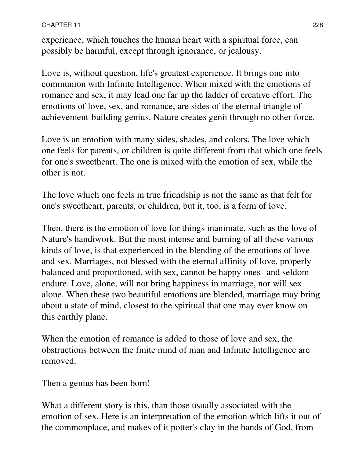experience, which touches the human heart with a spiritual force, can possibly be harmful, except through ignorance, or jealousy.

Love is, without question, life's greatest experience. It brings one into communion with Infinite Intelligence. When mixed with the emotions of romance and sex, it may lead one far up the ladder of creative effort. The emotions of love, sex, and romance, are sides of the eternal triangle of achievement-building genius. Nature creates genii through no other force.

Love is an emotion with many sides, shades, and colors. The love which one feels for parents, or children is quite different from that which one feels for one's sweetheart. The one is mixed with the emotion of sex, while the other is not.

The love which one feels in true friendship is not the same as that felt for one's sweetheart, parents, or children, but it, too, is a form of love.

Then, there is the emotion of love for things inanimate, such as the love of Nature's handiwork. But the most intense and burning of all these various kinds of love, is that experienced in the blending of the emotions of love and sex. Marriages, not blessed with the eternal affinity of love, properly balanced and proportioned, with sex, cannot be happy ones--and seldom endure. Love, alone, will not bring happiness in marriage, nor will sex alone. When these two beautiful emotions are blended, marriage may bring about a state of mind, closest to the spiritual that one may ever know on this earthly plane.

When the emotion of romance is added to those of love and sex, the obstructions between the finite mind of man and Infinite Intelligence are removed.

Then a genius has been born!

What a different story is this, than those usually associated with the emotion of sex. Here is an interpretation of the emotion which lifts it out of the commonplace, and makes of it potter's clay in the hands of God, from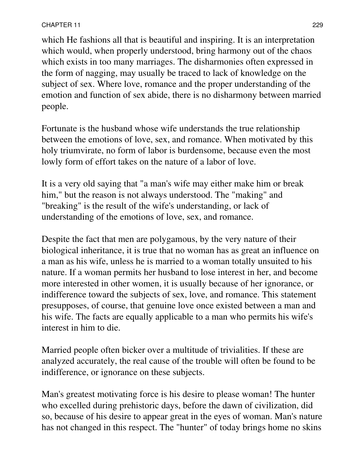which He fashions all that is beautiful and inspiring. It is an interpretation which would, when properly understood, bring harmony out of the chaos which exists in too many marriages. The disharmonies often expressed in the form of nagging, may usually be traced to lack of knowledge on the subject of sex. Where love, romance and the proper understanding of the emotion and function of sex abide, there is no disharmony between married people.

Fortunate is the husband whose wife understands the true relationship between the emotions of love, sex, and romance. When motivated by this holy triumvirate, no form of labor is burdensome, because even the most lowly form of effort takes on the nature of a labor of love.

It is a very old saying that "a man's wife may either make him or break him," but the reason is not always understood. The "making" and "breaking" is the result of the wife's understanding, or lack of understanding of the emotions of love, sex, and romance.

Despite the fact that men are polygamous, by the very nature of their biological inheritance, it is true that no woman has as great an influence on a man as his wife, unless he is married to a woman totally unsuited to his nature. If a woman permits her husband to lose interest in her, and become more interested in other women, it is usually because of her ignorance, or indifference toward the subjects of sex, love, and romance. This statement presupposes, of course, that genuine love once existed between a man and his wife. The facts are equally applicable to a man who permits his wife's interest in him to die.

Married people often bicker over a multitude of trivialities. If these are analyzed accurately, the real cause of the trouble will often be found to be indifference, or ignorance on these subjects.

Man's greatest motivating force is his desire to please woman! The hunter who excelled during prehistoric days, before the dawn of civilization, did so, because of his desire to appear great in the eyes of woman. Man's nature has not changed in this respect. The "hunter" of today brings home no skins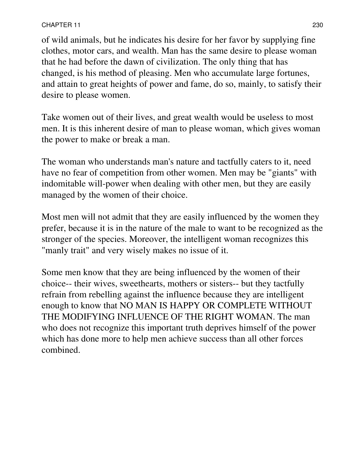of wild animals, but he indicates his desire for her favor by supplying fine clothes, motor cars, and wealth. Man has the same desire to please woman that he had before the dawn of civilization. The only thing that has changed, is his method of pleasing. Men who accumulate large fortunes, and attain to great heights of power and fame, do so, mainly, to satisfy their desire to please women.

Take women out of their lives, and great wealth would be useless to most men. It is this inherent desire of man to please woman, which gives woman the power to make or break a man.

The woman who understands man's nature and tactfully caters to it, need have no fear of competition from other women. Men may be "giants" with indomitable will-power when dealing with other men, but they are easily managed by the women of their choice.

Most men will not admit that they are easily influenced by the women they prefer, because it is in the nature of the male to want to be recognized as the stronger of the species. Moreover, the intelligent woman recognizes this "manly trait" and very wisely makes no issue of it.

Some men know that they are being influenced by the women of their choice-- their wives, sweethearts, mothers or sisters-- but they tactfully refrain from rebelling against the influence because they are intelligent enough to know that NO MAN IS HAPPY OR COMPLETE WITHOUT THE MODIFYING INFLUENCE OF THE RIGHT WOMAN. The man who does not recognize this important truth deprives himself of the power which has done more to help men achieve success than all other forces combined.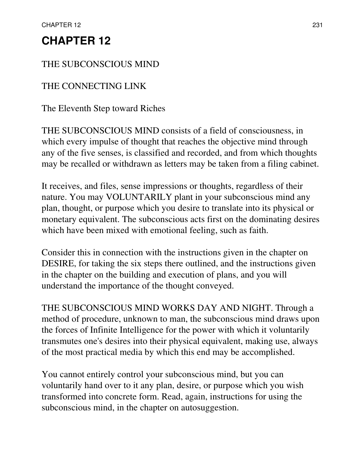# **CHAPTER 12**

### THE SUBCONSCIOUS MIND

### THE CONNECTING LINK

The Eleventh Step toward Riches

THE SUBCONSCIOUS MIND consists of a field of consciousness, in which every impulse of thought that reaches the objective mind through any of the five senses, is classified and recorded, and from which thoughts may be recalled or withdrawn as letters may be taken from a filing cabinet.

It receives, and files, sense impressions or thoughts, regardless of their nature. You may VOLUNTARILY plant in your subconscious mind any plan, thought, or purpose which you desire to translate into its physical or monetary equivalent. The subconscious acts first on the dominating desires which have been mixed with emotional feeling, such as faith.

Consider this in connection with the instructions given in the chapter on DESIRE, for taking the six steps there outlined, and the instructions given in the chapter on the building and execution of plans, and you will understand the importance of the thought conveyed.

THE SUBCONSCIOUS MIND WORKS DAY AND NIGHT. Through a method of procedure, unknown to man, the subconscious mind draws upon the forces of Infinite Intelligence for the power with which it voluntarily transmutes one's desires into their physical equivalent, making use, always of the most practical media by which this end may be accomplished.

You cannot entirely control your subconscious mind, but you can voluntarily hand over to it any plan, desire, or purpose which you wish transformed into concrete form. Read, again, instructions for using the subconscious mind, in the chapter on autosuggestion.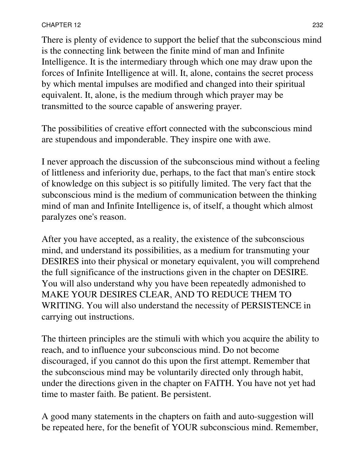There is plenty of evidence to support the belief that the subconscious mind is the connecting link between the finite mind of man and Infinite Intelligence. It is the intermediary through which one may draw upon the forces of Infinite Intelligence at will. It, alone, contains the secret process by which mental impulses are modified and changed into their spiritual equivalent. It, alone, is the medium through which prayer may be transmitted to the source capable of answering prayer.

The possibilities of creative effort connected with the subconscious mind are stupendous and imponderable. They inspire one with awe.

I never approach the discussion of the subconscious mind without a feeling of littleness and inferiority due, perhaps, to the fact that man's entire stock of knowledge on this subject is so pitifully limited. The very fact that the subconscious mind is the medium of communication between the thinking mind of man and Infinite Intelligence is, of itself, a thought which almost paralyzes one's reason.

After you have accepted, as a reality, the existence of the subconscious mind, and understand its possibilities, as a medium for transmuting your DESIRES into their physical or monetary equivalent, you will comprehend the full significance of the instructions given in the chapter on DESIRE. You will also understand why you have been repeatedly admonished to MAKE YOUR DESIRES CLEAR, AND TO REDUCE THEM TO WRITING. You will also understand the necessity of PERSISTENCE in carrying out instructions.

The thirteen principles are the stimuli with which you acquire the ability to reach, and to influence your subconscious mind. Do not become discouraged, if you cannot do this upon the first attempt. Remember that the subconscious mind may be voluntarily directed only through habit, under the directions given in the chapter on FAITH. You have not yet had time to master faith. Be patient. Be persistent.

A good many statements in the chapters on faith and auto-suggestion will be repeated here, for the benefit of YOUR subconscious mind. Remember,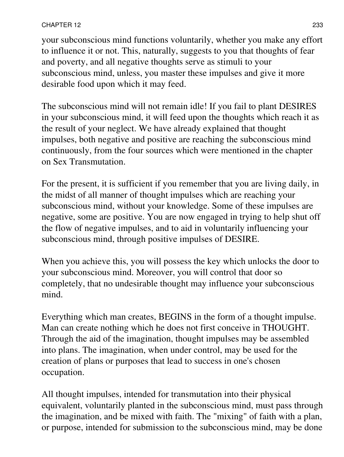your subconscious mind functions voluntarily, whether you make any effort to influence it or not. This, naturally, suggests to you that thoughts of fear and poverty, and all negative thoughts serve as stimuli to your subconscious mind, unless, you master these impulses and give it more desirable food upon which it may feed.

The subconscious mind will not remain idle! If you fail to plant DESIRES in your subconscious mind, it will feed upon the thoughts which reach it as the result of your neglect. We have already explained that thought impulses, both negative and positive are reaching the subconscious mind continuously, from the four sources which were mentioned in the chapter on Sex Transmutation.

For the present, it is sufficient if you remember that you are living daily, in the midst of all manner of thought impulses which are reaching your subconscious mind, without your knowledge. Some of these impulses are negative, some are positive. You are now engaged in trying to help shut off the flow of negative impulses, and to aid in voluntarily influencing your subconscious mind, through positive impulses of DESIRE.

When you achieve this, you will possess the key which unlocks the door to your subconscious mind. Moreover, you will control that door so completely, that no undesirable thought may influence your subconscious mind.

Everything which man creates, BEGINS in the form of a thought impulse. Man can create nothing which he does not first conceive in THOUGHT. Through the aid of the imagination, thought impulses may be assembled into plans. The imagination, when under control, may be used for the creation of plans or purposes that lead to success in one's chosen occupation.

All thought impulses, intended for transmutation into their physical equivalent, voluntarily planted in the subconscious mind, must pass through the imagination, and be mixed with faith. The "mixing" of faith with a plan, or purpose, intended for submission to the subconscious mind, may be done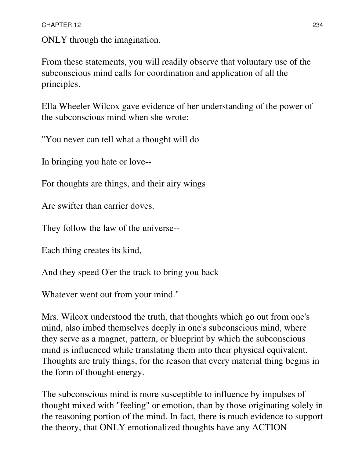ONLY through the imagination.

From these statements, you will readily observe that voluntary use of the subconscious mind calls for coordination and application of all the principles.

Ella Wheeler Wilcox gave evidence of her understanding of the power of the subconscious mind when she wrote:

"You never can tell what a thought will do

In bringing you hate or love--

For thoughts are things, and their airy wings

Are swifter than carrier doves.

They follow the law of the universe--

Each thing creates its kind,

And they speed O'er the track to bring you back

Whatever went out from your mind."

Mrs. Wilcox understood the truth, that thoughts which go out from one's mind, also imbed themselves deeply in one's subconscious mind, where they serve as a magnet, pattern, or blueprint by which the subconscious mind is influenced while translating them into their physical equivalent. Thoughts are truly things, for the reason that every material thing begins in the form of thought-energy.

The subconscious mind is more susceptible to influence by impulses of thought mixed with "feeling" or emotion, than by those originating solely in the reasoning portion of the mind. In fact, there is much evidence to support the theory, that ONLY emotionalized thoughts have any ACTION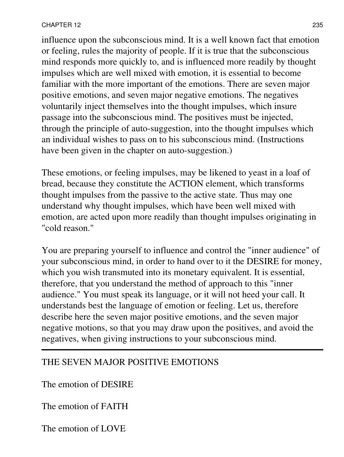influence upon the subconscious mind. It is a well known fact that emotion or feeling, rules the majority of people. If it is true that the subconscious mind responds more quickly to, and is influenced more readily by thought impulses which are well mixed with emotion, it is essential to become familiar with the more important of the emotions. There are seven major positive emotions, and seven major negative emotions. The negatives voluntarily inject themselves into the thought impulses, which insure passage into the subconscious mind. The positives must be injected, through the principle of auto-suggestion, into the thought impulses which an individual wishes to pass on to his subconscious mind. (Instructions have been given in the chapter on auto-suggestion.)

These emotions, or feeling impulses, may be likened to yeast in a loaf of bread, because they constitute the ACTION element, which transforms thought impulses from the passive to the active state. Thus may one understand why thought impulses, which have been well mixed with emotion, are acted upon more readily than thought impulses originating in "cold reason."

You are preparing yourself to influence and control the "inner audience" of your subconscious mind, in order to hand over to it the DESIRE for money, which you wish transmuted into its monetary equivalent. It is essential, therefore, that you understand the method of approach to this "inner audience." You must speak its language, or it will not heed your call. It understands best the language of emotion or feeling. Let us, therefore describe here the seven major positive emotions, and the seven major negative motions, so that you may draw upon the positives, and avoid the negatives, when giving instructions to your subconscious mind.

### THE SEVEN MAJOR POSITIVE EMOTIONS

The emotion of DESIRE

The emotion of FAITH

The emotion of LOVE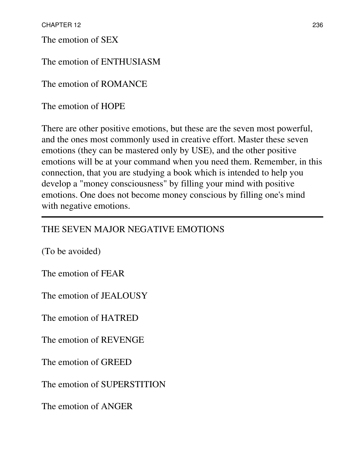The emotion of SEX

### The emotion of ENTHUSIASM

The emotion of ROMANCE

The emotion of HOPE

There are other positive emotions, but these are the seven most powerful, and the ones most commonly used in creative effort. Master these seven emotions (they can be mastered only by USE), and the other positive emotions will be at your command when you need them. Remember, in this connection, that you are studying a book which is intended to help you develop a "money consciousness" by filling your mind with positive emotions. One does not become money conscious by filling one's mind with negative emotions.

## THE SEVEN MAJOR NEGATIVE EMOTIONS

(To be avoided)

The emotion of FEAR

The emotion of JEALOUSY

The emotion of HATRED

The emotion of REVENGE

The emotion of GREED

The emotion of SUPERSTITION

The emotion of ANGER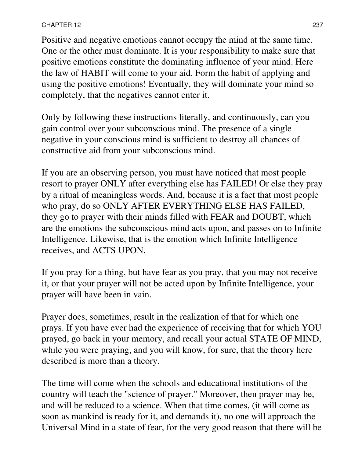Positive and negative emotions cannot occupy the mind at the same time. One or the other must dominate. It is your responsibility to make sure that positive emotions constitute the dominating influence of your mind. Here the law of HABIT will come to your aid. Form the habit of applying and using the positive emotions! Eventually, they will dominate your mind so completely, that the negatives cannot enter it.

Only by following these instructions literally, and continuously, can you gain control over your subconscious mind. The presence of a single negative in your conscious mind is sufficient to destroy all chances of constructive aid from your subconscious mind.

If you are an observing person, you must have noticed that most people resort to prayer ONLY after everything else has FAILED! Or else they pray by a ritual of meaningless words. And, because it is a fact that most people who pray, do so ONLY AFTER EVERYTHING ELSE HAS FAILED, they go to prayer with their minds filled with FEAR and DOUBT, which are the emotions the subconscious mind acts upon, and passes on to Infinite Intelligence. Likewise, that is the emotion which Infinite Intelligence receives, and ACTS UPON.

If you pray for a thing, but have fear as you pray, that you may not receive it, or that your prayer will not be acted upon by Infinite Intelligence, your prayer will have been in vain.

Prayer does, sometimes, result in the realization of that for which one prays. If you have ever had the experience of receiving that for which YOU prayed, go back in your memory, and recall your actual STATE OF MIND, while you were praying, and you will know, for sure, that the theory here described is more than a theory.

The time will come when the schools and educational institutions of the country will teach the "science of prayer." Moreover, then prayer may be, and will be reduced to a science. When that time comes, (it will come as soon as mankind is ready for it, and demands it), no one will approach the Universal Mind in a state of fear, for the very good reason that there will be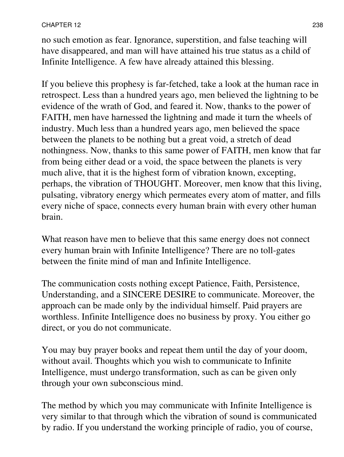no such emotion as fear. Ignorance, superstition, and false teaching will have disappeared, and man will have attained his true status as a child of Infinite Intelligence. A few have already attained this blessing.

If you believe this prophesy is far-fetched, take a look at the human race in retrospect. Less than a hundred years ago, men believed the lightning to be evidence of the wrath of God, and feared it. Now, thanks to the power of FAITH, men have harnessed the lightning and made it turn the wheels of industry. Much less than a hundred years ago, men believed the space between the planets to be nothing but a great void, a stretch of dead nothingness. Now, thanks to this same power of FAITH, men know that far from being either dead or a void, the space between the planets is very much alive, that it is the highest form of vibration known, excepting, perhaps, the vibration of THOUGHT. Moreover, men know that this living, pulsating, vibratory energy which permeates every atom of matter, and fills every niche of space, connects every human brain with every other human brain.

What reason have men to believe that this same energy does not connect every human brain with Infinite Intelligence? There are no toll-gates between the finite mind of man and Infinite Intelligence.

The communication costs nothing except Patience, Faith, Persistence, Understanding, and a SINCERE DESIRE to communicate. Moreover, the approach can be made only by the individual himself. Paid prayers are worthless. Infinite Intelligence does no business by proxy. You either go direct, or you do not communicate.

You may buy prayer books and repeat them until the day of your doom, without avail. Thoughts which you wish to communicate to Infinite Intelligence, must undergo transformation, such as can be given only through your own subconscious mind.

The method by which you may communicate with Infinite Intelligence is very similar to that through which the vibration of sound is communicated by radio. If you understand the working principle of radio, you of course,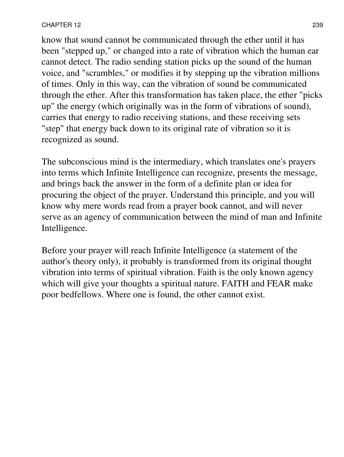know that sound cannot be communicated through the ether until it has been "stepped up," or changed into a rate of vibration which the human ear cannot detect. The radio sending station picks up the sound of the human voice, and "scrambles," or modifies it by stepping up the vibration millions of times. Only in this way, can the vibration of sound be communicated through the ether. After this transformation has taken place, the ether "picks up" the energy (which originally was in the form of vibrations of sound), carries that energy to radio receiving stations, and these receiving sets "step" that energy back down to its original rate of vibration so it is recognized as sound.

The subconscious mind is the intermediary, which translates one's prayers into terms which Infinite Intelligence can recognize, presents the message, and brings back the answer in the form of a definite plan or idea for procuring the object of the prayer. Understand this principle, and you will know why mere words read from a prayer book cannot, and will never serve as an agency of communication between the mind of man and Infinite Intelligence.

Before your prayer will reach Infinite Intelligence (a statement of the author's theory only), it probably is transformed from its original thought vibration into terms of spiritual vibration. Faith is the only known agency which will give your thoughts a spiritual nature. FAITH and FEAR make poor bedfellows. Where one is found, the other cannot exist.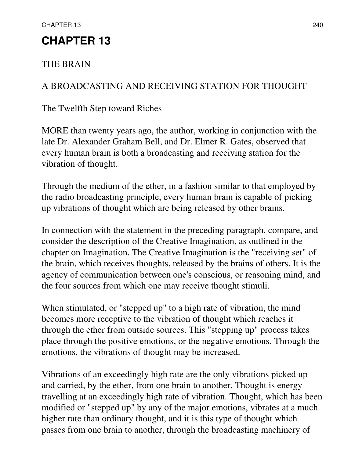# **CHAPTER 13**

THE BRAIN

# A BROADCASTING AND RECEIVING STATION FOR THOUGHT

The Twelfth Step toward Riches

MORE than twenty years ago, the author, working in conjunction with the late Dr. Alexander Graham Bell, and Dr. Elmer R. Gates, observed that every human brain is both a broadcasting and receiving station for the vibration of thought.

Through the medium of the ether, in a fashion similar to that employed by the radio broadcasting principle, every human brain is capable of picking up vibrations of thought which are being released by other brains.

In connection with the statement in the preceding paragraph, compare, and consider the description of the Creative Imagination, as outlined in the chapter on Imagination. The Creative Imagination is the "receiving set" of the brain, which receives thoughts, released by the brains of others. It is the agency of communication between one's conscious, or reasoning mind, and the four sources from which one may receive thought stimuli.

When stimulated, or "stepped up" to a high rate of vibration, the mind becomes more receptive to the vibration of thought which reaches it through the ether from outside sources. This "stepping up" process takes place through the positive emotions, or the negative emotions. Through the emotions, the vibrations of thought may be increased.

Vibrations of an exceedingly high rate are the only vibrations picked up and carried, by the ether, from one brain to another. Thought is energy travelling at an exceedingly high rate of vibration. Thought, which has been modified or "stepped up" by any of the major emotions, vibrates at a much higher rate than ordinary thought, and it is this type of thought which passes from one brain to another, through the broadcasting machinery of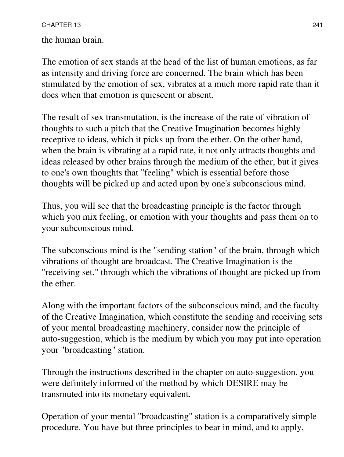the human brain.

The emotion of sex stands at the head of the list of human emotions, as far as intensity and driving force are concerned. The brain which has been stimulated by the emotion of sex, vibrates at a much more rapid rate than it does when that emotion is quiescent or absent.

The result of sex transmutation, is the increase of the rate of vibration of thoughts to such a pitch that the Creative Imagination becomes highly receptive to ideas, which it picks up from the ether. On the other hand, when the brain is vibrating at a rapid rate, it not only attracts thoughts and ideas released by other brains through the medium of the ether, but it gives to one's own thoughts that "feeling" which is essential before those thoughts will be picked up and acted upon by one's subconscious mind.

Thus, you will see that the broadcasting principle is the factor through which you mix feeling, or emotion with your thoughts and pass them on to your subconscious mind.

The subconscious mind is the "sending station" of the brain, through which vibrations of thought are broadcast. The Creative Imagination is the "receiving set," through which the vibrations of thought are picked up from the ether.

Along with the important factors of the subconscious mind, and the faculty of the Creative Imagination, which constitute the sending and receiving sets of your mental broadcasting machinery, consider now the principle of auto-suggestion, which is the medium by which you may put into operation your "broadcasting" station.

Through the instructions described in the chapter on auto-suggestion, you were definitely informed of the method by which DESIRE may be transmuted into its monetary equivalent.

Operation of your mental "broadcasting" station is a comparatively simple procedure. You have but three principles to bear in mind, and to apply,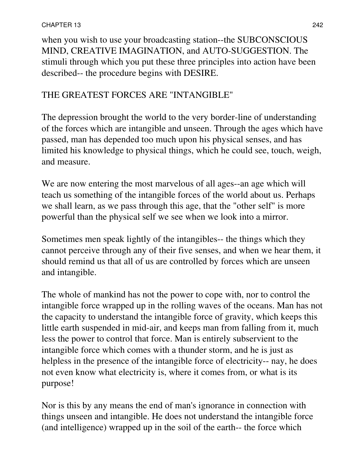when you wish to use your broadcasting station--the SUBCONSCIOUS MIND, CREATIVE IMAGINATION, and AUTO-SUGGESTION. The stimuli through which you put these three principles into action have been described-- the procedure begins with DESIRE.

# THE GREATEST FORCES ARE "INTANGIBLE"

The depression brought the world to the very border-line of understanding of the forces which are intangible and unseen. Through the ages which have passed, man has depended too much upon his physical senses, and has limited his knowledge to physical things, which he could see, touch, weigh, and measure.

We are now entering the most marvelous of all ages--an age which will teach us something of the intangible forces of the world about us. Perhaps we shall learn, as we pass through this age, that the "other self" is more powerful than the physical self we see when we look into a mirror.

Sometimes men speak lightly of the intangibles-- the things which they cannot perceive through any of their five senses, and when we hear them, it should remind us that all of us are controlled by forces which are unseen and intangible.

The whole of mankind has not the power to cope with, nor to control the intangible force wrapped up in the rolling waves of the oceans. Man has not the capacity to understand the intangible force of gravity, which keeps this little earth suspended in mid-air, and keeps man from falling from it, much less the power to control that force. Man is entirely subservient to the intangible force which comes with a thunder storm, and he is just as helpless in the presence of the intangible force of electricity-- nay, he does not even know what electricity is, where it comes from, or what is its purpose!

Nor is this by any means the end of man's ignorance in connection with things unseen and intangible. He does not understand the intangible force (and intelligence) wrapped up in the soil of the earth-- the force which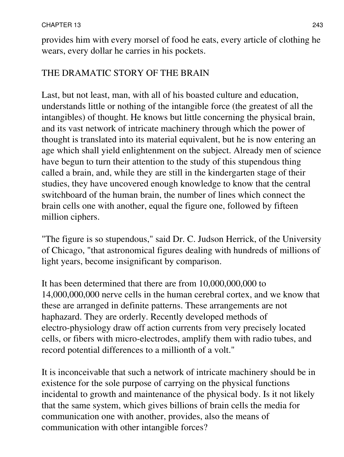provides him with every morsel of food he eats, every article of clothing he wears, every dollar he carries in his pockets.

## THE DRAMATIC STORY OF THE BRAIN

Last, but not least, man, with all of his boasted culture and education, understands little or nothing of the intangible force (the greatest of all the intangibles) of thought. He knows but little concerning the physical brain, and its vast network of intricate machinery through which the power of thought is translated into its material equivalent, but he is now entering an age which shall yield enlightenment on the subject. Already men of science have begun to turn their attention to the study of this stupendous thing called a brain, and, while they are still in the kindergarten stage of their studies, they have uncovered enough knowledge to know that the central switchboard of the human brain, the number of lines which connect the brain cells one with another, equal the figure one, followed by fifteen million ciphers.

"The figure is so stupendous," said Dr. C. Judson Herrick, of the University of Chicago, "that astronomical figures dealing with hundreds of millions of light years, become insignificant by comparison.

It has been determined that there are from 10,000,000,000 to 14,000,000,000 nerve cells in the human cerebral cortex, and we know that these are arranged in definite patterns. These arrangements are not haphazard. They are orderly. Recently developed methods of electro-physiology draw off action currents from very precisely located cells, or fibers with micro-electrodes, amplify them with radio tubes, and record potential differences to a millionth of a volt."

It is inconceivable that such a network of intricate machinery should be in existence for the sole purpose of carrying on the physical functions incidental to growth and maintenance of the physical body. Is it not likely that the same system, which gives billions of brain cells the media for communication one with another, provides, also the means of communication with other intangible forces?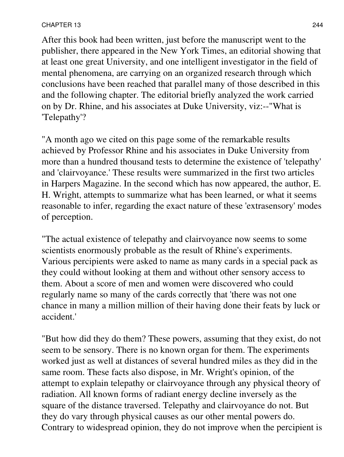#### CHAPTER 13 244

After this book had been written, just before the manuscript went to the publisher, there appeared in the New York Times, an editorial showing that at least one great University, and one intelligent investigator in the field of mental phenomena, are carrying on an organized research through which conclusions have been reached that parallel many of those described in this and the following chapter. The editorial briefly analyzed the work carried on by Dr. Rhine, and his associates at Duke University, viz:--"What is 'Telepathy'?

"A month ago we cited on this page some of the remarkable results achieved by Professor Rhine and his associates in Duke University from more than a hundred thousand tests to determine the existence of 'telepathy' and 'clairvoyance.' These results were summarized in the first two articles in Harpers Magazine. In the second which has now appeared, the author, E. H. Wright, attempts to summarize what has been learned, or what it seems reasonable to infer, regarding the exact nature of these 'extrasensory' modes of perception.

"The actual existence of telepathy and clairvoyance now seems to some scientists enormously probable as the result of Rhine's experiments. Various percipients were asked to name as many cards in a special pack as they could without looking at them and without other sensory access to them. About a score of men and women were discovered who could regularly name so many of the cards correctly that 'there was not one chance in many a million million of their having done their feats by luck or accident.'

"But how did they do them? These powers, assuming that they exist, do not seem to be sensory. There is no known organ for them. The experiments worked just as well at distances of several hundred miles as they did in the same room. These facts also dispose, in Mr. Wright's opinion, of the attempt to explain telepathy or clairvoyance through any physical theory of radiation. All known forms of radiant energy decline inversely as the square of the distance traversed. Telepathy and clairvoyance do not. But they do vary through physical causes as our other mental powers do. Contrary to widespread opinion, they do not improve when the percipient is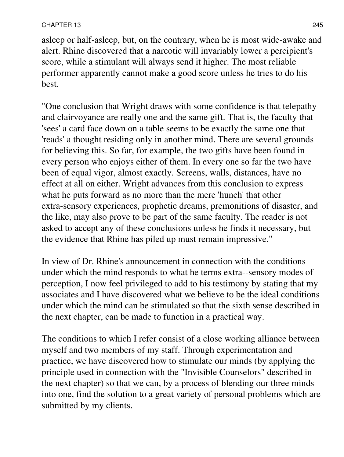asleep or half-asleep, but, on the contrary, when he is most wide-awake and alert. Rhine discovered that a narcotic will invariably lower a percipient's score, while a stimulant will always send it higher. The most reliable performer apparently cannot make a good score unless he tries to do his best.

"One conclusion that Wright draws with some confidence is that telepathy and clairvoyance are really one and the same gift. That is, the faculty that 'sees' a card face down on a table seems to be exactly the same one that 'reads' a thought residing only in another mind. There are several grounds for believing this. So far, for example, the two gifts have been found in every person who enjoys either of them. In every one so far the two have been of equal vigor, almost exactly. Screens, walls, distances, have no effect at all on either. Wright advances from this conclusion to express what he puts forward as no more than the mere 'hunch' that other extra-sensory experiences, prophetic dreams, premonitions of disaster, and the like, may also prove to be part of the same faculty. The reader is not asked to accept any of these conclusions unless he finds it necessary, but the evidence that Rhine has piled up must remain impressive."

In view of Dr. Rhine's announcement in connection with the conditions under which the mind responds to what he terms extra--sensory modes of perception, I now feel privileged to add to his testimony by stating that my associates and I have discovered what we believe to be the ideal conditions under which the mind can be stimulated so that the sixth sense described in the next chapter, can be made to function in a practical way.

The conditions to which I refer consist of a close working alliance between myself and two members of my staff. Through experimentation and practice, we have discovered how to stimulate our minds (by applying the principle used in connection with the "Invisible Counselors" described in the next chapter) so that we can, by a process of blending our three minds into one, find the solution to a great variety of personal problems which are submitted by my clients.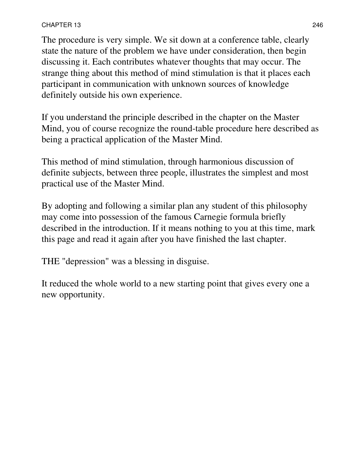### CHAPTER 13 246

The procedure is very simple. We sit down at a conference table, clearly state the nature of the problem we have under consideration, then begin discussing it. Each contributes whatever thoughts that may occur. The strange thing about this method of mind stimulation is that it places each participant in communication with unknown sources of knowledge definitely outside his own experience.

If you understand the principle described in the chapter on the Master Mind, you of course recognize the round-table procedure here described as being a practical application of the Master Mind.

This method of mind stimulation, through harmonious discussion of definite subjects, between three people, illustrates the simplest and most practical use of the Master Mind.

By adopting and following a similar plan any student of this philosophy may come into possession of the famous Carnegie formula briefly described in the introduction. If it means nothing to you at this time, mark this page and read it again after you have finished the last chapter.

THE "depression" was a blessing in disguise.

It reduced the whole world to a new starting point that gives every one a new opportunity.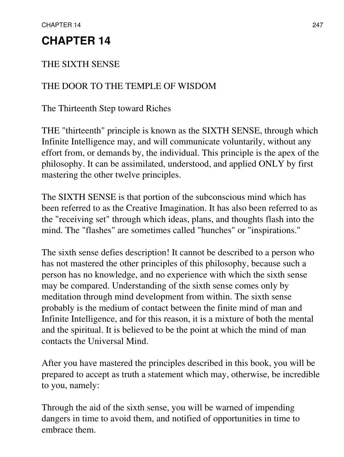# **CHAPTER 14**

### THE SIXTH SENSE

### THE DOOR TO THE TEMPLE OF WISDOM

The Thirteenth Step toward Riches

THE "thirteenth" principle is known as the SIXTH SENSE, through which Infinite Intelligence may, and will communicate voluntarily, without any effort from, or demands by, the individual. This principle is the apex of the philosophy. It can be assimilated, understood, and applied ONLY by first mastering the other twelve principles.

The SIXTH SENSE is that portion of the subconscious mind which has been referred to as the Creative Imagination. It has also been referred to as the "receiving set" through which ideas, plans, and thoughts flash into the mind. The "flashes" are sometimes called "hunches" or "inspirations."

The sixth sense defies description! It cannot be described to a person who has not mastered the other principles of this philosophy, because such a person has no knowledge, and no experience with which the sixth sense may be compared. Understanding of the sixth sense comes only by meditation through mind development from within. The sixth sense probably is the medium of contact between the finite mind of man and Infinite Intelligence, and for this reason, it is a mixture of both the mental and the spiritual. It is believed to be the point at which the mind of man contacts the Universal Mind.

After you have mastered the principles described in this book, you will be prepared to accept as truth a statement which may, otherwise, be incredible to you, namely:

Through the aid of the sixth sense, you will be warned of impending dangers in time to avoid them, and notified of opportunities in time to embrace them.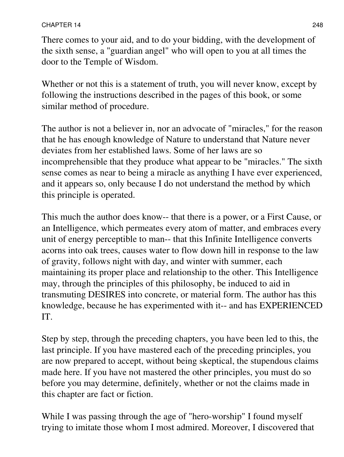There comes to your aid, and to do your bidding, with the development of the sixth sense, a "guardian angel" who will open to you at all times the door to the Temple of Wisdom.

Whether or not this is a statement of truth, you will never know, except by following the instructions described in the pages of this book, or some similar method of procedure.

The author is not a believer in, nor an advocate of "miracles," for the reason that he has enough knowledge of Nature to understand that Nature never deviates from her established laws. Some of her laws are so incomprehensible that they produce what appear to be "miracles." The sixth sense comes as near to being a miracle as anything I have ever experienced, and it appears so, only because I do not understand the method by which this principle is operated.

This much the author does know-- that there is a power, or a First Cause, or an Intelligence, which permeates every atom of matter, and embraces every unit of energy perceptible to man-- that this Infinite Intelligence converts acorns into oak trees, causes water to flow down hill in response to the law of gravity, follows night with day, and winter with summer, each maintaining its proper place and relationship to the other. This Intelligence may, through the principles of this philosophy, be induced to aid in transmuting DESIRES into concrete, or material form. The author has this knowledge, because he has experimented with it-- and has EXPERIENCED IT.

Step by step, through the preceding chapters, you have been led to this, the last principle. If you have mastered each of the preceding principles, you are now prepared to accept, without being skeptical, the stupendous claims made here. If you have not mastered the other principles, you must do so before you may determine, definitely, whether or not the claims made in this chapter are fact or fiction.

While I was passing through the age of "hero-worship" I found myself trying to imitate those whom I most admired. Moreover, I discovered that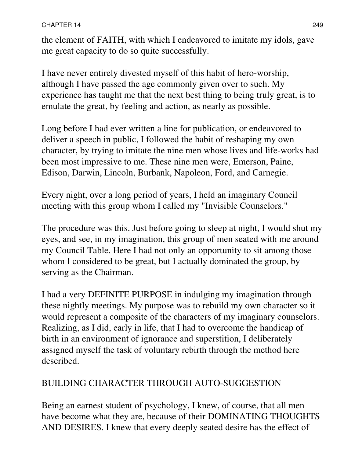the element of FAITH, with which I endeavored to imitate my idols, gave me great capacity to do so quite successfully.

I have never entirely divested myself of this habit of hero-worship, although I have passed the age commonly given over to such. My experience has taught me that the next best thing to being truly great, is to emulate the great, by feeling and action, as nearly as possible.

Long before I had ever written a line for publication, or endeavored to deliver a speech in public, I followed the habit of reshaping my own character, by trying to imitate the nine men whose lives and life-works had been most impressive to me. These nine men were, Emerson, Paine, Edison, Darwin, Lincoln, Burbank, Napoleon, Ford, and Carnegie.

Every night, over a long period of years, I held an imaginary Council meeting with this group whom I called my "Invisible Counselors."

The procedure was this. Just before going to sleep at night, I would shut my eyes, and see, in my imagination, this group of men seated with me around my Council Table. Here I had not only an opportunity to sit among those whom I considered to be great, but I actually dominated the group, by serving as the Chairman.

I had a very DEFINITE PURPOSE in indulging my imagination through these nightly meetings. My purpose was to rebuild my own character so it would represent a composite of the characters of my imaginary counselors. Realizing, as I did, early in life, that I had to overcome the handicap of birth in an environment of ignorance and superstition, I deliberately assigned myself the task of voluntary rebirth through the method here described.

### BUILDING CHARACTER THROUGH AUTO-SUGGESTION

Being an earnest student of psychology, I knew, of course, that all men have become what they are, because of their DOMINATING THOUGHTS AND DESIRES. I knew that every deeply seated desire has the effect of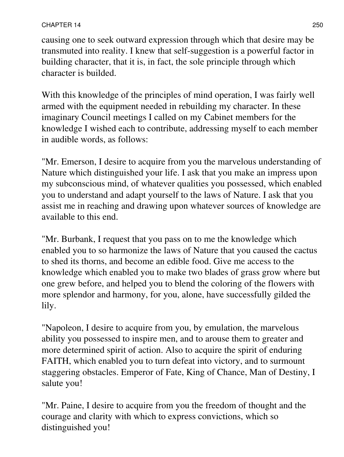causing one to seek outward expression through which that desire may be transmuted into reality. I knew that self-suggestion is a powerful factor in building character, that it is, in fact, the sole principle through which character is builded.

With this knowledge of the principles of mind operation, I was fairly well armed with the equipment needed in rebuilding my character. In these imaginary Council meetings I called on my Cabinet members for the knowledge I wished each to contribute, addressing myself to each member in audible words, as follows:

"Mr. Emerson, I desire to acquire from you the marvelous understanding of Nature which distinguished your life. I ask that you make an impress upon my subconscious mind, of whatever qualities you possessed, which enabled you to understand and adapt yourself to the laws of Nature. I ask that you assist me in reaching and drawing upon whatever sources of knowledge are available to this end.

"Mr. Burbank, I request that you pass on to me the knowledge which enabled you to so harmonize the laws of Nature that you caused the cactus to shed its thorns, and become an edible food. Give me access to the knowledge which enabled you to make two blades of grass grow where but one grew before, and helped you to blend the coloring of the flowers with more splendor and harmony, for you, alone, have successfully gilded the lily.

"Napoleon, I desire to acquire from you, by emulation, the marvelous ability you possessed to inspire men, and to arouse them to greater and more determined spirit of action. Also to acquire the spirit of enduring FAITH, which enabled you to turn defeat into victory, and to surmount staggering obstacles. Emperor of Fate, King of Chance, Man of Destiny, I salute you!

"Mr. Paine, I desire to acquire from you the freedom of thought and the courage and clarity with which to express convictions, which so distinguished you!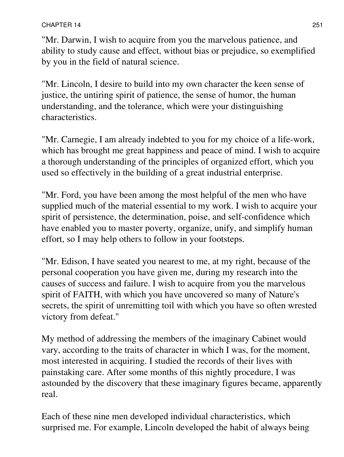"Mr. Darwin, I wish to acquire from you the marvelous patience, and ability to study cause and effect, without bias or prejudice, so exemplified by you in the field of natural science.

"Mr. Lincoln, I desire to build into my own character the keen sense of justice, the untiring spirit of patience, the sense of humor, the human understanding, and the tolerance, which were your distinguishing characteristics.

"Mr. Carnegie, I am already indebted to you for my choice of a life-work, which has brought me great happiness and peace of mind. I wish to acquire a thorough understanding of the principles of organized effort, which you used so effectively in the building of a great industrial enterprise.

"Mr. Ford, you have been among the most helpful of the men who have supplied much of the material essential to my work. I wish to acquire your spirit of persistence, the determination, poise, and self-confidence which have enabled you to master poverty, organize, unify, and simplify human effort, so I may help others to follow in your footsteps.

"Mr. Edison, I have seated you nearest to me, at my right, because of the personal cooperation you have given me, during my research into the causes of success and failure. I wish to acquire from you the marvelous spirit of FAITH, with which you have uncovered so many of Nature's secrets, the spirit of unremitting toil with which you have so often wrested victory from defeat."

My method of addressing the members of the imaginary Cabinet would vary, according to the traits of character in which I was, for the moment, most interested in acquiring. I studied the records of their lives with painstaking care. After some months of this nightly procedure, I was astounded by the discovery that these imaginary figures became, apparently real.

Each of these nine men developed individual characteristics, which surprised me. For example, Lincoln developed the habit of always being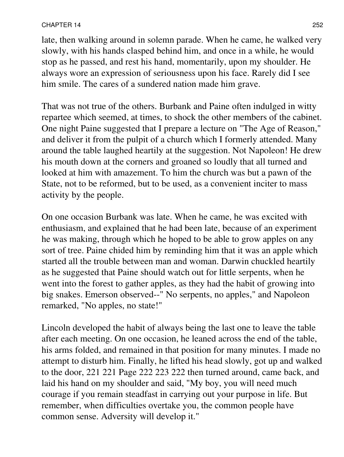late, then walking around in solemn parade. When he came, he walked very slowly, with his hands clasped behind him, and once in a while, he would stop as he passed, and rest his hand, momentarily, upon my shoulder. He always wore an expression of seriousness upon his face. Rarely did I see him smile. The cares of a sundered nation made him grave.

That was not true of the others. Burbank and Paine often indulged in witty repartee which seemed, at times, to shock the other members of the cabinet. One night Paine suggested that I prepare a lecture on "The Age of Reason," and deliver it from the pulpit of a church which I formerly attended. Many around the table laughed heartily at the suggestion. Not Napoleon! He drew his mouth down at the corners and groaned so loudly that all turned and looked at him with amazement. To him the church was but a pawn of the State, not to be reformed, but to be used, as a convenient inciter to mass activity by the people.

On one occasion Burbank was late. When he came, he was excited with enthusiasm, and explained that he had been late, because of an experiment he was making, through which he hoped to be able to grow apples on any sort of tree. Paine chided him by reminding him that it was an apple which started all the trouble between man and woman. Darwin chuckled heartily as he suggested that Paine should watch out for little serpents, when he went into the forest to gather apples, as they had the habit of growing into big snakes. Emerson observed--" No serpents, no apples," and Napoleon remarked, "No apples, no state!"

Lincoln developed the habit of always being the last one to leave the table after each meeting. On one occasion, he leaned across the end of the table, his arms folded, and remained in that position for many minutes. I made no attempt to disturb him. Finally, he lifted his head slowly, got up and walked to the door, 221 221 Page 222 223 222 then turned around, came back, and laid his hand on my shoulder and said, "My boy, you will need much courage if you remain steadfast in carrying out your purpose in life. But remember, when difficulties overtake you, the common people have common sense. Adversity will develop it."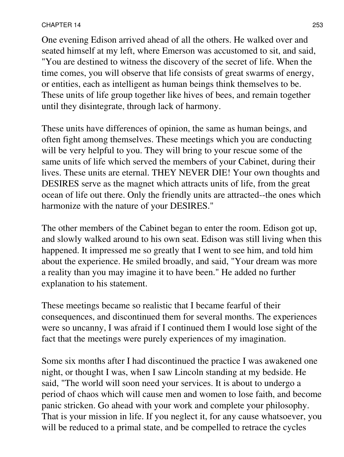One evening Edison arrived ahead of all the others. He walked over and seated himself at my left, where Emerson was accustomed to sit, and said, "You are destined to witness the discovery of the secret of life. When the time comes, you will observe that life consists of great swarms of energy, or entities, each as intelligent as human beings think themselves to be. These units of life group together like hives of bees, and remain together until they disintegrate, through lack of harmony.

These units have differences of opinion, the same as human beings, and often fight among themselves. These meetings which you are conducting will be very helpful to you. They will bring to your rescue some of the same units of life which served the members of your Cabinet, during their lives. These units are eternal. THEY NEVER DIE! Your own thoughts and DESIRES serve as the magnet which attracts units of life, from the great ocean of life out there. Only the friendly units are attracted--the ones which harmonize with the nature of your DESIRES."

The other members of the Cabinet began to enter the room. Edison got up, and slowly walked around to his own seat. Edison was still living when this happened. It impressed me so greatly that I went to see him, and told him about the experience. He smiled broadly, and said, "Your dream was more a reality than you may imagine it to have been." He added no further explanation to his statement.

These meetings became so realistic that I became fearful of their consequences, and discontinued them for several months. The experiences were so uncanny, I was afraid if I continued them I would lose sight of the fact that the meetings were purely experiences of my imagination.

Some six months after I had discontinued the practice I was awakened one night, or thought I was, when I saw Lincoln standing at my bedside. He said, "The world will soon need your services. It is about to undergo a period of chaos which will cause men and women to lose faith, and become panic stricken. Go ahead with your work and complete your philosophy. That is your mission in life. If you neglect it, for any cause whatsoever, you will be reduced to a primal state, and be compelled to retrace the cycles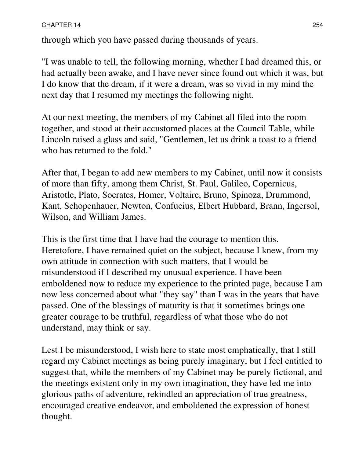through which you have passed during thousands of years.

"I was unable to tell, the following morning, whether I had dreamed this, or had actually been awake, and I have never since found out which it was, but I do know that the dream, if it were a dream, was so vivid in my mind the next day that I resumed my meetings the following night.

At our next meeting, the members of my Cabinet all filed into the room together, and stood at their accustomed places at the Council Table, while Lincoln raised a glass and said, "Gentlemen, let us drink a toast to a friend who has returned to the fold."

After that, I began to add new members to my Cabinet, until now it consists of more than fifty, among them Christ, St. Paul, Galileo, Copernicus, Aristotle, Plato, Socrates, Homer, Voltaire, Bruno, Spinoza, Drummond, Kant, Schopenhauer, Newton, Confucius, Elbert Hubbard, Brann, Ingersol, Wilson, and William James.

This is the first time that I have had the courage to mention this. Heretofore, I have remained quiet on the subject, because I knew, from my own attitude in connection with such matters, that I would be misunderstood if I described my unusual experience. I have been emboldened now to reduce my experience to the printed page, because I am now less concerned about what "they say" than I was in the years that have passed. One of the blessings of maturity is that it sometimes brings one greater courage to be truthful, regardless of what those who do not understand, may think or say.

Lest I be misunderstood, I wish here to state most emphatically, that I still regard my Cabinet meetings as being purely imaginary, but I feel entitled to suggest that, while the members of my Cabinet may be purely fictional, and the meetings existent only in my own imagination, they have led me into glorious paths of adventure, rekindled an appreciation of true greatness, encouraged creative endeavor, and emboldened the expression of honest thought.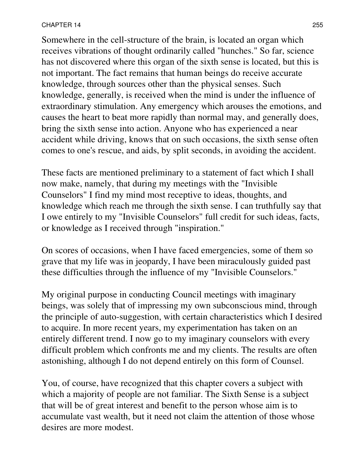Somewhere in the cell-structure of the brain, is located an organ which receives vibrations of thought ordinarily called "hunches." So far, science has not discovered where this organ of the sixth sense is located, but this is not important. The fact remains that human beings do receive accurate knowledge, through sources other than the physical senses. Such knowledge, generally, is received when the mind is under the influence of extraordinary stimulation. Any emergency which arouses the emotions, and causes the heart to beat more rapidly than normal may, and generally does, bring the sixth sense into action. Anyone who has experienced a near accident while driving, knows that on such occasions, the sixth sense often comes to one's rescue, and aids, by split seconds, in avoiding the accident.

These facts are mentioned preliminary to a statement of fact which I shall now make, namely, that during my meetings with the "Invisible Counselors" I find my mind most receptive to ideas, thoughts, and knowledge which reach me through the sixth sense. I can truthfully say that I owe entirely to my "Invisible Counselors" full credit for such ideas, facts, or knowledge as I received through "inspiration."

On scores of occasions, when I have faced emergencies, some of them so grave that my life was in jeopardy, I have been miraculously guided past these difficulties through the influence of my "Invisible Counselors."

My original purpose in conducting Council meetings with imaginary beings, was solely that of impressing my own subconscious mind, through the principle of auto-suggestion, with certain characteristics which I desired to acquire. In more recent years, my experimentation has taken on an entirely different trend. I now go to my imaginary counselors with every difficult problem which confronts me and my clients. The results are often astonishing, although I do not depend entirely on this form of Counsel.

You, of course, have recognized that this chapter covers a subject with which a majority of people are not familiar. The Sixth Sense is a subject that will be of great interest and benefit to the person whose aim is to accumulate vast wealth, but it need not claim the attention of those whose desires are more modest.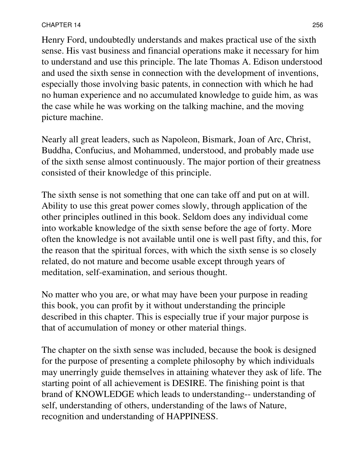Henry Ford, undoubtedly understands and makes practical use of the sixth sense. His vast business and financial operations make it necessary for him to understand and use this principle. The late Thomas A. Edison understood and used the sixth sense in connection with the development of inventions, especially those involving basic patents, in connection with which he had no human experience and no accumulated knowledge to guide him, as was the case while he was working on the talking machine, and the moving picture machine.

Nearly all great leaders, such as Napoleon, Bismark, Joan of Arc, Christ, Buddha, Confucius, and Mohammed, understood, and probably made use of the sixth sense almost continuously. The major portion of their greatness consisted of their knowledge of this principle.

The sixth sense is not something that one can take off and put on at will. Ability to use this great power comes slowly, through application of the other principles outlined in this book. Seldom does any individual come into workable knowledge of the sixth sense before the age of forty. More often the knowledge is not available until one is well past fifty, and this, for the reason that the spiritual forces, with which the sixth sense is so closely related, do not mature and become usable except through years of meditation, self-examination, and serious thought.

No matter who you are, or what may have been your purpose in reading this book, you can profit by it without understanding the principle described in this chapter. This is especially true if your major purpose is that of accumulation of money or other material things.

The chapter on the sixth sense was included, because the book is designed for the purpose of presenting a complete philosophy by which individuals may unerringly guide themselves in attaining whatever they ask of life. The starting point of all achievement is DESIRE. The finishing point is that brand of KNOWLEDGE which leads to understanding-- understanding of self, understanding of others, understanding of the laws of Nature, recognition and understanding of HAPPINESS.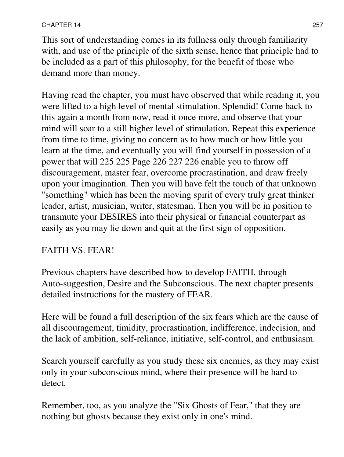This sort of understanding comes in its fullness only through familiarity with, and use of the principle of the sixth sense, hence that principle had to be included as a part of this philosophy, for the benefit of those who demand more than money.

Having read the chapter, you must have observed that while reading it, you were lifted to a high level of mental stimulation. Splendid! Come back to this again a month from now, read it once more, and observe that your mind will soar to a still higher level of stimulation. Repeat this experience from time to time, giving no concern as to how much or how little you learn at the time, and eventually you will find yourself in possession of a power that will 225 225 Page 226 227 226 enable you to throw off discouragement, master fear, overcome procrastination, and draw freely upon your imagination. Then you will have felt the touch of that unknown "something" which has been the moving spirit of every truly great thinker leader, artist, musician, writer, statesman. Then you will be in position to transmute your DESIRES into their physical or financial counterpart as easily as you may lie down and quit at the first sign of opposition.

### FAITH VS. FEAR!

Previous chapters have described how to develop FAITH, through Auto-suggestion, Desire and the Subconscious. The next chapter presents detailed instructions for the mastery of FEAR.

Here will be found a full description of the six fears which are the cause of all discouragement, timidity, procrastination, indifference, indecision, and the lack of ambition, self-reliance, initiative, self-control, and enthusiasm.

Search yourself carefully as you study these six enemies, as they may exist only in your subconscious mind, where their presence will be hard to detect.

Remember, too, as you analyze the "Six Ghosts of Fear," that they are nothing but ghosts because they exist only in one's mind.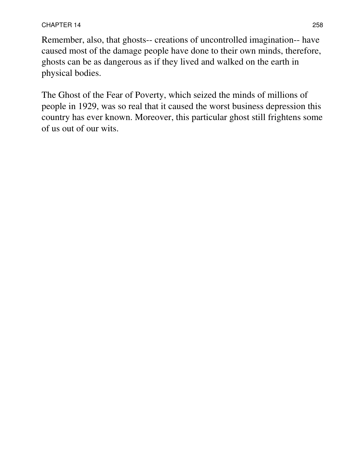Remember, also, that ghosts-- creations of uncontrolled imagination-- have caused most of the damage people have done to their own minds, therefore, ghosts can be as dangerous as if they lived and walked on the earth in physical bodies.

The Ghost of the Fear of Poverty, which seized the minds of millions of people in 1929, was so real that it caused the worst business depression this country has ever known. Moreover, this particular ghost still frightens some of us out of our wits.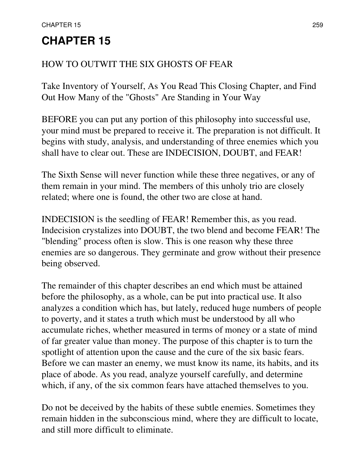# **CHAPTER 15**

# HOW TO OUTWIT THE SIX GHOSTS OF FEAR

Take Inventory of Yourself, As You Read This Closing Chapter, and Find Out How Many of the "Ghosts" Are Standing in Your Way

BEFORE you can put any portion of this philosophy into successful use, your mind must be prepared to receive it. The preparation is not difficult. It begins with study, analysis, and understanding of three enemies which you shall have to clear out. These are INDECISION, DOUBT, and FEAR!

The Sixth Sense will never function while these three negatives, or any of them remain in your mind. The members of this unholy trio are closely related; where one is found, the other two are close at hand.

INDECISION is the seedling of FEAR! Remember this, as you read. Indecision crystalizes into DOUBT, the two blend and become FEAR! The "blending" process often is slow. This is one reason why these three enemies are so dangerous. They germinate and grow without their presence being observed.

The remainder of this chapter describes an end which must be attained before the philosophy, as a whole, can be put into practical use. It also analyzes a condition which has, but lately, reduced huge numbers of people to poverty, and it states a truth which must be understood by all who accumulate riches, whether measured in terms of money or a state of mind of far greater value than money. The purpose of this chapter is to turn the spotlight of attention upon the cause and the cure of the six basic fears. Before we can master an enemy, we must know its name, its habits, and its place of abode. As you read, analyze yourself carefully, and determine which, if any, of the six common fears have attached themselves to you.

Do not be deceived by the habits of these subtle enemies. Sometimes they remain hidden in the subconscious mind, where they are difficult to locate, and still more difficult to eliminate.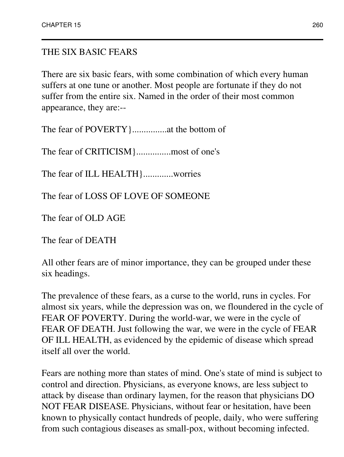### THE SIX BASIC FEARS

There are six basic fears, with some combination of which every human suffers at one tune or another. Most people are fortunate if they do not suffer from the entire six. Named in the order of their most common appearance, they are:--

The fear of POVERTY}...............at the bottom of

The fear of CRITICISM}...............most of one's

The fear of ILL HEALTH}.............worries

The fear of LOSS OF LOVE OF SOMEONE

The fear of OLD AGE

The fear of DEATH

All other fears are of minor importance, they can be grouped under these six headings.

The prevalence of these fears, as a curse to the world, runs in cycles. For almost six years, while the depression was on, we floundered in the cycle of FEAR OF POVERTY. During the world-war, we were in the cycle of FEAR OF DEATH. Just following the war, we were in the cycle of FEAR OF ILL HEALTH, as evidenced by the epidemic of disease which spread itself all over the world.

Fears are nothing more than states of mind. One's state of mind is subject to control and direction. Physicians, as everyone knows, are less subject to attack by disease than ordinary laymen, for the reason that physicians DO NOT FEAR DISEASE. Physicians, without fear or hesitation, have been known to physically contact hundreds of people, daily, who were suffering from such contagious diseases as small-pox, without becoming infected.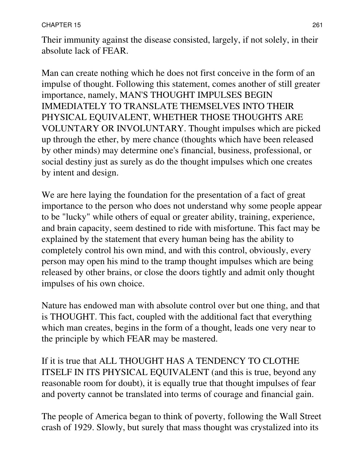Their immunity against the disease consisted, largely, if not solely, in their absolute lack of FEAR.

Man can create nothing which he does not first conceive in the form of an impulse of thought. Following this statement, comes another of still greater importance, namely, MAN'S THOUGHT IMPULSES BEGIN IMMEDIATELY TO TRANSLATE THEMSELVES INTO THEIR PHYSICAL EQUIVALENT, WHETHER THOSE THOUGHTS ARE VOLUNTARY OR INVOLUNTARY. Thought impulses which are picked up through the ether, by mere chance (thoughts which have been released by other minds) may determine one's financial, business, professional, or social destiny just as surely as do the thought impulses which one creates by intent and design.

We are here laying the foundation for the presentation of a fact of great importance to the person who does not understand why some people appear to be "lucky" while others of equal or greater ability, training, experience, and brain capacity, seem destined to ride with misfortune. This fact may be explained by the statement that every human being has the ability to completely control his own mind, and with this control, obviously, every person may open his mind to the tramp thought impulses which are being released by other brains, or close the doors tightly and admit only thought impulses of his own choice.

Nature has endowed man with absolute control over but one thing, and that is THOUGHT. This fact, coupled with the additional fact that everything which man creates, begins in the form of a thought, leads one very near to the principle by which FEAR may be mastered.

If it is true that ALL THOUGHT HAS A TENDENCY TO CLOTHE ITSELF IN ITS PHYSICAL EQUIVALENT (and this is true, beyond any reasonable room for doubt), it is equally true that thought impulses of fear and poverty cannot be translated into terms of courage and financial gain.

The people of America began to think of poverty, following the Wall Street crash of 1929. Slowly, but surely that mass thought was crystalized into its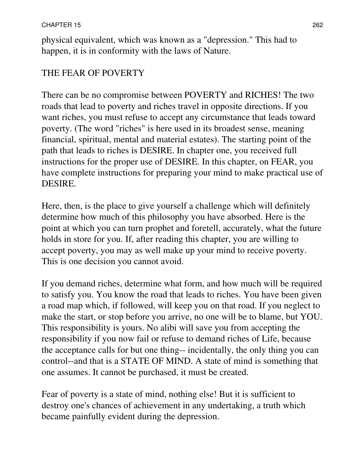physical equivalent, which was known as a "depression." This had to happen, it is in conformity with the laws of Nature.

# THE FEAR OF POVERTY

There can be no compromise between POVERTY and RICHES! The two roads that lead to poverty and riches travel in opposite directions. If you want riches, you must refuse to accept any circumstance that leads toward poverty. (The word "riches" is here used in its broadest sense, meaning financial, spiritual, mental and material estates). The starting point of the path that leads to riches is DESIRE. In chapter one, you received full instructions for the proper use of DESIRE. In this chapter, on FEAR, you have complete instructions for preparing your mind to make practical use of DESIRE.

Here, then, is the place to give yourself a challenge which will definitely determine how much of this philosophy you have absorbed. Here is the point at which you can turn prophet and foretell, accurately, what the future holds in store for you. If, after reading this chapter, you are willing to accept poverty, you may as well make up your mind to receive poverty. This is one decision you cannot avoid.

If you demand riches, determine what form, and how much will be required to satisfy you. You know the road that leads to riches. You have been given a road map which, if followed, will keep you on that road. If you neglect to make the start, or stop before you arrive, no one will be to blame, but YOU. This responsibility is yours. No alibi will save you from accepting the responsibility if you now fail or refuse to demand riches of Life, because the acceptance calls for but one thing-- incidentally, the only thing you can control--and that is a STATE OF MIND. A state of mind is something that one assumes. It cannot be purchased, it must be created.

Fear of poverty is a state of mind, nothing else! But it is sufficient to destroy one's chances of achievement in any undertaking, a truth which became painfully evident during the depression.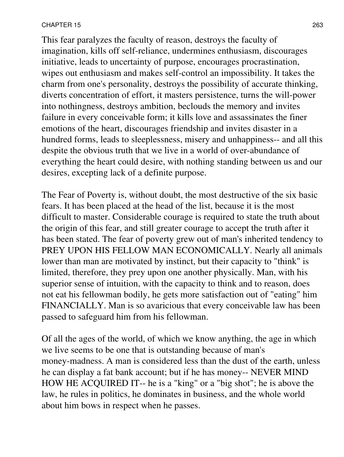This fear paralyzes the faculty of reason, destroys the faculty of imagination, kills off self-reliance, undermines enthusiasm, discourages initiative, leads to uncertainty of purpose, encourages procrastination, wipes out enthusiasm and makes self-control an impossibility. It takes the charm from one's personality, destroys the possibility of accurate thinking, diverts concentration of effort, it masters persistence, turns the will-power into nothingness, destroys ambition, beclouds the memory and invites failure in every conceivable form; it kills love and assassinates the finer emotions of the heart, discourages friendship and invites disaster in a hundred forms, leads to sleeplessness, misery and unhappiness-- and all this despite the obvious truth that we live in a world of over-abundance of everything the heart could desire, with nothing standing between us and our desires, excepting lack of a definite purpose.

The Fear of Poverty is, without doubt, the most destructive of the six basic fears. It has been placed at the head of the list, because it is the most difficult to master. Considerable courage is required to state the truth about the origin of this fear, and still greater courage to accept the truth after it has been stated. The fear of poverty grew out of man's inherited tendency to PREY UPON HIS FELLOW MAN ECONOMICALLY. Nearly all animals lower than man are motivated by instinct, but their capacity to "think" is limited, therefore, they prey upon one another physically. Man, with his superior sense of intuition, with the capacity to think and to reason, does not eat his fellowman bodily, he gets more satisfaction out of "eating" him FINANCIALLY. Man is so avaricious that every conceivable law has been passed to safeguard him from his fellowman.

Of all the ages of the world, of which we know anything, the age in which we live seems to be one that is outstanding because of man's money-madness. A man is considered less than the dust of the earth, unless he can display a fat bank account; but if he has money-- NEVER MIND HOW HE ACQUIRED IT-- he is a "king" or a "big shot"; he is above the law, he rules in politics, he dominates in business, and the whole world about him bows in respect when he passes.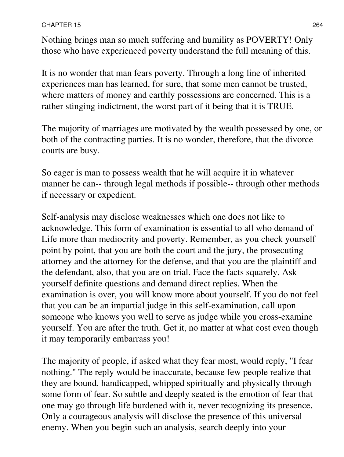Nothing brings man so much suffering and humility as POVERTY! Only those who have experienced poverty understand the full meaning of this.

It is no wonder that man fears poverty. Through a long line of inherited experiences man has learned, for sure, that some men cannot be trusted, where matters of money and earthly possessions are concerned. This is a rather stinging indictment, the worst part of it being that it is TRUE.

The majority of marriages are motivated by the wealth possessed by one, or both of the contracting parties. It is no wonder, therefore, that the divorce courts are busy.

So eager is man to possess wealth that he will acquire it in whatever manner he can-- through legal methods if possible-- through other methods if necessary or expedient.

Self-analysis may disclose weaknesses which one does not like to acknowledge. This form of examination is essential to all who demand of Life more than mediocrity and poverty. Remember, as you check yourself point by point, that you are both the court and the jury, the prosecuting attorney and the attorney for the defense, and that you are the plaintiff and the defendant, also, that you are on trial. Face the facts squarely. Ask yourself definite questions and demand direct replies. When the examination is over, you will know more about yourself. If you do not feel that you can be an impartial judge in this self-examination, call upon someone who knows you well to serve as judge while you cross-examine yourself. You are after the truth. Get it, no matter at what cost even though it may temporarily embarrass you!

The majority of people, if asked what they fear most, would reply, "I fear nothing." The reply would be inaccurate, because few people realize that they are bound, handicapped, whipped spiritually and physically through some form of fear. So subtle and deeply seated is the emotion of fear that one may go through life burdened with it, never recognizing its presence. Only a courageous analysis will disclose the presence of this universal enemy. When you begin such an analysis, search deeply into your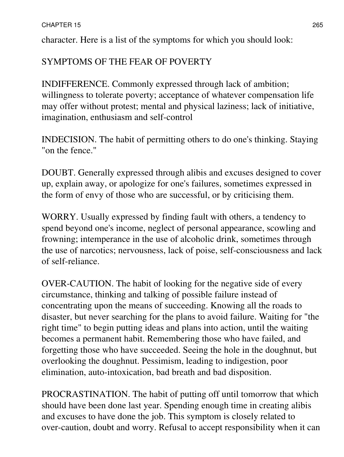character. Here is a list of the symptoms for which you should look:

# SYMPTOMS OF THE FEAR OF POVERTY

INDIFFERENCE. Commonly expressed through lack of ambition; willingness to tolerate poverty; acceptance of whatever compensation life may offer without protest; mental and physical laziness; lack of initiative, imagination, enthusiasm and self-control

INDECISION. The habit of permitting others to do one's thinking. Staying "on the fence."

DOUBT. Generally expressed through alibis and excuses designed to cover up, explain away, or apologize for one's failures, sometimes expressed in the form of envy of those who are successful, or by criticising them.

WORRY. Usually expressed by finding fault with others, a tendency to spend beyond one's income, neglect of personal appearance, scowling and frowning; intemperance in the use of alcoholic drink, sometimes through the use of narcotics; nervousness, lack of poise, self-consciousness and lack of self-reliance.

OVER-CAUTION. The habit of looking for the negative side of every circumstance, thinking and talking of possible failure instead of concentrating upon the means of succeeding. Knowing all the roads to disaster, but never searching for the plans to avoid failure. Waiting for "the right time" to begin putting ideas and plans into action, until the waiting becomes a permanent habit. Remembering those who have failed, and forgetting those who have succeeded. Seeing the hole in the doughnut, but overlooking the doughnut. Pessimism, leading to indigestion, poor elimination, auto-intoxication, bad breath and bad disposition.

PROCRASTINATION. The habit of putting off until tomorrow that which should have been done last year. Spending enough time in creating alibis and excuses to have done the job. This symptom is closely related to over-caution, doubt and worry. Refusal to accept responsibility when it can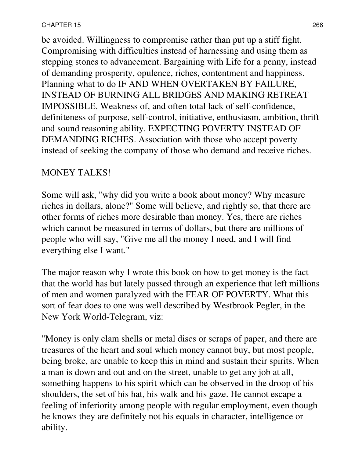be avoided. Willingness to compromise rather than put up a stiff fight. Compromising with difficulties instead of harnessing and using them as stepping stones to advancement. Bargaining with Life for a penny, instead of demanding prosperity, opulence, riches, contentment and happiness. Planning what to do IF AND WHEN OVERTAKEN BY FAILURE, INSTEAD OF BURNING ALL BRIDGES AND MAKING RETREAT IMPOSSIBLE. Weakness of, and often total lack of self-confidence, definiteness of purpose, self-control, initiative, enthusiasm, ambition, thrift and sound reasoning ability. EXPECTING POVERTY INSTEAD OF DEMANDING RICHES. Association with those who accept poverty instead of seeking the company of those who demand and receive riches.

### MONEY TALKS!

Some will ask, "why did you write a book about money? Why measure riches in dollars, alone?" Some will believe, and rightly so, that there are other forms of riches more desirable than money. Yes, there are riches which cannot be measured in terms of dollars, but there are millions of people who will say, "Give me all the money I need, and I will find everything else I want."

The major reason why I wrote this book on how to get money is the fact that the world has but lately passed through an experience that left millions of men and women paralyzed with the FEAR OF POVERTY. What this sort of fear does to one was well described by Westbrook Pegler, in the New York World-Telegram, viz:

"Money is only clam shells or metal discs or scraps of paper, and there are treasures of the heart and soul which money cannot buy, but most people, being broke, are unable to keep this in mind and sustain their spirits. When a man is down and out and on the street, unable to get any job at all, something happens to his spirit which can be observed in the droop of his shoulders, the set of his hat, his walk and his gaze. He cannot escape a feeling of inferiority among people with regular employment, even though he knows they are definitely not his equals in character, intelligence or ability.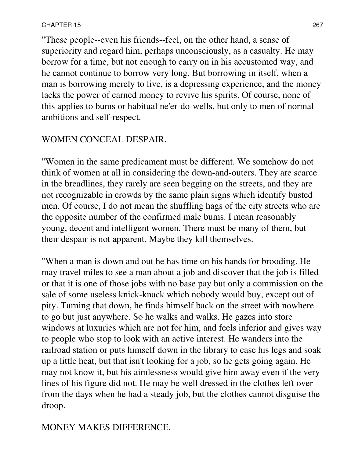"These people--even his friends--feel, on the other hand, a sense of superiority and regard him, perhaps unconsciously, as a casualty. He may borrow for a time, but not enough to carry on in his accustomed way, and he cannot continue to borrow very long. But borrowing in itself, when a man is borrowing merely to live, is a depressing experience, and the money lacks the power of earned money to revive his spirits. Of course, none of this applies to bums or habitual ne'er-do-wells, but only to men of normal ambitions and self-respect.

### WOMEN CONCEAL DESPAIR.

"Women in the same predicament must be different. We somehow do not think of women at all in considering the down-and-outers. They are scarce in the breadlines, they rarely are seen begging on the streets, and they are not recognizable in crowds by the same plain signs which identify busted men. Of course, I do not mean the shuffling hags of the city streets who are the opposite number of the confirmed male bums. I mean reasonably young, decent and intelligent women. There must be many of them, but their despair is not apparent. Maybe they kill themselves.

"When a man is down and out he has time on his hands for brooding. He may travel miles to see a man about a job and discover that the job is filled or that it is one of those jobs with no base pay but only a commission on the sale of some useless knick-knack which nobody would buy, except out of pity. Turning that down, he finds himself back on the street with nowhere to go but just anywhere. So he walks and walks. He gazes into store windows at luxuries which are not for him, and feels inferior and gives way to people who stop to look with an active interest. He wanders into the railroad station or puts himself down in the library to ease his legs and soak up a little heat, but that isn't looking for a job, so he gets going again. He may not know it, but his aimlessness would give him away even if the very lines of his figure did not. He may be well dressed in the clothes left over from the days when he had a steady job, but the clothes cannot disguise the droop.

# MONEY MAKES DIFFERENCE.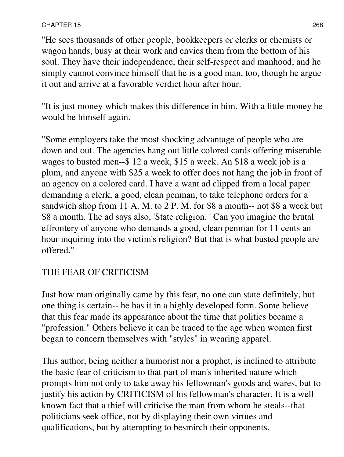"He sees thousands of other people, bookkeepers or clerks or chemists or wagon hands, busy at their work and envies them from the bottom of his soul. They have their independence, their self-respect and manhood, and he simply cannot convince himself that he is a good man, too, though he argue it out and arrive at a favorable verdict hour after hour.

"It is just money which makes this difference in him. With a little money he would be himself again.

"Some employers take the most shocking advantage of people who are down and out. The agencies hang out little colored cards offering miserable wages to busted men--\$ 12 a week, \$15 a week. An \$18 a week job is a plum, and anyone with \$25 a week to offer does not hang the job in front of an agency on a colored card. I have a want ad clipped from a local paper demanding a clerk, a good, clean penman, to take telephone orders for a sandwich shop from 11 A. M. to 2 P. M. for \$8 a month-- not \$8 a week but \$8 a month. The ad says also, 'State religion. ' Can you imagine the brutal effrontery of anyone who demands a good, clean penman for 11 cents an hour inquiring into the victim's religion? But that is what busted people are offered."

### THE FEAR OF CRITICISM

Just how man originally came by this fear, no one can state definitely, but one thing is certain-- he has it in a highly developed form. Some believe that this fear made its appearance about the time that politics became a "profession." Others believe it can be traced to the age when women first began to concern themselves with "styles" in wearing apparel.

This author, being neither a humorist nor a prophet, is inclined to attribute the basic fear of criticism to that part of man's inherited nature which prompts him not only to take away his fellowman's goods and wares, but to justify his action by CRITICISM of his fellowman's character. It is a well known fact that a thief will criticise the man from whom he steals--that politicians seek office, not by displaying their own virtues and qualifications, but by attempting to besmirch their opponents.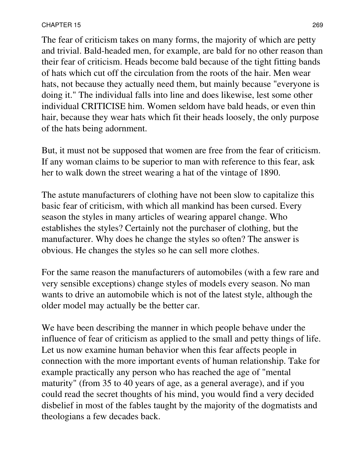The fear of criticism takes on many forms, the majority of which are petty and trivial. Bald-headed men, for example, are bald for no other reason than their fear of criticism. Heads become bald because of the tight fitting bands of hats which cut off the circulation from the roots of the hair. Men wear hats, not because they actually need them, but mainly because "everyone is doing it." The individual falls into line and does likewise, lest some other individual CRITICISE him. Women seldom have bald heads, or even thin hair, because they wear hats which fit their heads loosely, the only purpose of the hats being adornment.

But, it must not be supposed that women are free from the fear of criticism. If any woman claims to be superior to man with reference to this fear, ask her to walk down the street wearing a hat of the vintage of 1890.

The astute manufacturers of clothing have not been slow to capitalize this basic fear of criticism, with which all mankind has been cursed. Every season the styles in many articles of wearing apparel change. Who establishes the styles? Certainly not the purchaser of clothing, but the manufacturer. Why does he change the styles so often? The answer is obvious. He changes the styles so he can sell more clothes.

For the same reason the manufacturers of automobiles (with a few rare and very sensible exceptions) change styles of models every season. No man wants to drive an automobile which is not of the latest style, although the older model may actually be the better car.

We have been describing the manner in which people behave under the influence of fear of criticism as applied to the small and petty things of life. Let us now examine human behavior when this fear affects people in connection with the more important events of human relationship. Take for example practically any person who has reached the age of "mental maturity" (from 35 to 40 years of age, as a general average), and if you could read the secret thoughts of his mind, you would find a very decided disbelief in most of the fables taught by the majority of the dogmatists and theologians a few decades back.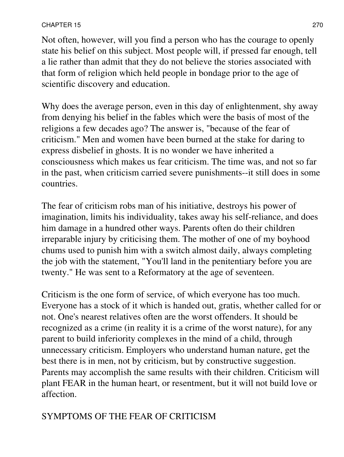Not often, however, will you find a person who has the courage to openly state his belief on this subject. Most people will, if pressed far enough, tell a lie rather than admit that they do not believe the stories associated with that form of religion which held people in bondage prior to the age of scientific discovery and education.

Why does the average person, even in this day of enlightenment, shy away from denying his belief in the fables which were the basis of most of the religions a few decades ago? The answer is, "because of the fear of criticism." Men and women have been burned at the stake for daring to express disbelief in ghosts. It is no wonder we have inherited a consciousness which makes us fear criticism. The time was, and not so far in the past, when criticism carried severe punishments--it still does in some countries.

The fear of criticism robs man of his initiative, destroys his power of imagination, limits his individuality, takes away his self-reliance, and does him damage in a hundred other ways. Parents often do their children irreparable injury by criticising them. The mother of one of my boyhood chums used to punish him with a switch almost daily, always completing the job with the statement, "You'll land in the penitentiary before you are twenty." He was sent to a Reformatory at the age of seventeen.

Criticism is the one form of service, of which everyone has too much. Everyone has a stock of it which is handed out, gratis, whether called for or not. One's nearest relatives often are the worst offenders. It should be recognized as a crime (in reality it is a crime of the worst nature), for any parent to build inferiority complexes in the mind of a child, through unnecessary criticism. Employers who understand human nature, get the best there is in men, not by criticism, but by constructive suggestion. Parents may accomplish the same results with their children. Criticism will plant FEAR in the human heart, or resentment, but it will not build love or affection.

# SYMPTOMS OF THE FEAR OF CRITICISM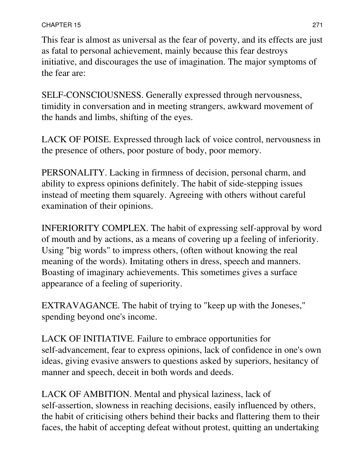This fear is almost as universal as the fear of poverty, and its effects are just as fatal to personal achievement, mainly because this fear destroys initiative, and discourages the use of imagination. The major symptoms of the fear are:

SELF-CONSCIOUSNESS. Generally expressed through nervousness, timidity in conversation and in meeting strangers, awkward movement of the hands and limbs, shifting of the eyes.

LACK OF POISE. Expressed through lack of voice control, nervousness in the presence of others, poor posture of body, poor memory.

PERSONALITY. Lacking in firmness of decision, personal charm, and ability to express opinions definitely. The habit of side-stepping issues instead of meeting them squarely. Agreeing with others without careful examination of their opinions.

INFERIORITY COMPLEX. The habit of expressing self-approval by word of mouth and by actions, as a means of covering up a feeling of inferiority. Using "big words" to impress others, (often without knowing the real meaning of the words). Imitating others in dress, speech and manners. Boasting of imaginary achievements. This sometimes gives a surface appearance of a feeling of superiority.

EXTRAVAGANCE. The habit of trying to "keep up with the Joneses," spending beyond one's income.

LACK OF INITIATIVE. Failure to embrace opportunities for self-advancement, fear to express opinions, lack of confidence in one's own ideas, giving evasive answers to questions asked by superiors, hesitancy of manner and speech, deceit in both words and deeds.

LACK OF AMBITION. Mental and physical laziness, lack of self-assertion, slowness in reaching decisions, easily influenced by others, the habit of criticising others behind their backs and flattering them to their faces, the habit of accepting defeat without protest, quitting an undertaking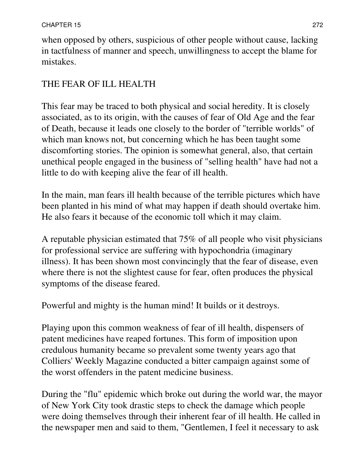when opposed by others, suspicious of other people without cause, lacking in tactfulness of manner and speech, unwillingness to accept the blame for mistakes.

## THE FEAR OF ILL HEALTH

This fear may be traced to both physical and social heredity. It is closely associated, as to its origin, with the causes of fear of Old Age and the fear of Death, because it leads one closely to the border of "terrible worlds" of which man knows not, but concerning which he has been taught some discomforting stories. The opinion is somewhat general, also, that certain unethical people engaged in the business of "selling health" have had not a little to do with keeping alive the fear of ill health.

In the main, man fears ill health because of the terrible pictures which have been planted in his mind of what may happen if death should overtake him. He also fears it because of the economic toll which it may claim.

A reputable physician estimated that 75% of all people who visit physicians for professional service are suffering with hypochondria (imaginary illness). It has been shown most convincingly that the fear of disease, even where there is not the slightest cause for fear, often produces the physical symptoms of the disease feared.

Powerful and mighty is the human mind! It builds or it destroys.

Playing upon this common weakness of fear of ill health, dispensers of patent medicines have reaped fortunes. This form of imposition upon credulous humanity became so prevalent some twenty years ago that Colliers' Weekly Magazine conducted a bitter campaign against some of the worst offenders in the patent medicine business.

During the "flu" epidemic which broke out during the world war, the mayor of New York City took drastic steps to check the damage which people were doing themselves through their inherent fear of ill health. He called in the newspaper men and said to them, "Gentlemen, I feel it necessary to ask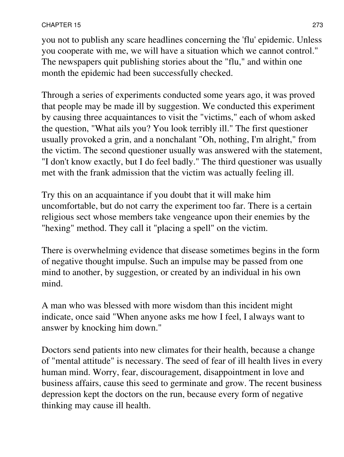you not to publish any scare headlines concerning the 'flu' epidemic. Unless you cooperate with me, we will have a situation which we cannot control." The newspapers quit publishing stories about the "flu," and within one month the epidemic had been successfully checked.

Through a series of experiments conducted some years ago, it was proved that people may be made ill by suggestion. We conducted this experiment by causing three acquaintances to visit the "victims," each of whom asked the question, "What ails you? You look terribly ill." The first questioner usually provoked a grin, and a nonchalant "Oh, nothing, I'm alright," from the victim. The second questioner usually was answered with the statement, "I don't know exactly, but I do feel badly." The third questioner was usually met with the frank admission that the victim was actually feeling ill.

Try this on an acquaintance if you doubt that it will make him uncomfortable, but do not carry the experiment too far. There is a certain religious sect whose members take vengeance upon their enemies by the "hexing" method. They call it "placing a spell" on the victim.

There is overwhelming evidence that disease sometimes begins in the form of negative thought impulse. Such an impulse may be passed from one mind to another, by suggestion, or created by an individual in his own mind.

A man who was blessed with more wisdom than this incident might indicate, once said "When anyone asks me how I feel, I always want to answer by knocking him down."

Doctors send patients into new climates for their health, because a change of "mental attitude" is necessary. The seed of fear of ill health lives in every human mind. Worry, fear, discouragement, disappointment in love and business affairs, cause this seed to germinate and grow. The recent business depression kept the doctors on the run, because every form of negative thinking may cause ill health.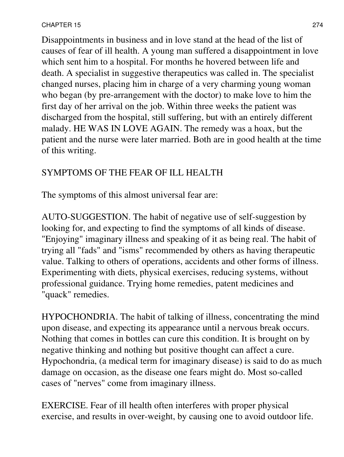Disappointments in business and in love stand at the head of the list of causes of fear of ill health. A young man suffered a disappointment in love which sent him to a hospital. For months he hovered between life and death. A specialist in suggestive therapeutics was called in. The specialist changed nurses, placing him in charge of a very charming young woman who began (by pre-arrangement with the doctor) to make love to him the first day of her arrival on the job. Within three weeks the patient was discharged from the hospital, still suffering, but with an entirely different malady. HE WAS IN LOVE AGAIN. The remedy was a hoax, but the patient and the nurse were later married. Both are in good health at the time of this writing.

### SYMPTOMS OF THE FEAR OF ILL HEALTH

The symptoms of this almost universal fear are:

AUTO-SUGGESTION. The habit of negative use of self-suggestion by looking for, and expecting to find the symptoms of all kinds of disease. "Enjoying" imaginary illness and speaking of it as being real. The habit of trying all "fads" and "isms" recommended by others as having therapeutic value. Talking to others of operations, accidents and other forms of illness. Experimenting with diets, physical exercises, reducing systems, without professional guidance. Trying home remedies, patent medicines and "quack" remedies.

HYPOCHONDRIA. The habit of talking of illness, concentrating the mind upon disease, and expecting its appearance until a nervous break occurs. Nothing that comes in bottles can cure this condition. It is brought on by negative thinking and nothing but positive thought can affect a cure. Hypochondria, (a medical term for imaginary disease) is said to do as much damage on occasion, as the disease one fears might do. Most so-called cases of "nerves" come from imaginary illness.

EXERCISE. Fear of ill health often interferes with proper physical exercise, and results in over-weight, by causing one to avoid outdoor life.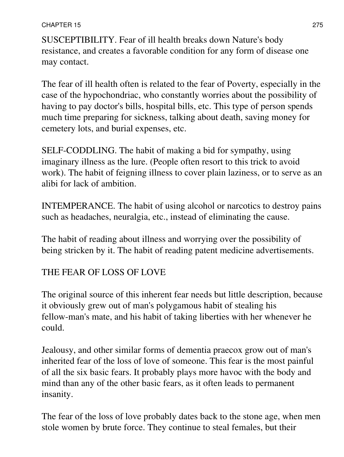SUSCEPTIBILITY. Fear of ill health breaks down Nature's body resistance, and creates a favorable condition for any form of disease one may contact.

The fear of ill health often is related to the fear of Poverty, especially in the case of the hypochondriac, who constantly worries about the possibility of having to pay doctor's bills, hospital bills, etc. This type of person spends much time preparing for sickness, talking about death, saving money for cemetery lots, and burial expenses, etc.

SELF-CODDLING. The habit of making a bid for sympathy, using imaginary illness as the lure. (People often resort to this trick to avoid work). The habit of feigning illness to cover plain laziness, or to serve as an alibi for lack of ambition.

INTEMPERANCE. The habit of using alcohol or narcotics to destroy pains such as headaches, neuralgia, etc., instead of eliminating the cause.

The habit of reading about illness and worrying over the possibility of being stricken by it. The habit of reading patent medicine advertisements.

### THE FEAR OF LOSS OF LOVE

The original source of this inherent fear needs but little description, because it obviously grew out of man's polygamous habit of stealing his fellow-man's mate, and his habit of taking liberties with her whenever he could.

Jealousy, and other similar forms of dementia praecox grow out of man's inherited fear of the loss of love of someone. This fear is the most painful of all the six basic fears. It probably plays more havoc with the body and mind than any of the other basic fears, as it often leads to permanent insanity.

The fear of the loss of love probably dates back to the stone age, when men stole women by brute force. They continue to steal females, but their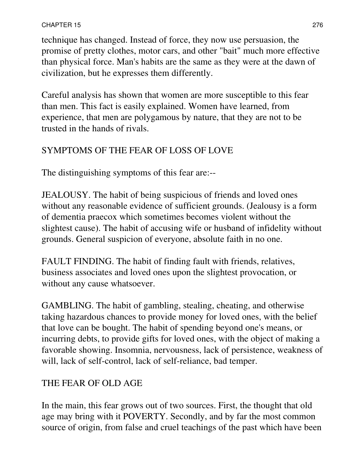technique has changed. Instead of force, they now use persuasion, the promise of pretty clothes, motor cars, and other "bait" much more effective than physical force. Man's habits are the same as they were at the dawn of civilization, but he expresses them differently.

Careful analysis has shown that women are more susceptible to this fear than men. This fact is easily explained. Women have learned, from experience, that men are polygamous by nature, that they are not to be trusted in the hands of rivals.

### SYMPTOMS OF THE FEAR OF LOSS OF LOVE

The distinguishing symptoms of this fear are:--

JEALOUSY. The habit of being suspicious of friends and loved ones without any reasonable evidence of sufficient grounds. (Jealousy is a form of dementia praecox which sometimes becomes violent without the slightest cause). The habit of accusing wife or husband of infidelity without grounds. General suspicion of everyone, absolute faith in no one.

FAULT FINDING. The habit of finding fault with friends, relatives, business associates and loved ones upon the slightest provocation, or without any cause whatsoever.

GAMBLING. The habit of gambling, stealing, cheating, and otherwise taking hazardous chances to provide money for loved ones, with the belief that love can be bought. The habit of spending beyond one's means, or incurring debts, to provide gifts for loved ones, with the object of making a favorable showing. Insomnia, nervousness, lack of persistence, weakness of will, lack of self-control, lack of self-reliance, bad temper.

### THE FEAR OF OLD AGE

In the main, this fear grows out of two sources. First, the thought that old age may bring with it POVERTY. Secondly, and by far the most common source of origin, from false and cruel teachings of the past which have been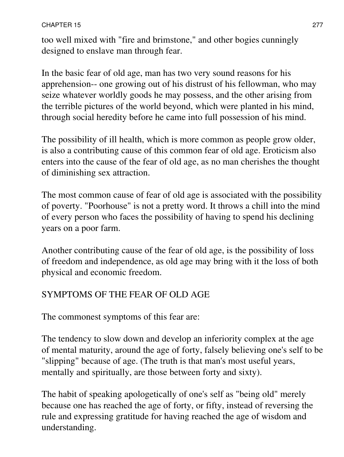too well mixed with "fire and brimstone," and other bogies cunningly designed to enslave man through fear.

In the basic fear of old age, man has two very sound reasons for his apprehension-- one growing out of his distrust of his fellowman, who may seize whatever worldly goods he may possess, and the other arising from the terrible pictures of the world beyond, which were planted in his mind, through social heredity before he came into full possession of his mind.

The possibility of ill health, which is more common as people grow older, is also a contributing cause of this common fear of old age. Eroticism also enters into the cause of the fear of old age, as no man cherishes the thought of diminishing sex attraction.

The most common cause of fear of old age is associated with the possibility of poverty. "Poorhouse" is not a pretty word. It throws a chill into the mind of every person who faces the possibility of having to spend his declining years on a poor farm.

Another contributing cause of the fear of old age, is the possibility of loss of freedom and independence, as old age may bring with it the loss of both physical and economic freedom.

### SYMPTOMS OF THE FEAR OF OLD AGE

The commonest symptoms of this fear are:

The tendency to slow down and develop an inferiority complex at the age of mental maturity, around the age of forty, falsely believing one's self to be "slipping" because of age. (The truth is that man's most useful years, mentally and spiritually, are those between forty and sixty).

The habit of speaking apologetically of one's self as "being old" merely because one has reached the age of forty, or fifty, instead of reversing the rule and expressing gratitude for having reached the age of wisdom and understanding.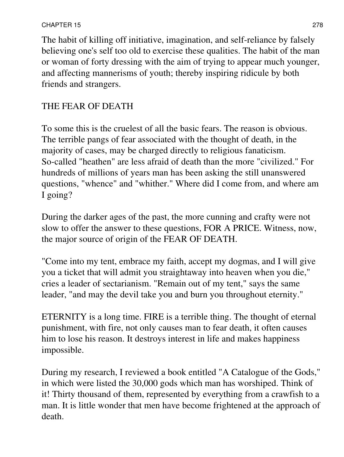The habit of killing off initiative, imagination, and self-reliance by falsely believing one's self too old to exercise these qualities. The habit of the man or woman of forty dressing with the aim of trying to appear much younger, and affecting mannerisms of youth; thereby inspiring ridicule by both friends and strangers.

### THE FEAR OF DEATH

To some this is the cruelest of all the basic fears. The reason is obvious. The terrible pangs of fear associated with the thought of death, in the majority of cases, may be charged directly to religious fanaticism. So-called "heathen" are less afraid of death than the more "civilized." For hundreds of millions of years man has been asking the still unanswered questions, "whence" and "whither." Where did I come from, and where am I going?

During the darker ages of the past, the more cunning and crafty were not slow to offer the answer to these questions, FOR A PRICE. Witness, now, the major source of origin of the FEAR OF DEATH.

"Come into my tent, embrace my faith, accept my dogmas, and I will give you a ticket that will admit you straightaway into heaven when you die," cries a leader of sectarianism. "Remain out of my tent," says the same leader, "and may the devil take you and burn you throughout eternity."

ETERNITY is a long time. FIRE is a terrible thing. The thought of eternal punishment, with fire, not only causes man to fear death, it often causes him to lose his reason. It destroys interest in life and makes happiness impossible.

During my research, I reviewed a book entitled "A Catalogue of the Gods," in which were listed the 30,000 gods which man has worshiped. Think of it! Thirty thousand of them, represented by everything from a crawfish to a man. It is little wonder that men have become frightened at the approach of death.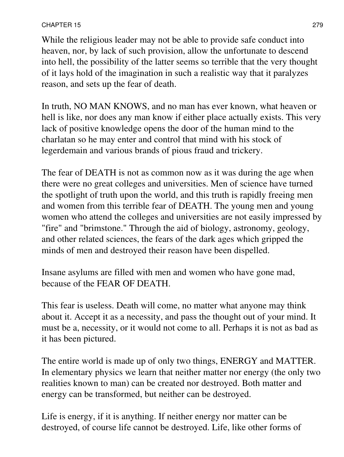While the religious leader may not be able to provide safe conduct into heaven, nor, by lack of such provision, allow the unfortunate to descend into hell, the possibility of the latter seems so terrible that the very thought of it lays hold of the imagination in such a realistic way that it paralyzes reason, and sets up the fear of death.

In truth, NO MAN KNOWS, and no man has ever known, what heaven or hell is like, nor does any man know if either place actually exists. This very lack of positive knowledge opens the door of the human mind to the charlatan so he may enter and control that mind with his stock of legerdemain and various brands of pious fraud and trickery.

The fear of DEATH is not as common now as it was during the age when there were no great colleges and universities. Men of science have turned the spotlight of truth upon the world, and this truth is rapidly freeing men and women from this terrible fear of DEATH. The young men and young women who attend the colleges and universities are not easily impressed by "fire" and "brimstone." Through the aid of biology, astronomy, geology, and other related sciences, the fears of the dark ages which gripped the minds of men and destroyed their reason have been dispelled.

Insane asylums are filled with men and women who have gone mad, because of the FEAR OF DEATH.

This fear is useless. Death will come, no matter what anyone may think about it. Accept it as a necessity, and pass the thought out of your mind. It must be a, necessity, or it would not come to all. Perhaps it is not as bad as it has been pictured.

The entire world is made up of only two things, ENERGY and MATTER. In elementary physics we learn that neither matter nor energy (the only two realities known to man) can be created nor destroyed. Both matter and energy can be transformed, but neither can be destroyed.

Life is energy, if it is anything. If neither energy nor matter can be destroyed, of course life cannot be destroyed. Life, like other forms of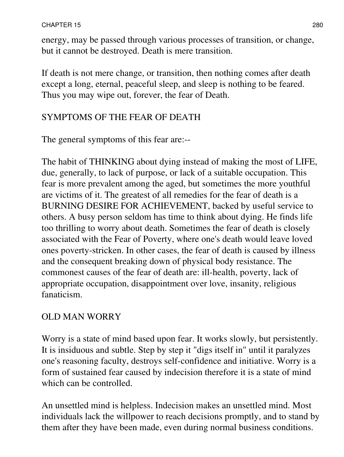energy, may be passed through various processes of transition, or change, but it cannot be destroyed. Death is mere transition.

If death is not mere change, or transition, then nothing comes after death except a long, eternal, peaceful sleep, and sleep is nothing to be feared. Thus you may wipe out, forever, the fear of Death.

# SYMPTOMS OF THE FEAR OF DEATH

The general symptoms of this fear are:--

The habit of THINKING about dying instead of making the most of LIFE, due, generally, to lack of purpose, or lack of a suitable occupation. This fear is more prevalent among the aged, but sometimes the more youthful are victims of it. The greatest of all remedies for the fear of death is a BURNING DESIRE FOR ACHIEVEMENT, backed by useful service to others. A busy person seldom has time to think about dying. He finds life too thrilling to worry about death. Sometimes the fear of death is closely associated with the Fear of Poverty, where one's death would leave loved ones poverty-stricken. In other cases, the fear of death is caused by illness and the consequent breaking down of physical body resistance. The commonest causes of the fear of death are: ill-health, poverty, lack of appropriate occupation, disappointment over love, insanity, religious fanaticism.

# OLD MAN WORRY

Worry is a state of mind based upon fear. It works slowly, but persistently. It is insiduous and subtle. Step by step it "digs itself in" until it paralyzes one's reasoning faculty, destroys self-confidence and initiative. Worry is a form of sustained fear caused by indecision therefore it is a state of mind which can be controlled.

An unsettled mind is helpless. Indecision makes an unsettled mind. Most individuals lack the willpower to reach decisions promptly, and to stand by them after they have been made, even during normal business conditions.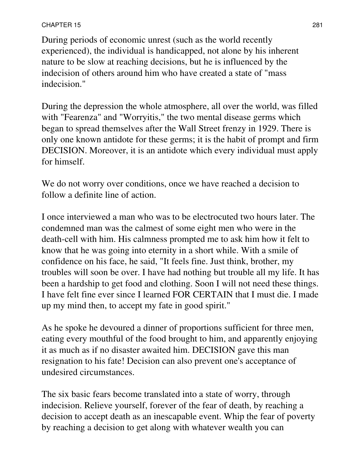During periods of economic unrest (such as the world recently experienced), the individual is handicapped, not alone by his inherent nature to be slow at reaching decisions, but he is influenced by the indecision of others around him who have created a state of "mass indecision."

During the depression the whole atmosphere, all over the world, was filled with "Fearenza" and "Worryitis," the two mental disease germs which began to spread themselves after the Wall Street frenzy in 1929. There is only one known antidote for these germs; it is the habit of prompt and firm DECISION. Moreover, it is an antidote which every individual must apply for himself.

We do not worry over conditions, once we have reached a decision to follow a definite line of action.

I once interviewed a man who was to be electrocuted two hours later. The condemned man was the calmest of some eight men who were in the death-cell with him. His calmness prompted me to ask him how it felt to know that he was going into eternity in a short while. With a smile of confidence on his face, he said, "It feels fine. Just think, brother, my troubles will soon be over. I have had nothing but trouble all my life. It has been a hardship to get food and clothing. Soon I will not need these things. I have felt fine ever since I learned FOR CERTAIN that I must die. I made up my mind then, to accept my fate in good spirit."

As he spoke he devoured a dinner of proportions sufficient for three men, eating every mouthful of the food brought to him, and apparently enjoying it as much as if no disaster awaited him. DECISION gave this man resignation to his fate! Decision can also prevent one's acceptance of undesired circumstances.

The six basic fears become translated into a state of worry, through indecision. Relieve yourself, forever of the fear of death, by reaching a decision to accept death as an inescapable event. Whip the fear of poverty by reaching a decision to get along with whatever wealth you can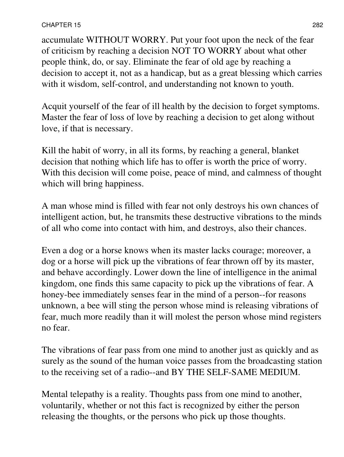accumulate WITHOUT WORRY. Put your foot upon the neck of the fear of criticism by reaching a decision NOT TO WORRY about what other people think, do, or say. Eliminate the fear of old age by reaching a decision to accept it, not as a handicap, but as a great blessing which carries with it wisdom, self-control, and understanding not known to youth.

Acquit yourself of the fear of ill health by the decision to forget symptoms. Master the fear of loss of love by reaching a decision to get along without love, if that is necessary.

Kill the habit of worry, in all its forms, by reaching a general, blanket decision that nothing which life has to offer is worth the price of worry. With this decision will come poise, peace of mind, and calmness of thought which will bring happiness.

A man whose mind is filled with fear not only destroys his own chances of intelligent action, but, he transmits these destructive vibrations to the minds of all who come into contact with him, and destroys, also their chances.

Even a dog or a horse knows when its master lacks courage; moreover, a dog or a horse will pick up the vibrations of fear thrown off by its master, and behave accordingly. Lower down the line of intelligence in the animal kingdom, one finds this same capacity to pick up the vibrations of fear. A honey-bee immediately senses fear in the mind of a person--for reasons unknown, a bee will sting the person whose mind is releasing vibrations of fear, much more readily than it will molest the person whose mind registers no fear.

The vibrations of fear pass from one mind to another just as quickly and as surely as the sound of the human voice passes from the broadcasting station to the receiving set of a radio--and BY THE SELF-SAME MEDIUM.

Mental telepathy is a reality. Thoughts pass from one mind to another, voluntarily, whether or not this fact is recognized by either the person releasing the thoughts, or the persons who pick up those thoughts.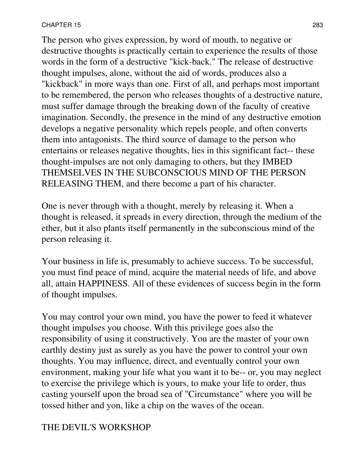The person who gives expression, by word of mouth, to negative or destructive thoughts is practically certain to experience the results of those words in the form of a destructive "kick-back." The release of destructive thought impulses, alone, without the aid of words, produces also a "kickback" in more ways than one. First of all, and perhaps most important to be remembered, the person who releases thoughts of a destructive nature, must suffer damage through the breaking down of the faculty of creative imagination. Secondly, the presence in the mind of any destructive emotion develops a negative personality which repels people, and often converts them into antagonists. The third source of damage to the person who entertains or releases negative thoughts, lies in this significant fact-- these thought-impulses are not only damaging to others, but they IMBED THEMSELVES IN THE SUBCONSCIOUS MIND OF THE PERSON RELEASING THEM, and there become a part of his character.

One is never through with a thought, merely by releasing it. When a thought is released, it spreads in every direction, through the medium of the ether, but it also plants itself permanently in the subconscious mind of the person releasing it.

Your business in life is, presumably to achieve success. To be successful, you must find peace of mind, acquire the material needs of life, and above all, attain HAPPINESS. All of these evidences of success begin in the form of thought impulses.

You may control your own mind, you have the power to feed it whatever thought impulses you choose. With this privilege goes also the responsibility of using it constructively. You are the master of your own earthly destiny just as surely as you have the power to control your own thoughts. You may influence, direct, and eventually control your own environment, making your life what you want it to be-- or, you may neglect to exercise the privilege which is yours, to make your life to order, thus casting yourself upon the broad sea of "Circumstance" where you will be tossed hither and yon, like a chip on the waves of the ocean.

### THE DEVIL'S WORKSHOP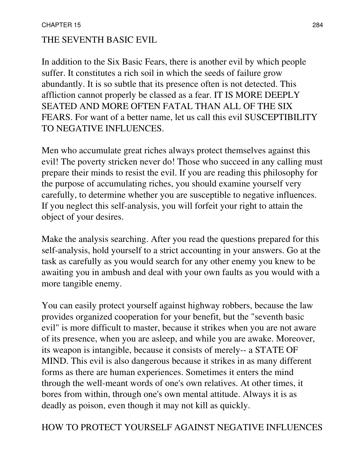### THE SEVENTH BASIC EVIL

In addition to the Six Basic Fears, there is another evil by which people suffer. It constitutes a rich soil in which the seeds of failure grow abundantly. It is so subtle that its presence often is not detected. This affliction cannot properly be classed as a fear. IT IS MORE DEEPLY SEATED AND MORE OFTEN FATAL THAN ALL OF THE SIX FEARS. For want of a better name, let us call this evil SUSCEPTIBILITY TO NEGATIVE INFLUENCES.

Men who accumulate great riches always protect themselves against this evil! The poverty stricken never do! Those who succeed in any calling must prepare their minds to resist the evil. If you are reading this philosophy for the purpose of accumulating riches, you should examine yourself very carefully, to determine whether you are susceptible to negative influences. If you neglect this self-analysis, you will forfeit your right to attain the object of your desires.

Make the analysis searching. After you read the questions prepared for this self-analysis, hold yourself to a strict accounting in your answers. Go at the task as carefully as you would search for any other enemy you knew to be awaiting you in ambush and deal with your own faults as you would with a more tangible enemy.

You can easily protect yourself against highway robbers, because the law provides organized cooperation for your benefit, but the "seventh basic evil" is more difficult to master, because it strikes when you are not aware of its presence, when you are asleep, and while you are awake. Moreover, its weapon is intangible, because it consists of merely-- a STATE OF MIND. This evil is also dangerous because it strikes in as many different forms as there are human experiences. Sometimes it enters the mind through the well-meant words of one's own relatives. At other times, it bores from within, through one's own mental attitude. Always it is as deadly as poison, even though it may not kill as quickly.

### HOW TO PROTECT YOURSELF AGAINST NEGATIVE INFLUENCES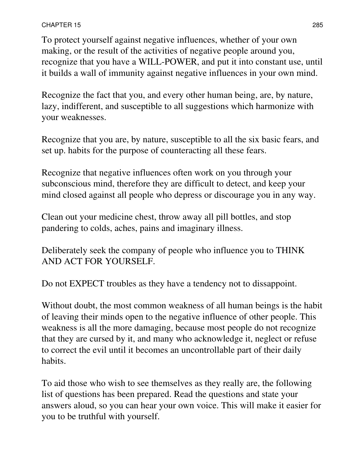To protect yourself against negative influences, whether of your own making, or the result of the activities of negative people around you, recognize that you have a WILL-POWER, and put it into constant use, until it builds a wall of immunity against negative influences in your own mind.

Recognize the fact that you, and every other human being, are, by nature, lazy, indifferent, and susceptible to all suggestions which harmonize with your weaknesses.

Recognize that you are, by nature, susceptible to all the six basic fears, and set up. habits for the purpose of counteracting all these fears.

Recognize that negative influences often work on you through your subconscious mind, therefore they are difficult to detect, and keep your mind closed against all people who depress or discourage you in any way.

Clean out your medicine chest, throw away all pill bottles, and stop pandering to colds, aches, pains and imaginary illness.

Deliberately seek the company of people who influence you to THINK AND ACT FOR YOURSELF.

Do not EXPECT troubles as they have a tendency not to dissappoint.

Without doubt, the most common weakness of all human beings is the habit of leaving their minds open to the negative influence of other people. This weakness is all the more damaging, because most people do not recognize that they are cursed by it, and many who acknowledge it, neglect or refuse to correct the evil until it becomes an uncontrollable part of their daily habits.

To aid those who wish to see themselves as they really are, the following list of questions has been prepared. Read the questions and state your answers aloud, so you can hear your own voice. This will make it easier for you to be truthful with yourself.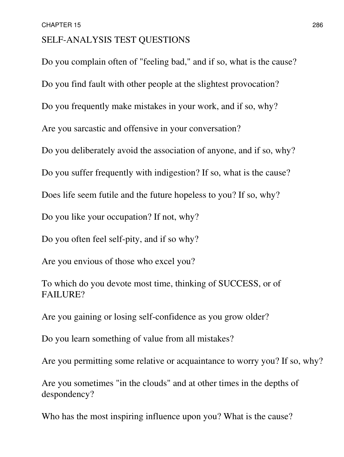### SELF-ANALYSIS TEST QUESTIONS

Do you complain often of "feeling bad," and if so, what is the cause? Do you find fault with other people at the slightest provocation? Do you frequently make mistakes in your work, and if so, why? Are you sarcastic and offensive in your conversation?

Do you deliberately avoid the association of anyone, and if so, why?

Do you suffer frequently with indigestion? If so, what is the cause?

Does life seem futile and the future hopeless to you? If so, why?

Do you like your occupation? If not, why?

Do you often feel self-pity, and if so why?

Are you envious of those who excel you?

To which do you devote most time, thinking of SUCCESS, or of FAILURE?

Are you gaining or losing self-confidence as you grow older?

Do you learn something of value from all mistakes?

Are you permitting some relative or acquaintance to worry you? If so, why?

Are you sometimes "in the clouds" and at other times in the depths of despondency?

Who has the most inspiring influence upon you? What is the cause?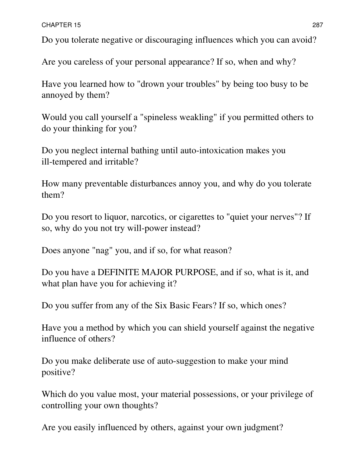Do you tolerate negative or discouraging influences which you can avoid?

Are you careless of your personal appearance? If so, when and why?

Have you learned how to "drown your troubles" by being too busy to be annoyed by them?

Would you call yourself a "spineless weakling" if you permitted others to do your thinking for you?

Do you neglect internal bathing until auto-intoxication makes you ill-tempered and irritable?

How many preventable disturbances annoy you, and why do you tolerate them?

Do you resort to liquor, narcotics, or cigarettes to "quiet your nerves"? If so, why do you not try will-power instead?

Does anyone "nag" you, and if so, for what reason?

Do you have a DEFINITE MAJOR PURPOSE, and if so, what is it, and what plan have you for achieving it?

Do you suffer from any of the Six Basic Fears? If so, which ones?

Have you a method by which you can shield yourself against the negative influence of others?

Do you make deliberate use of auto-suggestion to make your mind positive?

Which do you value most, your material possessions, or your privilege of controlling your own thoughts?

Are you easily influenced by others, against your own judgment?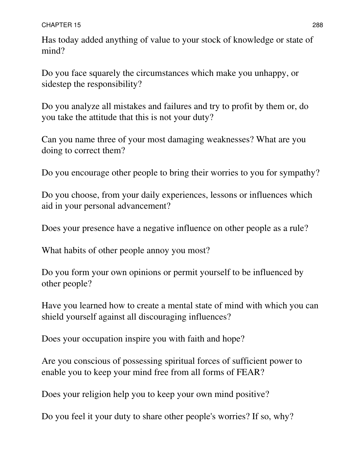Has today added anything of value to your stock of knowledge or state of mind?

Do you face squarely the circumstances which make you unhappy, or sidestep the responsibility?

Do you analyze all mistakes and failures and try to profit by them or, do you take the attitude that this is not your duty?

Can you name three of your most damaging weaknesses? What are you doing to correct them?

Do you encourage other people to bring their worries to you for sympathy?

Do you choose, from your daily experiences, lessons or influences which aid in your personal advancement?

Does your presence have a negative influence on other people as a rule?

What habits of other people annoy you most?

Do you form your own opinions or permit yourself to be influenced by other people?

Have you learned how to create a mental state of mind with which you can shield yourself against all discouraging influences?

Does your occupation inspire you with faith and hope?

Are you conscious of possessing spiritual forces of sufficient power to enable you to keep your mind free from all forms of FEAR?

Does your religion help you to keep your own mind positive?

Do you feel it your duty to share other people's worries? If so, why?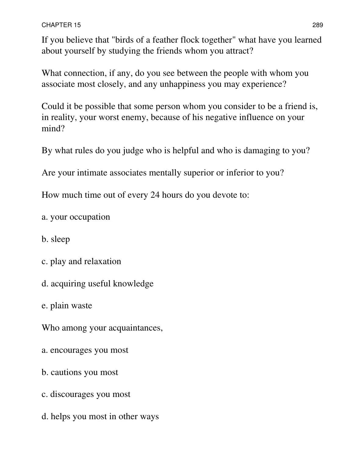If you believe that "birds of a feather flock together" what have you learned about yourself by studying the friends whom you attract?

What connection, if any, do you see between the people with whom you associate most closely, and any unhappiness you may experience?

Could it be possible that some person whom you consider to be a friend is, in reality, your worst enemy, because of his negative influence on your mind?

By what rules do you judge who is helpful and who is damaging to you?

Are your intimate associates mentally superior or inferior to you?

How much time out of every 24 hours do you devote to:

a. your occupation

b. sleep

c. play and relaxation

d. acquiring useful knowledge

e. plain waste

Who among your acquaintances,

a. encourages you most

b. cautions you most

c. discourages you most

d. helps you most in other ways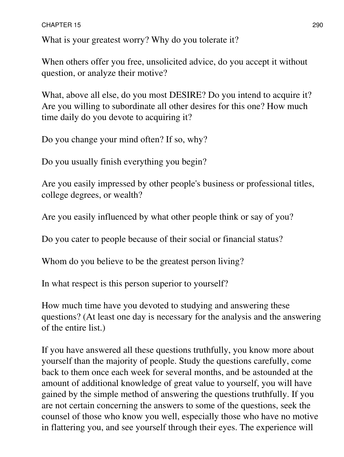What is your greatest worry? Why do you tolerate it?

When others offer you free, unsolicited advice, do you accept it without question, or analyze their motive?

What, above all else, do you most DESIRE? Do you intend to acquire it? Are you willing to subordinate all other desires for this one? How much time daily do you devote to acquiring it?

Do you change your mind often? If so, why?

Do you usually finish everything you begin?

Are you easily impressed by other people's business or professional titles, college degrees, or wealth?

Are you easily influenced by what other people think or say of you?

Do you cater to people because of their social or financial status?

Whom do you believe to be the greatest person living?

In what respect is this person superior to yourself?

How much time have you devoted to studying and answering these questions? (At least one day is necessary for the analysis and the answering of the entire list.)

If you have answered all these questions truthfully, you know more about yourself than the majority of people. Study the questions carefully, come back to them once each week for several months, and be astounded at the amount of additional knowledge of great value to yourself, you will have gained by the simple method of answering the questions truthfully. If you are not certain concerning the answers to some of the questions, seek the counsel of those who know you well, especially those who have no motive in flattering you, and see yourself through their eyes. The experience will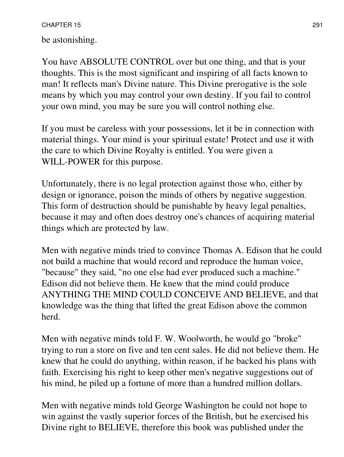be astonishing.

You have ABSOLUTE CONTROL over but one thing, and that is your thoughts. This is the most significant and inspiring of all facts known to man! It reflects man's Divine nature. This Divine prerogative is the sole means by which you may control your own destiny. If you fail to control your own mind, you may be sure you will control nothing else.

If you must be careless with your possessions, let it be in connection with material things. Your mind is your spiritual estate! Protect and use it with the care to which Divine Royalty is entitled. You were given a WILL-POWER for this purpose.

Unfortunately, there is no legal protection against those who, either by design or ignorance, poison the minds of others by negative suggestion. This form of destruction should be punishable by heavy legal penalties, because it may and often does destroy one's chances of acquiring material things which are protected by law.

Men with negative minds tried to convince Thomas A. Edison that he could not build a machine that would record and reproduce the human voice, "because" they said, "no one else had ever produced such a machine." Edison did not believe them. He knew that the mind could produce ANYTHING THE MIND COULD CONCEIVE AND BELIEVE, and that knowledge was the thing that lifted the great Edison above the common herd.

Men with negative minds told F. W. Woolworth, he would go "broke" trying to run a store on five and ten cent sales. He did not believe them. He knew that he could do anything, within reason, if he backed his plans with faith. Exercising his right to keep other men's negative suggestions out of his mind, he piled up a fortune of more than a hundred million dollars.

Men with negative minds told George Washington he could not hope to win against the vastly superior forces of the British, but he exercised his Divine right to BELIEVE, therefore this book was published under the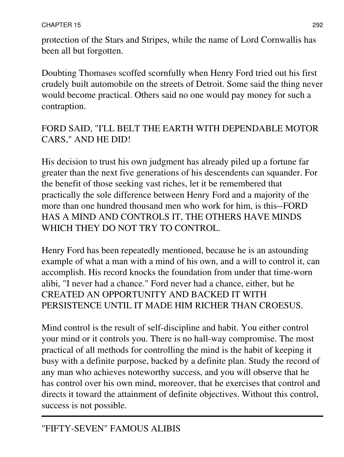protection of the Stars and Stripes, while the name of Lord Cornwallis has been all but forgotten.

Doubting Thomases scoffed scornfully when Henry Ford tried out his first crudely built automobile on the streets of Detroit. Some said the thing never would become practical. Others said no one would pay money for such a contraption.

## FORD SAID, "I'LL BELT THE EARTH WITH DEPENDABLE MOTOR CARS," AND HE DID!

His decision to trust his own judgment has already piled up a fortune far greater than the next five generations of his descendents can squander. For the benefit of those seeking vast riches, let it be remembered that practically the sole difference between Henry Ford and a majority of the more than one hundred thousand men who work for him, is this--FORD HAS A MIND AND CONTROLS IT, THE OTHERS HAVE MINDS WHICH THEY DO NOT TRY TO CONTROL.

Henry Ford has been repeatedly mentioned, because he is an astounding example of what a man with a mind of his own, and a will to control it, can accomplish. His record knocks the foundation from under that time-worn alibi, "I never had a chance." Ford never had a chance, either, but he CREATED AN OPPORTUNITY AND BACKED IT WITH PERSISTENCE UNTIL IT MADE HIM RICHER THAN CROESUS.

Mind control is the result of self-discipline and habit. You either control your mind or it controls you. There is no hall-way compromise. The most practical of all methods for controlling the mind is the habit of keeping it busy with a definite purpose, backed by a definite plan. Study the record of any man who achieves noteworthy success, and you will observe that he has control over his own mind, moreover, that he exercises that control and directs it toward the attainment of definite objectives. Without this control, success is not possible.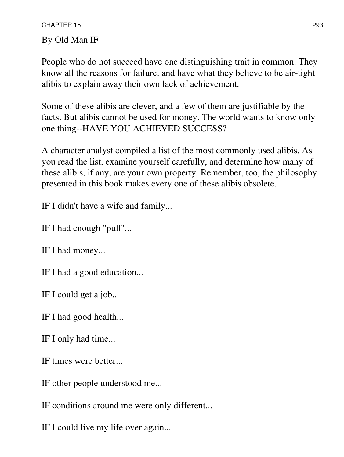By Old Man IF

People who do not succeed have one distinguishing trait in common. They know all the reasons for failure, and have what they believe to be air-tight alibis to explain away their own lack of achievement.

Some of these alibis are clever, and a few of them are justifiable by the facts. But alibis cannot be used for money. The world wants to know only one thing--HAVE YOU ACHIEVED SUCCESS?

A character analyst compiled a list of the most commonly used alibis. As you read the list, examine yourself carefully, and determine how many of these alibis, if any, are your own property. Remember, too, the philosophy presented in this book makes every one of these alibis obsolete.

IF I didn't have a wife and family...

IF I had enough "pull"...

IF I had money...

IF I had a good education...

IF I could get a job...

IF I had good health...

IF I only had time...

IF times were better...

IF other people understood me...

IF conditions around me were only different...

IF I could live my life over again...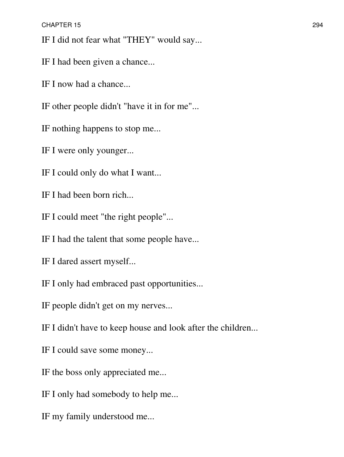IF I did not fear what "THEY" would say...

IF I had been given a chance...

IF I now had a chance...

IF other people didn't "have it in for me"...

IF nothing happens to stop me...

IF I were only younger...

IF I could only do what I want...

IF I had been born rich...

IF I could meet "the right people"...

IF I had the talent that some people have...

IF I dared assert myself...

IF I only had embraced past opportunities...

IF people didn't get on my nerves...

IF I didn't have to keep house and look after the children...

IF I could save some money...

IF the boss only appreciated me...

IF I only had somebody to help me...

IF my family understood me...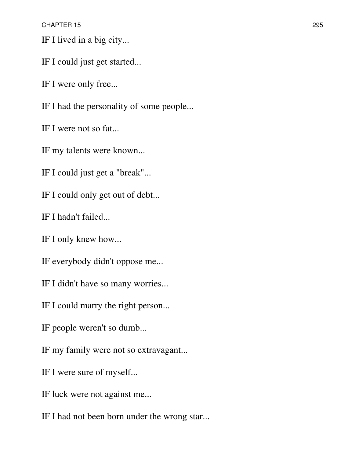IF I lived in a big city...

IF I could just get started...

IF I were only free...

IF I had the personality of some people...

IF I were not so fat...

IF my talents were known...

IF I could just get a "break"...

IF I could only get out of debt...

IF I hadn't failed...

IF I only knew how...

IF everybody didn't oppose me...

IF I didn't have so many worries...

IF I could marry the right person...

IF people weren't so dumb...

IF my family were not so extravagant...

IF I were sure of myself...

IF luck were not against me...

IF I had not been born under the wrong star...